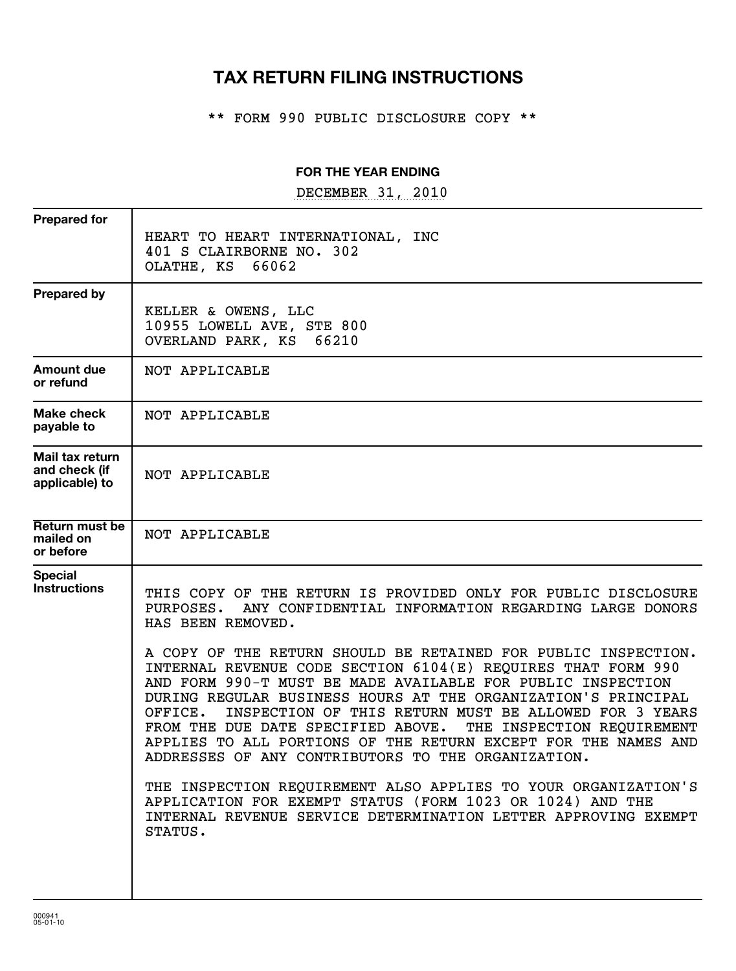# **TAX RETURN FILING INSTRUCTIONS**

\*\* FORM 990 PUBLIC DISCLOSURE COPY \*\*

## **FOR THE YEAR ENDING**

DECEMBER 31, 2010

| <b>Prepared for</b>                                | HEART TO HEART INTERNATIONAL, INC<br>401 S CLAIRBORNE NO. 302<br>OLATHE, KS 66062                                                                                                                                                                                                                                                                                                                                                                                                                                                                                                                                                                                                                                                                                                                                                                                                                     |
|----------------------------------------------------|-------------------------------------------------------------------------------------------------------------------------------------------------------------------------------------------------------------------------------------------------------------------------------------------------------------------------------------------------------------------------------------------------------------------------------------------------------------------------------------------------------------------------------------------------------------------------------------------------------------------------------------------------------------------------------------------------------------------------------------------------------------------------------------------------------------------------------------------------------------------------------------------------------|
| <b>Prepared by</b>                                 | KELLER & OWENS, LLC<br>10955 LOWELL AVE, STE 800<br>OVERLAND PARK, KS 66210                                                                                                                                                                                                                                                                                                                                                                                                                                                                                                                                                                                                                                                                                                                                                                                                                           |
| Amount due<br>or refund                            | NOT APPLICABLE                                                                                                                                                                                                                                                                                                                                                                                                                                                                                                                                                                                                                                                                                                                                                                                                                                                                                        |
| <b>Make check</b><br>payable to                    | NOT APPLICABLE                                                                                                                                                                                                                                                                                                                                                                                                                                                                                                                                                                                                                                                                                                                                                                                                                                                                                        |
| Mail tax return<br>and check (if<br>applicable) to | NOT APPLICABLE                                                                                                                                                                                                                                                                                                                                                                                                                                                                                                                                                                                                                                                                                                                                                                                                                                                                                        |
| <b>Return must be</b><br>mailed on<br>or before    | NOT APPLICABLE                                                                                                                                                                                                                                                                                                                                                                                                                                                                                                                                                                                                                                                                                                                                                                                                                                                                                        |
| <b>Special</b><br><b>Instructions</b>              | THIS COPY OF THE RETURN IS PROVIDED ONLY FOR PUBLIC DISCLOSURE<br>ANY CONFIDENTIAL INFORMATION REGARDING LARGE DONORS<br>PURPOSES.<br>HAS BEEN REMOVED.<br>A COPY OF THE RETURN SHOULD BE RETAINED FOR PUBLIC INSPECTION.<br>INTERNAL REVENUE CODE SECTION 6104(E) REQUIRES THAT FORM 990<br>AND FORM 990-T MUST BE MADE AVAILABLE FOR PUBLIC INSPECTION<br>DURING REGULAR BUSINESS HOURS AT THE ORGANIZATION'S PRINCIPAL<br>INSPECTION OF THIS RETURN MUST BE ALLOWED FOR 3 YEARS<br>OFFICE.<br>FROM THE DUE DATE SPECIFIED ABOVE.<br>THE INSPECTION REQUIREMENT<br>APPLIES TO ALL PORTIONS OF THE RETURN EXCEPT FOR THE NAMES AND<br>ADDRESSES OF ANY CONTRIBUTORS TO THE ORGANIZATION.<br>THE INSPECTION REQUIREMENT ALSO APPLIES TO YOUR ORGANIZATION'S<br>APPLICATION FOR EXEMPT STATUS (FORM 1023 OR 1024) AND THE<br>INTERNAL REVENUE SERVICE DETERMINATION LETTER APPROVING EXEMPT<br>STATUS. |
|                                                    |                                                                                                                                                                                                                                                                                                                                                                                                                                                                                                                                                                                                                                                                                                                                                                                                                                                                                                       |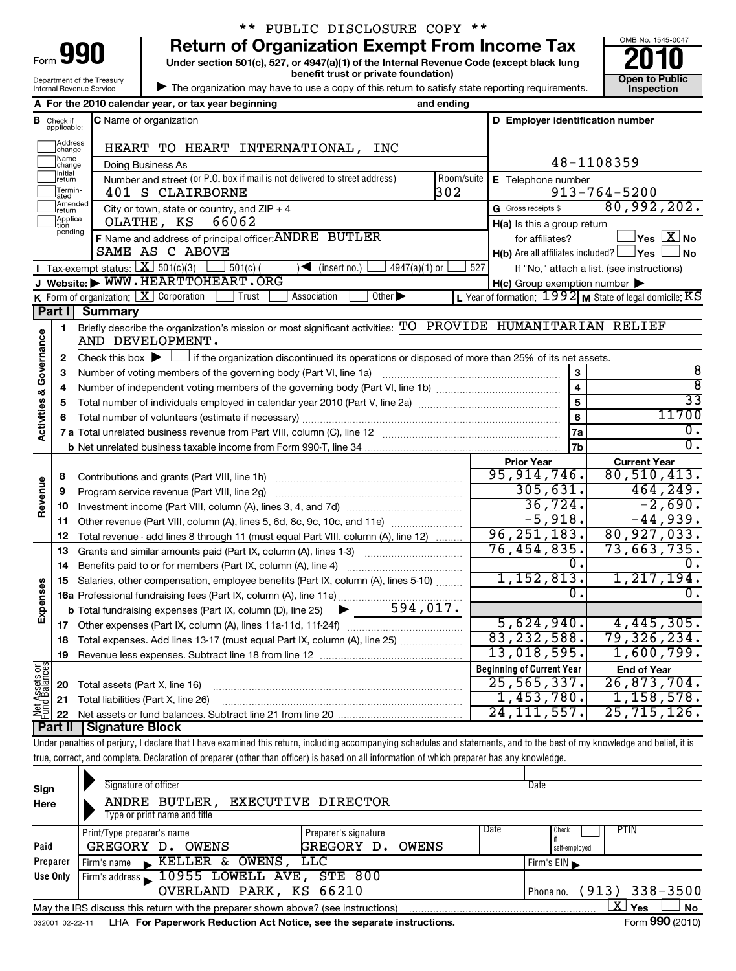| lQN<br>Form                |
|----------------------------|
| Department of the Treasury |
| Internal Revenue Service   |

# \*\* PUBLIC DISCLOSURE COPY \*\*

**Under section 501(c), 527, or 4947(a)(1) of the Internal Revenue Code (except black lung 990** Return of Organization Exempt From Income Tax  $\frac{6008 \text{ No. }1545-004}{2010}$ <br>Under section 501(c), 527, or 4947(a)(1) of the Internal Revenue Code (except black lung



| The organization may have to use a copy of this return to satisfy state reporting requirements.

|                         |                                                    | A For the 2010 calendar year, or tax year beginning                                                                                         | and ending                                                        |                                                     |                                                                 |
|-------------------------|----------------------------------------------------|---------------------------------------------------------------------------------------------------------------------------------------------|-------------------------------------------------------------------|-----------------------------------------------------|-----------------------------------------------------------------|
|                         | <b>B</b> Check if<br>applicable:                   | <b>C</b> Name of organization                                                                                                               |                                                                   | D Employer identification number                    |                                                                 |
|                         | Address<br>change                                  | HEART TO HEART INTERNATIONAL,<br>INC                                                                                                        |                                                                   |                                                     |                                                                 |
|                         | Name<br>change                                     | Doing Business As                                                                                                                           |                                                                   |                                                     | 48-1108359                                                      |
|                         | Initial<br> return                                 | Number and street (or P.O. box if mail is not delivered to street address)                                                                  | Room/suite                                                        | E Telephone number                                  |                                                                 |
|                         | Termin-<br>ated                                    | 401 S CLAIRBORNE                                                                                                                            | 302                                                               |                                                     | $913 - 764 - 5200$                                              |
|                         | Amended<br>return                                  | City or town, state or country, and $ZIP + 4$                                                                                               |                                                                   | G Gross receipts \$                                 | 80,992,202.                                                     |
|                         | Applica-<br>OLATHE, KS<br>66062<br>tion<br>pending |                                                                                                                                             |                                                                   |                                                     | $H(a)$ is this a group return                                   |
|                         |                                                    | F Name and address of principal officer: ANDRE BUTLER<br>SAME AS C ABOVE                                                                    | for affiliates?<br>$H(b)$ Are all affiliates included? $\Box$ Yes | $\Box$ Yes $[\,\mathbf{X}\,]$ No                    |                                                                 |
|                         |                                                    | <b>I</b> Tax-exempt status: $\boxed{\mathbf{X}}$ 501(c)(3) [<br>$\Box$ 501(c) (<br>$\sqrt{\frac{1}{1}}$ (insert no.)<br>$4947(a)(1)$ or     | 527                                                               |                                                     | <b>No</b>                                                       |
|                         |                                                    | J Website: WWW.HEARTTOHEART.ORG                                                                                                             |                                                                   | $H(c)$ Group exemption number $\blacktriangleright$ | If "No," attach a list. (see instructions)                      |
|                         |                                                    | <b>K</b> Form of organization: $X$ Corporation<br>Other $\blacktriangleright$<br>  Trust<br>Association                                     |                                                                   |                                                     | L Year of formation: $1992 \vert$ M State of legal domicile: KS |
|                         | Part I                                             | Summary                                                                                                                                     |                                                                   |                                                     |                                                                 |
|                         | $\mathbf{1}$                                       | Briefly describe the organization's mission or most significant activities: TO PROVIDE HUMANITARIAN RELIEF                                  |                                                                   |                                                     |                                                                 |
| Activities & Governance |                                                    | AND DEVELOPMENT.                                                                                                                            |                                                                   |                                                     |                                                                 |
|                         | $\mathbf{2}$                                       | Check this box $\blacktriangleright$ $\Box$ if the organization discontinued its operations or disposed of more than 25% of its net assets. |                                                                   |                                                     |                                                                 |
|                         | 3                                                  |                                                                                                                                             |                                                                   | 3                                                   | 8                                                               |
|                         | 4                                                  |                                                                                                                                             |                                                                   | $\overline{\mathbf{4}}$                             | ह                                                               |
|                         | 5                                                  |                                                                                                                                             |                                                                   | $\overline{5}$                                      | $\overline{33}$                                                 |
|                         | 6                                                  |                                                                                                                                             |                                                                   | 6                                                   | 11700                                                           |
|                         |                                                    |                                                                                                                                             |                                                                   | 7a                                                  | $\overline{0}$ .                                                |
|                         |                                                    |                                                                                                                                             |                                                                   | 7b                                                  | $\overline{0}$ .                                                |
|                         |                                                    |                                                                                                                                             |                                                                   | <b>Prior Year</b>                                   | <b>Current Year</b>                                             |
|                         | 8                                                  | Contributions and grants (Part VIII, line 1h)                                                                                               |                                                                   | 95, 914, 746.                                       | 80,510,413.                                                     |
| Revenue                 | 9                                                  | Program service revenue (Part VIII, line 2g)                                                                                                |                                                                   | 305,631.                                            | 464, 249.                                                       |
|                         | 10                                                 |                                                                                                                                             |                                                                   | 36,724.                                             | $-2,690.$                                                       |
|                         | 11                                                 | Other revenue (Part VIII, column (A), lines 5, 6d, 8c, 9c, 10c, and 11e)                                                                    |                                                                   | $-5,918.$                                           | $-44,939.$                                                      |
|                         | 12                                                 | Total revenue - add lines 8 through 11 (must equal Part VIII, column (A), line 12)                                                          |                                                                   | 96, 251, 183.                                       | 80, 927, 033.                                                   |
|                         | 13                                                 | Grants and similar amounts paid (Part IX, column (A), lines 1-3)                                                                            |                                                                   | 76, 454, 835.                                       | $73,663,735$ .                                                  |
|                         | 14                                                 | Benefits paid to or for members (Part IX, column (A), line 4)                                                                               |                                                                   | 0.                                                  | $\overline{0}$ .                                                |
|                         | 15                                                 | Salaries, other compensation, employee benefits (Part IX, column (A), lines 5-10)                                                           |                                                                   | 1,152,813.                                          | 1, 217, 194.                                                    |
| Expenses                |                                                    | 16a Professional fundraising fees (Part IX, column (A), line 11e)<br>594,017.                                                               |                                                                   | 0.                                                  | 0.                                                              |
|                         |                                                    | <b>b</b> Total fundraising expenses (Part IX, column (D), line 25)<br>▶                                                                     |                                                                   |                                                     |                                                                 |
|                         | 17                                                 |                                                                                                                                             |                                                                   | 5,624,940.                                          | 4,445,305.                                                      |
|                         | 18                                                 | Total expenses. Add lines 13-17 (must equal Part IX, column (A), line 25)                                                                   |                                                                   | 83, 232, 588.                                       | 79,326,234.                                                     |
|                         | 19                                                 |                                                                                                                                             |                                                                   | 13,018,595.                                         | 1,600,799.                                                      |
| Net Assets or           |                                                    |                                                                                                                                             |                                                                   | <b>Beginning of Current Year</b>                    | <b>End of Year</b>                                              |
|                         | 20                                                 | Total assets (Part X, line 16)                                                                                                              |                                                                   | 25, 565, 337.                                       | 26,873,704.                                                     |
|                         | 21                                                 | Total liabilities (Part X, line 26)                                                                                                         |                                                                   | 1,453,780.                                          | 1, 158, 578.                                                    |
|                         | 22                                                 | Signature Block                                                                                                                             |                                                                   | 24, 111, 557.                                       | 25,715,126.                                                     |
|                         | Part II                                            |                                                                                                                                             |                                                                   |                                                     |                                                                 |

Under penalties of perjury, I declare that I have examined this return, including accompanying schedules and statements, and to the best of my knowledge and belief, it is true, correct, and complete. Declaration of preparer (other than officer) is based on all information of which preparer has any knowledge.

| Sign     | Signature of officer                                                                                               |                      | Date |                                 |  |  |  |  |
|----------|--------------------------------------------------------------------------------------------------------------------|----------------------|------|---------------------------------|--|--|--|--|
| Here     | ANDRE BUTLER,<br>Type or print name and title                                                                      | EXECUTIVE DIRECTOR   |      |                                 |  |  |  |  |
|          | Print/Type preparer's name                                                                                         | Preparer's signature | Date | <b>PTIN</b><br>Check            |  |  |  |  |
| Paid     | GREGORY D.<br>OWENS                                                                                                | GREGORY D.<br>OWENS  |      | self-employed                   |  |  |  |  |
| Preparer | Firm's name KELLER & OWENS, LLC                                                                                    |                      |      | $F$ irm's EIN                   |  |  |  |  |
| Use Only | Firm's address 10955 LOWELL AVE,                                                                                   | $STE$ 800            |      |                                 |  |  |  |  |
|          | OVERLAND PARK, KS 66210                                                                                            |                      |      | $(913) 338 - 3500$<br>Phone no. |  |  |  |  |
|          | $\mathbf{X}$ Yes<br><b>No</b><br>May the IRS discuss this return with the preparer shown above? (see instructions) |                      |      |                                 |  |  |  |  |
|          | Form 990 (2010)<br>LHA For Paperwork Reduction Act Notice, see the separate instructions.<br>032001 02-22-11       |                      |      |                                 |  |  |  |  |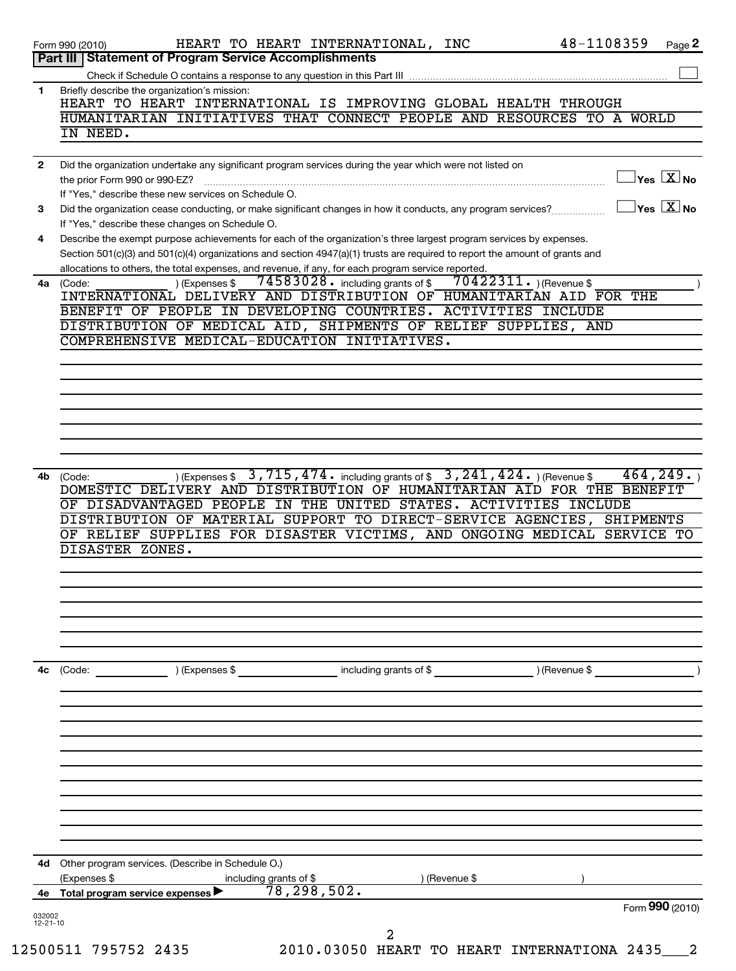|              | Part III   Statement of Program Service Accomplishments                                                                                                                                                                                                                                                                                                                                                                                                              |
|--------------|----------------------------------------------------------------------------------------------------------------------------------------------------------------------------------------------------------------------------------------------------------------------------------------------------------------------------------------------------------------------------------------------------------------------------------------------------------------------|
|              |                                                                                                                                                                                                                                                                                                                                                                                                                                                                      |
| 1            | Briefly describe the organization's mission:<br>HEART TO HEART INTERNATIONAL IS IMPROVING GLOBAL HEALTH THROUGH                                                                                                                                                                                                                                                                                                                                                      |
|              | HUMANITARIAN INITIATIVES THAT CONNECT PEOPLE AND RESOURCES TO A WORLD                                                                                                                                                                                                                                                                                                                                                                                                |
|              | IN NEED.                                                                                                                                                                                                                                                                                                                                                                                                                                                             |
| $\mathbf{2}$ | Did the organization undertake any significant program services during the year which were not listed on                                                                                                                                                                                                                                                                                                                                                             |
|              | $\mathbf{y_{es}}$ $\boxed{\text{X}}$ No<br>the prior Form 990 or 990-EZ?<br>If "Yes." describe these new services on Schedule O.                                                                                                                                                                                                                                                                                                                                     |
| 3            | $\sqrt{}$ Yes $\sqrt{}\frac{\text{X}}{\text{N}}$ No<br>Did the organization cease conducting, or make significant changes in how it conducts, any program services?                                                                                                                                                                                                                                                                                                  |
| 4            | If "Yes," describe these changes on Schedule O.<br>Describe the exempt purpose achievements for each of the organization's three largest program services by expenses.                                                                                                                                                                                                                                                                                               |
|              | Section 501(c)(3) and 501(c)(4) organizations and section 4947(a)(1) trusts are required to report the amount of grants and<br>allocations to others, the total expenses, and revenue, if any, for each program service reported.                                                                                                                                                                                                                                    |
|              | $74583028$ • including grants of \$<br>$70422311.$ (Revenue \$<br>) (Expenses \$<br>4a (Code:                                                                                                                                                                                                                                                                                                                                                                        |
|              | INTERNATIONAL DELIVERY AND DISTRIBUTION OF HUMANITARIAN AID FOR THE<br>BENEFIT OF PEOPLE IN DEVELOPING COUNTRIES. ACTIVITIES INCLUDE                                                                                                                                                                                                                                                                                                                                 |
|              | DISTRIBUTION OF MEDICAL AID, SHIPMENTS OF RELIEF SUPPLIES, AND                                                                                                                                                                                                                                                                                                                                                                                                       |
|              | COMPREHENSIVE MEDICAL-EDUCATION INITIATIVES.                                                                                                                                                                                                                                                                                                                                                                                                                         |
|              |                                                                                                                                                                                                                                                                                                                                                                                                                                                                      |
|              |                                                                                                                                                                                                                                                                                                                                                                                                                                                                      |
|              |                                                                                                                                                                                                                                                                                                                                                                                                                                                                      |
|              |                                                                                                                                                                                                                                                                                                                                                                                                                                                                      |
|              |                                                                                                                                                                                                                                                                                                                                                                                                                                                                      |
| 4b           | ) (Expenses \$3,715,474. including grants of \$3,241,424.) (Revenue \$<br>464, 249.<br>(Code:<br>DOMESTIC DELIVERY AND DISTRIBUTION OF HUMANITARIAN AID FOR THE BENEFIT<br>OF DISADVANTAGED PEOPLE IN THE UNITED STATES. ACTIVITIES INCLUDE                                                                                                                                                                                                                          |
|              | DISTRIBUTION OF MATERIAL SUPPORT TO DIRECT-SERVICE AGENCIES, SHIPMENTS                                                                                                                                                                                                                                                                                                                                                                                               |
|              |                                                                                                                                                                                                                                                                                                                                                                                                                                                                      |
|              |                                                                                                                                                                                                                                                                                                                                                                                                                                                                      |
|              | DISASTER ZONES.                                                                                                                                                                                                                                                                                                                                                                                                                                                      |
|              |                                                                                                                                                                                                                                                                                                                                                                                                                                                                      |
|              |                                                                                                                                                                                                                                                                                                                                                                                                                                                                      |
|              |                                                                                                                                                                                                                                                                                                                                                                                                                                                                      |
|              |                                                                                                                                                                                                                                                                                                                                                                                                                                                                      |
|              | $\begin{array}{ c c c c c }\hline \text{(Expenses $}\text{\$} & \text{\_} & \text{\_} & \text{\_} & \text{\_} & \text{\_} & \text{\_} & \text{\_} & \text{\_} & \text{\_} & \text{\_} & \text{\_} & \text{\_} & \text{\_} & \text{\_} & \text{\_} & \text{\_} & \text{\_} & \text{\_} & \text{\_} & \text{\_} & \text{\_} & \text{\_} & \text{\_} & \text{\_} & \text{\_} & \text{\_} & \text{\_} & \text{\_} & \text{\_} & \text{\_} & \text{\_} & \text$<br>(Code: |
|              |                                                                                                                                                                                                                                                                                                                                                                                                                                                                      |
|              |                                                                                                                                                                                                                                                                                                                                                                                                                                                                      |
|              |                                                                                                                                                                                                                                                                                                                                                                                                                                                                      |
|              |                                                                                                                                                                                                                                                                                                                                                                                                                                                                      |
|              |                                                                                                                                                                                                                                                                                                                                                                                                                                                                      |
|              |                                                                                                                                                                                                                                                                                                                                                                                                                                                                      |
|              | Other program services. (Describe in Schedule O.)                                                                                                                                                                                                                                                                                                                                                                                                                    |
| 4с<br>4d     | OF RELIEF SUPPLIES FOR DISASTER VICTIMS, AND ONGOING MEDICAL SERVICE TO<br>(Expenses \$<br>including grants of \$<br>) (Revenue \$<br>$\overline{78,298,502.}$<br>4e Total program service expenses                                                                                                                                                                                                                                                                  |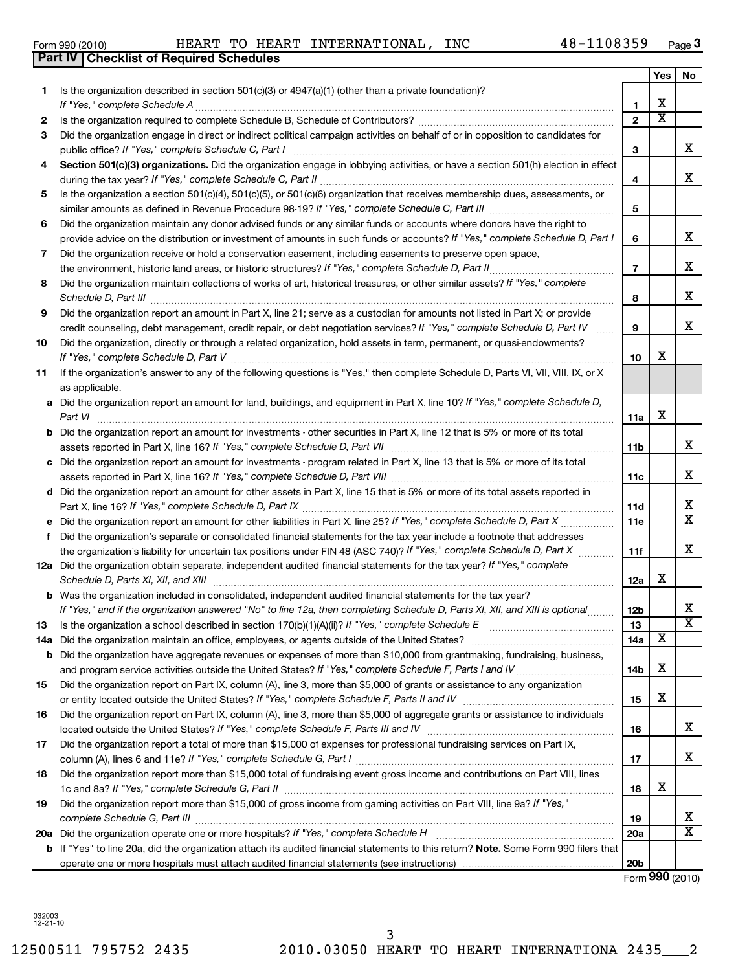**1**

12500511 795752 2435 2010.03050 HEART TO HEART INTERNATIONA 2435\_\_\_2 3

| 5   | Is the organization a section 501(c)(4), 501(c)(5), or 501(c)(6) organization that receives membership dues, assessments, or                                                                                                                                                                                                                                                                                                                                    |                          |   |                              |
|-----|-----------------------------------------------------------------------------------------------------------------------------------------------------------------------------------------------------------------------------------------------------------------------------------------------------------------------------------------------------------------------------------------------------------------------------------------------------------------|--------------------------|---|------------------------------|
|     | similar amounts as defined in Revenue Procedure 98-19? If "Yes," complete Schedule C, Part III<br>$\mathcal{L} = \{1, 2, \ldots, 2, \ldots, 2, \ldots, 2, \ldots, 2, \ldots, 2, \ldots, 2, \ldots, 2, \ldots, 2, \ldots, 2, \ldots, 2, \ldots, 2, \ldots, 2, \ldots, 2, \ldots, 2, \ldots, 2, \ldots, 2, \ldots, 2, \ldots, 2, \ldots, 2, \ldots, 2, \ldots, 2, \ldots, 2, \ldots, 2, \ldots, 2, \ldots, 2, \ldots, 2, \ldots, 2, \ldots, 2, \ldots, 2, \ldots$ | 5                        |   |                              |
| 6   | Did the organization maintain any donor advised funds or any similar funds or accounts where donors have the right to                                                                                                                                                                                                                                                                                                                                           |                          |   |                              |
|     | provide advice on the distribution or investment of amounts in such funds or accounts? If "Yes," complete Schedule D, Part I                                                                                                                                                                                                                                                                                                                                    | 6                        |   | x                            |
| 7   | Did the organization receive or hold a conservation easement, including easements to preserve open space,                                                                                                                                                                                                                                                                                                                                                       |                          |   |                              |
|     | the environment, historic land areas, or historic structures? If "Yes," complete Schedule D, Part II                                                                                                                                                                                                                                                                                                                                                            | $\overline{\phantom{a}}$ |   | х                            |
| 8   | Did the organization maintain collections of works of art, historical treasures, or other similar assets? If "Yes," complete                                                                                                                                                                                                                                                                                                                                    |                          |   |                              |
|     | Schedule D, Part III                                                                                                                                                                                                                                                                                                                                                                                                                                            | 8                        |   | x                            |
| 9   | Did the organization report an amount in Part X, line 21; serve as a custodian for amounts not listed in Part X; or provide                                                                                                                                                                                                                                                                                                                                     |                          |   |                              |
|     | credit counseling, debt management, credit repair, or debt negotiation services? If "Yes," complete Schedule D, Part IV                                                                                                                                                                                                                                                                                                                                         | 9                        |   | x                            |
| 10  | Did the organization, directly or through a related organization, hold assets in term, permanent, or quasi-endowments?<br>If "Yes," complete Schedule D, Part V                                                                                                                                                                                                                                                                                                 |                          | x |                              |
|     | If the organization's answer to any of the following questions is "Yes," then complete Schedule D, Parts VI, VII, VIII, IX, or X                                                                                                                                                                                                                                                                                                                                | 10                       |   |                              |
| 11  | as applicable.                                                                                                                                                                                                                                                                                                                                                                                                                                                  |                          |   |                              |
|     | a Did the organization report an amount for land, buildings, and equipment in Part X, line 10? If "Yes," complete Schedule D,                                                                                                                                                                                                                                                                                                                                   |                          |   |                              |
|     | Part VI                                                                                                                                                                                                                                                                                                                                                                                                                                                         | 11a                      | х |                              |
|     | <b>b</b> Did the organization report an amount for investments - other securities in Part X, line 12 that is 5% or more of its total                                                                                                                                                                                                                                                                                                                            |                          |   |                              |
|     | assets reported in Part X, line 16? If "Yes," complete Schedule D, Part VII                                                                                                                                                                                                                                                                                                                                                                                     | 11b                      |   | х                            |
|     | c Did the organization report an amount for investments - program related in Part X, line 13 that is 5% or more of its total                                                                                                                                                                                                                                                                                                                                    |                          |   |                              |
|     |                                                                                                                                                                                                                                                                                                                                                                                                                                                                 | 11c                      |   | х                            |
|     | d Did the organization report an amount for other assets in Part X, line 15 that is 5% or more of its total assets reported in                                                                                                                                                                                                                                                                                                                                  |                          |   |                              |
|     |                                                                                                                                                                                                                                                                                                                                                                                                                                                                 | 11d                      |   | х                            |
|     | Did the organization report an amount for other liabilities in Part X, line 25? If "Yes," complete Schedule D, Part X                                                                                                                                                                                                                                                                                                                                           | 11e                      |   | x                            |
| f   | Did the organization's separate or consolidated financial statements for the tax year include a footnote that addresses                                                                                                                                                                                                                                                                                                                                         |                          |   |                              |
|     | the organization's liability for uncertain tax positions under FIN 48 (ASC 740)? If "Yes," complete Schedule D, Part X                                                                                                                                                                                                                                                                                                                                          | 11f                      |   | х                            |
|     | 12a Did the organization obtain separate, independent audited financial statements for the tax year? If "Yes," complete                                                                                                                                                                                                                                                                                                                                         |                          |   |                              |
|     | Schedule D, Parts XI, XII, and XIII                                                                                                                                                                                                                                                                                                                                                                                                                             | 12a                      | x |                              |
|     | <b>b</b> Was the organization included in consolidated, independent audited financial statements for the tax year?                                                                                                                                                                                                                                                                                                                                              |                          |   |                              |
|     | If "Yes," and if the organization answered "No" to line 12a, then completing Schedule D, Parts XI, XII, and XIII is optional                                                                                                                                                                                                                                                                                                                                    | 12 <sub>b</sub>          |   | х<br>$\overline{\mathtt{x}}$ |
| 13  | Is the organization a school described in section $170(b)(1)(A)(ii)?$ If "Yes," complete Schedule E                                                                                                                                                                                                                                                                                                                                                             | 13                       |   |                              |
| 14a | Did the organization maintain an office, employees, or agents outside of the United States?                                                                                                                                                                                                                                                                                                                                                                     | 14a                      | х |                              |
| b   | Did the organization have aggregate revenues or expenses of more than \$10,000 from grantmaking, fundraising, business,                                                                                                                                                                                                                                                                                                                                         |                          | x |                              |
|     | Did the organization report on Part IX, column (A), line 3, more than \$5,000 of grants or assistance to any organization                                                                                                                                                                                                                                                                                                                                       | 14 <sub>b</sub>          |   |                              |
| 15  |                                                                                                                                                                                                                                                                                                                                                                                                                                                                 | 15                       | х |                              |
| 16  | Did the organization report on Part IX, column (A), line 3, more than \$5,000 of aggregate grants or assistance to individuals                                                                                                                                                                                                                                                                                                                                  |                          |   |                              |
|     |                                                                                                                                                                                                                                                                                                                                                                                                                                                                 | 16                       |   | x                            |
| 17  | Did the organization report a total of more than \$15,000 of expenses for professional fundraising services on Part IX,                                                                                                                                                                                                                                                                                                                                         |                          |   |                              |
|     |                                                                                                                                                                                                                                                                                                                                                                                                                                                                 | 17                       |   | х                            |
| 18  | Did the organization report more than \$15,000 total of fundraising event gross income and contributions on Part VIII, lines                                                                                                                                                                                                                                                                                                                                    |                          |   |                              |
|     |                                                                                                                                                                                                                                                                                                                                                                                                                                                                 | 18                       | х |                              |
| 19  | Did the organization report more than \$15,000 of gross income from gaming activities on Part VIII, line 9a? If "Yes,"                                                                                                                                                                                                                                                                                                                                          |                          |   |                              |
|     |                                                                                                                                                                                                                                                                                                                                                                                                                                                                 | 19                       |   | х                            |
|     | 20a Did the organization operate one or more hospitals? If "Yes," complete Schedule H                                                                                                                                                                                                                                                                                                                                                                           | 20a                      |   | $\overline{\mathtt{x}}$      |
|     | b If "Yes" to line 20a, did the organization attach its audited financial statements to this return? Note. Some Form 990 filers that                                                                                                                                                                                                                                                                                                                            |                          |   |                              |
|     |                                                                                                                                                                                                                                                                                                                                                                                                                                                                 | 20 <sub>b</sub>          |   |                              |
|     |                                                                                                                                                                                                                                                                                                                                                                                                                                                                 |                          |   | Form 990 (2010)              |

## Form 990 (2010) HEART TO HEART INTERNATIONAL, INC 48-1108359 Page

Is the organization described in section 501(c)(3) or 4947(a)(1) (other than a private foundation)?

**2** Is the organization required to complete Schedule B, Schedule of Contributors? ~~~~~~~~~~~~~~~~~~~~~~ **3** Did the organization engage in direct or indirect political campaign activities on behalf of or in opposition to candidates for

*If "Yes," complete Schedule A* ~~~~~~~~~~~~~~~~~~~~~~~~~~~~~~~~~~~~~~~~~~~~~~~

*If "Yes," complete Schedule C, Part I* public office? ~~~~~~~~~~~~~~~~~~~~~~~~~~~~~~~~~~~~

during the tax year? If "Yes," complete Schedule C, Part II **manual complete of the complete of the constant of t** 

4 **Section 501(c)(3) organizations.** Did the organization engage in lobbying activities, or have a section 501(h) election in effect

**3**

**1 2**

**3**

**4**

**Yes No**

X

X

X  $\overline{\text{x}}$ 

| Form 990 (2010) |                                                  |  | HEART TO HEART |  |
|-----------------|--------------------------------------------------|--|----------------|--|
|                 | <b>Part IV   Checklist of Required Schedules</b> |  |                |  |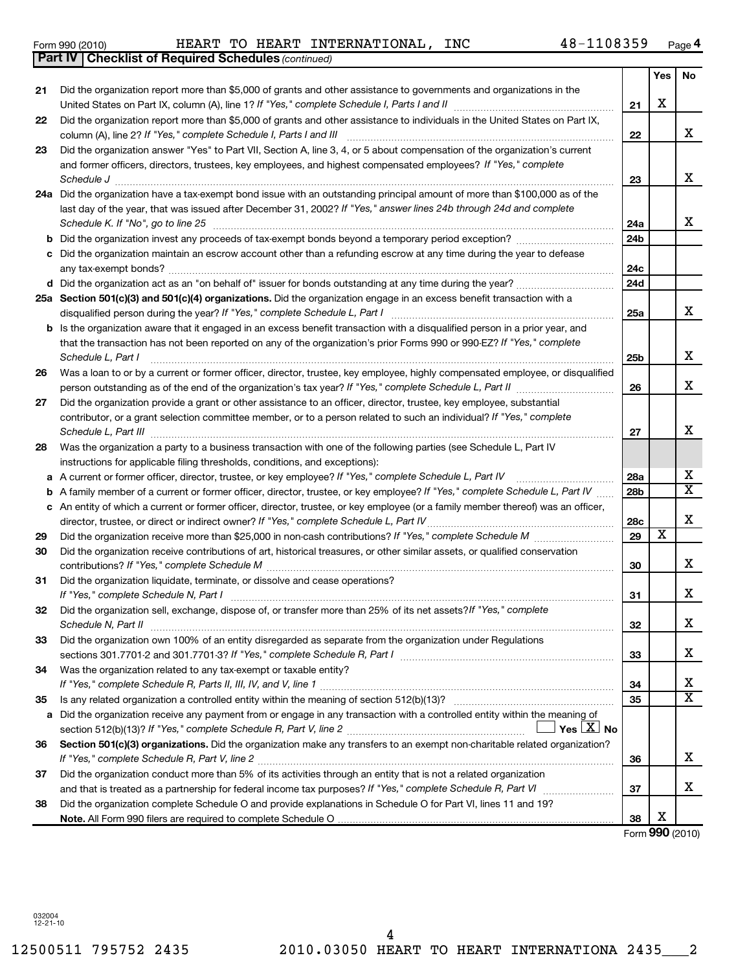| Form 990 (2010) |                                                              |  | HEART TO HEART | INTERNATIONAL | INC | 48-1108359 |     | Page |
|-----------------|--------------------------------------------------------------|--|----------------|---------------|-----|------------|-----|------|
|                 | <b>Part IV   Checklist of Required Schedules (continued)</b> |  |                |               |     |            |     |      |
|                 |                                                              |  |                |               |     |            | Yes | l No |

|     | Did the organization report more than \$5,000 of grants and other assistance to governments and organizations in the                | 21  | X |                         |
|-----|-------------------------------------------------------------------------------------------------------------------------------------|-----|---|-------------------------|
|     | Did the organization report more than \$5,000 of grants and other assistance to individuals in the United States on Part IX,        |     |   | X                       |
|     | column (A), line 2? If "Yes," complete Schedule I, Parts I and III                                                                  | 22  |   |                         |
|     | Did the organization answer "Yes" to Part VII, Section A, line 3, 4, or 5 about compensation of the organization's current          |     |   |                         |
|     | and former officers, directors, trustees, key employees, and highest compensated employees? If "Yes," complete                      |     |   |                         |
|     | Schedule J                                                                                                                          | 23  |   | Х                       |
| la. | Did the organization have a tax-exempt bond issue with an outstanding principal amount of more than \$100,000 as of the             |     |   |                         |
|     | last day of the year, that was issued after December 31, 2002? If "Yes," answer lines 24b through 24d and complete                  |     |   |                         |
|     | Schedule K. If "No", go to line 25                                                                                                  | 24a |   | X                       |
|     |                                                                                                                                     | 24b |   |                         |
|     | c Did the organization maintain an escrow account other than a refunding escrow at any time during the year to defease              |     |   |                         |
|     |                                                                                                                                     | 24c |   |                         |
|     |                                                                                                                                     | 24d |   |                         |
|     | Sa Section 501(c)(3) and 501(c)(4) organizations. Did the organization engage in an excess benefit transaction with a               |     |   |                         |
|     | disqualified person during the year? If "Yes," complete Schedule L, Part I                                                          | 25a |   | X                       |
|     | b Is the organization aware that it engaged in an excess benefit transaction with a disqualified person in a prior year, and        |     |   |                         |
|     | that the transaction has not been reported on any of the organization's prior Forms 990 or 990-EZ? If "Yes," complete               |     |   |                         |
|     | Schedule L, Part I                                                                                                                  | 25b |   | Х                       |
|     | Was a loan to or by a current or former officer, director, trustee, key employee, highly compensated employee, or disqualified      |     |   |                         |
|     |                                                                                                                                     | 26  |   | X                       |
|     | Did the organization provide a grant or other assistance to an officer, director, trustee, key employee, substantial                |     |   |                         |
|     | contributor, or a grant selection committee member, or to a person related to such an individual? If "Yes," complete                |     |   |                         |
|     |                                                                                                                                     | 27  |   | X                       |
|     | Was the organization a party to a business transaction with one of the following parties (see Schedule L, Part IV                   |     |   |                         |
|     | instructions for applicable filing thresholds, conditions, and exceptions):                                                         |     |   |                         |
|     | a A current or former officer, director, trustee, or key employee? If "Yes," complete Schedule L, Part IV                           | 28a |   | х                       |
|     | <b>b</b> A family member of a current or former officer, director, trustee, or key employee? If "Yes," complete Schedule L, Part IV | 28b |   | $\overline{\textbf{x}}$ |
|     | c An entity of which a current or former officer, director, trustee, or key employee (or a family member thereof) was an officer,   |     |   |                         |
|     | director, trustee, or direct or indirect owner? If "Yes," complete Schedule L, Part IV                                              | 28c |   | X                       |
|     |                                                                                                                                     | 29  | х |                         |
|     | Did the organization receive contributions of art, historical treasures, or other similar assets, or qualified conservation         |     |   |                         |
|     |                                                                                                                                     | 30  |   | X                       |
|     | Did the organization liquidate, terminate, or dissolve and cease operations?                                                        |     |   |                         |
|     | If "Yes," complete Schedule N, Part I                                                                                               | 31  |   | X                       |
|     | Did the organization sell, exchange, dispose of, or transfer more than 25% of its net assets? If "Yes," complete                    |     |   |                         |
|     | Schedule N, Part II                                                                                                                 | 32  |   | X                       |
|     | Did the organization own 100% of an entity disregarded as separate from the organization under Regulations                          |     |   |                         |
|     |                                                                                                                                     | 33  |   | х                       |
|     | Was the organization related to any tax-exempt or taxable entity?                                                                   |     |   |                         |
|     |                                                                                                                                     | 34  |   | х                       |
|     |                                                                                                                                     | 35  |   | $\overline{\textbf{X}}$ |
|     | a Did the organization receive any payment from or engage in any transaction with a controlled entity within the meaning of         |     |   |                         |
|     | Yes $ \underline{X} $ No                                                                                                            |     |   |                         |
|     | Section 501(c)(3) organizations. Did the organization make any transfers to an exempt non-charitable related organization?          |     |   |                         |
|     |                                                                                                                                     |     |   | х                       |
|     |                                                                                                                                     | 36  |   |                         |
|     | Did the organization conduct more than 5% of its activities through an entity that is not a related organization                    |     |   |                         |

**Note.**  All Form 990 filers are required to complete Schedule O

and that is treated as a partnership for federal income tax purposes? If "Yes," complete Schedule R, Part VI medi

Did the organization complete Schedule O and provide explanations in Schedule O for Part VI, lines 11 and 19?

**37**

**38**

Form (2010) **990**

X

X

**Yes No**

**21**

**22**

**23**

**24 a**

**25 a**

**26**

**27**

**28**

**29 30**

**31**

**32**

**33**

**34**

**35**

**36**

**37**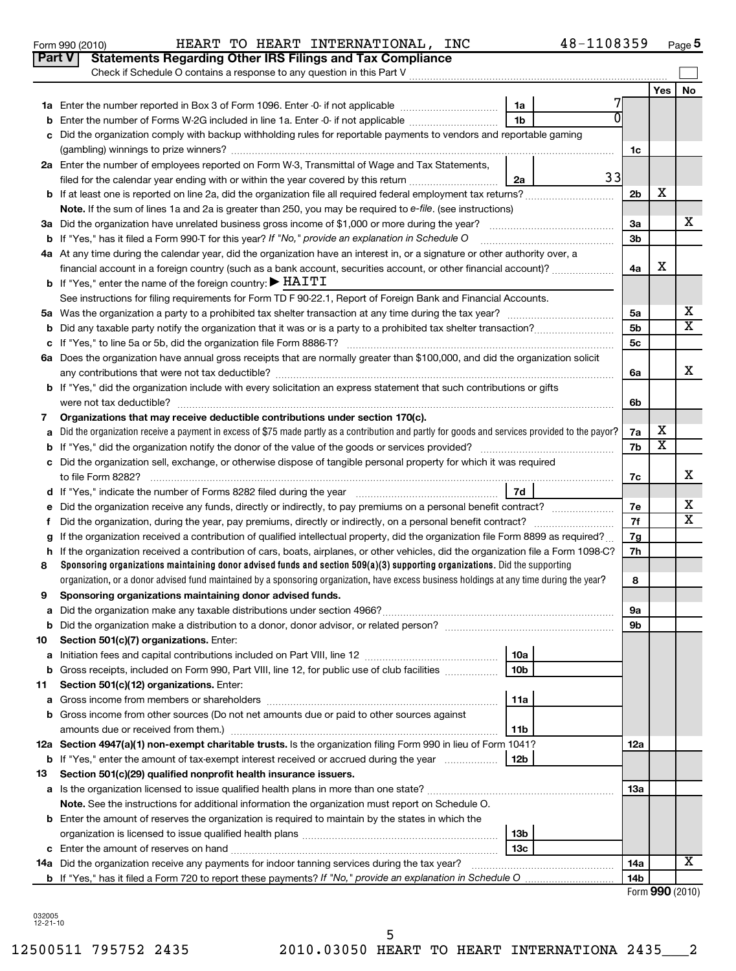| 1a<br>1 <sub>b</sub><br>Enter the number of Forms W-2G included in line 1a. Enter -0- if not applicable<br>b<br>Did the organization comply with backup withholding rules for reportable payments to vendors and reportable gaming<br>C<br>2a Enter the number of employees reported on Form W-3, Transmittal of Wage and Tax Statements,<br>2a<br>filed for the calendar year ending with or within the year covered by this return<br><b>b</b> If at least one is reported on line 2a, did the organization file all required federal employment tax returns?<br>Note. If the sum of lines 1a and 2a is greater than 250, you may be required to e-file, (see instructions)<br><b>b</b> If "Yes," has it filed a Form 990-T for this year? If "No," provide an explanation in Schedule O<br>4a At any time during the calendar year, did the organization have an interest in, or a signature or other authority over, a<br>financial account in a foreign country (such as a bank account, securities account, or other financial account)?<br><b>b</b> If "Yes," enter the name of the foreign country: $\blacktriangleright$ HAITI<br>See instructions for filing requirements for Form TD F 90-22.1, Report of Foreign Bank and Financial Accounts.<br>b<br>с<br>6a Does the organization have annual gross receipts that are normally greater than \$100,000, and did the organization solicit<br>b If "Yes," did the organization include with every solicitation an express statement that such contributions or gifts<br>Organizations that may receive deductible contributions under section 170(c).<br>7<br>Did the organization receive a payment in excess of \$75 made partly as a contribution and partly for goods and services provided to the payor?<br>a<br>b<br>Did the organization sell, exchange, or otherwise dispose of tangible personal property for which it was required<br>c<br>7d<br>d<br>е<br>f<br>If the organization received a contribution of qualified intellectual property, did the organization file Form 8899 as required?<br>g<br>If the organization received a contribution of cars, boats, airplanes, or other vehicles, did the organization file a Form 1098-C?<br>h<br>Sponsoring organizations maintaining donor advised funds and section 509(a)(3) supporting organizations. Did the supporting<br>8<br>organization, or a donor advised fund maintained by a sponsoring organization, have excess business holdings at any time during the year?<br>Sponsoring organizations maintaining donor advised funds.<br>9 | 1c<br>33<br>2 <sub>b</sub><br>3a<br>3 <sub>b</sub><br>4a<br>5a<br>5 <sub>b</sub><br>5 <sub>c</sub><br>6а | Yes<br>х<br>х           | No<br>x<br>x            |
|--------------------------------------------------------------------------------------------------------------------------------------------------------------------------------------------------------------------------------------------------------------------------------------------------------------------------------------------------------------------------------------------------------------------------------------------------------------------------------------------------------------------------------------------------------------------------------------------------------------------------------------------------------------------------------------------------------------------------------------------------------------------------------------------------------------------------------------------------------------------------------------------------------------------------------------------------------------------------------------------------------------------------------------------------------------------------------------------------------------------------------------------------------------------------------------------------------------------------------------------------------------------------------------------------------------------------------------------------------------------------------------------------------------------------------------------------------------------------------------------------------------------------------------------------------------------------------------------------------------------------------------------------------------------------------------------------------------------------------------------------------------------------------------------------------------------------------------------------------------------------------------------------------------------------------------------------------------------------------------------------------------------------------------------------------------------------------------------------------------------------------------------------------------------------------------------------------------------------------------------------------------------------------------------------------------------------------------------------------------------------------------------------------------------------------------------------------------------------------------------------------------------------------------------------------------------------|----------------------------------------------------------------------------------------------------------|-------------------------|-------------------------|
|                                                                                                                                                                                                                                                                                                                                                                                                                                                                                                                                                                                                                                                                                                                                                                                                                                                                                                                                                                                                                                                                                                                                                                                                                                                                                                                                                                                                                                                                                                                                                                                                                                                                                                                                                                                                                                                                                                                                                                                                                                                                                                                                                                                                                                                                                                                                                                                                                                                                                                                                                                          |                                                                                                          |                         |                         |
|                                                                                                                                                                                                                                                                                                                                                                                                                                                                                                                                                                                                                                                                                                                                                                                                                                                                                                                                                                                                                                                                                                                                                                                                                                                                                                                                                                                                                                                                                                                                                                                                                                                                                                                                                                                                                                                                                                                                                                                                                                                                                                                                                                                                                                                                                                                                                                                                                                                                                                                                                                          |                                                                                                          |                         |                         |
|                                                                                                                                                                                                                                                                                                                                                                                                                                                                                                                                                                                                                                                                                                                                                                                                                                                                                                                                                                                                                                                                                                                                                                                                                                                                                                                                                                                                                                                                                                                                                                                                                                                                                                                                                                                                                                                                                                                                                                                                                                                                                                                                                                                                                                                                                                                                                                                                                                                                                                                                                                          |                                                                                                          |                         |                         |
|                                                                                                                                                                                                                                                                                                                                                                                                                                                                                                                                                                                                                                                                                                                                                                                                                                                                                                                                                                                                                                                                                                                                                                                                                                                                                                                                                                                                                                                                                                                                                                                                                                                                                                                                                                                                                                                                                                                                                                                                                                                                                                                                                                                                                                                                                                                                                                                                                                                                                                                                                                          |                                                                                                          |                         |                         |
|                                                                                                                                                                                                                                                                                                                                                                                                                                                                                                                                                                                                                                                                                                                                                                                                                                                                                                                                                                                                                                                                                                                                                                                                                                                                                                                                                                                                                                                                                                                                                                                                                                                                                                                                                                                                                                                                                                                                                                                                                                                                                                                                                                                                                                                                                                                                                                                                                                                                                                                                                                          |                                                                                                          |                         |                         |
|                                                                                                                                                                                                                                                                                                                                                                                                                                                                                                                                                                                                                                                                                                                                                                                                                                                                                                                                                                                                                                                                                                                                                                                                                                                                                                                                                                                                                                                                                                                                                                                                                                                                                                                                                                                                                                                                                                                                                                                                                                                                                                                                                                                                                                                                                                                                                                                                                                                                                                                                                                          |                                                                                                          |                         |                         |
|                                                                                                                                                                                                                                                                                                                                                                                                                                                                                                                                                                                                                                                                                                                                                                                                                                                                                                                                                                                                                                                                                                                                                                                                                                                                                                                                                                                                                                                                                                                                                                                                                                                                                                                                                                                                                                                                                                                                                                                                                                                                                                                                                                                                                                                                                                                                                                                                                                                                                                                                                                          |                                                                                                          |                         |                         |
|                                                                                                                                                                                                                                                                                                                                                                                                                                                                                                                                                                                                                                                                                                                                                                                                                                                                                                                                                                                                                                                                                                                                                                                                                                                                                                                                                                                                                                                                                                                                                                                                                                                                                                                                                                                                                                                                                                                                                                                                                                                                                                                                                                                                                                                                                                                                                                                                                                                                                                                                                                          |                                                                                                          |                         |                         |
|                                                                                                                                                                                                                                                                                                                                                                                                                                                                                                                                                                                                                                                                                                                                                                                                                                                                                                                                                                                                                                                                                                                                                                                                                                                                                                                                                                                                                                                                                                                                                                                                                                                                                                                                                                                                                                                                                                                                                                                                                                                                                                                                                                                                                                                                                                                                                                                                                                                                                                                                                                          |                                                                                                          |                         |                         |
|                                                                                                                                                                                                                                                                                                                                                                                                                                                                                                                                                                                                                                                                                                                                                                                                                                                                                                                                                                                                                                                                                                                                                                                                                                                                                                                                                                                                                                                                                                                                                                                                                                                                                                                                                                                                                                                                                                                                                                                                                                                                                                                                                                                                                                                                                                                                                                                                                                                                                                                                                                          |                                                                                                          |                         |                         |
|                                                                                                                                                                                                                                                                                                                                                                                                                                                                                                                                                                                                                                                                                                                                                                                                                                                                                                                                                                                                                                                                                                                                                                                                                                                                                                                                                                                                                                                                                                                                                                                                                                                                                                                                                                                                                                                                                                                                                                                                                                                                                                                                                                                                                                                                                                                                                                                                                                                                                                                                                                          |                                                                                                          |                         |                         |
|                                                                                                                                                                                                                                                                                                                                                                                                                                                                                                                                                                                                                                                                                                                                                                                                                                                                                                                                                                                                                                                                                                                                                                                                                                                                                                                                                                                                                                                                                                                                                                                                                                                                                                                                                                                                                                                                                                                                                                                                                                                                                                                                                                                                                                                                                                                                                                                                                                                                                                                                                                          |                                                                                                          |                         |                         |
|                                                                                                                                                                                                                                                                                                                                                                                                                                                                                                                                                                                                                                                                                                                                                                                                                                                                                                                                                                                                                                                                                                                                                                                                                                                                                                                                                                                                                                                                                                                                                                                                                                                                                                                                                                                                                                                                                                                                                                                                                                                                                                                                                                                                                                                                                                                                                                                                                                                                                                                                                                          |                                                                                                          |                         |                         |
|                                                                                                                                                                                                                                                                                                                                                                                                                                                                                                                                                                                                                                                                                                                                                                                                                                                                                                                                                                                                                                                                                                                                                                                                                                                                                                                                                                                                                                                                                                                                                                                                                                                                                                                                                                                                                                                                                                                                                                                                                                                                                                                                                                                                                                                                                                                                                                                                                                                                                                                                                                          |                                                                                                          |                         |                         |
|                                                                                                                                                                                                                                                                                                                                                                                                                                                                                                                                                                                                                                                                                                                                                                                                                                                                                                                                                                                                                                                                                                                                                                                                                                                                                                                                                                                                                                                                                                                                                                                                                                                                                                                                                                                                                                                                                                                                                                                                                                                                                                                                                                                                                                                                                                                                                                                                                                                                                                                                                                          |                                                                                                          |                         |                         |
|                                                                                                                                                                                                                                                                                                                                                                                                                                                                                                                                                                                                                                                                                                                                                                                                                                                                                                                                                                                                                                                                                                                                                                                                                                                                                                                                                                                                                                                                                                                                                                                                                                                                                                                                                                                                                                                                                                                                                                                                                                                                                                                                                                                                                                                                                                                                                                                                                                                                                                                                                                          |                                                                                                          |                         |                         |
|                                                                                                                                                                                                                                                                                                                                                                                                                                                                                                                                                                                                                                                                                                                                                                                                                                                                                                                                                                                                                                                                                                                                                                                                                                                                                                                                                                                                                                                                                                                                                                                                                                                                                                                                                                                                                                                                                                                                                                                                                                                                                                                                                                                                                                                                                                                                                                                                                                                                                                                                                                          |                                                                                                          |                         | $\overline{\texttt{x}}$ |
|                                                                                                                                                                                                                                                                                                                                                                                                                                                                                                                                                                                                                                                                                                                                                                                                                                                                                                                                                                                                                                                                                                                                                                                                                                                                                                                                                                                                                                                                                                                                                                                                                                                                                                                                                                                                                                                                                                                                                                                                                                                                                                                                                                                                                                                                                                                                                                                                                                                                                                                                                                          |                                                                                                          |                         |                         |
|                                                                                                                                                                                                                                                                                                                                                                                                                                                                                                                                                                                                                                                                                                                                                                                                                                                                                                                                                                                                                                                                                                                                                                                                                                                                                                                                                                                                                                                                                                                                                                                                                                                                                                                                                                                                                                                                                                                                                                                                                                                                                                                                                                                                                                                                                                                                                                                                                                                                                                                                                                          |                                                                                                          |                         |                         |
|                                                                                                                                                                                                                                                                                                                                                                                                                                                                                                                                                                                                                                                                                                                                                                                                                                                                                                                                                                                                                                                                                                                                                                                                                                                                                                                                                                                                                                                                                                                                                                                                                                                                                                                                                                                                                                                                                                                                                                                                                                                                                                                                                                                                                                                                                                                                                                                                                                                                                                                                                                          |                                                                                                          |                         | X                       |
|                                                                                                                                                                                                                                                                                                                                                                                                                                                                                                                                                                                                                                                                                                                                                                                                                                                                                                                                                                                                                                                                                                                                                                                                                                                                                                                                                                                                                                                                                                                                                                                                                                                                                                                                                                                                                                                                                                                                                                                                                                                                                                                                                                                                                                                                                                                                                                                                                                                                                                                                                                          |                                                                                                          |                         |                         |
|                                                                                                                                                                                                                                                                                                                                                                                                                                                                                                                                                                                                                                                                                                                                                                                                                                                                                                                                                                                                                                                                                                                                                                                                                                                                                                                                                                                                                                                                                                                                                                                                                                                                                                                                                                                                                                                                                                                                                                                                                                                                                                                                                                                                                                                                                                                                                                                                                                                                                                                                                                          | 6b                                                                                                       |                         |                         |
|                                                                                                                                                                                                                                                                                                                                                                                                                                                                                                                                                                                                                                                                                                                                                                                                                                                                                                                                                                                                                                                                                                                                                                                                                                                                                                                                                                                                                                                                                                                                                                                                                                                                                                                                                                                                                                                                                                                                                                                                                                                                                                                                                                                                                                                                                                                                                                                                                                                                                                                                                                          |                                                                                                          |                         |                         |
|                                                                                                                                                                                                                                                                                                                                                                                                                                                                                                                                                                                                                                                                                                                                                                                                                                                                                                                                                                                                                                                                                                                                                                                                                                                                                                                                                                                                                                                                                                                                                                                                                                                                                                                                                                                                                                                                                                                                                                                                                                                                                                                                                                                                                                                                                                                                                                                                                                                                                                                                                                          | 7a                                                                                                       | х                       |                         |
|                                                                                                                                                                                                                                                                                                                                                                                                                                                                                                                                                                                                                                                                                                                                                                                                                                                                                                                                                                                                                                                                                                                                                                                                                                                                                                                                                                                                                                                                                                                                                                                                                                                                                                                                                                                                                                                                                                                                                                                                                                                                                                                                                                                                                                                                                                                                                                                                                                                                                                                                                                          | 7b                                                                                                       | $\overline{\textbf{x}}$ |                         |
|                                                                                                                                                                                                                                                                                                                                                                                                                                                                                                                                                                                                                                                                                                                                                                                                                                                                                                                                                                                                                                                                                                                                                                                                                                                                                                                                                                                                                                                                                                                                                                                                                                                                                                                                                                                                                                                                                                                                                                                                                                                                                                                                                                                                                                                                                                                                                                                                                                                                                                                                                                          |                                                                                                          |                         |                         |
|                                                                                                                                                                                                                                                                                                                                                                                                                                                                                                                                                                                                                                                                                                                                                                                                                                                                                                                                                                                                                                                                                                                                                                                                                                                                                                                                                                                                                                                                                                                                                                                                                                                                                                                                                                                                                                                                                                                                                                                                                                                                                                                                                                                                                                                                                                                                                                                                                                                                                                                                                                          | 7c                                                                                                       |                         | X                       |
|                                                                                                                                                                                                                                                                                                                                                                                                                                                                                                                                                                                                                                                                                                                                                                                                                                                                                                                                                                                                                                                                                                                                                                                                                                                                                                                                                                                                                                                                                                                                                                                                                                                                                                                                                                                                                                                                                                                                                                                                                                                                                                                                                                                                                                                                                                                                                                                                                                                                                                                                                                          |                                                                                                          |                         |                         |
|                                                                                                                                                                                                                                                                                                                                                                                                                                                                                                                                                                                                                                                                                                                                                                                                                                                                                                                                                                                                                                                                                                                                                                                                                                                                                                                                                                                                                                                                                                                                                                                                                                                                                                                                                                                                                                                                                                                                                                                                                                                                                                                                                                                                                                                                                                                                                                                                                                                                                                                                                                          | 7е                                                                                                       |                         | х                       |
|                                                                                                                                                                                                                                                                                                                                                                                                                                                                                                                                                                                                                                                                                                                                                                                                                                                                                                                                                                                                                                                                                                                                                                                                                                                                                                                                                                                                                                                                                                                                                                                                                                                                                                                                                                                                                                                                                                                                                                                                                                                                                                                                                                                                                                                                                                                                                                                                                                                                                                                                                                          | 7f                                                                                                       |                         | X                       |
|                                                                                                                                                                                                                                                                                                                                                                                                                                                                                                                                                                                                                                                                                                                                                                                                                                                                                                                                                                                                                                                                                                                                                                                                                                                                                                                                                                                                                                                                                                                                                                                                                                                                                                                                                                                                                                                                                                                                                                                                                                                                                                                                                                                                                                                                                                                                                                                                                                                                                                                                                                          | 7g                                                                                                       |                         |                         |
|                                                                                                                                                                                                                                                                                                                                                                                                                                                                                                                                                                                                                                                                                                                                                                                                                                                                                                                                                                                                                                                                                                                                                                                                                                                                                                                                                                                                                                                                                                                                                                                                                                                                                                                                                                                                                                                                                                                                                                                                                                                                                                                                                                                                                                                                                                                                                                                                                                                                                                                                                                          | 7h                                                                                                       |                         |                         |
|                                                                                                                                                                                                                                                                                                                                                                                                                                                                                                                                                                                                                                                                                                                                                                                                                                                                                                                                                                                                                                                                                                                                                                                                                                                                                                                                                                                                                                                                                                                                                                                                                                                                                                                                                                                                                                                                                                                                                                                                                                                                                                                                                                                                                                                                                                                                                                                                                                                                                                                                                                          |                                                                                                          |                         |                         |
|                                                                                                                                                                                                                                                                                                                                                                                                                                                                                                                                                                                                                                                                                                                                                                                                                                                                                                                                                                                                                                                                                                                                                                                                                                                                                                                                                                                                                                                                                                                                                                                                                                                                                                                                                                                                                                                                                                                                                                                                                                                                                                                                                                                                                                                                                                                                                                                                                                                                                                                                                                          | 8                                                                                                        |                         |                         |
|                                                                                                                                                                                                                                                                                                                                                                                                                                                                                                                                                                                                                                                                                                                                                                                                                                                                                                                                                                                                                                                                                                                                                                                                                                                                                                                                                                                                                                                                                                                                                                                                                                                                                                                                                                                                                                                                                                                                                                                                                                                                                                                                                                                                                                                                                                                                                                                                                                                                                                                                                                          |                                                                                                          |                         |                         |
| а                                                                                                                                                                                                                                                                                                                                                                                                                                                                                                                                                                                                                                                                                                                                                                                                                                                                                                                                                                                                                                                                                                                                                                                                                                                                                                                                                                                                                                                                                                                                                                                                                                                                                                                                                                                                                                                                                                                                                                                                                                                                                                                                                                                                                                                                                                                                                                                                                                                                                                                                                                        | 9а                                                                                                       |                         |                         |
|                                                                                                                                                                                                                                                                                                                                                                                                                                                                                                                                                                                                                                                                                                                                                                                                                                                                                                                                                                                                                                                                                                                                                                                                                                                                                                                                                                                                                                                                                                                                                                                                                                                                                                                                                                                                                                                                                                                                                                                                                                                                                                                                                                                                                                                                                                                                                                                                                                                                                                                                                                          | 9 <sub>b</sub>                                                                                           |                         |                         |
| 10<br>Section 501(c)(7) organizations. Enter:                                                                                                                                                                                                                                                                                                                                                                                                                                                                                                                                                                                                                                                                                                                                                                                                                                                                                                                                                                                                                                                                                                                                                                                                                                                                                                                                                                                                                                                                                                                                                                                                                                                                                                                                                                                                                                                                                                                                                                                                                                                                                                                                                                                                                                                                                                                                                                                                                                                                                                                            |                                                                                                          |                         |                         |
| Initiation fees and capital contributions included on Part VIII, line 12 <i>manual controllation</i> fees and capital contributions included on Part VIII, line 12<br>10a<br>а                                                                                                                                                                                                                                                                                                                                                                                                                                                                                                                                                                                                                                                                                                                                                                                                                                                                                                                                                                                                                                                                                                                                                                                                                                                                                                                                                                                                                                                                                                                                                                                                                                                                                                                                                                                                                                                                                                                                                                                                                                                                                                                                                                                                                                                                                                                                                                                           |                                                                                                          |                         |                         |
| 10 <sub>b</sub><br>Gross receipts, included on Form 990, Part VIII, line 12, for public use of club facilities<br>b                                                                                                                                                                                                                                                                                                                                                                                                                                                                                                                                                                                                                                                                                                                                                                                                                                                                                                                                                                                                                                                                                                                                                                                                                                                                                                                                                                                                                                                                                                                                                                                                                                                                                                                                                                                                                                                                                                                                                                                                                                                                                                                                                                                                                                                                                                                                                                                                                                                      |                                                                                                          |                         |                         |
| 11<br>Section 501(c)(12) organizations. Enter:                                                                                                                                                                                                                                                                                                                                                                                                                                                                                                                                                                                                                                                                                                                                                                                                                                                                                                                                                                                                                                                                                                                                                                                                                                                                                                                                                                                                                                                                                                                                                                                                                                                                                                                                                                                                                                                                                                                                                                                                                                                                                                                                                                                                                                                                                                                                                                                                                                                                                                                           |                                                                                                          |                         |                         |
| 11a<br>а                                                                                                                                                                                                                                                                                                                                                                                                                                                                                                                                                                                                                                                                                                                                                                                                                                                                                                                                                                                                                                                                                                                                                                                                                                                                                                                                                                                                                                                                                                                                                                                                                                                                                                                                                                                                                                                                                                                                                                                                                                                                                                                                                                                                                                                                                                                                                                                                                                                                                                                                                                 |                                                                                                          |                         |                         |
| Gross income from other sources (Do not net amounts due or paid to other sources against<br>b                                                                                                                                                                                                                                                                                                                                                                                                                                                                                                                                                                                                                                                                                                                                                                                                                                                                                                                                                                                                                                                                                                                                                                                                                                                                                                                                                                                                                                                                                                                                                                                                                                                                                                                                                                                                                                                                                                                                                                                                                                                                                                                                                                                                                                                                                                                                                                                                                                                                            |                                                                                                          |                         |                         |
| 11b                                                                                                                                                                                                                                                                                                                                                                                                                                                                                                                                                                                                                                                                                                                                                                                                                                                                                                                                                                                                                                                                                                                                                                                                                                                                                                                                                                                                                                                                                                                                                                                                                                                                                                                                                                                                                                                                                                                                                                                                                                                                                                                                                                                                                                                                                                                                                                                                                                                                                                                                                                      |                                                                                                          |                         |                         |
| 12a Section 4947(a)(1) non-exempt charitable trusts. Is the organization filing Form 990 in lieu of Form 1041?                                                                                                                                                                                                                                                                                                                                                                                                                                                                                                                                                                                                                                                                                                                                                                                                                                                                                                                                                                                                                                                                                                                                                                                                                                                                                                                                                                                                                                                                                                                                                                                                                                                                                                                                                                                                                                                                                                                                                                                                                                                                                                                                                                                                                                                                                                                                                                                                                                                           | 12a                                                                                                      |                         |                         |
| 12b<br><b>b</b> If "Yes," enter the amount of tax-exempt interest received or accrued during the year                                                                                                                                                                                                                                                                                                                                                                                                                                                                                                                                                                                                                                                                                                                                                                                                                                                                                                                                                                                                                                                                                                                                                                                                                                                                                                                                                                                                                                                                                                                                                                                                                                                                                                                                                                                                                                                                                                                                                                                                                                                                                                                                                                                                                                                                                                                                                                                                                                                                    |                                                                                                          |                         |                         |
| 13<br>Section 501(c)(29) qualified nonprofit health insurance issuers.                                                                                                                                                                                                                                                                                                                                                                                                                                                                                                                                                                                                                                                                                                                                                                                                                                                                                                                                                                                                                                                                                                                                                                                                                                                                                                                                                                                                                                                                                                                                                                                                                                                                                                                                                                                                                                                                                                                                                                                                                                                                                                                                                                                                                                                                                                                                                                                                                                                                                                   |                                                                                                          |                         |                         |
| a Is the organization licensed to issue qualified health plans in more than one state?                                                                                                                                                                                                                                                                                                                                                                                                                                                                                                                                                                                                                                                                                                                                                                                                                                                                                                                                                                                                                                                                                                                                                                                                                                                                                                                                                                                                                                                                                                                                                                                                                                                                                                                                                                                                                                                                                                                                                                                                                                                                                                                                                                                                                                                                                                                                                                                                                                                                                   | 13a                                                                                                      |                         |                         |
| Note. See the instructions for additional information the organization must report on Schedule O.                                                                                                                                                                                                                                                                                                                                                                                                                                                                                                                                                                                                                                                                                                                                                                                                                                                                                                                                                                                                                                                                                                                                                                                                                                                                                                                                                                                                                                                                                                                                                                                                                                                                                                                                                                                                                                                                                                                                                                                                                                                                                                                                                                                                                                                                                                                                                                                                                                                                        |                                                                                                          |                         |                         |
| <b>b</b> Enter the amount of reserves the organization is required to maintain by the states in which the                                                                                                                                                                                                                                                                                                                                                                                                                                                                                                                                                                                                                                                                                                                                                                                                                                                                                                                                                                                                                                                                                                                                                                                                                                                                                                                                                                                                                                                                                                                                                                                                                                                                                                                                                                                                                                                                                                                                                                                                                                                                                                                                                                                                                                                                                                                                                                                                                                                                |                                                                                                          |                         |                         |
| 13 <sub>b</sub>                                                                                                                                                                                                                                                                                                                                                                                                                                                                                                                                                                                                                                                                                                                                                                                                                                                                                                                                                                                                                                                                                                                                                                                                                                                                                                                                                                                                                                                                                                                                                                                                                                                                                                                                                                                                                                                                                                                                                                                                                                                                                                                                                                                                                                                                                                                                                                                                                                                                                                                                                          |                                                                                                          |                         |                         |
| 13 <sub>c</sub>                                                                                                                                                                                                                                                                                                                                                                                                                                                                                                                                                                                                                                                                                                                                                                                                                                                                                                                                                                                                                                                                                                                                                                                                                                                                                                                                                                                                                                                                                                                                                                                                                                                                                                                                                                                                                                                                                                                                                                                                                                                                                                                                                                                                                                                                                                                                                                                                                                                                                                                                                          |                                                                                                          |                         |                         |
| 14a Did the organization receive any payments for indoor tanning services during the tax year?                                                                                                                                                                                                                                                                                                                                                                                                                                                                                                                                                                                                                                                                                                                                                                                                                                                                                                                                                                                                                                                                                                                                                                                                                                                                                                                                                                                                                                                                                                                                                                                                                                                                                                                                                                                                                                                                                                                                                                                                                                                                                                                                                                                                                                                                                                                                                                                                                                                                           |                                                                                                          |                         |                         |
|                                                                                                                                                                                                                                                                                                                                                                                                                                                                                                                                                                                                                                                                                                                                                                                                                                                                                                                                                                                                                                                                                                                                                                                                                                                                                                                                                                                                                                                                                                                                                                                                                                                                                                                                                                                                                                                                                                                                                                                                                                                                                                                                                                                                                                                                                                                                                                                                                                                                                                                                                                          | 14a                                                                                                      |                         | x                       |

Form 990 (2010) HEART TO HEART INTERNATIONAL, INC 48-1108359 Page

**Part V** Statements Regarding Other IRS Filings and Tax Compliance

Form (2010) **990**

**5**

032005 12-21-10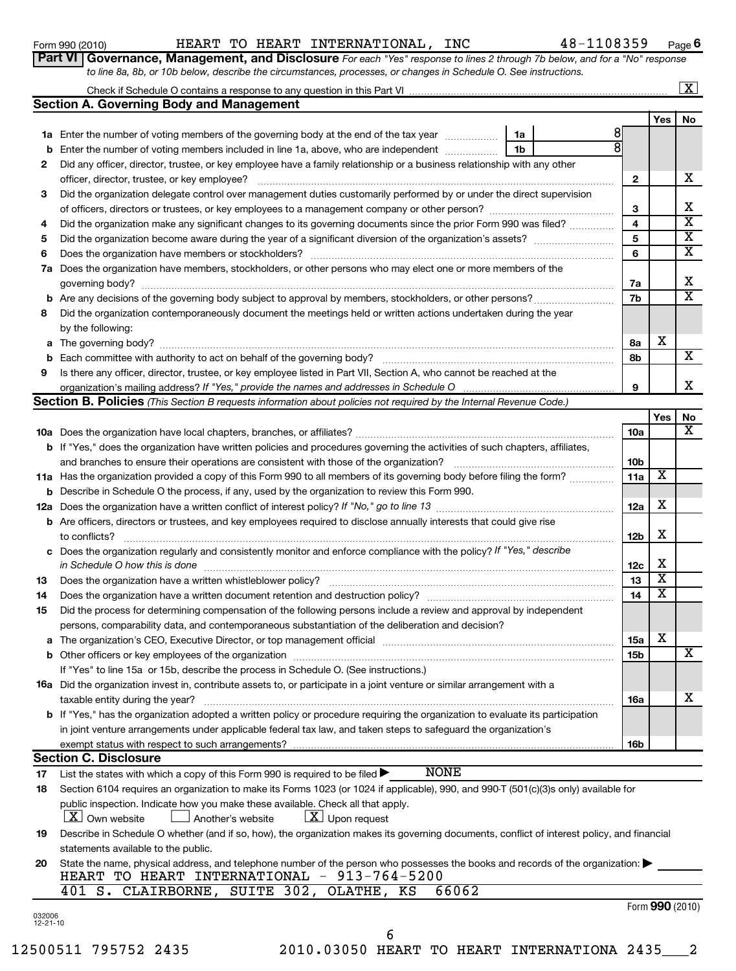| Form 990 (2010) |  |  |
|-----------------|--|--|
|-----------------|--|--|

### Form 990 (2010) HEART TO HEART INTERNATIONAL, INC 48-1108359 Page

*to line 8a, 8b, or 10b below, describe the circumstances, processes, or changes in Schedule O. See instructions.*

**Part VI** Governance, Management, and Disclosure For each "Yes" response to lines 2 through 7b below, and for a "No" response

**6**

|                    |                                                                                                                                                                      |              |                 | $\boxed{\textbf{X}}$ |
|--------------------|----------------------------------------------------------------------------------------------------------------------------------------------------------------------|--------------|-----------------|----------------------|
|                    | <b>Section A. Governing Body and Management</b>                                                                                                                      |              |                 |                      |
|                    |                                                                                                                                                                      |              | Yes             | No                   |
|                    | 1a Enter the number of voting members of the governing body at the end of the tax year<br>1a                                                                         | 8            |                 |                      |
|                    | <b>b</b> Enter the number of voting members included in line 1a, above, who are independent<br>1b                                                                    |              |                 |                      |
| 2                  | Did any officer, director, trustee, or key employee have a family relationship or a business relationship with any other                                             |              |                 |                      |
|                    |                                                                                                                                                                      | $\mathbf{2}$ |                 | x                    |
| 3                  | Did the organization delegate control over management duties customarily performed by or under the direct supervision                                                |              |                 |                      |
|                    |                                                                                                                                                                      | З            |                 | х                    |
| 4                  | Did the organization make any significant changes to its governing documents since the prior Form 990 was filed?                                                     | 4            |                 | X                    |
| 5                  |                                                                                                                                                                      | 5            |                 | х                    |
| 6                  |                                                                                                                                                                      | 6            |                 | X                    |
|                    | 7a Does the organization have members, stockholders, or other persons who may elect one or more members of the                                                       |              |                 |                      |
|                    |                                                                                                                                                                      | 7a           |                 | X                    |
|                    |                                                                                                                                                                      | 7b           |                 | X                    |
| 8                  | Did the organization contemporaneously document the meetings held or written actions undertaken during the year                                                      |              |                 |                      |
|                    | by the following:                                                                                                                                                    |              |                 |                      |
|                    |                                                                                                                                                                      | 8a           | х               |                      |
|                    |                                                                                                                                                                      | 8b           |                 | X                    |
| 9                  | Is there any officer, director, trustee, or key employee listed in Part VII, Section A, who cannot be reached at the                                                 |              |                 |                      |
|                    |                                                                                                                                                                      | 9            |                 | х                    |
|                    | <b>Section B. Policies</b> (This Section B requests information about policies not required by the Internal Revenue Code.)                                           |              |                 |                      |
|                    |                                                                                                                                                                      | 10a          | Yes             | No<br>x              |
|                    | <b>b</b> If "Yes," does the organization have written policies and procedures governing the activities of such chapters, affiliates,                                 |              |                 |                      |
|                    | and branches to ensure their operations are consistent with those of the organization?                                                                               | 10b          |                 |                      |
|                    | 11a Has the organization provided a copy of this Form 990 to all members of its governing body before filing the form?                                               | 11a          | x               |                      |
|                    | <b>b</b> Describe in Schedule O the process, if any, used by the organization to review this Form 990.                                                               |              |                 |                      |
|                    |                                                                                                                                                                      | 12a          | х               |                      |
|                    | <b>b</b> Are officers, directors or trustees, and key employees required to disclose annually interests that could give rise                                         |              |                 |                      |
|                    | to conflicts?                                                                                                                                                        | <b>12b</b>   | X               |                      |
|                    | c Does the organization regularly and consistently monitor and enforce compliance with the policy? If "Yes," describe                                                |              |                 |                      |
|                    | in Schedule O how this is done                                                                                                                                       | 12c          | х               |                      |
| 13                 |                                                                                                                                                                      | 13           | х               |                      |
| 14                 |                                                                                                                                                                      | 14           | х               |                      |
| 15                 | Did the process for determining compensation of the following persons include a review and approval by independent                                                   |              |                 |                      |
|                    | persons, comparability data, and contemporaneous substantiation of the deliberation and decision?                                                                    |              |                 |                      |
|                    |                                                                                                                                                                      | 15a          | х               |                      |
|                    |                                                                                                                                                                      | 15b          |                 | x                    |
|                    | If "Yes" to line 15a or 15b, describe the process in Schedule O. (See instructions.)                                                                                 |              |                 |                      |
|                    | 16a Did the organization invest in, contribute assets to, or participate in a joint venture or similar arrangement with a                                            |              |                 |                      |
|                    | taxable entity during the year?                                                                                                                                      | 16a          |                 | х                    |
|                    | b If "Yes," has the organization adopted a written policy or procedure requiring the organization to evaluate its participation                                      |              |                 |                      |
|                    | in joint venture arrangements under applicable federal tax law, and taken steps to safeguard the organization's                                                      |              |                 |                      |
|                    | exempt status with respect to such arrangements?                                                                                                                     | 16b          |                 |                      |
|                    | <b>Section C. Disclosure</b>                                                                                                                                         |              |                 |                      |
| 17                 | <b>NONE</b><br>List the states with which a copy of this Form 990 is required to be filed $\blacktriangleright$                                                      |              |                 |                      |
| 18                 | Section 6104 requires an organization to make its Forms 1023 (or 1024 if applicable), 990, and 990-T (501(c)(3)s only) available for                                 |              |                 |                      |
|                    | public inspection. Indicate how you make these available. Check all that apply.<br>$\lfloor x \rfloor$ Own website<br>$\lfloor \underline{X} \rfloor$ Upon request   |              |                 |                      |
|                    | Another's website                                                                                                                                                    |              |                 |                      |
| 19                 | Describe in Schedule O whether (and if so, how), the organization makes its governing documents, conflict of interest policy, and financial                          |              |                 |                      |
|                    | statements available to the public.<br>State the name, physical address, and telephone number of the person who possesses the books and records of the organization: |              |                 |                      |
| 20                 | HEART TO HEART INTERNATIONAL - 913-764-5200                                                                                                                          |              |                 |                      |
|                    | 401 S. CLAIRBORNE, SUITE 302, OLATHE, KS<br>66062                                                                                                                    |              |                 |                      |
|                    |                                                                                                                                                                      |              | Form 990 (2010) |                      |
| 032006<br>12-21-10 |                                                                                                                                                                      |              |                 |                      |

12500511 795752 2435 2010.03050 HEART TO HEART INTERNATIONA 2435\_\_\_2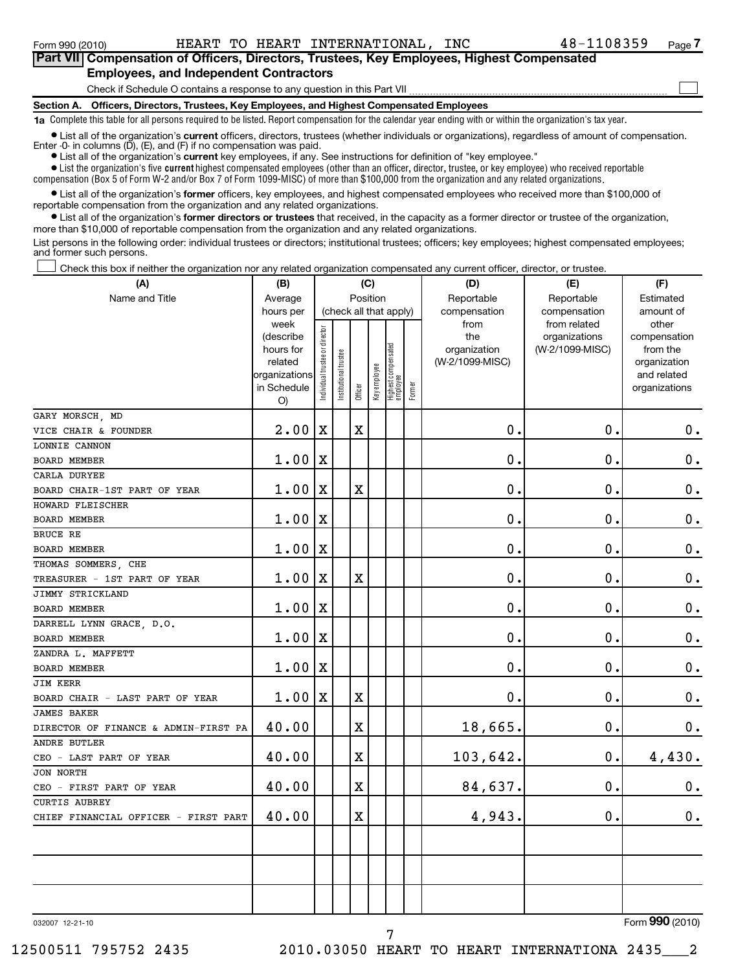### Check if Schedule O contains a response to any question in this Part VII **Part VII Compensation of Officers, Directors, Trustees, Key Employees, Highest Compensated Employees, and Independent Contractors**  $\mathcal{L}_{\mathcal{A}}$

**Section A. Officers, Directors, Trustees, Key Employees, and Highest Compensated Employees**

**1a**  Complete this table for all persons required to be listed. Report compensation for the calendar year ending with or within the organization's tax year.

**•** List all of the organization's current officers, directors, trustees (whether individuals or organizations), regardless of amount of compensation. Enter -0- in columns  $(D)$ ,  $(E)$ , and  $(F)$  if no compensation was paid.

**•** List all of the organization's **current** key employees, if any. See instructions for definition of "key employee."

 $\bullet$  List the organization's five  $\tt current$  highest compensated employees (other than an officer, director, trustee, or key employee) who received reportable compensation (Box 5 of Form W-2 and/or Box 7 of Form 1099-MISC) of more than \$100,000 from the organization and any related organizations .

 $\bullet$  List all of the organization's former officers, key employees, and highest compensated employees who received more than \$100,000 of reportable compensation from the organization and any related organizations.

**•** List all of the organization's former directors or trustees that received, in the capacity as a former director or trustee of the organization, more than \$10,000 of reportable compensation from the organization and any related organizations.

List persons in the following order: individual trustees or directors; institutional trustees; officers; key employees; highest compensated employees; and former such persons.

Check this box if neither the organization nor any related organization compensated any current officer, director, or trustee.  $\mathcal{L}_{\mathcal{A}}$ 

| (A)                                              | (C)<br>(B)                                                                             |                                |                      |             |              |                                                           |        | (D)                                                            | (F)                                                              |                                                                                                |  |
|--------------------------------------------------|----------------------------------------------------------------------------------------|--------------------------------|----------------------|-------------|--------------|-----------------------------------------------------------|--------|----------------------------------------------------------------|------------------------------------------------------------------|------------------------------------------------------------------------------------------------|--|
| Name and Title                                   | Average                                                                                |                                |                      | Position    |              |                                                           |        | Reportable                                                     | Reportable                                                       | Estimated                                                                                      |  |
|                                                  | hours per<br>week<br>(describe<br>hours for<br>related<br>organizations<br>in Schedule | Individual trustee or director | nstitutional trustee | Officer     | Key employee | (check all that apply)<br>Highest compensated<br>employee | Former | compensation<br>from<br>the<br>organization<br>(W-2/1099-MISC) | compensation<br>from related<br>organizations<br>(W-2/1099-MISC) | amount of<br>other<br>compensation<br>from the<br>organization<br>and related<br>organizations |  |
|                                                  | O)                                                                                     |                                |                      |             |              |                                                           |        |                                                                |                                                                  |                                                                                                |  |
| GARY MORSCH, MD                                  |                                                                                        |                                |                      |             |              |                                                           |        | 0.                                                             |                                                                  |                                                                                                |  |
| VICE CHAIR & FOUNDER                             | 2.00                                                                                   | $\mathbf X$                    |                      | $\mathbf X$ |              |                                                           |        |                                                                | $\mathbf 0$ .                                                    | 0.                                                                                             |  |
| LONNIE CANNON                                    |                                                                                        |                                |                      |             |              |                                                           |        | $\mathbf 0$                                                    | $\mathbf 0$                                                      |                                                                                                |  |
| BOARD MEMBER                                     | 1.00                                                                                   | $\mathbf X$                    |                      |             |              |                                                           |        |                                                                |                                                                  | $\mathbf 0$ .                                                                                  |  |
| CARLA DURYEE                                     | 1.00                                                                                   | $\mathbf X$                    |                      | $\mathbf X$ |              |                                                           |        | $\mathbf 0$                                                    | 0.                                                               | $\mathbf 0$ .                                                                                  |  |
| BOARD CHAIR-1ST PART OF YEAR<br>HOWARD FLEISCHER |                                                                                        |                                |                      |             |              |                                                           |        |                                                                |                                                                  |                                                                                                |  |
| BOARD MEMBER                                     | 1.00                                                                                   | X                              |                      |             |              |                                                           |        | $\mathbf 0$                                                    | $\mathbf 0$                                                      | $\mathbf 0$ .                                                                                  |  |
| BRUCE RE                                         |                                                                                        |                                |                      |             |              |                                                           |        |                                                                |                                                                  |                                                                                                |  |
| <b>BOARD MEMBER</b>                              | 1.00                                                                                   | $\mathbf X$                    |                      |             |              |                                                           |        | $\mathbf 0$                                                    | $\mathbf 0$                                                      | $\mathbf 0$ .                                                                                  |  |
| THOMAS SOMMERS, CHE                              |                                                                                        |                                |                      |             |              |                                                           |        |                                                                |                                                                  |                                                                                                |  |
| TREASURER - 1ST PART OF YEAR                     | 1.00                                                                                   | Х                              |                      | $\mathbf X$ |              |                                                           |        | $\mathbf 0$                                                    | $\mathbf 0$                                                      | $\mathbf 0$ .                                                                                  |  |
| JIMMY STRICKLAND                                 |                                                                                        |                                |                      |             |              |                                                           |        |                                                                |                                                                  |                                                                                                |  |
| <b>BOARD MEMBER</b>                              | 1.00                                                                                   | $\mathbf X$                    |                      |             |              |                                                           |        | $\mathbf 0$                                                    | $\mathbf 0$                                                      | $\mathbf 0$ .                                                                                  |  |
| DARRELL LYNN GRACE, D.O.                         |                                                                                        |                                |                      |             |              |                                                           |        |                                                                |                                                                  |                                                                                                |  |
| <b>BOARD MEMBER</b>                              | 1.00                                                                                   | X                              |                      |             |              |                                                           |        | $\mathbf 0$                                                    | $\mathbf 0$                                                      | $\mathbf 0$ .                                                                                  |  |
| ZANDRA L. MAFFETT                                |                                                                                        |                                |                      |             |              |                                                           |        |                                                                |                                                                  |                                                                                                |  |
| <b>BOARD MEMBER</b>                              | 1.00                                                                                   | X                              |                      |             |              |                                                           |        | $\mathbf 0$                                                    | $\mathbf 0$                                                      | $\mathbf 0$ .                                                                                  |  |
| <b>JIM KERR</b>                                  |                                                                                        |                                |                      |             |              |                                                           |        |                                                                |                                                                  |                                                                                                |  |
| BOARD CHAIR - LAST PART OF YEAR                  | 1.00                                                                                   | Х                              |                      | $\mathbf X$ |              |                                                           |        | $\mathbf 0$                                                    | 0                                                                | $\mathbf 0$ .                                                                                  |  |
| <b>JAMES BAKER</b>                               |                                                                                        |                                |                      |             |              |                                                           |        |                                                                |                                                                  |                                                                                                |  |
| DIRECTOR OF FINANCE & ADMIN-FIRST PA             | 40.00                                                                                  |                                |                      | $\mathbf X$ |              |                                                           |        | 18,665.                                                        | 0.                                                               | $\boldsymbol{0}$ .                                                                             |  |
| <b>ANDRE BUTLER</b>                              |                                                                                        |                                |                      |             |              |                                                           |        |                                                                |                                                                  |                                                                                                |  |
| CEO - LAST PART OF YEAR                          | 40.00                                                                                  |                                |                      | $\mathbf X$ |              |                                                           |        | 103,642.                                                       | $\mathbf 0$ .                                                    | 4,430.                                                                                         |  |
| <b>JON NORTH</b>                                 |                                                                                        |                                |                      |             |              |                                                           |        |                                                                |                                                                  |                                                                                                |  |
| CEO - FIRST PART OF YEAR                         | 40.00                                                                                  |                                |                      | $\mathbf X$ |              |                                                           |        | 84,637.                                                        | $\mathbf 0$                                                      | $\mathbf 0$ .                                                                                  |  |
| <b>CURTIS AUBREY</b>                             |                                                                                        |                                |                      |             |              |                                                           |        |                                                                |                                                                  |                                                                                                |  |
| CHIEF FINANCIAL OFFICER - FIRST PART             | 40.00                                                                                  |                                |                      | X           |              |                                                           |        | 4,943.                                                         | $\mathbf 0$ .                                                    | $\mathbf 0$ .                                                                                  |  |
|                                                  |                                                                                        |                                |                      |             |              |                                                           |        |                                                                |                                                                  |                                                                                                |  |
|                                                  |                                                                                        |                                |                      |             |              |                                                           |        |                                                                |                                                                  |                                                                                                |  |

7

032007 12-21-10

Form (2010) **990**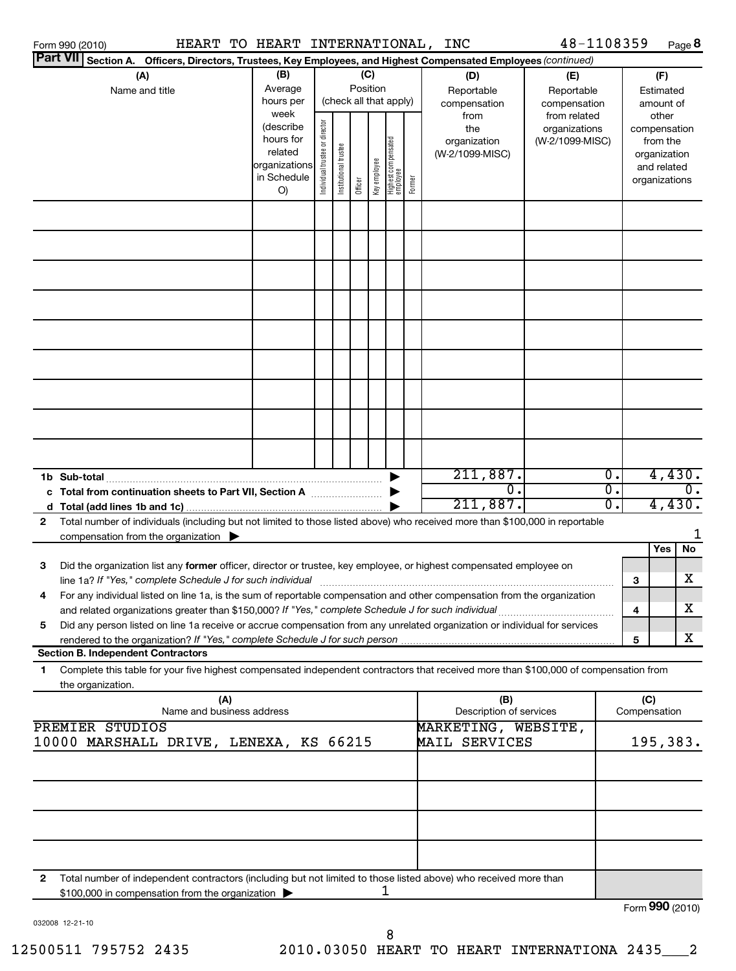| HEART TO HEART INTERNATIONAL,<br>Form 990 (2010)                                                                                          |                        |                                |                       |          |              |                                 |        | INC                             | 48-1108359      |                  | Page 8                   |
|-------------------------------------------------------------------------------------------------------------------------------------------|------------------------|--------------------------------|-----------------------|----------|--------------|---------------------------------|--------|---------------------------------|-----------------|------------------|--------------------------|
| <b>Part VII</b><br>Section A. Officers, Directors, Trustees, Key Employees, and Highest Compensated Employees (continued)                 |                        |                                |                       |          |              |                                 |        |                                 |                 |                  |                          |
| (A)                                                                                                                                       | (B)                    |                                |                       | (C)      |              |                                 |        | (D)                             | (E)             |                  | (F)                      |
| Name and title                                                                                                                            | Average                |                                |                       | Position |              |                                 |        | Reportable                      | Reportable      |                  | Estimated                |
|                                                                                                                                           | hours per              |                                |                       |          |              | (check all that apply)          |        | compensation                    | compensation    |                  | amount of                |
|                                                                                                                                           | week                   |                                |                       |          |              |                                 |        | from                            | from related    |                  | other                    |
|                                                                                                                                           | (describe<br>hours for |                                |                       |          |              |                                 |        | the                             | organizations   |                  | compensation             |
|                                                                                                                                           | related                |                                |                       |          |              |                                 |        | organization<br>(W-2/1099-MISC) | (W-2/1099-MISC) |                  | from the<br>organization |
|                                                                                                                                           | organizations          |                                |                       |          |              |                                 |        |                                 |                 |                  | and related              |
|                                                                                                                                           | in Schedule            | Individual trustee or director | Institutional trustee |          | Key employee |                                 |        |                                 |                 |                  | organizations            |
|                                                                                                                                           | O)                     |                                |                       | Officer  |              | Highest compensated<br>employee | Former |                                 |                 |                  |                          |
|                                                                                                                                           |                        |                                |                       |          |              |                                 |        |                                 |                 |                  |                          |
|                                                                                                                                           |                        |                                |                       |          |              |                                 |        |                                 |                 |                  |                          |
|                                                                                                                                           |                        |                                |                       |          |              |                                 |        |                                 |                 |                  |                          |
|                                                                                                                                           |                        |                                |                       |          |              |                                 |        |                                 |                 |                  |                          |
|                                                                                                                                           |                        |                                |                       |          |              |                                 |        |                                 |                 |                  |                          |
|                                                                                                                                           |                        |                                |                       |          |              |                                 |        |                                 |                 |                  |                          |
|                                                                                                                                           |                        |                                |                       |          |              |                                 |        |                                 |                 |                  |                          |
|                                                                                                                                           |                        |                                |                       |          |              |                                 |        |                                 |                 |                  |                          |
|                                                                                                                                           |                        |                                |                       |          |              |                                 |        |                                 |                 |                  |                          |
|                                                                                                                                           |                        |                                |                       |          |              |                                 |        |                                 |                 |                  |                          |
|                                                                                                                                           |                        |                                |                       |          |              |                                 |        |                                 |                 |                  |                          |
|                                                                                                                                           |                        |                                |                       |          |              |                                 |        | 211,887.                        |                 | $\overline{0}$ . | 4,430.                   |
| c Total from continuation sheets to Part VII, Section A                                                                                   |                        |                                |                       |          |              |                                 |        | σ.                              |                 | σ.               | 0.                       |
|                                                                                                                                           |                        |                                |                       |          |              |                                 |        | 211,887.                        |                 | о.               | 4,430.                   |
| Total number of individuals (including but not limited to those listed above) who received more than \$100,000 in reportable<br>2         |                        |                                |                       |          |              |                                 |        |                                 |                 |                  |                          |
| compensation from the organization                                                                                                        |                        |                                |                       |          |              |                                 |        |                                 |                 |                  |                          |
|                                                                                                                                           |                        |                                |                       |          |              |                                 |        |                                 |                 |                  | No<br><b>Yes</b>         |
| 3<br>Did the organization list any former officer, director or trustee, key employee, or highest compensated employee on                  |                        |                                |                       |          |              |                                 |        |                                 |                 |                  |                          |
|                                                                                                                                           |                        |                                |                       |          |              |                                 |        |                                 |                 | 3                | x                        |
| For any individual listed on line 1a, is the sum of reportable compensation and other compensation from the organization                  |                        |                                |                       |          |              |                                 |        |                                 |                 |                  |                          |
| and related organizations greater than \$150,000? If "Yes," complete Schedule J for such individual                                       |                        |                                |                       |          |              |                                 |        |                                 |                 | 4                | x                        |
| Did any person listed on line 1a receive or accrue compensation from any unrelated organization or individual for services<br>5           |                        |                                |                       |          |              |                                 |        |                                 |                 |                  |                          |
| rendered to the organization? If "Yes," complete Schedule J for such person                                                               |                        |                                |                       |          |              |                                 |        |                                 |                 | 5                | x                        |
| <b>Section B. Independent Contractors</b>                                                                                                 |                        |                                |                       |          |              |                                 |        |                                 |                 |                  |                          |
| Complete this table for your five highest compensated independent contractors that received more than \$100,000 of compensation from<br>1 |                        |                                |                       |          |              |                                 |        |                                 |                 |                  |                          |
| the organization.<br>(A)                                                                                                                  |                        |                                |                       |          |              |                                 |        | (B)                             |                 | (C)              |                          |
| Name and business address                                                                                                                 |                        |                                |                       |          |              |                                 |        | Description of services         |                 | Compensation     |                          |
| <b>PREMIER STUDIOS</b>                                                                                                                    |                        |                                |                       |          |              |                                 |        | MARKETING, WEBSITE,             |                 |                  |                          |
| 10000 MARSHALL DRIVE, LENEXA, KS 66215                                                                                                    |                        |                                |                       |          |              |                                 |        | MAIL SERVICES                   |                 |                  | 195,383.                 |
|                                                                                                                                           |                        |                                |                       |          |              |                                 |        |                                 |                 |                  |                          |
|                                                                                                                                           |                        |                                |                       |          |              |                                 |        |                                 |                 |                  |                          |
|                                                                                                                                           |                        |                                |                       |          |              |                                 |        |                                 |                 |                  |                          |
|                                                                                                                                           |                        |                                |                       |          |              |                                 |        |                                 |                 |                  |                          |
|                                                                                                                                           |                        |                                |                       |          |              |                                 |        |                                 |                 |                  |                          |
| Total number of independent contractors (including but not limited to those listed above) who received more than<br>2                     |                        |                                |                       |          |              | 1                               |        |                                 |                 |                  |                          |
| \$100,000 in compensation from the organization                                                                                           |                        |                                |                       |          |              |                                 |        |                                 |                 |                  |                          |
| 032008 12-21-10                                                                                                                           |                        |                                |                       |          |              |                                 |        |                                 |                 |                  | Form 990 (2010)          |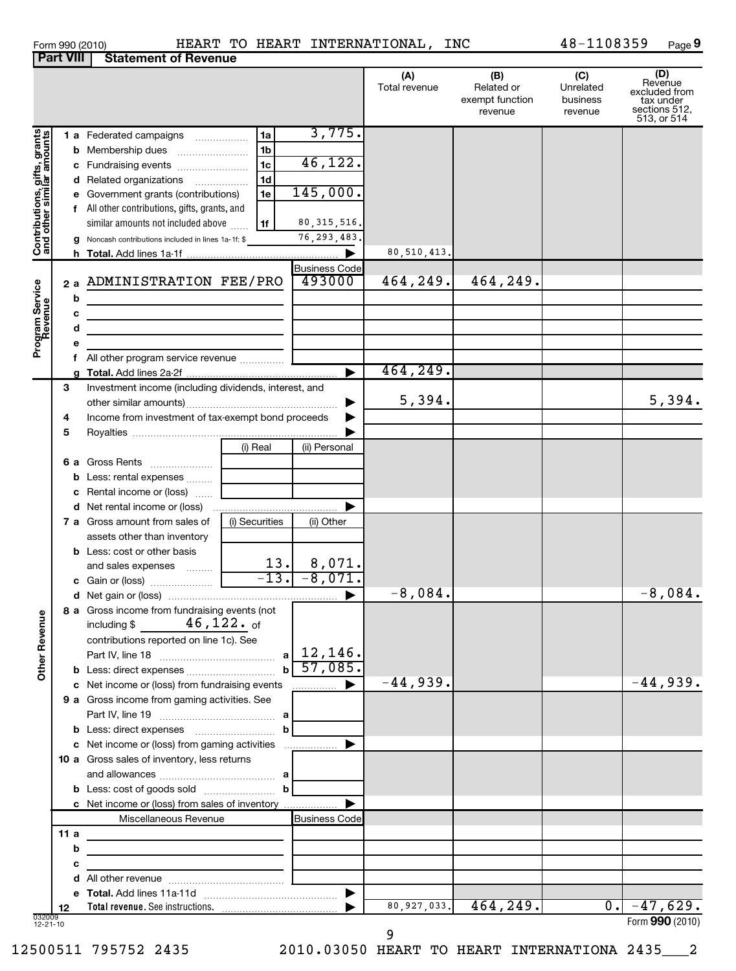| Form 990 (2010) |  |  |  |
|-----------------|--|--|--|
|-----------------|--|--|--|

#### Form 990 (2010) HEART TO HEART INTERNATIONAL, INC 4 8-11 0 8 3 5 9 Page HEART TO HEART INTERNATIONAL, INC 48-1108359

 $48 - 1108359$  Page 9

|                                                           | <b>Part VIII</b> | <b>Statement of Revenue</b>                                                                                                                                                                                                                                                               |                                                          |                                                                               |                      |                                                 |                                         |                                                                              |
|-----------------------------------------------------------|------------------|-------------------------------------------------------------------------------------------------------------------------------------------------------------------------------------------------------------------------------------------------------------------------------------------|----------------------------------------------------------|-------------------------------------------------------------------------------|----------------------|-------------------------------------------------|-----------------------------------------|------------------------------------------------------------------------------|
|                                                           |                  |                                                                                                                                                                                                                                                                                           |                                                          |                                                                               | (A)<br>Total revenue | (B)<br>Related or<br>exempt function<br>revenue | (C)<br>Unrelated<br>business<br>revenue | (D)<br>Revenue<br>excluded from<br>tax under<br>sections 512,<br>513, or 514 |
| Contributions, gifts, grants<br>and other similar amounts | g                | 1 a Federated campaigns<br><b>b</b> Membership dues<br>c Fundraising events<br>d Related organizations<br>e Government grants (contributions)<br>f All other contributions, gifts, grants, and<br>similar amounts not included above<br>Noncash contributions included in lines 1a-1f: \$ | 1a<br>1b<br>1 <sub>c</sub><br>1 <sub>d</sub><br>1e<br>1f | 3,775.<br>46,122.<br>145,000.<br>80, 315, 516.<br>$\overline{76}$ , 293, 483. |                      |                                                 |                                         |                                                                              |
|                                                           |                  |                                                                                                                                                                                                                                                                                           |                                                          |                                                                               | 80,510,413.          |                                                 |                                         |                                                                              |
|                                                           | 2a<br>b          | ADMINISTRATION FEE/PRO<br><u> 1989 - Johann Barn, mars ann an t-Amhain an t-Amhain an t-Amhain an t-Amhain an t-Amhain an t-Amhain an t-Amh</u>                                                                                                                                           |                                                          | <b>Business Code</b><br>493000                                                | 464,249.             | 464,249.                                        |                                         |                                                                              |
| Program Service<br>Revenue                                | c<br>d           |                                                                                                                                                                                                                                                                                           |                                                          |                                                                               |                      |                                                 |                                         |                                                                              |
|                                                           | е                |                                                                                                                                                                                                                                                                                           |                                                          |                                                                               |                      |                                                 |                                         |                                                                              |
|                                                           |                  |                                                                                                                                                                                                                                                                                           |                                                          | ►                                                                             | 464,249.             |                                                 |                                         |                                                                              |
|                                                           | 3<br>4           | Investment income (including dividends, interest, and<br>Income from investment of tax-exempt bond proceeds                                                                                                                                                                               |                                                          |                                                                               | 5,394.               |                                                 |                                         | 5,394.                                                                       |
|                                                           | 5                |                                                                                                                                                                                                                                                                                           |                                                          |                                                                               |                      |                                                 |                                         |                                                                              |
|                                                           | 6а               | Gross Rents                                                                                                                                                                                                                                                                               | (i) Real                                                 | (ii) Personal                                                                 |                      |                                                 |                                         |                                                                              |
|                                                           | b                | Less: rental expenses<br>c Rental income or (loss)                                                                                                                                                                                                                                        |                                                          |                                                                               |                      |                                                 |                                         |                                                                              |
|                                                           |                  | <b>7 a</b> Gross amount from sales of<br>assets other than inventory                                                                                                                                                                                                                      | (i) Securities                                           | (ii) Other                                                                    |                      |                                                 |                                         |                                                                              |
|                                                           |                  | <b>b</b> Less: cost or other basis<br>and sales expenses                                                                                                                                                                                                                                  | 13.                                                      | 8,071.<br>$-13. -8,071.$                                                      |                      |                                                 |                                         |                                                                              |
|                                                           |                  |                                                                                                                                                                                                                                                                                           |                                                          |                                                                               | $-8,084.$            |                                                 |                                         | $-8,084.$                                                                    |
| <b>Other Revenue</b>                                      |                  | 8 a Gross income from fundraising events (not<br>$\mathtt{46}$ , $\mathtt{122.}$ of<br>including \$<br>contributions reported on line 1c). See                                                                                                                                            | a l                                                      | 12,146.                                                                       |                      |                                                 |                                         |                                                                              |
|                                                           |                  |                                                                                                                                                                                                                                                                                           | $\mathbf{b}$                                             | 57,085.                                                                       |                      |                                                 |                                         |                                                                              |
|                                                           |                  | c Net income or (loss) from fundraising events                                                                                                                                                                                                                                            |                                                          | $\frac{1}{2}$                                                                 | $-44,939.$           |                                                 |                                         | $-44,939.$                                                                   |
|                                                           |                  | 9 a Gross income from gaming activities. See                                                                                                                                                                                                                                              |                                                          |                                                                               |                      |                                                 |                                         |                                                                              |
|                                                           |                  |                                                                                                                                                                                                                                                                                           | b                                                        |                                                                               |                      |                                                 |                                         |                                                                              |
|                                                           |                  | 10 a Gross sales of inventory, less returns                                                                                                                                                                                                                                               |                                                          |                                                                               |                      |                                                 |                                         |                                                                              |
|                                                           |                  | c Net income or (loss) from sales of inventory                                                                                                                                                                                                                                            | b                                                        |                                                                               |                      |                                                 |                                         |                                                                              |
|                                                           |                  | Miscellaneous Revenue                                                                                                                                                                                                                                                                     |                                                          | <b>Business Code</b>                                                          |                      |                                                 |                                         |                                                                              |
|                                                           | 11a              | the control of the control of the control of the control of the control of                                                                                                                                                                                                                |                                                          |                                                                               |                      |                                                 |                                         |                                                                              |
|                                                           | b                | the control of the control of the control of the control of the control of                                                                                                                                                                                                                |                                                          |                                                                               |                      |                                                 |                                         |                                                                              |
|                                                           | с                | <u> 1989 - Johann Barbara, martin a</u>                                                                                                                                                                                                                                                   |                                                          |                                                                               |                      |                                                 |                                         |                                                                              |
|                                                           | d                |                                                                                                                                                                                                                                                                                           |                                                          |                                                                               |                      |                                                 |                                         |                                                                              |
|                                                           |                  |                                                                                                                                                                                                                                                                                           |                                                          |                                                                               |                      |                                                 |                                         |                                                                              |
| 032009<br>$12 - 21 - 10$                                  | 12               |                                                                                                                                                                                                                                                                                           |                                                          |                                                                               | 80,927,033.          | 464, 249.                                       | $\overline{0}$ .                        | $-47,629.$<br>Form 990 (2010)                                                |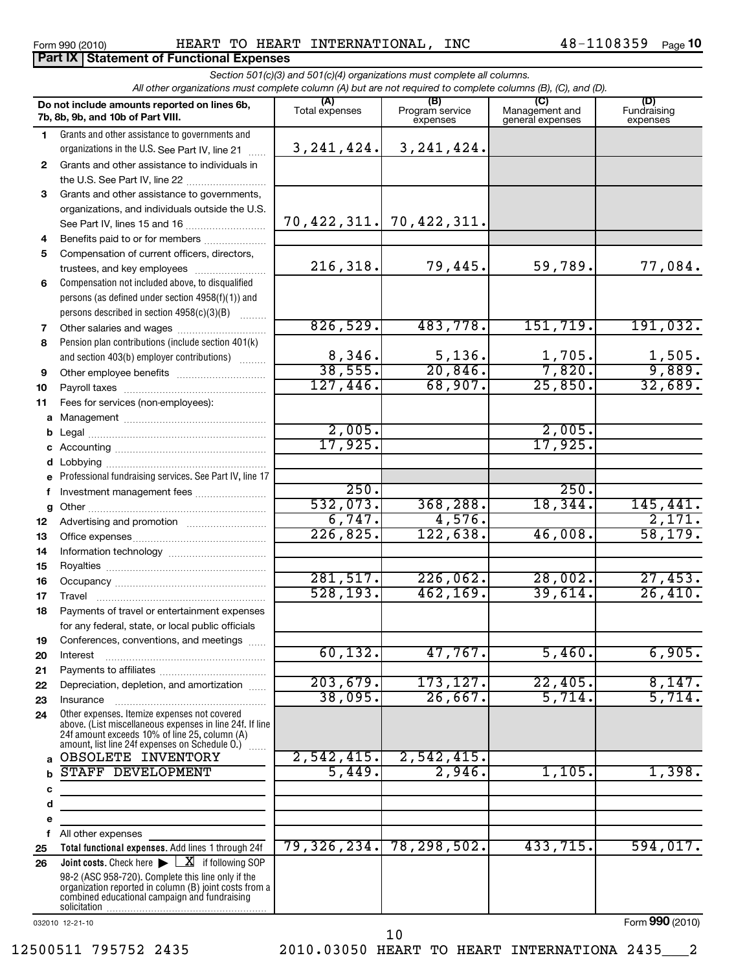Form 990 (2010) HEART TO HEART INTERNATIONAL,INC 48-1108359 Page

48-1108359 Page 10

|              | All other organizations must complete column (A) but are not required to complete columns (B), (C), and (D).                                                                                                                                              |                        | Section 501(c)(3) and 501(c)(4) organizations must complete all columns. |                                           |                                |
|--------------|-----------------------------------------------------------------------------------------------------------------------------------------------------------------------------------------------------------------------------------------------------------|------------------------|--------------------------------------------------------------------------|-------------------------------------------|--------------------------------|
|              | Do not include amounts reported on lines 6b,<br>7b, 8b, 9b, and 10b of Part VIII.                                                                                                                                                                         | (A)<br>Total expenses  | (B)<br>Program service<br>expenses                                       | (C)<br>Management and<br>general expenses | (D)<br>Fundraising<br>expenses |
| 1            | Grants and other assistance to governments and                                                                                                                                                                                                            |                        |                                                                          |                                           |                                |
|              | organizations in the U.S. See Part IV, line 21                                                                                                                                                                                                            | 3, 241, 424.           | 3, 241, 424.                                                             |                                           |                                |
| 2            | Grants and other assistance to individuals in                                                                                                                                                                                                             |                        |                                                                          |                                           |                                |
|              | the U.S. See Part IV, line 22                                                                                                                                                                                                                             |                        |                                                                          |                                           |                                |
| 3            | Grants and other assistance to governments,                                                                                                                                                                                                               |                        |                                                                          |                                           |                                |
|              | organizations, and individuals outside the U.S.                                                                                                                                                                                                           |                        |                                                                          |                                           |                                |
|              | See Part IV, lines 15 and 16                                                                                                                                                                                                                              |                        | 70,422,311. 70,422,311.                                                  |                                           |                                |
| 4            | Benefits paid to or for members                                                                                                                                                                                                                           |                        |                                                                          |                                           |                                |
| 5            | Compensation of current officers, directors,                                                                                                                                                                                                              | 216,318.               | 79,445.                                                                  | 59,789.                                   | 77,084.                        |
|              | trustees, and key employees<br>Compensation not included above, to disqualified                                                                                                                                                                           |                        |                                                                          |                                           |                                |
| 6            | persons (as defined under section 4958(f)(1)) and                                                                                                                                                                                                         |                        |                                                                          |                                           |                                |
|              | persons described in section 4958(c)(3)(B)                                                                                                                                                                                                                |                        |                                                                          |                                           |                                |
| 7            |                                                                                                                                                                                                                                                           | 826,529.               | 483,778.                                                                 | 151, 719.                                 | 191,032.                       |
| 8            | Pension plan contributions (include section 401(k)                                                                                                                                                                                                        |                        |                                                                          |                                           |                                |
|              | and section 403(b) employer contributions)                                                                                                                                                                                                                |                        | 5,136.                                                                   | 1,705.                                    | 1,505.                         |
| 9            |                                                                                                                                                                                                                                                           | $\frac{8,346}{38,555}$ | 20,846.                                                                  | 7,820.                                    | 9,889.                         |
| 10           |                                                                                                                                                                                                                                                           | 127,446.               | 68,907.                                                                  | 25,850.                                   | 32,689.                        |
| 11           | Fees for services (non-employees):                                                                                                                                                                                                                        |                        |                                                                          |                                           |                                |
| a            |                                                                                                                                                                                                                                                           |                        |                                                                          |                                           |                                |
| b            |                                                                                                                                                                                                                                                           | 2,005.                 |                                                                          | 2,005.                                    |                                |
| с            |                                                                                                                                                                                                                                                           | 17,925.                |                                                                          | 17,925.                                   |                                |
| d            |                                                                                                                                                                                                                                                           |                        |                                                                          |                                           |                                |
| e            | Professional fundraising services. See Part IV, line 17                                                                                                                                                                                                   |                        |                                                                          |                                           |                                |
| f            | Investment management fees                                                                                                                                                                                                                                | 250.                   |                                                                          | 250.                                      |                                |
| g            |                                                                                                                                                                                                                                                           | 532,073.<br>6,747.     | 368, 288.<br>4,576.                                                      | 18,344.                                   | 145, 441.<br>2,171.            |
| 12           |                                                                                                                                                                                                                                                           | 226,825.               | 122,638.                                                                 | 46,008.                                   | 58, 179.                       |
| 13           |                                                                                                                                                                                                                                                           |                        |                                                                          |                                           |                                |
| 14           |                                                                                                                                                                                                                                                           |                        |                                                                          |                                           |                                |
| 15<br>16     |                                                                                                                                                                                                                                                           | 281,517.               | 226,062.                                                                 | 28,002.                                   | 27,453.                        |
| 17           | Travel                                                                                                                                                                                                                                                    | 528, 193.              | 462, 169.                                                                | 39,614.                                   | 26,410.                        |
| 18           | Payments of travel or entertainment expenses                                                                                                                                                                                                              |                        |                                                                          |                                           |                                |
|              | for any federal, state, or local public officials                                                                                                                                                                                                         |                        |                                                                          |                                           |                                |
| 19           | Conferences, conventions, and meetings                                                                                                                                                                                                                    |                        |                                                                          |                                           |                                |
| 20           | Interest                                                                                                                                                                                                                                                  | 60, 132.               | 47,767.                                                                  | 5,460.                                    | 6,905.                         |
| 21           |                                                                                                                                                                                                                                                           |                        |                                                                          |                                           |                                |
| 22           | Depreciation, depletion, and amortization                                                                                                                                                                                                                 | 203,679.               | 173, 127.                                                                | 22,405.                                   | 8,147.                         |
| 23           | Insurance                                                                                                                                                                                                                                                 | 38,095.                | 26,667.                                                                  | 5,714.                                    | 5,714.                         |
| 24           | Other expenses. Itemize expenses not covered<br>above. (List miscellaneous expenses in line 24f. If line<br>24f amount exceeds 10% of line 25, column (A)<br>amount, list line 24f expenses on Schedule O.) [                                             |                        |                                                                          |                                           |                                |
| $\mathbf{a}$ | OBSOLETE INVENTORY                                                                                                                                                                                                                                        | 2,542,415.             | 2,542,415.                                                               |                                           |                                |
| b            | STAFF DEVELOPMENT                                                                                                                                                                                                                                         | 5,449.                 | 2,946.                                                                   | 1,105.                                    | 1,398.                         |
| c            | the control of the control of the control of the control of the control of                                                                                                                                                                                |                        |                                                                          |                                           |                                |
| d            |                                                                                                                                                                                                                                                           |                        |                                                                          |                                           |                                |
| e            |                                                                                                                                                                                                                                                           |                        |                                                                          |                                           |                                |
| f            | All other expenses                                                                                                                                                                                                                                        |                        |                                                                          |                                           |                                |
| 25           | Total functional expenses. Add lines 1 through 24f                                                                                                                                                                                                        | 79,326,234.            | 78, 298, 502.                                                            | 433,715.                                  | 594,017.                       |
| 26           | <b>Joint costs.</b> Check here $\blacktriangleright \square \mathbf{X}$ if following SOP<br>98-2 (ASC 958-720). Complete this line only if the<br>organization reported in column (B) joint costs from a<br>combined educational campaign and fundraising |                        |                                                                          |                                           |                                |
|              | 032010 12-21-10                                                                                                                                                                                                                                           |                        |                                                                          |                                           | Form 990 (2010)                |

## 12500511 795752 2435 2010.03050 HEART TO HEART INTERNATIONA 2435\_\_\_2

10

Form (2010) **990**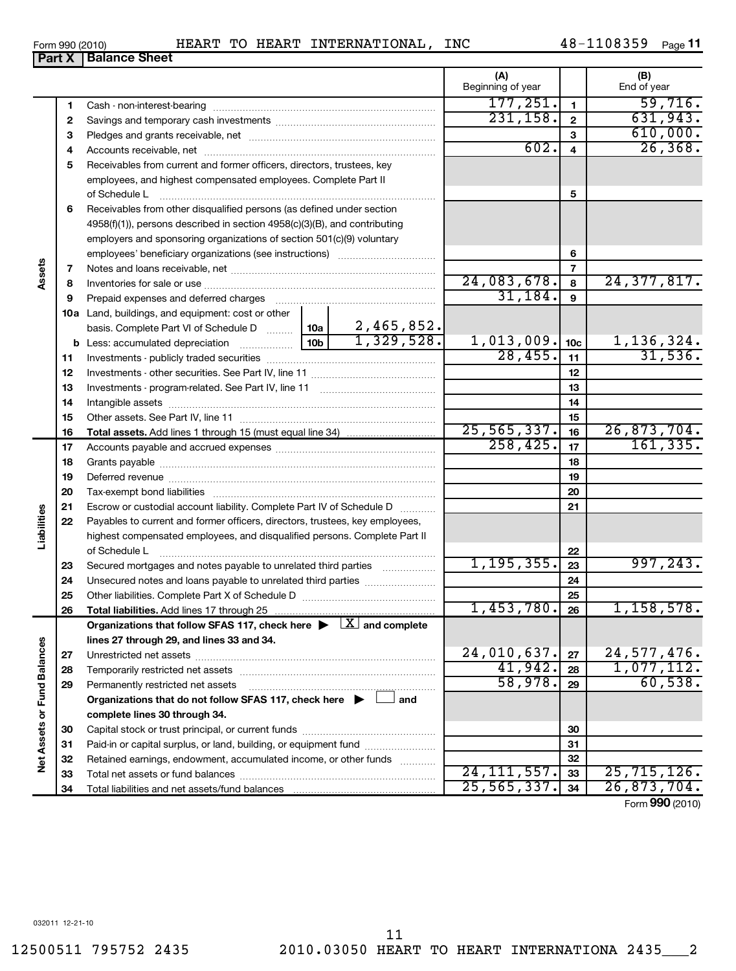| Form 990 (2010) |                               |  |
|-----------------|-------------------------------|--|
|                 | <b>Part X   Balance Sheet</b> |  |

#### **(A) (B)** Beginning of year  $\parallel$  End of year  $177, 251.$  1 59,716. **1 1** Cash - non-interest-bearing ~~~~~~~~~~~~~~~~~~~~~~~~~ **2**  $231,158$ .  $2$  631,943. **2** Savings and temporary cash investments ~~~~~~~~~~~~~~~~~~ 610,000. **3 3** Pledges and grants receivable, net ~~~~~~~~~~~~~~~~~~~~~  $602. a 26,368.$ Accounts receivable, net ~~~~~~~~~~~~~~~~~~~~~~~~~~ **4 4 5** Receivables from current and former officers, directors, trustees, key employees, and highest compensated employees. Complete Part II **5** of Schedule L ~~~~~~~~~~~~~~~~~~~~~~~~~~~~~~~ **6** Receivables from other disqualified persons (as defined under section 4958(f)(1)), persons described in section 4958(c)(3)(B), and contributing employers and sponsoring organizations of section 501(c)(9) voluntary **6** employees' beneficiary organizations (see instructions) **Assets 7 7** Notes and loans receivable, net ~~~~~~~~~~~~~~~~~~~~~~~ 24,083,678. 24,377,817. **8 8** Inventories for sale or use ~~~~~~~~~~~~~~~~~~~~~~~~~~ 31,184. **9 9** Prepaid expenses and deferred charges ~~~~~~~~~~~~~~~~~~ **10 a** Land, buildings, and equipment: cost or other 2,465,852. basis. Complete Part VI of Schedule D www. 10a  $1,329,528.$  1,013,009.  $1_{10c}$  1,136,324. **10c b** Less: accumulated depreciation \_\_\_\_\_\_\_\_\_\_\_\_\_\_| 10b  $28,455.$  11 31,536. **11 11** Investments - publicly traded securities ~~~~~~~~~~~~~~~~~~~ **12 12** Investments - other securities. See Part IV, line 11 ~~~~~~~~~~~~~~ **13 13** Investments - program-related. See Part IV, line 11 ~~~~~~~~~~~~~ **14 14** Intangible assets ~~~~~~~~~~~~~~~~~~~~~~~~~~~~~~ Other assets. See Part IV, line 11 ~~~~~~~~~~~~~~~~~~~~~~ **15 15**  $25,565,337.$   $16$   $26,873,704.$ **16 16 Total assets.**  Add lines 1 through 15 (must equal line 34)  $258, 425.$  17 161,335. **17 17** Accounts payable and accrued expenses ~~~~~~~~~~~~~~~~~~ **18 18** Grants payable ~~~~~~~~~~~~~~~~~~~~~~~~~~~~~~~ **19 19** Deferred revenue **communications and the contract of the contract of the Deferred** revenues **20 20** Tax-exempt bond liabilities ~~~~~~~~~~~~~~~~~~~~~~~~~ **21** Escrow or custodial account liability. Complete Part IV of Schedule D ........... **21 Liabilities 22** Payables to current and former officers, directors, trustees, key employees, highest compensated employees, and disqualified persons. Complete Part II of Schedule L  $~\blacksquare~$ **22**  $1,195,355.$  23 997,243. **23** Secured mortgages and notes payable to unrelated third parties **23 24 24** Unsecured notes and loans payable to unrelated third parties ~~~~~~~~ **25** Other liabilities. Complete Part X of Schedule D ~~~~~~~~~~~~~~~ **25**  $1,453,780.$  26 1,158,578. **26 26 Total liabilities.**  Add lines 17 through 25 Organizations that follow SFAS 117, check here  $\blacktriangleright$   $\boxed{\text{X}}$  and complete **lines 27 through 29, and lines 33 and 34. Vet Assets or Fund Balances Net Assets or Fund Balances**  $\begin{array}{|c|c|c|c|c|c|}\n\hline\n24,010,637. &\pmb{\quad 27} &\pmb{\quad 24,577,476.}\ \hline\n41,942. &\pmb{\quad 28} &\pmb{\quad 1,077.112.} \\\hline\n\end{array}$ **27 27** Unrestricted net assets ~~~~~~~~~~~~~~~~~~~~~~~~~~~ 41,942. 1,077,112. **28 28** Temporarily restricted net assets ~~~~~~~~~~~~~~~~~~~~~~ 58,978. 60,538. **29 29** Permanently restricted net assets **Organizations that do not follow SFAS 117, check here and** | **complete lines 30 through 34. 30 30** Capital stock or trust principal, or current funds ~~~~~~~~~~~~~~~ **31 31** Paid-in or capital surplus, or land, building, or equipment fund ...................... **32 32** Retained earnings, endowment, accumulated income, or other funds ............ 24,111,557. 25,715,126. Total net assets or fund balances ~~~~~~~~~~~~~~~~~~~~~~ **33 33**  $25,565,337.$   $34$   $26,873,704.$ **34 34** Total liabilities and net assets/fund balances

Form (2010) **990**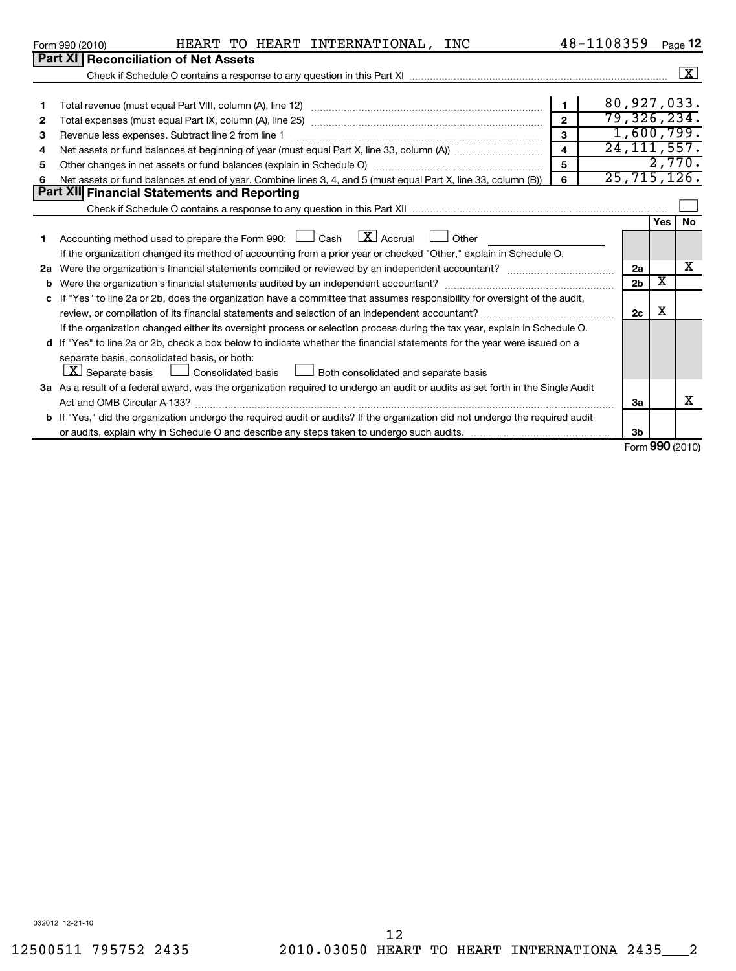|    | HEART TO HEART INTERNATIONAL,<br>INC<br>Form 990 (2010)                                                                              |                         | 48-1108359 |                |                         | Page 12            |  |
|----|--------------------------------------------------------------------------------------------------------------------------------------|-------------------------|------------|----------------|-------------------------|--------------------|--|
|    | <b>Part XI Reconciliation of Net Assets</b>                                                                                          |                         |            |                |                         |                    |  |
|    |                                                                                                                                      |                         |            |                |                         | $\boxed{\text{X}}$ |  |
|    |                                                                                                                                      |                         |            |                |                         |                    |  |
| 1  |                                                                                                                                      | $\mathbf{1}$            |            |                |                         | 80, 927, 033.      |  |
| 2  |                                                                                                                                      | $\overline{2}$          |            |                |                         | 79,326,234.        |  |
| 3  | Revenue less expenses. Subtract line 2 from line 1                                                                                   | 3                       |            |                |                         | 1,600,799.         |  |
| 4  |                                                                                                                                      | $\overline{\mathbf{4}}$ |            |                |                         | 24, 111, 557.      |  |
| 5  |                                                                                                                                      | 5                       |            |                |                         | 2,770.             |  |
| 6  | 25, 715, 126.<br>6<br>Net assets or fund balances at end of year. Combine lines 3, 4, and 5 (must equal Part X, line 33, column (B)) |                         |            |                |                         |                    |  |
|    | Part XII Financial Statements and Reporting                                                                                          |                         |            |                |                         |                    |  |
|    |                                                                                                                                      |                         |            |                |                         |                    |  |
|    |                                                                                                                                      |                         |            |                | <b>Yes</b>              | <b>No</b>          |  |
|    | Accounting method used to prepare the Form 990: $\Box$ Cash $\Box X$ Accrual<br>Other                                                |                         |            |                |                         |                    |  |
|    | If the organization changed its method of accounting from a prior year or checked "Other," explain in Schedule O.                    |                         |            |                |                         |                    |  |
| 2a |                                                                                                                                      |                         |            | 2a             |                         | х                  |  |
| b  | Were the organization's financial statements audited by an independent accountant?                                                   |                         |            | 2 <sub>b</sub> | $\overline{\textbf{x}}$ |                    |  |
| c  | If "Yes" to line 2a or 2b, does the organization have a committee that assumes responsibility for oversight of the audit,            |                         |            |                |                         |                    |  |
|    |                                                                                                                                      |                         |            | 2c             | х                       |                    |  |
|    | If the organization changed either its oversight process or selection process during the tax year, explain in Schedule O.            |                         |            |                |                         |                    |  |
|    | d If "Yes" to line 2a or 2b, check a box below to indicate whether the financial statements for the year were issued on a            |                         |            |                |                         |                    |  |
|    | separate basis, consolidated basis, or both:                                                                                         |                         |            |                |                         |                    |  |
|    | $\mathbf{X}$ Separate basis<br>Both consolidated and separate basis<br>$\!\!\!\Box$ Consolidated basis                               |                         |            |                |                         |                    |  |
|    | 3a As a result of a federal award, was the organization required to undergo an audit or audits as set forth in the Single Audit      |                         |            |                |                         |                    |  |
|    | Act and OMB Circular A-133?                                                                                                          |                         |            | 3a             |                         | х                  |  |
|    | b If "Yes," did the organization undergo the required audit or audits? If the organization did not undergo the required audit        |                         |            |                |                         |                    |  |
|    |                                                                                                                                      |                         |            | 3 <sub>b</sub> |                         |                    |  |
|    |                                                                                                                                      |                         |            |                |                         | Form 990 (2010)    |  |

032012 12-21-10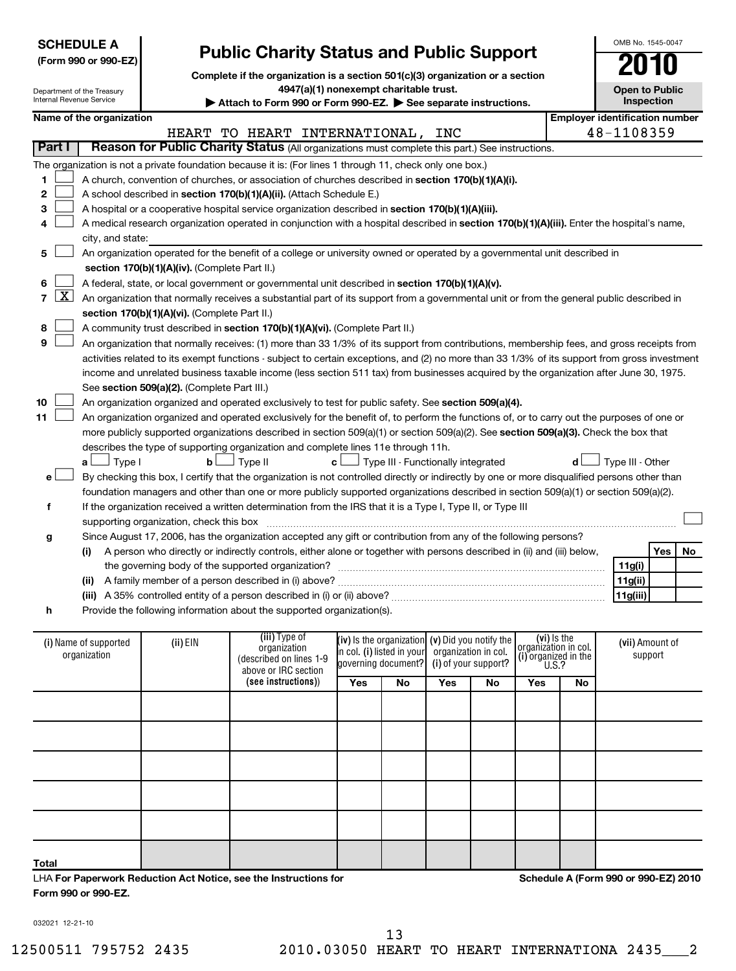| <b>SCHEDULE A</b><br>(Form 990 or 990-EZ)<br>Department of the Treasury<br>Internal Revenue Service |                                                                                                                                                                                                                                                                                                                                                                                                                                                                                                                                                                                                                                                                                                                                                                                                                                                                                                                                                                                     |                          |                                                                                                                                               | <b>Public Charity Status and Public Support</b><br>Complete if the organization is a section 501(c)(3) organization or a section<br>4947(a)(1) nonexempt charitable trust.<br>Attach to Form 990 or Form 990-EZ. See separate instructions.                                                                                                                                                                                                                                                                                                                                                                                                                                                                                                                                                                                                                                                                                                                                                                                                                                                                                                                                                                                                                                                                                                                                                                                                                                                                                                             |     |                                                   |                                                                           |                      |                                                                      |           |                                       | OMB No. 1545-0047<br><b>Open to Public</b><br>Inspection |    |
|-----------------------------------------------------------------------------------------------------|-------------------------------------------------------------------------------------------------------------------------------------------------------------------------------------------------------------------------------------------------------------------------------------------------------------------------------------------------------------------------------------------------------------------------------------------------------------------------------------------------------------------------------------------------------------------------------------------------------------------------------------------------------------------------------------------------------------------------------------------------------------------------------------------------------------------------------------------------------------------------------------------------------------------------------------------------------------------------------------|--------------------------|-----------------------------------------------------------------------------------------------------------------------------------------------|---------------------------------------------------------------------------------------------------------------------------------------------------------------------------------------------------------------------------------------------------------------------------------------------------------------------------------------------------------------------------------------------------------------------------------------------------------------------------------------------------------------------------------------------------------------------------------------------------------------------------------------------------------------------------------------------------------------------------------------------------------------------------------------------------------------------------------------------------------------------------------------------------------------------------------------------------------------------------------------------------------------------------------------------------------------------------------------------------------------------------------------------------------------------------------------------------------------------------------------------------------------------------------------------------------------------------------------------------------------------------------------------------------------------------------------------------------------------------------------------------------------------------------------------------------|-----|---------------------------------------------------|---------------------------------------------------------------------------|----------------------|----------------------------------------------------------------------|-----------|---------------------------------------|----------------------------------------------------------|----|
|                                                                                                     |                                                                                                                                                                                                                                                                                                                                                                                                                                                                                                                                                                                                                                                                                                                                                                                                                                                                                                                                                                                     | Name of the organization |                                                                                                                                               |                                                                                                                                                                                                                                                                                                                                                                                                                                                                                                                                                                                                                                                                                                                                                                                                                                                                                                                                                                                                                                                                                                                                                                                                                                                                                                                                                                                                                                                                                                                                                         |     |                                                   |                                                                           |                      |                                                                      |           | <b>Employer identification number</b> |                                                          |    |
|                                                                                                     |                                                                                                                                                                                                                                                                                                                                                                                                                                                                                                                                                                                                                                                                                                                                                                                                                                                                                                                                                                                     |                          |                                                                                                                                               | HEART TO HEART INTERNATIONAL,                                                                                                                                                                                                                                                                                                                                                                                                                                                                                                                                                                                                                                                                                                                                                                                                                                                                                                                                                                                                                                                                                                                                                                                                                                                                                                                                                                                                                                                                                                                           |     |                                                   | INC                                                                       |                      |                                                                      |           | 48-1108359                            |                                                          |    |
| Part I                                                                                              |                                                                                                                                                                                                                                                                                                                                                                                                                                                                                                                                                                                                                                                                                                                                                                                                                                                                                                                                                                                     |                          |                                                                                                                                               | Reason for Public Charity Status (All organizations must complete this part.) See instructions.                                                                                                                                                                                                                                                                                                                                                                                                                                                                                                                                                                                                                                                                                                                                                                                                                                                                                                                                                                                                                                                                                                                                                                                                                                                                                                                                                                                                                                                         |     |                                                   |                                                                           |                      |                                                                      |           |                                       |                                                          |    |
| 1<br>2<br>3<br>4<br>5<br>6<br>7<br>8<br>9<br>10<br>11                                               | <u>x </u>                                                                                                                                                                                                                                                                                                                                                                                                                                                                                                                                                                                                                                                                                                                                                                                                                                                                                                                                                                           | city, and state:         | section 170(b)(1)(A)(iv). (Complete Part II.)<br>section 170(b)(1)(A)(vi). (Complete Part II.)<br>See section 509(a)(2). (Complete Part III.) | The organization is not a private foundation because it is: (For lines 1 through 11, check only one box.)<br>A church, convention of churches, or association of churches described in section 170(b)(1)(A)(i).<br>A school described in section 170(b)(1)(A)(ii). (Attach Schedule E.)<br>A hospital or a cooperative hospital service organization described in section 170(b)(1)(A)(iii).<br>A medical research organization operated in conjunction with a hospital described in section 170(b)(1)(A)(iii). Enter the hospital's name,<br>An organization operated for the benefit of a college or university owned or operated by a governmental unit described in<br>A federal, state, or local government or governmental unit described in section 170(b)(1)(A)(v).<br>An organization that normally receives a substantial part of its support from a governmental unit or from the general public described in<br>A community trust described in section 170(b)(1)(A)(vi). (Complete Part II.)<br>An organization that normally receives: (1) more than 33 1/3% of its support from contributions, membership fees, and gross receipts from<br>activities related to its exempt functions - subject to certain exceptions, and (2) no more than 33 1/3% of its support from gross investment<br>income and unrelated business taxable income (less section 511 tax) from businesses acquired by the organization after June 30, 1975.<br>An organization organized and operated exclusively to test for public safety. See section 509(a)(4). |     |                                                   |                                                                           |                      |                                                                      |           |                                       |                                                          |    |
| g                                                                                                   | An organization organized and operated exclusively for the benefit of, to perform the functions of, or to carry out the purposes of one or<br>more publicly supported organizations described in section 509(a)(1) or section 509(a)(2). See section 509(a)(3). Check the box that<br>describes the type of supporting organization and complete lines 11e through 11h.<br>$\Box$ Type I<br>Type II<br>Type III - Other<br>$\mathbf{b}$<br>$\mathbf{c}$<br>Type III - Functionally integrated<br>d l<br>a L<br>By checking this box, I certify that the organization is not controlled directly or indirectly by one or more disqualified persons other than<br>$\mathbf{e}$<br>foundation managers and other than one or more publicly supported organizations described in section 509(a)(1) or section 509(a)(2).<br>If the organization received a written determination from the IRS that it is a Type I, Type II, or Type III<br>f<br>supporting organization, check this box |                          |                                                                                                                                               |                                                                                                                                                                                                                                                                                                                                                                                                                                                                                                                                                                                                                                                                                                                                                                                                                                                                                                                                                                                                                                                                                                                                                                                                                                                                                                                                                                                                                                                                                                                                                         |     |                                                   |                                                                           |                      |                                                                      |           |                                       |                                                          |    |
|                                                                                                     |                                                                                                                                                                                                                                                                                                                                                                                                                                                                                                                                                                                                                                                                                                                                                                                                                                                                                                                                                                                     | (i)                      |                                                                                                                                               | Since August 17, 2006, has the organization accepted any gift or contribution from any of the following persons?<br>A person who directly or indirectly controls, either alone or together with persons described in (ii) and (iii) below,                                                                                                                                                                                                                                                                                                                                                                                                                                                                                                                                                                                                                                                                                                                                                                                                                                                                                                                                                                                                                                                                                                                                                                                                                                                                                                              |     |                                                   |                                                                           |                      |                                                                      |           |                                       | Yes                                                      | No |
|                                                                                                     |                                                                                                                                                                                                                                                                                                                                                                                                                                                                                                                                                                                                                                                                                                                                                                                                                                                                                                                                                                                     |                          |                                                                                                                                               | the governing body of the supported organization?                                                                                                                                                                                                                                                                                                                                                                                                                                                                                                                                                                                                                                                                                                                                                                                                                                                                                                                                                                                                                                                                                                                                                                                                                                                                                                                                                                                                                                                                                                       |     |                                                   |                                                                           |                      |                                                                      |           | 11g(i)                                |                                                          |    |
|                                                                                                     |                                                                                                                                                                                                                                                                                                                                                                                                                                                                                                                                                                                                                                                                                                                                                                                                                                                                                                                                                                                     |                          |                                                                                                                                               | (ii) A family member of a person described in (i) above?                                                                                                                                                                                                                                                                                                                                                                                                                                                                                                                                                                                                                                                                                                                                                                                                                                                                                                                                                                                                                                                                                                                                                                                                                                                                                                                                                                                                                                                                                                |     |                                                   |                                                                           |                      |                                                                      |           | 11g(ii)                               |                                                          |    |
|                                                                                                     |                                                                                                                                                                                                                                                                                                                                                                                                                                                                                                                                                                                                                                                                                                                                                                                                                                                                                                                                                                                     |                          |                                                                                                                                               | (iii) A 35% controlled entity of a person described in (i) or (ii) above? <i>managereronamagereronamagerer</i>                                                                                                                                                                                                                                                                                                                                                                                                                                                                                                                                                                                                                                                                                                                                                                                                                                                                                                                                                                                                                                                                                                                                                                                                                                                                                                                                                                                                                                          |     |                                                   |                                                                           |                      |                                                                      |           | 11g(iii)                              |                                                          |    |
| h                                                                                                   |                                                                                                                                                                                                                                                                                                                                                                                                                                                                                                                                                                                                                                                                                                                                                                                                                                                                                                                                                                                     |                          |                                                                                                                                               | Provide the following information about the supported organization(s).                                                                                                                                                                                                                                                                                                                                                                                                                                                                                                                                                                                                                                                                                                                                                                                                                                                                                                                                                                                                                                                                                                                                                                                                                                                                                                                                                                                                                                                                                  |     |                                                   |                                                                           |                      |                                                                      |           |                                       |                                                          |    |
|                                                                                                     | (i) Name of supported<br>organization                                                                                                                                                                                                                                                                                                                                                                                                                                                                                                                                                                                                                                                                                                                                                                                                                                                                                                                                               |                          | (ii) EIN                                                                                                                                      | (iii) Type of<br>organization<br>(described on lines 1-9<br>above or IRC section                                                                                                                                                                                                                                                                                                                                                                                                                                                                                                                                                                                                                                                                                                                                                                                                                                                                                                                                                                                                                                                                                                                                                                                                                                                                                                                                                                                                                                                                        |     | in col. (i) listed in your<br>governing document? | (iv) is the organization $(v)$ Did you notify the<br>organization in col. | (i) of your support? | (vi) Is the<br>organizátion in col.<br>(i) organized in the $U.S.$ ? |           | (vii) Amount of<br>support            |                                                          |    |
|                                                                                                     |                                                                                                                                                                                                                                                                                                                                                                                                                                                                                                                                                                                                                                                                                                                                                                                                                                                                                                                                                                                     |                          |                                                                                                                                               | (see instructions))                                                                                                                                                                                                                                                                                                                                                                                                                                                                                                                                                                                                                                                                                                                                                                                                                                                                                                                                                                                                                                                                                                                                                                                                                                                                                                                                                                                                                                                                                                                                     | Yes | No                                                | Yes                                                                       | No                   | Yes                                                                  | <b>No</b> |                                       |                                                          |    |
|                                                                                                     |                                                                                                                                                                                                                                                                                                                                                                                                                                                                                                                                                                                                                                                                                                                                                                                                                                                                                                                                                                                     |                          |                                                                                                                                               |                                                                                                                                                                                                                                                                                                                                                                                                                                                                                                                                                                                                                                                                                                                                                                                                                                                                                                                                                                                                                                                                                                                                                                                                                                                                                                                                                                                                                                                                                                                                                         |     |                                                   |                                                                           |                      |                                                                      |           |                                       |                                                          |    |

| Total               |                                                                  |  |
|---------------------|------------------------------------------------------------------|--|
|                     | LHA For Paperwork Reduction Act Notice, see the Instructions for |  |
| Form 990 or 990-EZ. |                                                                  |  |

**Schedule A (Form 990 or 990-EZ) 2010**

032021 12-21-10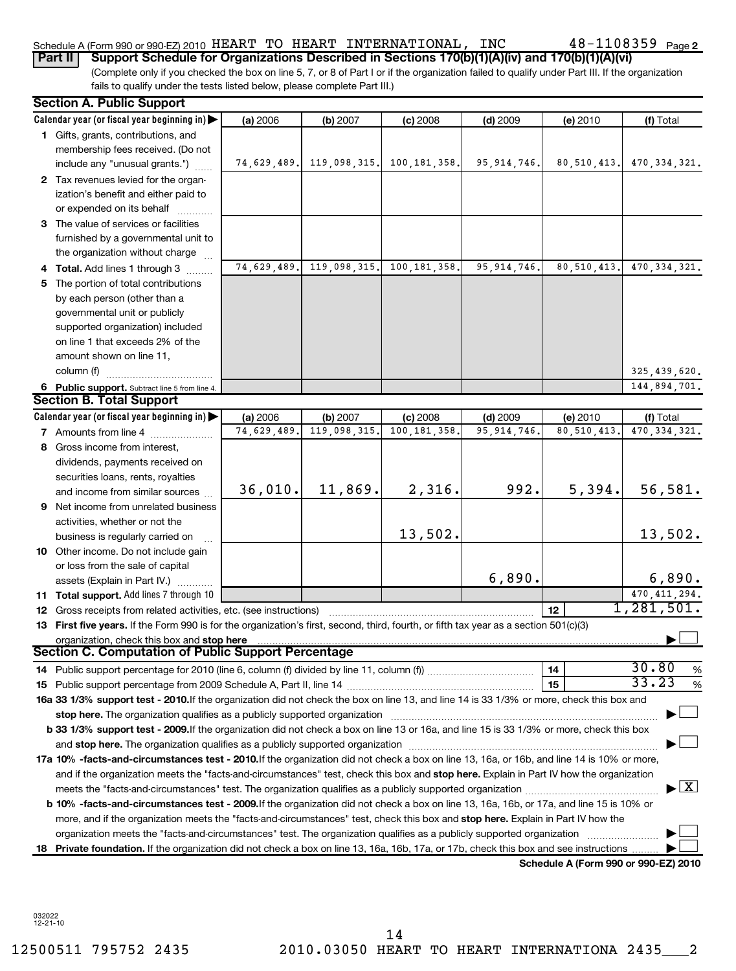## Schedule A (Form 990 or 990-EZ) 2010 <code>HEART TO HEART INTERNATIONAL</code> , <code>INC</code>  $48$  –  $1108359$  <code>Page</code>

48-1108359 Page 2

(Complete only if you checked the box on line 5, 7, or 8 of Part I or if the organization failed to qualify under Part III. If the organization fails to qualify under the tests listed below, please complete Part III.) **Part II Support Schedule for Organizations Described in Sections 170(b)(1)(A)(iv) and 170(b)(1)(A)(vi)**

| <b>Section A. Public Support</b>                                                                                                                                                                                               |             |              |                |               |               |                                      |
|--------------------------------------------------------------------------------------------------------------------------------------------------------------------------------------------------------------------------------|-------------|--------------|----------------|---------------|---------------|--------------------------------------|
| Calendar year (or fiscal year beginning in)                                                                                                                                                                                    | (a) 2006    | (b) 2007     | (c) 2008       | $(d)$ 2009    | (e) 2010      | (f) Total                            |
| 1 Gifts, grants, contributions, and<br>membership fees received. (Do not                                                                                                                                                       |             |              |                |               |               |                                      |
| include any "unusual grants.")                                                                                                                                                                                                 | 74,629,489. | 119,098,315. | 100, 181, 358. | 95, 914, 746. | 80, 510, 413. | 470, 334, 321.                       |
| 2 Tax revenues levied for the organ-<br>ization's benefit and either paid to<br>or expended on its behalf                                                                                                                      |             |              |                |               |               |                                      |
| 3 The value of services or facilities<br>furnished by a governmental unit to<br>the organization without charge                                                                                                                |             |              |                |               |               |                                      |
| 4 Total. Add lines 1 through 3                                                                                                                                                                                                 | 74,629,489. | 119,098,315. | 100, 181, 358. | 95, 914, 746. | 80, 510, 413. | $\overline{470}$ , 334, 321.         |
| 5 The portion of total contributions                                                                                                                                                                                           |             |              |                |               |               |                                      |
| by each person (other than a<br>governmental unit or publicly<br>supported organization) included<br>on line 1 that exceeds 2% of the                                                                                          |             |              |                |               |               |                                      |
| amount shown on line 11,                                                                                                                                                                                                       |             |              |                |               |               |                                      |
| column (f)                                                                                                                                                                                                                     |             |              |                |               |               | 325,439,620.                         |
|                                                                                                                                                                                                                                |             |              |                |               |               | 144,894,701.                         |
| 6 Public support. Subtract line 5 from line 4.<br><b>Section B. Total Support</b>                                                                                                                                              |             |              |                |               |               |                                      |
| Calendar year (or fiscal year beginning in)                                                                                                                                                                                    | (a) 2006    | (b) 2007     | $(c)$ 2008     | $(d)$ 2009    | (e) 2010      | (f) Total                            |
| <b>7</b> Amounts from line 4                                                                                                                                                                                                   | 74,629,489. | 119,098,315  | 100, 181, 358  | 95, 914, 746. | 80,510,413    | 470, 334, 321.                       |
| 8 Gross income from interest,                                                                                                                                                                                                  |             |              |                |               |               |                                      |
| dividends, payments received on                                                                                                                                                                                                |             |              |                |               |               |                                      |
| securities loans, rents, royalties                                                                                                                                                                                             |             |              |                |               |               |                                      |
| and income from similar sources                                                                                                                                                                                                | 36,010.     | 11,869.      | 2,316.         | 992.          | 5,394.        | 56,581.                              |
| 9 Net income from unrelated business                                                                                                                                                                                           |             |              |                |               |               |                                      |
| activities, whether or not the                                                                                                                                                                                                 |             |              |                |               |               |                                      |
| business is regularly carried on                                                                                                                                                                                               |             |              | 13,502.        |               |               | 13,502.                              |
| 10 Other income. Do not include gain                                                                                                                                                                                           |             |              |                |               |               |                                      |
| or loss from the sale of capital                                                                                                                                                                                               |             |              |                |               |               |                                      |
| assets (Explain in Part IV.)                                                                                                                                                                                                   |             |              |                | 6,890.        |               | 6,890.                               |
| 11 Total support. Add lines 7 through 10                                                                                                                                                                                       |             |              |                |               |               | 470, 411, 294.                       |
| <b>12</b> Gross receipts from related activities, etc. (see instructions)                                                                                                                                                      |             |              |                |               | 12            | 1,281,501.                           |
| 13 First five years. If the Form 990 is for the organization's first, second, third, fourth, or fifth tax year as a section 501(c)(3)                                                                                          |             |              |                |               |               |                                      |
| organization, check this box and stop here                                                                                                                                                                                     |             |              |                |               |               |                                      |
| Section C. Computation of Public Support Percentage                                                                                                                                                                            |             |              |                |               |               |                                      |
|                                                                                                                                                                                                                                |             |              |                |               | 14            | 30.80<br>%                           |
|                                                                                                                                                                                                                                |             |              |                |               | 15            | 33.23<br>%                           |
| 16a 33 1/3% support test - 2010. If the organization did not check the box on line 13, and line 14 is 33 1/3% or more, check this box and                                                                                      |             |              |                |               |               |                                      |
| stop here. The organization qualifies as a publicly supported organization manufactured content and the content of the state of the state of the state of the state of the state of the state of the state of the state of the |             |              |                |               |               |                                      |
| b 33 1/3% support test - 2009. If the organization did not check a box on line 13 or 16a, and line 15 is 33 1/3% or more, check this box                                                                                       |             |              |                |               |               |                                      |
|                                                                                                                                                                                                                                |             |              |                |               |               |                                      |
| 17a 10% -facts-and-circumstances test - 2010. If the organization did not check a box on line 13, 16a, or 16b, and line 14 is 10% or more,                                                                                     |             |              |                |               |               |                                      |
| and if the organization meets the "facts-and-circumstances" test, check this box and stop here. Explain in Part IV how the organization                                                                                        |             |              |                |               |               |                                      |
|                                                                                                                                                                                                                                |             |              |                |               |               | $\lfloor x \rfloor$                  |
| b 10% -facts-and-circumstances test - 2009.If the organization did not check a box on line 13, 16a, 16b, or 17a, and line 15 is 10% or                                                                                         |             |              |                |               |               |                                      |
| more, and if the organization meets the "facts-and-circumstances" test, check this box and <b>stop here.</b> Explain in Part IV how the                                                                                        |             |              |                |               |               |                                      |
| organization meets the "facts-and-circumstances" test. The organization qualifies as a publicly supported organization                                                                                                         |             |              |                |               |               |                                      |
| 18 Private foundation. If the organization did not check a box on line 13, 16a, 16b, 17a, or 17b, check this box and see instructions.                                                                                         |             |              |                |               |               |                                      |
|                                                                                                                                                                                                                                |             |              |                |               |               | Schedule A (Form 990 or 990-EZ) 2010 |

032022 12-21-10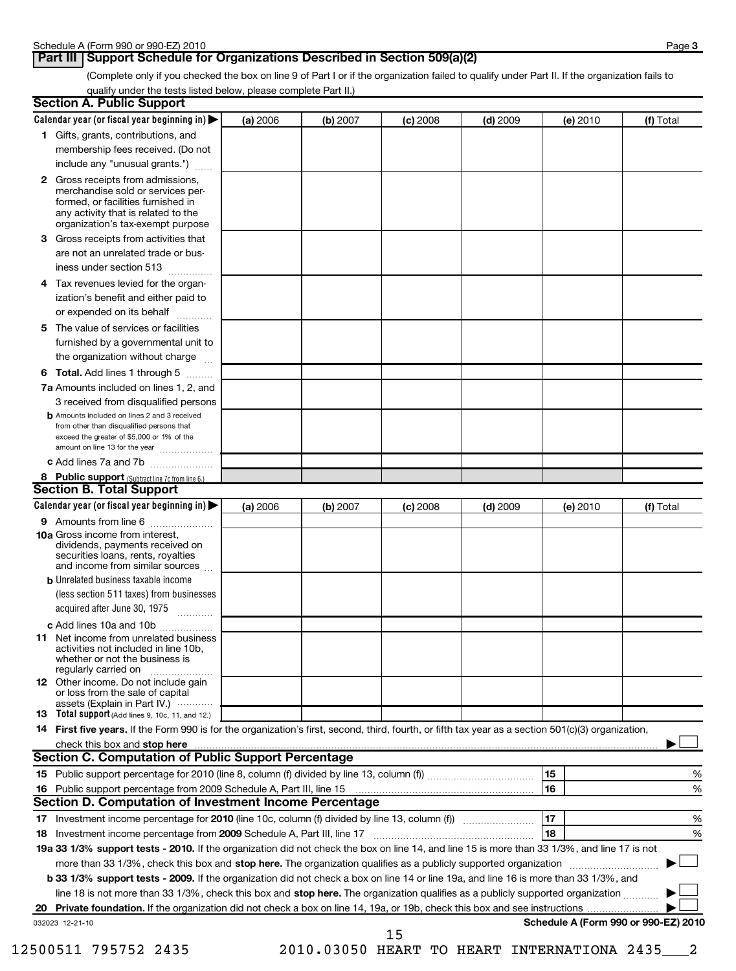## **Part III Support Schedule for Organizations Described in Section 509(a)(2)**

(Complete only if you checked the box on line 9 of Part I or if the organization failed to qualify under Part II. If the organization fails to qualify under the tests listed below, please complete Part II.)

| <b>Section A. Public Support</b>                                                                                                                                                                                               |          |          |            |            |                                      |           |
|--------------------------------------------------------------------------------------------------------------------------------------------------------------------------------------------------------------------------------|----------|----------|------------|------------|--------------------------------------|-----------|
| Calendar year (or fiscal year beginning in)                                                                                                                                                                                    | (a) 2006 | (b) 2007 | $(c)$ 2008 | $(d)$ 2009 | (e) 2010                             | (f) Total |
| 1 Gifts, grants, contributions, and                                                                                                                                                                                            |          |          |            |            |                                      |           |
| membership fees received. (Do not                                                                                                                                                                                              |          |          |            |            |                                      |           |
| include any "unusual grants.")                                                                                                                                                                                                 |          |          |            |            |                                      |           |
| <b>2</b> Gross receipts from admissions,<br>merchandise sold or services per-<br>formed, or facilities furnished in<br>any activity that is related to the<br>organization's tax-exempt purpose                                |          |          |            |            |                                      |           |
| 3 Gross receipts from activities that<br>are not an unrelated trade or bus-                                                                                                                                                    |          |          |            |            |                                      |           |
| iness under section 513                                                                                                                                                                                                        |          |          |            |            |                                      |           |
| Tax revenues levied for the organ-<br>4<br>ization's benefit and either paid to<br>or expended on its behalf                                                                                                                   |          |          |            |            |                                      |           |
| 5 The value of services or facilities                                                                                                                                                                                          |          |          |            |            |                                      |           |
| furnished by a governmental unit to<br>the organization without charge                                                                                                                                                         |          |          |            |            |                                      |           |
| <b>6 Total.</b> Add lines 1 through 5                                                                                                                                                                                          |          |          |            |            |                                      |           |
| 7a Amounts included on lines 1, 2, and<br>3 received from disqualified persons                                                                                                                                                 |          |          |            |            |                                      |           |
| <b>b</b> Amounts included on lines 2 and 3 received<br>from other than disqualified persons that<br>exceed the greater of \$5,000 or 1% of the<br>amount on line 13 for the year                                               |          |          |            |            |                                      |           |
| c Add lines 7a and 7b                                                                                                                                                                                                          |          |          |            |            |                                      |           |
| 8 Public support (Subtract line 7c from line 6.)                                                                                                                                                                               |          |          |            |            |                                      |           |
| <b>Section B. Total Support</b>                                                                                                                                                                                                |          |          |            |            |                                      |           |
| Calendar year (or fiscal year beginning in)                                                                                                                                                                                    | (a) 2006 | (b) 2007 | $(c)$ 2008 | $(d)$ 2009 | (e) 2010                             | (f) Total |
| 9 Amounts from line 6                                                                                                                                                                                                          |          |          |            |            |                                      |           |
| <b>10a</b> Gross income from interest,<br>dividends, payments received on<br>securities loans, rents, royalties<br>and income from similar sources                                                                             |          |          |            |            |                                      |           |
| <b>b</b> Unrelated business taxable income                                                                                                                                                                                     |          |          |            |            |                                      |           |
| (less section 511 taxes) from businesses<br>acquired after June 30, 1975                                                                                                                                                       |          |          |            |            |                                      |           |
| c Add lines 10a and 10b                                                                                                                                                                                                        |          |          |            |            |                                      |           |
| <b>11</b> Net income from unrelated business<br>activities not included in line 10b,<br>whether or not the business is<br>regularly carried on                                                                                 |          |          |            |            |                                      |           |
| 12 Other income. Do not include gain<br>or loss from the sale of capital<br>assets (Explain in Part IV.)                                                                                                                       |          |          |            |            |                                      |           |
| 13 Total support (Add lines 9, 10c, 11, and 12.)                                                                                                                                                                               |          |          |            |            |                                      |           |
| 14 First five years. If the Form 990 is for the organization's first, second, third, fourth, or fifth tax year as a section 501(c)(3) organization,                                                                            |          |          |            |            |                                      |           |
| check this box and stop here manufactured and content to the state of the state of the state of the state of the state of the state of the state of the state of the state of the state of the state of the state of the state |          |          |            |            |                                      |           |
| Section C. Computation of Public Support Percentage                                                                                                                                                                            |          |          |            |            |                                      |           |
|                                                                                                                                                                                                                                |          |          |            |            | 15                                   | %         |
|                                                                                                                                                                                                                                |          |          |            |            | 16                                   | %         |
| Section D. Computation of Investment Income Percentage                                                                                                                                                                         |          |          |            |            |                                      |           |
|                                                                                                                                                                                                                                |          |          |            |            | 17                                   | %         |
| 18 Investment income percentage from 2009 Schedule A, Part III, line 17                                                                                                                                                        |          |          |            |            | 18                                   | %         |
| 19a 33 1/3% support tests - 2010. If the organization did not check the box on line 14, and line 15 is more than 33 1/3%, and line 17 is not                                                                                   |          |          |            |            |                                      |           |
| more than 33 1/3%, check this box and stop here. The organization qualifies as a publicly supported organization                                                                                                               |          |          |            |            |                                      |           |
| b 33 1/3% support tests - 2009. If the organization did not check a box on line 14 or line 19a, and line 16 is more than 33 1/3%, and                                                                                          |          |          |            |            |                                      |           |
| line 18 is not more than 33 1/3%, check this box and stop here. The organization qualifies as a publicly supported organization                                                                                                |          |          |            |            |                                      |           |
| 20                                                                                                                                                                                                                             |          |          |            |            |                                      |           |
| 032023 12-21-10                                                                                                                                                                                                                |          |          | 15         |            | Schedule A (Form 990 or 990-EZ) 2010 |           |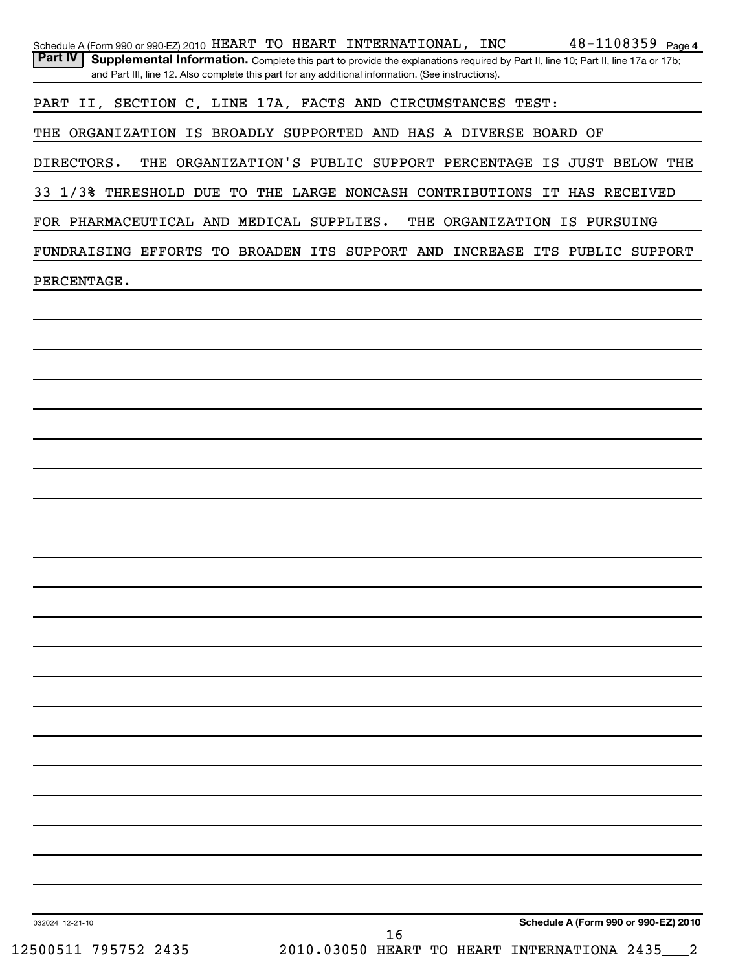| Schedule A (Form 990 or 990-EZ) 2010 HEART TO HEART INTERNATIONAL, INC<br>Part IV | Supplemental Information. Complete this part to provide the explanations required by Part II, line 10; Part II, line 17a or 17b; |  |    |                                               |  | $48 - 1108359$ Page 4                |
|-----------------------------------------------------------------------------------|----------------------------------------------------------------------------------------------------------------------------------|--|----|-----------------------------------------------|--|--------------------------------------|
|                                                                                   | and Part III, line 12. Also complete this part for any additional information. (See instructions).                               |  |    |                                               |  |                                      |
| PART II, SECTION C, LINE 17A, FACTS AND CIRCUMSTANCES TEST:                       |                                                                                                                                  |  |    |                                               |  |                                      |
| THE ORGANIZATION IS BROADLY SUPPORTED AND HAS A DIVERSE BOARD OF                  |                                                                                                                                  |  |    |                                               |  |                                      |
| DIRECTORS.                                                                        | THE ORGANIZATION'S PUBLIC SUPPORT PERCENTAGE IS JUST BELOW THE                                                                   |  |    |                                               |  |                                      |
|                                                                                   |                                                                                                                                  |  |    |                                               |  |                                      |
| 33 1/3% THRESHOLD DUE TO THE LARGE NONCASH CONTRIBUTIONS IT HAS RECEIVED          |                                                                                                                                  |  |    |                                               |  |                                      |
| FOR PHARMACEUTICAL AND MEDICAL SUPPLIES.                                          |                                                                                                                                  |  |    | THE ORGANIZATION IS PURSUING                  |  |                                      |
| FUNDRAISING EFFORTS TO BROADEN ITS SUPPORT AND INCREASE ITS PUBLIC SUPPORT        |                                                                                                                                  |  |    |                                               |  |                                      |
| PERCENTAGE.                                                                       |                                                                                                                                  |  |    |                                               |  |                                      |
|                                                                                   |                                                                                                                                  |  |    |                                               |  |                                      |
|                                                                                   |                                                                                                                                  |  |    |                                               |  |                                      |
|                                                                                   |                                                                                                                                  |  |    |                                               |  |                                      |
|                                                                                   |                                                                                                                                  |  |    |                                               |  |                                      |
|                                                                                   |                                                                                                                                  |  |    |                                               |  |                                      |
|                                                                                   |                                                                                                                                  |  |    |                                               |  |                                      |
|                                                                                   |                                                                                                                                  |  |    |                                               |  |                                      |
|                                                                                   |                                                                                                                                  |  |    |                                               |  |                                      |
|                                                                                   |                                                                                                                                  |  |    |                                               |  |                                      |
|                                                                                   |                                                                                                                                  |  |    |                                               |  |                                      |
|                                                                                   |                                                                                                                                  |  |    |                                               |  |                                      |
|                                                                                   |                                                                                                                                  |  |    |                                               |  |                                      |
|                                                                                   |                                                                                                                                  |  |    |                                               |  |                                      |
|                                                                                   |                                                                                                                                  |  |    |                                               |  |                                      |
|                                                                                   |                                                                                                                                  |  |    |                                               |  |                                      |
|                                                                                   |                                                                                                                                  |  |    |                                               |  |                                      |
|                                                                                   |                                                                                                                                  |  |    |                                               |  |                                      |
|                                                                                   |                                                                                                                                  |  |    |                                               |  |                                      |
|                                                                                   |                                                                                                                                  |  |    |                                               |  |                                      |
|                                                                                   |                                                                                                                                  |  |    |                                               |  |                                      |
|                                                                                   |                                                                                                                                  |  |    |                                               |  |                                      |
|                                                                                   |                                                                                                                                  |  |    |                                               |  |                                      |
|                                                                                   |                                                                                                                                  |  |    |                                               |  |                                      |
|                                                                                   |                                                                                                                                  |  |    |                                               |  |                                      |
|                                                                                   |                                                                                                                                  |  |    |                                               |  |                                      |
| 032024 12-21-10                                                                   |                                                                                                                                  |  |    |                                               |  | Schedule A (Form 990 or 990-EZ) 2010 |
| 12500511 795752 2435                                                              |                                                                                                                                  |  | 16 | 2010.03050 HEART TO HEART INTERNATIONA 2435 2 |  |                                      |
|                                                                                   |                                                                                                                                  |  |    |                                               |  |                                      |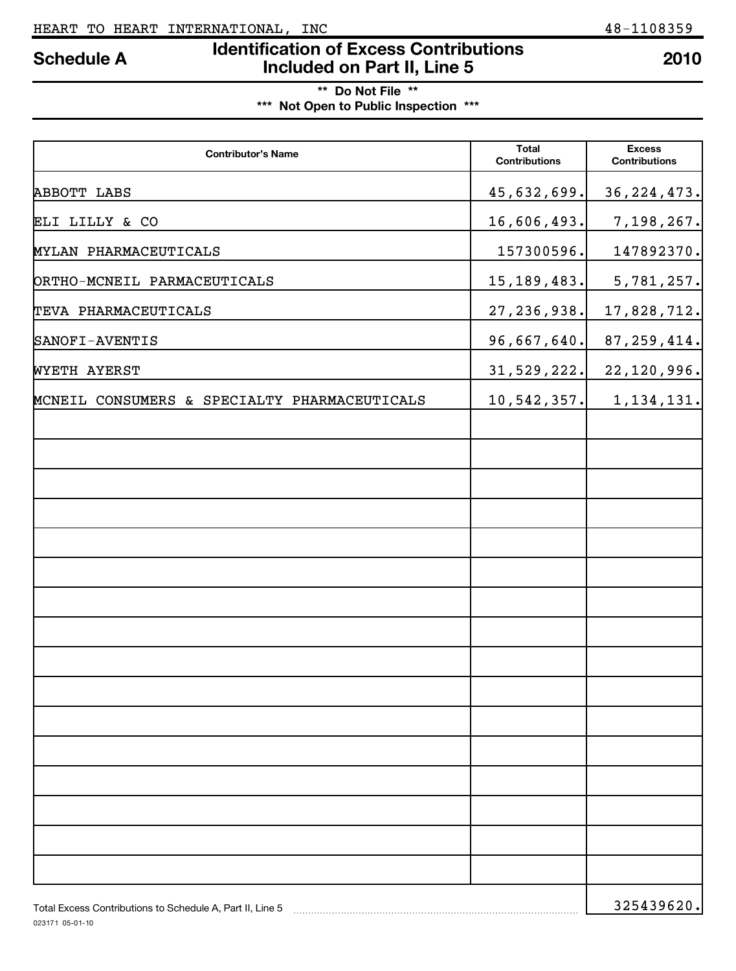# **Identification of Excess Contributions Included on Part II, Line 5 Schedule A <sup>2010</sup>**

**\*\* Do Not File \*\***

**\*\*\* Not Open to Public Inspection \*\*\***

| <b>Contributor's Name</b>                                 | <b>Total</b><br><b>Contributions</b> | <b>Excess</b><br><b>Contributions</b> |
|-----------------------------------------------------------|--------------------------------------|---------------------------------------|
| ABBOTT LABS                                               | 45,632,699.                          | 36, 224, 473.                         |
| ELI LILLY & CO                                            | 16,606,493.                          | 7,198,267.                            |
| MYLAN PHARMACEUTICALS                                     | 157300596.                           | 147892370.                            |
| ORTHO-MCNEIL PARMACEUTICALS                               | 15, 189, 483.                        | 5,781,257.                            |
| TEVA PHARMACEUTICALS                                      | 27, 236, 938.                        | 17,828,712.                           |
| SANOFI-AVENTIS                                            | 96,667,640.                          | 87, 259, 414.                         |
| WYETH AYERST                                              | 31, 529, 222.                        | 22, 120, 996.                         |
| MCNEIL CONSUMERS & SPECIALTY PHARMACEUTICALS              | 10,542,357.                          | 1, 134, 131.                          |
|                                                           |                                      |                                       |
|                                                           |                                      |                                       |
|                                                           |                                      |                                       |
|                                                           |                                      |                                       |
|                                                           |                                      |                                       |
|                                                           |                                      |                                       |
|                                                           |                                      |                                       |
|                                                           |                                      |                                       |
|                                                           |                                      |                                       |
|                                                           |                                      |                                       |
|                                                           |                                      |                                       |
|                                                           |                                      |                                       |
|                                                           |                                      |                                       |
|                                                           |                                      |                                       |
|                                                           |                                      |                                       |
|                                                           |                                      |                                       |
| Total Excess Contributions to Schedule A. Part II. Line 5 |                                      | 325439620.                            |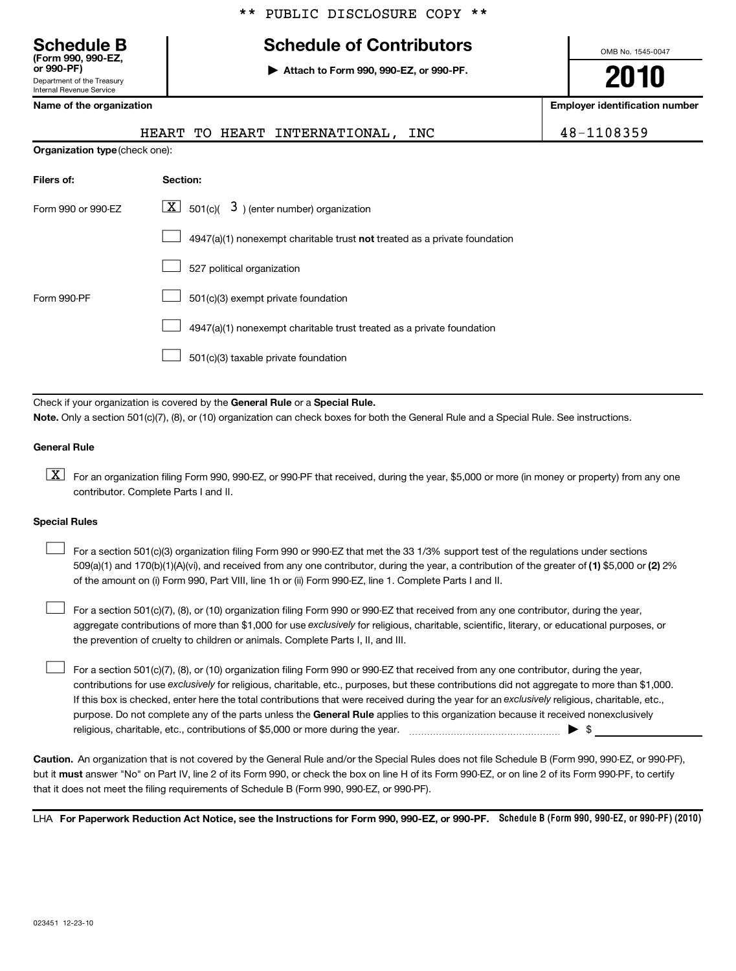|  |  | ** PUBLIC DISCLOSURE COPY ** |  |  |
|--|--|------------------------------|--|--|
|--|--|------------------------------|--|--|

# **Schedule B Schedule of Contributors**

**or 990-PF) | Attach to Form 990, 990-EZ, or 990-PF.**

OMB No. 1545-0047

**2010**

**Name of the organization Employer identification number**

|  | Namo of the organizatio |  |
|--|-------------------------|--|
|  |                         |  |

Department of the Treasury International Revenue

**(Form 990, 990-EZ,**

|                                | HEART TO HEART INTERNATIONAL, INC                                         | 48-1108359 |
|--------------------------------|---------------------------------------------------------------------------|------------|
| Organization type (check one): |                                                                           |            |
| Filers of:                     | Section:                                                                  |            |
| Form 990 or 990-EZ             | $\lfloor \underline{X} \rfloor$ 501(c)( 3) (enter number) organization    |            |
|                                | 4947(a)(1) nonexempt charitable trust not treated as a private foundation |            |
|                                | 527 political organization                                                |            |
| Form 990-PF                    | 501(c)(3) exempt private foundation                                       |            |
|                                | 4947(a)(1) nonexempt charitable trust treated as a private foundation     |            |
|                                | 501(c)(3) taxable private foundation                                      |            |

Check if your organization is covered by the General Rule or a Special Rule. **Note.**  Only a section 501(c)(7), (8), or (10) organization can check boxes for both the General Rule and a Special Rule. See instructions.

## **General Rule**

 $\boxed{\text{X}}$  For an organization filing Form 990, 990-EZ, or 990-PF that received, during the year, \$5,000 or more (in money or property) from any one contributor. Complete Parts I and II.

## **Special Rules**

509(a)(1) and 170(b)(1)(A)(vi), and received from any one contributor, during the year, a contribution of the greater of (1) \$5,000 or (2) 2% For a section 501(c)(3) organization filing Form 990 or 990-EZ that met the 33 1/3% support test of the regulations under sections of the amount on (i) Form 990, Part VIII, line 1h or (ii) Form 990-EZ, line 1. Complete Parts I and II.  $\mathcal{L}_{\mathcal{A}}$ 

aggregate contributions of more than \$1,000 for use exclusively for religious, charitable, scientific, literary, or educational purposes, or For a section 501(c)(7), (8), or (10) organization filing Form 990 or 990-EZ that received from any one contributor, during the year, the prevention of cruelty to children or animals. Complete Parts I, II, and III.  $\mathcal{L}_{\mathcal{A}}$ 

purpose. Do not complete any of the parts unless the General Rule applies to this organization because it received nonexclusively contributions for use exclusively for religious, charitable, etc., purposes, but these contributions did not aggregate to more than \$1,000. If this box is checked, enter here the total contributions that were received during the year for an exclusively religious, charitable, etc., For a section 501(c)(7), (8), or (10) organization filing Form 990 or 990-EZ that received from any one contributor, during the year, religious, charitable, etc., contributions of \$5,000 or more during the year. ~~~~~~~~~~~~~~~~~ | \$  $\mathcal{L}_{\mathcal{A}}$ 

**Caution.** An organization that is not covered by the General Rule and/or the Special Rules does not file Schedule B (Form 990, 990-EZ, or 990-PF), but it **must** answer "No" on Part IV, line 2 of its Form 990, or check the box on line H of its Form 990-EZ, or on line 2 of its Form 990-PF, to certify that it does not meet the filing requirements of Schedule B (Form 990, 990-EZ, or 990-PF).

LHA For Paperwork Reduction Act Notice, see the Instructions for Form 990, 990-EZ, or 990-PF. Schedule B (Form 990, 990-EZ, or 990-PF) (2010)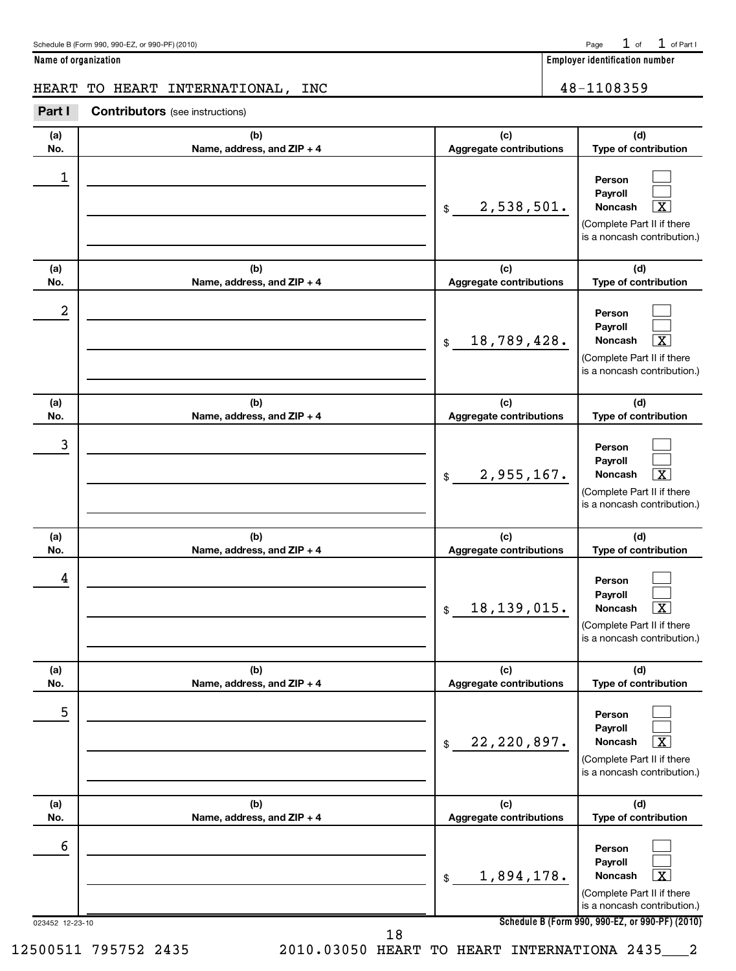| Schedule B (Form 990, 990-EZ, or 990-PF) (2010) | Page $1$ of $1$ of Part I |  |
|-------------------------------------------------|---------------------------|--|
|                                                 |                           |  |

**Name of organization Employer identification number**

## HEART TO HEART INTERNATIONAL, INC  $\vert$  48-1108359

**Part I Contributors** (see instructions)

| (a)<br>No.           | (b)<br>Name, address, and ZIP + 4 | (c)<br>Aggregate contributions | (d)<br>Type of contribution                                                                                                                                             |
|----------------------|-----------------------------------|--------------------------------|-------------------------------------------------------------------------------------------------------------------------------------------------------------------------|
| 1                    |                                   | 2,538,501.<br>\$               | Person<br>Payroll<br>x.<br><b>Noncash</b><br>(Complete Part II if there<br>is a noncash contribution.)                                                                  |
| (a)<br>No.           | (b)<br>Name, address, and ZIP + 4 | (c)<br>Aggregate contributions | (d)<br>Type of contribution                                                                                                                                             |
| 2                    |                                   | 18,789,428.<br>\$              | Person<br>Payroll<br>$\overline{\mathtt{x}}$<br>Noncash<br>(Complete Part II if there<br>is a noncash contribution.)                                                    |
| (a)<br>No.           | (b)<br>Name, address, and ZIP + 4 | (c)<br>Aggregate contributions | (d)<br>Type of contribution                                                                                                                                             |
| 3                    |                                   | 2,955,167.<br>\$               | Person<br>Payroll<br>$\overline{\mathtt{x}}$<br><b>Noncash</b><br>(Complete Part II if there<br>is a noncash contribution.)                                             |
| (a)<br>No.           | (b)<br>Name, address, and ZIP + 4 | (c)<br>Aggregate contributions | (d)<br>Type of contribution                                                                                                                                             |
| 4                    |                                   | 18, 139, 015.<br>\$            | Person<br>Payroll<br>$\overline{\mathtt{x}}$<br><b>Noncash</b><br>(Complete Part II if there<br>is a noncash contribution.)                                             |
| (a)<br>No.           | (b)<br>Name, address, and ZIP + 4 | (c)<br>Aggregate contributions | (d)<br>Type of contribution                                                                                                                                             |
| 5                    |                                   | 22, 220, 897.<br>\$            | Person<br>Payroll<br>$\overline{\mathbf{X}}$<br>Noncash<br>(Complete Part II if there<br>is a noncash contribution.)                                                    |
| (a)<br>No.           | (b)<br>Name, address, and ZIP + 4 | (c)<br>Aggregate contributions | (d)<br>Type of contribution                                                                                                                                             |
| 6<br>023452 12-23-10 |                                   | 1,894,178.<br>\$               | Person<br>Payroll<br>$\overline{\mathbf{X}}$<br>Noncash<br>(Complete Part II if there<br>is a noncash contribution.)<br>Schedule B (Form 990, 990-EZ, or 990-PF) (2010) |
|                      | 18                                |                                |                                                                                                                                                                         |

12500511 795752 2435 2010.03050 HEART TO HEART INTERNATIONA 2435\_\_\_2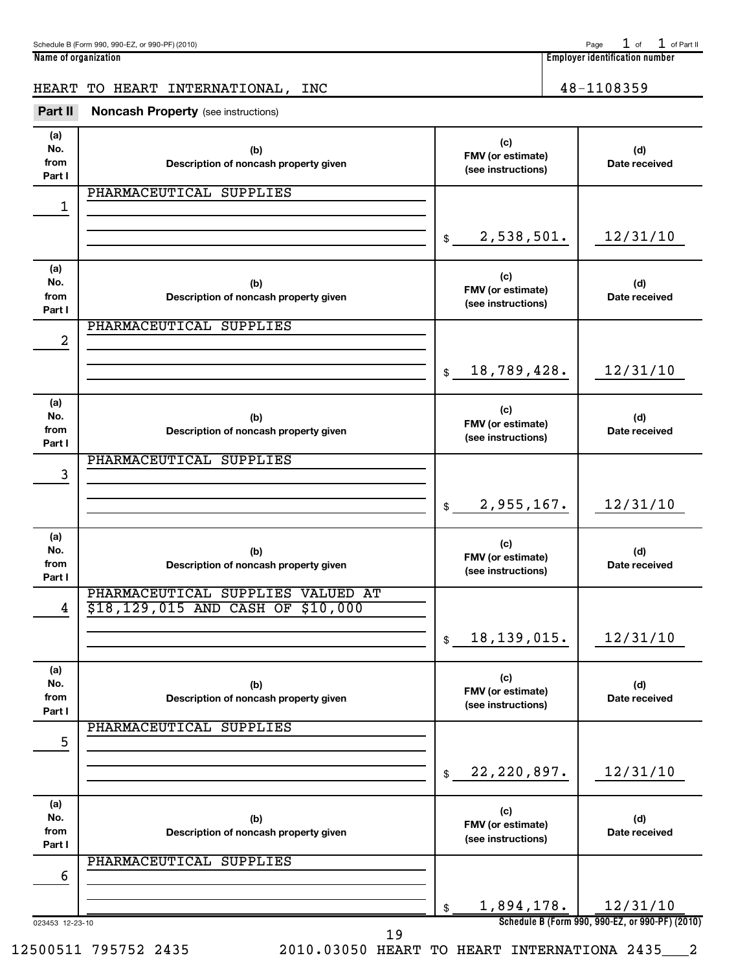Schedule B (Form 990, 990-EZ, or 990-PF) (2010) Page of Part III and Part III and Part III and Page of Part II

HEART TO HEART INTERNATIONAL, INC  $\vert$  48-1108359

| Part II | <b>Noncash Property</b> (see instructions) |
|---------|--------------------------------------------|

| (a)<br>No.<br>from<br>Part I | (b)<br>Description of noncash property given                           | (c)<br>FMV (or estimate)<br>(see instructions) | (d)<br>Date received                                        |
|------------------------------|------------------------------------------------------------------------|------------------------------------------------|-------------------------------------------------------------|
| 1                            | PHARMACEUTICAL SUPPLIES                                                |                                                |                                                             |
|                              |                                                                        | 2,538,501.<br>$\frac{1}{2}$                    | 12/31/10                                                    |
| (a)<br>No.<br>from<br>Part I | (b)<br>Description of noncash property given                           | (c)<br>FMV (or estimate)<br>(see instructions) | (d)<br>Date received                                        |
| 2                            | PHARMACEUTICAL SUPPLIES                                                |                                                |                                                             |
|                              |                                                                        | 18,789,428.<br>\$                              | 12/31/10                                                    |
| (a)<br>No.<br>from<br>Part I | (b)<br>Description of noncash property given                           | (c)<br>FMV (or estimate)<br>(see instructions) | (d)<br>Date received                                        |
| 3                            | PHARMACEUTICAL SUPPLIES                                                |                                                |                                                             |
|                              |                                                                        | 2,955,167.<br>$\frac{1}{2}$                    | 12/31/10                                                    |
| (a)<br>No.<br>from<br>Part I | (b)<br>Description of noncash property given                           | (c)<br>FMV (or estimate)<br>(see instructions) | (d)<br>Date received                                        |
| 4                            | PHARMACEUTICAL SUPPLIES VALUED AT<br>\$18,129,015 AND CASH OF \$10,000 |                                                |                                                             |
|                              |                                                                        | 18, 139, 015.<br>$\frac{1}{2}$                 | 12/31/10                                                    |
| (a)<br>No.<br>from<br>Part I | (b)<br>Description of noncash property given                           | (c)<br>FMV (or estimate)<br>(see instructions) | (d)<br>Date received                                        |
| 5                            | PHARMACEUTICAL SUPPLIES                                                |                                                |                                                             |
|                              |                                                                        | 22, 220, 897.<br>\$                            | 12/31/10                                                    |
| (a)<br>No.<br>from<br>Part I | (b)<br>Description of noncash property given                           | (c)<br>FMV (or estimate)<br>(see instructions) | (d)<br>Date received                                        |
| 6                            | PHARMACEUTICAL SUPPLIES                                                |                                                |                                                             |
| 023453 12-23-10              |                                                                        | 1,894,178.<br>\$                               | 12/31/10<br>Schedule B (Form 990, 990-EZ, or 990-PF) (2010) |

19

**Name of organization Employer identification number**  $1$  of  $1$  of Part II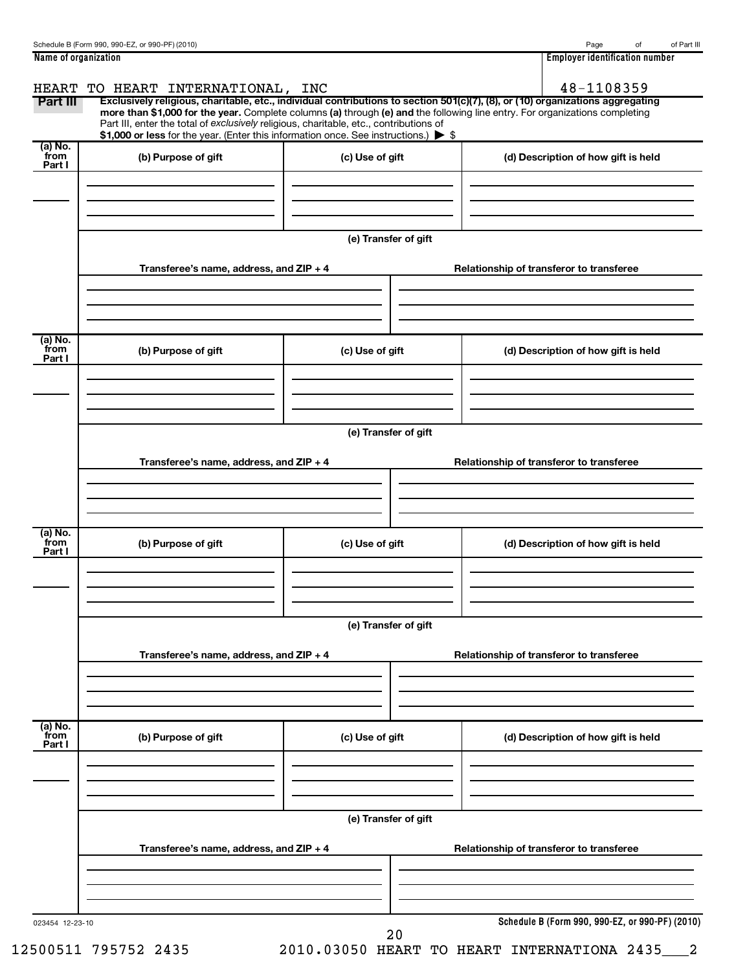| Name of organization | 1 1 1 1<br>number<br>Emplover<br>r identification. |
|----------------------|----------------------------------------------------|

| (a) No.<br>from<br>Part I | (b) Purpose of gift                     | \$1,000 or less for the year. (Enter this information once. See instructions.) > \$<br>(c) Use of gift | (d) Description of how gift is held      |
|---------------------------|-----------------------------------------|--------------------------------------------------------------------------------------------------------|------------------------------------------|
|                           |                                         | (e) Transfer of gift                                                                                   |                                          |
|                           | Transferee's name, address, and ZIP + 4 |                                                                                                        | Relationship of transferor to transferee |
| (a) No.<br>from<br>Part I | (b) Purpose of gift                     | (c) Use of gift                                                                                        | (d) Description of how gift is held      |
|                           |                                         | (e) Transfer of gift                                                                                   |                                          |
|                           | Transferee's name, address, and ZIP + 4 |                                                                                                        | Relationship of transferor to transferee |
| (a) No.<br>from<br>Part I | (b) Purpose of gift                     | (c) Use of gift                                                                                        | (d) Description of how gift is held      |
|                           |                                         | (e) Transfer of gift                                                                                   |                                          |
|                           | Transferee's name, address, and ZIP + 4 |                                                                                                        | Relationship of transferor to transferee |
| (a) No.<br>from<br>Part I | (b) Purpose of gift                     | (c) Use of gift                                                                                        | (d) Description of how gift is held      |
|                           |                                         | (e) Transfer of gift                                                                                   |                                          |
|                           | Transferee's name, address, and ZIP + 4 |                                                                                                        | Relationship of transferor to transferee |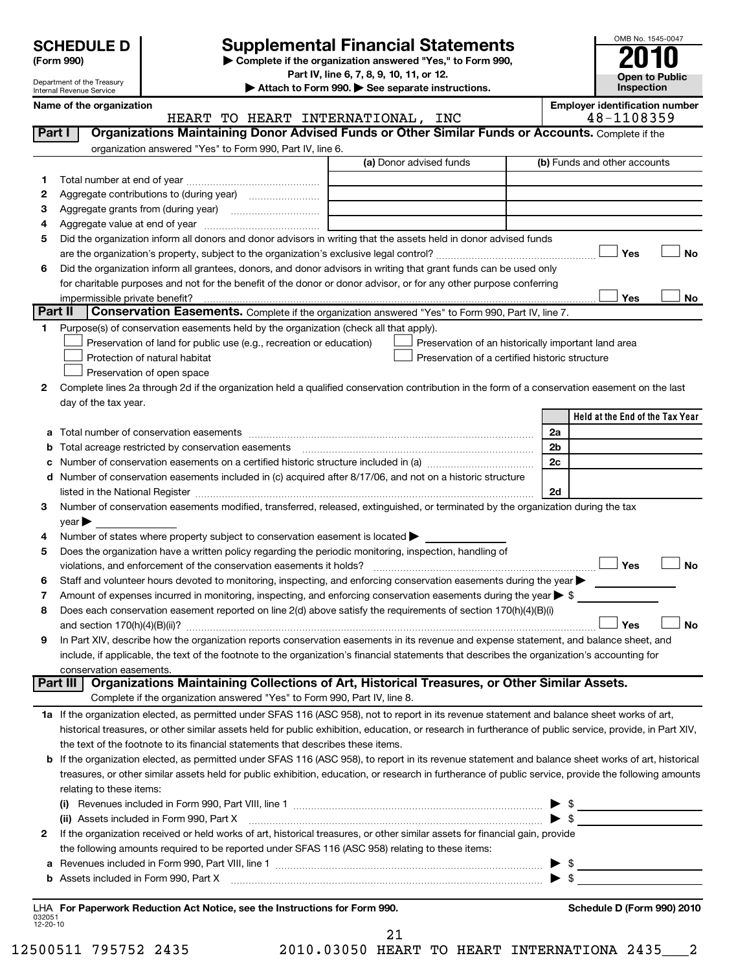| <b>SCHEDULE D</b> |  |
|-------------------|--|
|                   |  |

Department of the Treasury Internal Revenue Service

# **Supplemental Financial Statements**

**(Form 990) | Complete if the organization answered "Yes," to Form 990, Part IV, line 6, 7, 8, 9, 10, 11, or 12.**

**| Attach to Form 990. | See separate instructions.**

OMB No. 1545-0047 **Open to Public Inspection**

|  | Name of the organization |  |
|--|--------------------------|--|
|  |                          |  |

| Organizations Maintaining Donor Advised Funds or Other Similar Funds or Accounts. Complete if the<br>Part I<br>organization answered "Yes" to Form 990, Part IV, line 6.<br>(a) Donor advised funds<br>(b) Funds and other accounts<br>1.<br>2<br>3<br>4<br>Did the organization inform all donors and donor advisors in writing that the assets held in donor advised funds<br>5<br>Yes<br>Did the organization inform all grantees, donors, and donor advisors in writing that grant funds can be used only<br>6<br>for charitable purposes and not for the benefit of the donor or donor advisor, or for any other purpose conferring<br>Yes<br>Part II<br>Conservation Easements. Complete if the organization answered "Yes" to Form 990, Part IV, line 7.<br>Purpose(s) of conservation easements held by the organization (check all that apply).<br>1.<br>Preservation of land for public use (e.g., recreation or education)<br>Preservation of an historically important land area<br>Preservation of a certified historic structure<br>Protection of natural habitat<br>Preservation of open space<br>Complete lines 2a through 2d if the organization held a qualified conservation contribution in the form of a conservation easement on the last<br>2<br>day of the tax year.<br>2a<br>а<br>2 <sub>b</sub><br>b<br>2c<br>с<br>Number of conservation easements included in (c) acquired after 8/17/06, and not on a historic structure<br>d<br>2d<br>listed in the National Register [111] Marshall Register [11] Marshall Register [11] Marshall Register [11] Marshall Register [11] Marshall Register [11] Marshall Register [11] Marshall Register [11] Marshall Register [11]<br>Number of conservation easements modified, transferred, released, extinguished, or terminated by the organization during the tax<br>3<br>$\vee$ ear $\blacktriangleright$<br>Number of states where property subject to conservation easement is located ><br>4<br>Does the organization have a written policy regarding the periodic monitoring, inspection, handling of<br>5<br>Yes<br>violations, and enforcement of the conservation easements it holds?<br>Staff and volunteer hours devoted to monitoring, inspecting, and enforcing conservation easements during the year<br>6<br>Amount of expenses incurred in monitoring, inspecting, and enforcing conservation easements during the year $\triangleright$ \$<br>7<br>Does each conservation easement reported on line 2(d) above satisfy the requirements of section 170(h)(4)(B)(i)<br>8<br>Yes<br>In Part XIV, describe how the organization reports conservation easements in its revenue and expense statement, and balance sheet, and<br>9<br>include, if applicable, the text of the footnote to the organization's financial statements that describes the organization's accounting for<br>conservation easements.<br>Organizations Maintaining Collections of Art, Historical Treasures, or Other Similar Assets.<br>Part III<br>Complete if the organization answered "Yes" to Form 990, Part IV, line 8.<br>1a If the organization elected, as permitted under SFAS 116 (ASC 958), not to report in its revenue statement and balance sheet works of art,<br>historical treasures, or other similar assets held for public exhibition, education, or research in furtherance of public service, provide, in Part XIV,<br>the text of the footnote to its financial statements that describes these items.<br>If the organization elected, as permitted under SFAS 116 (ASC 958), to report in its revenue statement and balance sheet works of art, historical<br>b<br>treasures, or other similar assets held for public exhibition, education, or research in furtherance of public service, provide the following amounts<br>relating to these items:<br>$\triangleright$ \$<br>(ii) Assets included in Form 990, Part X<br>If the organization received or held works of art, historical treasures, or other similar assets for financial gain, provide<br>$\mathbf{2}$<br>the following amounts required to be reported under SFAS 116 (ASC 958) relating to these items:<br>а<br>b<br>Schedule D (Form 990) 2010 | Name of the organization<br>HEART TO HEART INTERNATIONAL, INC | <b>Employer identification number</b><br>48-1108359 |
|-----------------------------------------------------------------------------------------------------------------------------------------------------------------------------------------------------------------------------------------------------------------------------------------------------------------------------------------------------------------------------------------------------------------------------------------------------------------------------------------------------------------------------------------------------------------------------------------------------------------------------------------------------------------------------------------------------------------------------------------------------------------------------------------------------------------------------------------------------------------------------------------------------------------------------------------------------------------------------------------------------------------------------------------------------------------------------------------------------------------------------------------------------------------------------------------------------------------------------------------------------------------------------------------------------------------------------------------------------------------------------------------------------------------------------------------------------------------------------------------------------------------------------------------------------------------------------------------------------------------------------------------------------------------------------------------------------------------------------------------------------------------------------------------------------------------------------------------------------------------------------------------------------------------------------------------------------------------------------------------------------------------------------------------------------------------------------------------------------------------------------------------------------------------------------------------------------------------------------------------------------------------------------------------------------------------------------------------------------------------------------------------------------------------------------------------------------------------------------------------------------------------------------------------------------------------------------------------------------------------------------------------------------------------------------------------------------------------------------------------------------------------------------------------------------------------------------------------------------------------------------------------------------------------------------------------------------------------------------------------------------------------------------------------------------------------------------------------------------------------------------------------------------------------------------------------------------------------------------------------------------------------------------------------------------------------------------------------------------------------------------------------------------------------------------------------------------------------------------------------------------------------------------------------------------------------------------------------------------------------------------------------------------------------------------------------------------------------------------------------------------------------------------------------------------------------------------------------------------------------------------------------------------------------------------------------------------------------------------------------------------------------------------------------------------------------------------------------------------------------------------------------------------------------------------------------------------|---------------------------------------------------------------|-----------------------------------------------------|
|                                                                                                                                                                                                                                                                                                                                                                                                                                                                                                                                                                                                                                                                                                                                                                                                                                                                                                                                                                                                                                                                                                                                                                                                                                                                                                                                                                                                                                                                                                                                                                                                                                                                                                                                                                                                                                                                                                                                                                                                                                                                                                                                                                                                                                                                                                                                                                                                                                                                                                                                                                                                                                                                                                                                                                                                                                                                                                                                                                                                                                                                                                                                                                                                                                                                                                                                                                                                                                                                                                                                                                                                                                                                                                                                                                                                                                                                                                                                                                                                                                                                                                                                                                                                     |                                                               |                                                     |
|                                                                                                                                                                                                                                                                                                                                                                                                                                                                                                                                                                                                                                                                                                                                                                                                                                                                                                                                                                                                                                                                                                                                                                                                                                                                                                                                                                                                                                                                                                                                                                                                                                                                                                                                                                                                                                                                                                                                                                                                                                                                                                                                                                                                                                                                                                                                                                                                                                                                                                                                                                                                                                                                                                                                                                                                                                                                                                                                                                                                                                                                                                                                                                                                                                                                                                                                                                                                                                                                                                                                                                                                                                                                                                                                                                                                                                                                                                                                                                                                                                                                                                                                                                                                     |                                                               |                                                     |
| LHA For Paperwork Reduction Act Notice, see the Instructions for Form 990.<br>032051<br>12-20-10                                                                                                                                                                                                                                                                                                                                                                                                                                                                                                                                                                                                                                                                                                                                                                                                                                                                                                                                                                                                                                                                                                                                                                                                                                                                                                                                                                                                                                                                                                                                                                                                                                                                                                                                                                                                                                                                                                                                                                                                                                                                                                                                                                                                                                                                                                                                                                                                                                                                                                                                                                                                                                                                                                                                                                                                                                                                                                                                                                                                                                                                                                                                                                                                                                                                                                                                                                                                                                                                                                                                                                                                                                                                                                                                                                                                                                                                                                                                                                                                                                                                                                    |                                                               |                                                     |
|                                                                                                                                                                                                                                                                                                                                                                                                                                                                                                                                                                                                                                                                                                                                                                                                                                                                                                                                                                                                                                                                                                                                                                                                                                                                                                                                                                                                                                                                                                                                                                                                                                                                                                                                                                                                                                                                                                                                                                                                                                                                                                                                                                                                                                                                                                                                                                                                                                                                                                                                                                                                                                                                                                                                                                                                                                                                                                                                                                                                                                                                                                                                                                                                                                                                                                                                                                                                                                                                                                                                                                                                                                                                                                                                                                                                                                                                                                                                                                                                                                                                                                                                                                                                     |                                                               |                                                     |
|                                                                                                                                                                                                                                                                                                                                                                                                                                                                                                                                                                                                                                                                                                                                                                                                                                                                                                                                                                                                                                                                                                                                                                                                                                                                                                                                                                                                                                                                                                                                                                                                                                                                                                                                                                                                                                                                                                                                                                                                                                                                                                                                                                                                                                                                                                                                                                                                                                                                                                                                                                                                                                                                                                                                                                                                                                                                                                                                                                                                                                                                                                                                                                                                                                                                                                                                                                                                                                                                                                                                                                                                                                                                                                                                                                                                                                                                                                                                                                                                                                                                                                                                                                                                     |                                                               |                                                     |
|                                                                                                                                                                                                                                                                                                                                                                                                                                                                                                                                                                                                                                                                                                                                                                                                                                                                                                                                                                                                                                                                                                                                                                                                                                                                                                                                                                                                                                                                                                                                                                                                                                                                                                                                                                                                                                                                                                                                                                                                                                                                                                                                                                                                                                                                                                                                                                                                                                                                                                                                                                                                                                                                                                                                                                                                                                                                                                                                                                                                                                                                                                                                                                                                                                                                                                                                                                                                                                                                                                                                                                                                                                                                                                                                                                                                                                                                                                                                                                                                                                                                                                                                                                                                     |                                                               |                                                     |
|                                                                                                                                                                                                                                                                                                                                                                                                                                                                                                                                                                                                                                                                                                                                                                                                                                                                                                                                                                                                                                                                                                                                                                                                                                                                                                                                                                                                                                                                                                                                                                                                                                                                                                                                                                                                                                                                                                                                                                                                                                                                                                                                                                                                                                                                                                                                                                                                                                                                                                                                                                                                                                                                                                                                                                                                                                                                                                                                                                                                                                                                                                                                                                                                                                                                                                                                                                                                                                                                                                                                                                                                                                                                                                                                                                                                                                                                                                                                                                                                                                                                                                                                                                                                     |                                                               |                                                     |
|                                                                                                                                                                                                                                                                                                                                                                                                                                                                                                                                                                                                                                                                                                                                                                                                                                                                                                                                                                                                                                                                                                                                                                                                                                                                                                                                                                                                                                                                                                                                                                                                                                                                                                                                                                                                                                                                                                                                                                                                                                                                                                                                                                                                                                                                                                                                                                                                                                                                                                                                                                                                                                                                                                                                                                                                                                                                                                                                                                                                                                                                                                                                                                                                                                                                                                                                                                                                                                                                                                                                                                                                                                                                                                                                                                                                                                                                                                                                                                                                                                                                                                                                                                                                     |                                                               |                                                     |
|                                                                                                                                                                                                                                                                                                                                                                                                                                                                                                                                                                                                                                                                                                                                                                                                                                                                                                                                                                                                                                                                                                                                                                                                                                                                                                                                                                                                                                                                                                                                                                                                                                                                                                                                                                                                                                                                                                                                                                                                                                                                                                                                                                                                                                                                                                                                                                                                                                                                                                                                                                                                                                                                                                                                                                                                                                                                                                                                                                                                                                                                                                                                                                                                                                                                                                                                                                                                                                                                                                                                                                                                                                                                                                                                                                                                                                                                                                                                                                                                                                                                                                                                                                                                     |                                                               | <b>No</b>                                           |
|                                                                                                                                                                                                                                                                                                                                                                                                                                                                                                                                                                                                                                                                                                                                                                                                                                                                                                                                                                                                                                                                                                                                                                                                                                                                                                                                                                                                                                                                                                                                                                                                                                                                                                                                                                                                                                                                                                                                                                                                                                                                                                                                                                                                                                                                                                                                                                                                                                                                                                                                                                                                                                                                                                                                                                                                                                                                                                                                                                                                                                                                                                                                                                                                                                                                                                                                                                                                                                                                                                                                                                                                                                                                                                                                                                                                                                                                                                                                                                                                                                                                                                                                                                                                     |                                                               |                                                     |
|                                                                                                                                                                                                                                                                                                                                                                                                                                                                                                                                                                                                                                                                                                                                                                                                                                                                                                                                                                                                                                                                                                                                                                                                                                                                                                                                                                                                                                                                                                                                                                                                                                                                                                                                                                                                                                                                                                                                                                                                                                                                                                                                                                                                                                                                                                                                                                                                                                                                                                                                                                                                                                                                                                                                                                                                                                                                                                                                                                                                                                                                                                                                                                                                                                                                                                                                                                                                                                                                                                                                                                                                                                                                                                                                                                                                                                                                                                                                                                                                                                                                                                                                                                                                     |                                                               |                                                     |
|                                                                                                                                                                                                                                                                                                                                                                                                                                                                                                                                                                                                                                                                                                                                                                                                                                                                                                                                                                                                                                                                                                                                                                                                                                                                                                                                                                                                                                                                                                                                                                                                                                                                                                                                                                                                                                                                                                                                                                                                                                                                                                                                                                                                                                                                                                                                                                                                                                                                                                                                                                                                                                                                                                                                                                                                                                                                                                                                                                                                                                                                                                                                                                                                                                                                                                                                                                                                                                                                                                                                                                                                                                                                                                                                                                                                                                                                                                                                                                                                                                                                                                                                                                                                     |                                                               | No                                                  |
|                                                                                                                                                                                                                                                                                                                                                                                                                                                                                                                                                                                                                                                                                                                                                                                                                                                                                                                                                                                                                                                                                                                                                                                                                                                                                                                                                                                                                                                                                                                                                                                                                                                                                                                                                                                                                                                                                                                                                                                                                                                                                                                                                                                                                                                                                                                                                                                                                                                                                                                                                                                                                                                                                                                                                                                                                                                                                                                                                                                                                                                                                                                                                                                                                                                                                                                                                                                                                                                                                                                                                                                                                                                                                                                                                                                                                                                                                                                                                                                                                                                                                                                                                                                                     |                                                               |                                                     |
|                                                                                                                                                                                                                                                                                                                                                                                                                                                                                                                                                                                                                                                                                                                                                                                                                                                                                                                                                                                                                                                                                                                                                                                                                                                                                                                                                                                                                                                                                                                                                                                                                                                                                                                                                                                                                                                                                                                                                                                                                                                                                                                                                                                                                                                                                                                                                                                                                                                                                                                                                                                                                                                                                                                                                                                                                                                                                                                                                                                                                                                                                                                                                                                                                                                                                                                                                                                                                                                                                                                                                                                                                                                                                                                                                                                                                                                                                                                                                                                                                                                                                                                                                                                                     |                                                               |                                                     |
|                                                                                                                                                                                                                                                                                                                                                                                                                                                                                                                                                                                                                                                                                                                                                                                                                                                                                                                                                                                                                                                                                                                                                                                                                                                                                                                                                                                                                                                                                                                                                                                                                                                                                                                                                                                                                                                                                                                                                                                                                                                                                                                                                                                                                                                                                                                                                                                                                                                                                                                                                                                                                                                                                                                                                                                                                                                                                                                                                                                                                                                                                                                                                                                                                                                                                                                                                                                                                                                                                                                                                                                                                                                                                                                                                                                                                                                                                                                                                                                                                                                                                                                                                                                                     |                                                               |                                                     |
|                                                                                                                                                                                                                                                                                                                                                                                                                                                                                                                                                                                                                                                                                                                                                                                                                                                                                                                                                                                                                                                                                                                                                                                                                                                                                                                                                                                                                                                                                                                                                                                                                                                                                                                                                                                                                                                                                                                                                                                                                                                                                                                                                                                                                                                                                                                                                                                                                                                                                                                                                                                                                                                                                                                                                                                                                                                                                                                                                                                                                                                                                                                                                                                                                                                                                                                                                                                                                                                                                                                                                                                                                                                                                                                                                                                                                                                                                                                                                                                                                                                                                                                                                                                                     |                                                               |                                                     |
|                                                                                                                                                                                                                                                                                                                                                                                                                                                                                                                                                                                                                                                                                                                                                                                                                                                                                                                                                                                                                                                                                                                                                                                                                                                                                                                                                                                                                                                                                                                                                                                                                                                                                                                                                                                                                                                                                                                                                                                                                                                                                                                                                                                                                                                                                                                                                                                                                                                                                                                                                                                                                                                                                                                                                                                                                                                                                                                                                                                                                                                                                                                                                                                                                                                                                                                                                                                                                                                                                                                                                                                                                                                                                                                                                                                                                                                                                                                                                                                                                                                                                                                                                                                                     |                                                               |                                                     |
|                                                                                                                                                                                                                                                                                                                                                                                                                                                                                                                                                                                                                                                                                                                                                                                                                                                                                                                                                                                                                                                                                                                                                                                                                                                                                                                                                                                                                                                                                                                                                                                                                                                                                                                                                                                                                                                                                                                                                                                                                                                                                                                                                                                                                                                                                                                                                                                                                                                                                                                                                                                                                                                                                                                                                                                                                                                                                                                                                                                                                                                                                                                                                                                                                                                                                                                                                                                                                                                                                                                                                                                                                                                                                                                                                                                                                                                                                                                                                                                                                                                                                                                                                                                                     |                                                               |                                                     |
|                                                                                                                                                                                                                                                                                                                                                                                                                                                                                                                                                                                                                                                                                                                                                                                                                                                                                                                                                                                                                                                                                                                                                                                                                                                                                                                                                                                                                                                                                                                                                                                                                                                                                                                                                                                                                                                                                                                                                                                                                                                                                                                                                                                                                                                                                                                                                                                                                                                                                                                                                                                                                                                                                                                                                                                                                                                                                                                                                                                                                                                                                                                                                                                                                                                                                                                                                                                                                                                                                                                                                                                                                                                                                                                                                                                                                                                                                                                                                                                                                                                                                                                                                                                                     |                                                               |                                                     |
|                                                                                                                                                                                                                                                                                                                                                                                                                                                                                                                                                                                                                                                                                                                                                                                                                                                                                                                                                                                                                                                                                                                                                                                                                                                                                                                                                                                                                                                                                                                                                                                                                                                                                                                                                                                                                                                                                                                                                                                                                                                                                                                                                                                                                                                                                                                                                                                                                                                                                                                                                                                                                                                                                                                                                                                                                                                                                                                                                                                                                                                                                                                                                                                                                                                                                                                                                                                                                                                                                                                                                                                                                                                                                                                                                                                                                                                                                                                                                                                                                                                                                                                                                                                                     |                                                               | Held at the End of the Tax Year                     |
|                                                                                                                                                                                                                                                                                                                                                                                                                                                                                                                                                                                                                                                                                                                                                                                                                                                                                                                                                                                                                                                                                                                                                                                                                                                                                                                                                                                                                                                                                                                                                                                                                                                                                                                                                                                                                                                                                                                                                                                                                                                                                                                                                                                                                                                                                                                                                                                                                                                                                                                                                                                                                                                                                                                                                                                                                                                                                                                                                                                                                                                                                                                                                                                                                                                                                                                                                                                                                                                                                                                                                                                                                                                                                                                                                                                                                                                                                                                                                                                                                                                                                                                                                                                                     |                                                               |                                                     |
|                                                                                                                                                                                                                                                                                                                                                                                                                                                                                                                                                                                                                                                                                                                                                                                                                                                                                                                                                                                                                                                                                                                                                                                                                                                                                                                                                                                                                                                                                                                                                                                                                                                                                                                                                                                                                                                                                                                                                                                                                                                                                                                                                                                                                                                                                                                                                                                                                                                                                                                                                                                                                                                                                                                                                                                                                                                                                                                                                                                                                                                                                                                                                                                                                                                                                                                                                                                                                                                                                                                                                                                                                                                                                                                                                                                                                                                                                                                                                                                                                                                                                                                                                                                                     |                                                               |                                                     |
|                                                                                                                                                                                                                                                                                                                                                                                                                                                                                                                                                                                                                                                                                                                                                                                                                                                                                                                                                                                                                                                                                                                                                                                                                                                                                                                                                                                                                                                                                                                                                                                                                                                                                                                                                                                                                                                                                                                                                                                                                                                                                                                                                                                                                                                                                                                                                                                                                                                                                                                                                                                                                                                                                                                                                                                                                                                                                                                                                                                                                                                                                                                                                                                                                                                                                                                                                                                                                                                                                                                                                                                                                                                                                                                                                                                                                                                                                                                                                                                                                                                                                                                                                                                                     |                                                               |                                                     |
|                                                                                                                                                                                                                                                                                                                                                                                                                                                                                                                                                                                                                                                                                                                                                                                                                                                                                                                                                                                                                                                                                                                                                                                                                                                                                                                                                                                                                                                                                                                                                                                                                                                                                                                                                                                                                                                                                                                                                                                                                                                                                                                                                                                                                                                                                                                                                                                                                                                                                                                                                                                                                                                                                                                                                                                                                                                                                                                                                                                                                                                                                                                                                                                                                                                                                                                                                                                                                                                                                                                                                                                                                                                                                                                                                                                                                                                                                                                                                                                                                                                                                                                                                                                                     |                                                               |                                                     |
|                                                                                                                                                                                                                                                                                                                                                                                                                                                                                                                                                                                                                                                                                                                                                                                                                                                                                                                                                                                                                                                                                                                                                                                                                                                                                                                                                                                                                                                                                                                                                                                                                                                                                                                                                                                                                                                                                                                                                                                                                                                                                                                                                                                                                                                                                                                                                                                                                                                                                                                                                                                                                                                                                                                                                                                                                                                                                                                                                                                                                                                                                                                                                                                                                                                                                                                                                                                                                                                                                                                                                                                                                                                                                                                                                                                                                                                                                                                                                                                                                                                                                                                                                                                                     |                                                               |                                                     |
|                                                                                                                                                                                                                                                                                                                                                                                                                                                                                                                                                                                                                                                                                                                                                                                                                                                                                                                                                                                                                                                                                                                                                                                                                                                                                                                                                                                                                                                                                                                                                                                                                                                                                                                                                                                                                                                                                                                                                                                                                                                                                                                                                                                                                                                                                                                                                                                                                                                                                                                                                                                                                                                                                                                                                                                                                                                                                                                                                                                                                                                                                                                                                                                                                                                                                                                                                                                                                                                                                                                                                                                                                                                                                                                                                                                                                                                                                                                                                                                                                                                                                                                                                                                                     |                                                               |                                                     |
|                                                                                                                                                                                                                                                                                                                                                                                                                                                                                                                                                                                                                                                                                                                                                                                                                                                                                                                                                                                                                                                                                                                                                                                                                                                                                                                                                                                                                                                                                                                                                                                                                                                                                                                                                                                                                                                                                                                                                                                                                                                                                                                                                                                                                                                                                                                                                                                                                                                                                                                                                                                                                                                                                                                                                                                                                                                                                                                                                                                                                                                                                                                                                                                                                                                                                                                                                                                                                                                                                                                                                                                                                                                                                                                                                                                                                                                                                                                                                                                                                                                                                                                                                                                                     |                                                               |                                                     |
|                                                                                                                                                                                                                                                                                                                                                                                                                                                                                                                                                                                                                                                                                                                                                                                                                                                                                                                                                                                                                                                                                                                                                                                                                                                                                                                                                                                                                                                                                                                                                                                                                                                                                                                                                                                                                                                                                                                                                                                                                                                                                                                                                                                                                                                                                                                                                                                                                                                                                                                                                                                                                                                                                                                                                                                                                                                                                                                                                                                                                                                                                                                                                                                                                                                                                                                                                                                                                                                                                                                                                                                                                                                                                                                                                                                                                                                                                                                                                                                                                                                                                                                                                                                                     |                                                               |                                                     |
|                                                                                                                                                                                                                                                                                                                                                                                                                                                                                                                                                                                                                                                                                                                                                                                                                                                                                                                                                                                                                                                                                                                                                                                                                                                                                                                                                                                                                                                                                                                                                                                                                                                                                                                                                                                                                                                                                                                                                                                                                                                                                                                                                                                                                                                                                                                                                                                                                                                                                                                                                                                                                                                                                                                                                                                                                                                                                                                                                                                                                                                                                                                                                                                                                                                                                                                                                                                                                                                                                                                                                                                                                                                                                                                                                                                                                                                                                                                                                                                                                                                                                                                                                                                                     |                                                               |                                                     |
|                                                                                                                                                                                                                                                                                                                                                                                                                                                                                                                                                                                                                                                                                                                                                                                                                                                                                                                                                                                                                                                                                                                                                                                                                                                                                                                                                                                                                                                                                                                                                                                                                                                                                                                                                                                                                                                                                                                                                                                                                                                                                                                                                                                                                                                                                                                                                                                                                                                                                                                                                                                                                                                                                                                                                                                                                                                                                                                                                                                                                                                                                                                                                                                                                                                                                                                                                                                                                                                                                                                                                                                                                                                                                                                                                                                                                                                                                                                                                                                                                                                                                                                                                                                                     |                                                               | <b>No</b>                                           |
|                                                                                                                                                                                                                                                                                                                                                                                                                                                                                                                                                                                                                                                                                                                                                                                                                                                                                                                                                                                                                                                                                                                                                                                                                                                                                                                                                                                                                                                                                                                                                                                                                                                                                                                                                                                                                                                                                                                                                                                                                                                                                                                                                                                                                                                                                                                                                                                                                                                                                                                                                                                                                                                                                                                                                                                                                                                                                                                                                                                                                                                                                                                                                                                                                                                                                                                                                                                                                                                                                                                                                                                                                                                                                                                                                                                                                                                                                                                                                                                                                                                                                                                                                                                                     |                                                               |                                                     |
|                                                                                                                                                                                                                                                                                                                                                                                                                                                                                                                                                                                                                                                                                                                                                                                                                                                                                                                                                                                                                                                                                                                                                                                                                                                                                                                                                                                                                                                                                                                                                                                                                                                                                                                                                                                                                                                                                                                                                                                                                                                                                                                                                                                                                                                                                                                                                                                                                                                                                                                                                                                                                                                                                                                                                                                                                                                                                                                                                                                                                                                                                                                                                                                                                                                                                                                                                                                                                                                                                                                                                                                                                                                                                                                                                                                                                                                                                                                                                                                                                                                                                                                                                                                                     |                                                               |                                                     |
|                                                                                                                                                                                                                                                                                                                                                                                                                                                                                                                                                                                                                                                                                                                                                                                                                                                                                                                                                                                                                                                                                                                                                                                                                                                                                                                                                                                                                                                                                                                                                                                                                                                                                                                                                                                                                                                                                                                                                                                                                                                                                                                                                                                                                                                                                                                                                                                                                                                                                                                                                                                                                                                                                                                                                                                                                                                                                                                                                                                                                                                                                                                                                                                                                                                                                                                                                                                                                                                                                                                                                                                                                                                                                                                                                                                                                                                                                                                                                                                                                                                                                                                                                                                                     |                                                               |                                                     |
|                                                                                                                                                                                                                                                                                                                                                                                                                                                                                                                                                                                                                                                                                                                                                                                                                                                                                                                                                                                                                                                                                                                                                                                                                                                                                                                                                                                                                                                                                                                                                                                                                                                                                                                                                                                                                                                                                                                                                                                                                                                                                                                                                                                                                                                                                                                                                                                                                                                                                                                                                                                                                                                                                                                                                                                                                                                                                                                                                                                                                                                                                                                                                                                                                                                                                                                                                                                                                                                                                                                                                                                                                                                                                                                                                                                                                                                                                                                                                                                                                                                                                                                                                                                                     |                                                               | <b>No</b>                                           |
|                                                                                                                                                                                                                                                                                                                                                                                                                                                                                                                                                                                                                                                                                                                                                                                                                                                                                                                                                                                                                                                                                                                                                                                                                                                                                                                                                                                                                                                                                                                                                                                                                                                                                                                                                                                                                                                                                                                                                                                                                                                                                                                                                                                                                                                                                                                                                                                                                                                                                                                                                                                                                                                                                                                                                                                                                                                                                                                                                                                                                                                                                                                                                                                                                                                                                                                                                                                                                                                                                                                                                                                                                                                                                                                                                                                                                                                                                                                                                                                                                                                                                                                                                                                                     |                                                               |                                                     |
|                                                                                                                                                                                                                                                                                                                                                                                                                                                                                                                                                                                                                                                                                                                                                                                                                                                                                                                                                                                                                                                                                                                                                                                                                                                                                                                                                                                                                                                                                                                                                                                                                                                                                                                                                                                                                                                                                                                                                                                                                                                                                                                                                                                                                                                                                                                                                                                                                                                                                                                                                                                                                                                                                                                                                                                                                                                                                                                                                                                                                                                                                                                                                                                                                                                                                                                                                                                                                                                                                                                                                                                                                                                                                                                                                                                                                                                                                                                                                                                                                                                                                                                                                                                                     |                                                               |                                                     |
|                                                                                                                                                                                                                                                                                                                                                                                                                                                                                                                                                                                                                                                                                                                                                                                                                                                                                                                                                                                                                                                                                                                                                                                                                                                                                                                                                                                                                                                                                                                                                                                                                                                                                                                                                                                                                                                                                                                                                                                                                                                                                                                                                                                                                                                                                                                                                                                                                                                                                                                                                                                                                                                                                                                                                                                                                                                                                                                                                                                                                                                                                                                                                                                                                                                                                                                                                                                                                                                                                                                                                                                                                                                                                                                                                                                                                                                                                                                                                                                                                                                                                                                                                                                                     |                                                               |                                                     |
|                                                                                                                                                                                                                                                                                                                                                                                                                                                                                                                                                                                                                                                                                                                                                                                                                                                                                                                                                                                                                                                                                                                                                                                                                                                                                                                                                                                                                                                                                                                                                                                                                                                                                                                                                                                                                                                                                                                                                                                                                                                                                                                                                                                                                                                                                                                                                                                                                                                                                                                                                                                                                                                                                                                                                                                                                                                                                                                                                                                                                                                                                                                                                                                                                                                                                                                                                                                                                                                                                                                                                                                                                                                                                                                                                                                                                                                                                                                                                                                                                                                                                                                                                                                                     |                                                               |                                                     |
|                                                                                                                                                                                                                                                                                                                                                                                                                                                                                                                                                                                                                                                                                                                                                                                                                                                                                                                                                                                                                                                                                                                                                                                                                                                                                                                                                                                                                                                                                                                                                                                                                                                                                                                                                                                                                                                                                                                                                                                                                                                                                                                                                                                                                                                                                                                                                                                                                                                                                                                                                                                                                                                                                                                                                                                                                                                                                                                                                                                                                                                                                                                                                                                                                                                                                                                                                                                                                                                                                                                                                                                                                                                                                                                                                                                                                                                                                                                                                                                                                                                                                                                                                                                                     |                                                               |                                                     |
|                                                                                                                                                                                                                                                                                                                                                                                                                                                                                                                                                                                                                                                                                                                                                                                                                                                                                                                                                                                                                                                                                                                                                                                                                                                                                                                                                                                                                                                                                                                                                                                                                                                                                                                                                                                                                                                                                                                                                                                                                                                                                                                                                                                                                                                                                                                                                                                                                                                                                                                                                                                                                                                                                                                                                                                                                                                                                                                                                                                                                                                                                                                                                                                                                                                                                                                                                                                                                                                                                                                                                                                                                                                                                                                                                                                                                                                                                                                                                                                                                                                                                                                                                                                                     |                                                               |                                                     |
|                                                                                                                                                                                                                                                                                                                                                                                                                                                                                                                                                                                                                                                                                                                                                                                                                                                                                                                                                                                                                                                                                                                                                                                                                                                                                                                                                                                                                                                                                                                                                                                                                                                                                                                                                                                                                                                                                                                                                                                                                                                                                                                                                                                                                                                                                                                                                                                                                                                                                                                                                                                                                                                                                                                                                                                                                                                                                                                                                                                                                                                                                                                                                                                                                                                                                                                                                                                                                                                                                                                                                                                                                                                                                                                                                                                                                                                                                                                                                                                                                                                                                                                                                                                                     |                                                               |                                                     |
|                                                                                                                                                                                                                                                                                                                                                                                                                                                                                                                                                                                                                                                                                                                                                                                                                                                                                                                                                                                                                                                                                                                                                                                                                                                                                                                                                                                                                                                                                                                                                                                                                                                                                                                                                                                                                                                                                                                                                                                                                                                                                                                                                                                                                                                                                                                                                                                                                                                                                                                                                                                                                                                                                                                                                                                                                                                                                                                                                                                                                                                                                                                                                                                                                                                                                                                                                                                                                                                                                                                                                                                                                                                                                                                                                                                                                                                                                                                                                                                                                                                                                                                                                                                                     |                                                               |                                                     |
|                                                                                                                                                                                                                                                                                                                                                                                                                                                                                                                                                                                                                                                                                                                                                                                                                                                                                                                                                                                                                                                                                                                                                                                                                                                                                                                                                                                                                                                                                                                                                                                                                                                                                                                                                                                                                                                                                                                                                                                                                                                                                                                                                                                                                                                                                                                                                                                                                                                                                                                                                                                                                                                                                                                                                                                                                                                                                                                                                                                                                                                                                                                                                                                                                                                                                                                                                                                                                                                                                                                                                                                                                                                                                                                                                                                                                                                                                                                                                                                                                                                                                                                                                                                                     |                                                               |                                                     |
|                                                                                                                                                                                                                                                                                                                                                                                                                                                                                                                                                                                                                                                                                                                                                                                                                                                                                                                                                                                                                                                                                                                                                                                                                                                                                                                                                                                                                                                                                                                                                                                                                                                                                                                                                                                                                                                                                                                                                                                                                                                                                                                                                                                                                                                                                                                                                                                                                                                                                                                                                                                                                                                                                                                                                                                                                                                                                                                                                                                                                                                                                                                                                                                                                                                                                                                                                                                                                                                                                                                                                                                                                                                                                                                                                                                                                                                                                                                                                                                                                                                                                                                                                                                                     |                                                               |                                                     |
|                                                                                                                                                                                                                                                                                                                                                                                                                                                                                                                                                                                                                                                                                                                                                                                                                                                                                                                                                                                                                                                                                                                                                                                                                                                                                                                                                                                                                                                                                                                                                                                                                                                                                                                                                                                                                                                                                                                                                                                                                                                                                                                                                                                                                                                                                                                                                                                                                                                                                                                                                                                                                                                                                                                                                                                                                                                                                                                                                                                                                                                                                                                                                                                                                                                                                                                                                                                                                                                                                                                                                                                                                                                                                                                                                                                                                                                                                                                                                                                                                                                                                                                                                                                                     |                                                               |                                                     |
|                                                                                                                                                                                                                                                                                                                                                                                                                                                                                                                                                                                                                                                                                                                                                                                                                                                                                                                                                                                                                                                                                                                                                                                                                                                                                                                                                                                                                                                                                                                                                                                                                                                                                                                                                                                                                                                                                                                                                                                                                                                                                                                                                                                                                                                                                                                                                                                                                                                                                                                                                                                                                                                                                                                                                                                                                                                                                                                                                                                                                                                                                                                                                                                                                                                                                                                                                                                                                                                                                                                                                                                                                                                                                                                                                                                                                                                                                                                                                                                                                                                                                                                                                                                                     |                                                               |                                                     |
|                                                                                                                                                                                                                                                                                                                                                                                                                                                                                                                                                                                                                                                                                                                                                                                                                                                                                                                                                                                                                                                                                                                                                                                                                                                                                                                                                                                                                                                                                                                                                                                                                                                                                                                                                                                                                                                                                                                                                                                                                                                                                                                                                                                                                                                                                                                                                                                                                                                                                                                                                                                                                                                                                                                                                                                                                                                                                                                                                                                                                                                                                                                                                                                                                                                                                                                                                                                                                                                                                                                                                                                                                                                                                                                                                                                                                                                                                                                                                                                                                                                                                                                                                                                                     |                                                               |                                                     |
|                                                                                                                                                                                                                                                                                                                                                                                                                                                                                                                                                                                                                                                                                                                                                                                                                                                                                                                                                                                                                                                                                                                                                                                                                                                                                                                                                                                                                                                                                                                                                                                                                                                                                                                                                                                                                                                                                                                                                                                                                                                                                                                                                                                                                                                                                                                                                                                                                                                                                                                                                                                                                                                                                                                                                                                                                                                                                                                                                                                                                                                                                                                                                                                                                                                                                                                                                                                                                                                                                                                                                                                                                                                                                                                                                                                                                                                                                                                                                                                                                                                                                                                                                                                                     |                                                               |                                                     |
|                                                                                                                                                                                                                                                                                                                                                                                                                                                                                                                                                                                                                                                                                                                                                                                                                                                                                                                                                                                                                                                                                                                                                                                                                                                                                                                                                                                                                                                                                                                                                                                                                                                                                                                                                                                                                                                                                                                                                                                                                                                                                                                                                                                                                                                                                                                                                                                                                                                                                                                                                                                                                                                                                                                                                                                                                                                                                                                                                                                                                                                                                                                                                                                                                                                                                                                                                                                                                                                                                                                                                                                                                                                                                                                                                                                                                                                                                                                                                                                                                                                                                                                                                                                                     |                                                               |                                                     |
|                                                                                                                                                                                                                                                                                                                                                                                                                                                                                                                                                                                                                                                                                                                                                                                                                                                                                                                                                                                                                                                                                                                                                                                                                                                                                                                                                                                                                                                                                                                                                                                                                                                                                                                                                                                                                                                                                                                                                                                                                                                                                                                                                                                                                                                                                                                                                                                                                                                                                                                                                                                                                                                                                                                                                                                                                                                                                                                                                                                                                                                                                                                                                                                                                                                                                                                                                                                                                                                                                                                                                                                                                                                                                                                                                                                                                                                                                                                                                                                                                                                                                                                                                                                                     |                                                               | $\triangleright$ \$                                 |
|                                                                                                                                                                                                                                                                                                                                                                                                                                                                                                                                                                                                                                                                                                                                                                                                                                                                                                                                                                                                                                                                                                                                                                                                                                                                                                                                                                                                                                                                                                                                                                                                                                                                                                                                                                                                                                                                                                                                                                                                                                                                                                                                                                                                                                                                                                                                                                                                                                                                                                                                                                                                                                                                                                                                                                                                                                                                                                                                                                                                                                                                                                                                                                                                                                                                                                                                                                                                                                                                                                                                                                                                                                                                                                                                                                                                                                                                                                                                                                                                                                                                                                                                                                                                     |                                                               |                                                     |
|                                                                                                                                                                                                                                                                                                                                                                                                                                                                                                                                                                                                                                                                                                                                                                                                                                                                                                                                                                                                                                                                                                                                                                                                                                                                                                                                                                                                                                                                                                                                                                                                                                                                                                                                                                                                                                                                                                                                                                                                                                                                                                                                                                                                                                                                                                                                                                                                                                                                                                                                                                                                                                                                                                                                                                                                                                                                                                                                                                                                                                                                                                                                                                                                                                                                                                                                                                                                                                                                                                                                                                                                                                                                                                                                                                                                                                                                                                                                                                                                                                                                                                                                                                                                     |                                                               |                                                     |
|                                                                                                                                                                                                                                                                                                                                                                                                                                                                                                                                                                                                                                                                                                                                                                                                                                                                                                                                                                                                                                                                                                                                                                                                                                                                                                                                                                                                                                                                                                                                                                                                                                                                                                                                                                                                                                                                                                                                                                                                                                                                                                                                                                                                                                                                                                                                                                                                                                                                                                                                                                                                                                                                                                                                                                                                                                                                                                                                                                                                                                                                                                                                                                                                                                                                                                                                                                                                                                                                                                                                                                                                                                                                                                                                                                                                                                                                                                                                                                                                                                                                                                                                                                                                     |                                                               |                                                     |

21

12500511 795752 2435 2010.03050 HEART TO HEART INTERNATIONA 2435\_\_\_2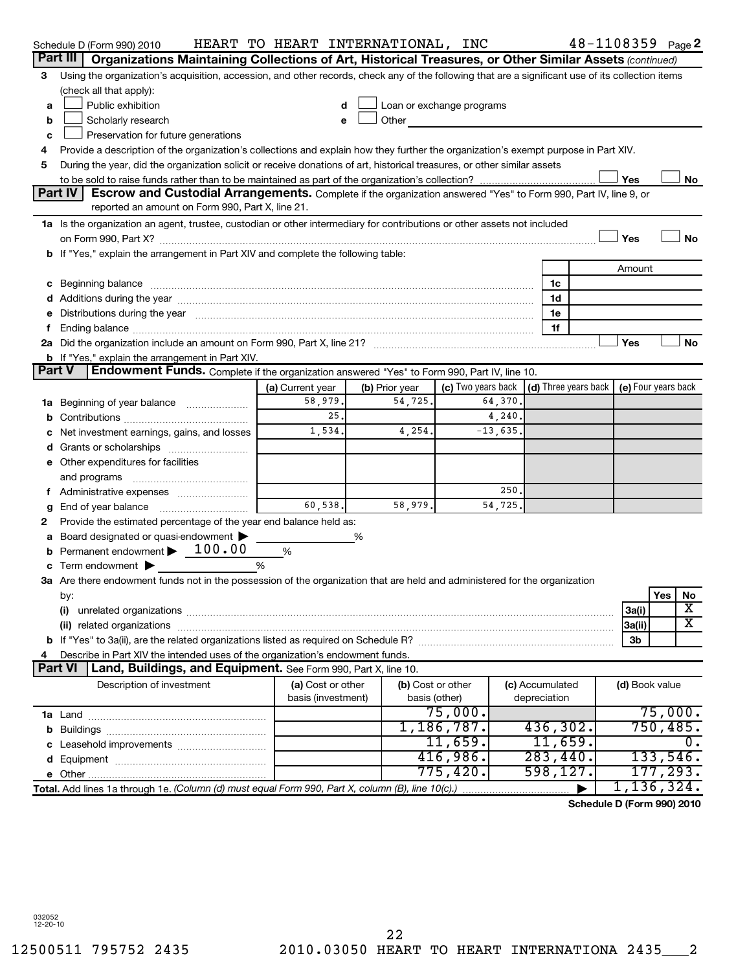|               | Schedule D (Form 990) 2010                                                                                                                                                                                                     | HEART TO HEART INTERNATIONAL, INC |                |                                                                                                                                                                                                                                |            |                              |  |                | $48 - 1108359$ Page 2      |
|---------------|--------------------------------------------------------------------------------------------------------------------------------------------------------------------------------------------------------------------------------|-----------------------------------|----------------|--------------------------------------------------------------------------------------------------------------------------------------------------------------------------------------------------------------------------------|------------|------------------------------|--|----------------|----------------------------|
|               | Part III<br>Organizations Maintaining Collections of Art, Historical Treasures, or Other Similar Assets (continued)                                                                                                            |                                   |                |                                                                                                                                                                                                                                |            |                              |  |                |                            |
| 3             | Using the organization's acquisition, accession, and other records, check any of the following that are a significant use of its collection items                                                                              |                                   |                |                                                                                                                                                                                                                                |            |                              |  |                |                            |
|               | (check all that apply):                                                                                                                                                                                                        |                                   |                |                                                                                                                                                                                                                                |            |                              |  |                |                            |
| a             | Public exhibition                                                                                                                                                                                                              | d                                 |                | Loan or exchange programs                                                                                                                                                                                                      |            |                              |  |                |                            |
| b             | Scholarly research                                                                                                                                                                                                             | e                                 |                | Other the contract of the contract of the contract of the contract of the contract of the contract of the contract of the contract of the contract of the contract of the contract of the contract of the contract of the cont |            |                              |  |                |                            |
| c             | Preservation for future generations                                                                                                                                                                                            |                                   |                |                                                                                                                                                                                                                                |            |                              |  |                |                            |
| 4             | Provide a description of the organization's collections and explain how they further the organization's exempt purpose in Part XIV.                                                                                            |                                   |                |                                                                                                                                                                                                                                |            |                              |  |                |                            |
| 5             | During the year, did the organization solicit or receive donations of art, historical treasures, or other similar assets                                                                                                       |                                   |                |                                                                                                                                                                                                                                |            |                              |  |                |                            |
|               | Yes<br>No                                                                                                                                                                                                                      |                                   |                |                                                                                                                                                                                                                                |            |                              |  |                |                            |
|               | Part IV<br>Escrow and Custodial Arrangements. Complete if the organization answered "Yes" to Form 990, Part IV, line 9, or                                                                                                     |                                   |                |                                                                                                                                                                                                                                |            |                              |  |                |                            |
|               | reported an amount on Form 990, Part X, line 21.                                                                                                                                                                               |                                   |                |                                                                                                                                                                                                                                |            |                              |  |                |                            |
|               | 1a Is the organization an agent, trustee, custodian or other intermediary for contributions or other assets not included                                                                                                       |                                   |                |                                                                                                                                                                                                                                |            |                              |  |                |                            |
|               |                                                                                                                                                                                                                                |                                   |                |                                                                                                                                                                                                                                |            |                              |  | Yes            | <b>No</b>                  |
|               | <b>b</b> If "Yes," explain the arrangement in Part XIV and complete the following table:                                                                                                                                       |                                   |                |                                                                                                                                                                                                                                |            |                              |  |                |                            |
|               |                                                                                                                                                                                                                                |                                   |                |                                                                                                                                                                                                                                |            |                              |  | Amount         |                            |
|               | c Beginning balance measurements and the contract of the contract of the contract of the contract of the contract of the contract of the contract of the contract of the contract of the contract of the contract of the contr |                                   |                |                                                                                                                                                                                                                                |            | 1c                           |  |                |                            |
|               | d Additions during the year manufactured and an account of the year manufactured and account of the year manufactured and account of the year manufactured and account of the year manufactured and account of the year manufa |                                   |                |                                                                                                                                                                                                                                |            | 1d                           |  |                |                            |
|               | Distributions during the year manufactured and an account of the year manufactured and the year manufactured and the year manufactured and the year manufactured and the year manufactured and the year manufactured and the y |                                   |                |                                                                                                                                                                                                                                |            | 1e                           |  |                |                            |
|               |                                                                                                                                                                                                                                |                                   |                |                                                                                                                                                                                                                                |            | 1f                           |  |                |                            |
|               |                                                                                                                                                                                                                                |                                   |                |                                                                                                                                                                                                                                |            |                              |  | Yes            | No                         |
|               | <b>b</b> If "Yes," explain the arrangement in Part XIV.                                                                                                                                                                        |                                   |                |                                                                                                                                                                                                                                |            |                              |  |                |                            |
| <b>Part V</b> | Endowment Funds. Complete if the organization answered "Yes" to Form 990, Part IV, line 10.                                                                                                                                    |                                   |                |                                                                                                                                                                                                                                |            |                              |  |                |                            |
|               |                                                                                                                                                                                                                                | (a) Current year                  | (b) Prior year | (c) Two years back                                                                                                                                                                                                             |            | $\vert$ (d) Three years back |  |                | (e) Four years back        |
|               | <b>1a</b> Beginning of year balance                                                                                                                                                                                            | 58,979.                           | 54,725.        |                                                                                                                                                                                                                                | 64,370.    |                              |  |                |                            |
|               |                                                                                                                                                                                                                                | 25.                               |                |                                                                                                                                                                                                                                | 4,240.     |                              |  |                |                            |
|               | Net investment earnings, gains, and losses                                                                                                                                                                                     | 1,534.                            | 4,254.         |                                                                                                                                                                                                                                | $-13,635.$ |                              |  |                |                            |
|               | d Grants or scholarships                                                                                                                                                                                                       |                                   |                |                                                                                                                                                                                                                                |            |                              |  |                |                            |
|               | e Other expenditures for facilities                                                                                                                                                                                            |                                   |                |                                                                                                                                                                                                                                |            |                              |  |                |                            |
|               | and programs                                                                                                                                                                                                                   |                                   |                |                                                                                                                                                                                                                                |            |                              |  |                |                            |
| τ.            | Administrative expenses                                                                                                                                                                                                        |                                   |                |                                                                                                                                                                                                                                | 250        |                              |  |                |                            |
| g             | End of year balance                                                                                                                                                                                                            | 60,538.                           | 58,979.        |                                                                                                                                                                                                                                | 54,725     |                              |  |                |                            |
| 2             | Provide the estimated percentage of the year end balance held as:                                                                                                                                                              |                                   |                |                                                                                                                                                                                                                                |            |                              |  |                |                            |
|               | Board designated or quasi-endowment                                                                                                                                                                                            |                                   | %              |                                                                                                                                                                                                                                |            |                              |  |                |                            |
| b             | Permanent endowment > 100.00                                                                                                                                                                                                   | %                                 |                |                                                                                                                                                                                                                                |            |                              |  |                |                            |
|               | Term endowment $\blacktriangleright$                                                                                                                                                                                           | %                                 |                |                                                                                                                                                                                                                                |            |                              |  |                |                            |
|               | 3a Are there endowment funds not in the possession of the organization that are held and administered for the organization                                                                                                     |                                   |                |                                                                                                                                                                                                                                |            |                              |  |                |                            |
|               | by:                                                                                                                                                                                                                            |                                   |                |                                                                                                                                                                                                                                |            |                              |  |                | Yes<br>NO                  |
|               | (i)                                                                                                                                                                                                                            |                                   |                |                                                                                                                                                                                                                                |            |                              |  | 3a(i)          | х                          |
|               | (ii)                                                                                                                                                                                                                           |                                   |                |                                                                                                                                                                                                                                |            |                              |  | 3a(ii)         | X                          |
|               |                                                                                                                                                                                                                                |                                   |                |                                                                                                                                                                                                                                |            |                              |  | 3 <sub>b</sub> |                            |
|               | Describe in Part XIV the intended uses of the organization's endowment funds.                                                                                                                                                  |                                   |                |                                                                                                                                                                                                                                |            |                              |  |                |                            |
|               | <b>Part VI</b><br>Land, Buildings, and Equipment. See Form 990, Part X, line 10.                                                                                                                                               |                                   |                |                                                                                                                                                                                                                                |            |                              |  |                |                            |
|               | Description of investment                                                                                                                                                                                                      | (a) Cost or other                 |                | (b) Cost or other                                                                                                                                                                                                              |            | (c) Accumulated              |  | (d) Book value |                            |
|               |                                                                                                                                                                                                                                | basis (investment)                |                | basis (other)                                                                                                                                                                                                                  |            | depreciation                 |  |                |                            |
|               |                                                                                                                                                                                                                                |                                   |                | 75,000.                                                                                                                                                                                                                        |            |                              |  |                | 75,000.                    |
|               |                                                                                                                                                                                                                                |                                   |                | 1,186,787.                                                                                                                                                                                                                     |            | 436, 302.                    |  |                | 750,485.                   |
|               |                                                                                                                                                                                                                                |                                   |                | 11,659.                                                                                                                                                                                                                        |            | 11,659.                      |  |                | О.                         |
|               |                                                                                                                                                                                                                                |                                   |                | 416,986.                                                                                                                                                                                                                       |            | 283,440.                     |  |                | 133,546.                   |
|               |                                                                                                                                                                                                                                |                                   |                | 775,420.                                                                                                                                                                                                                       |            | 598, 127.                    |  |                | 177,293.                   |
|               | Total. Add lines 1a through 1e. (Column (d) must equal Form 990, Part X, column (B), line 10(c).)                                                                                                                              |                                   |                |                                                                                                                                                                                                                                |            |                              |  |                | 1,136,324.                 |
|               |                                                                                                                                                                                                                                |                                   |                |                                                                                                                                                                                                                                |            |                              |  |                | Schedule D (Form 990) 2010 |

032052 12-20-10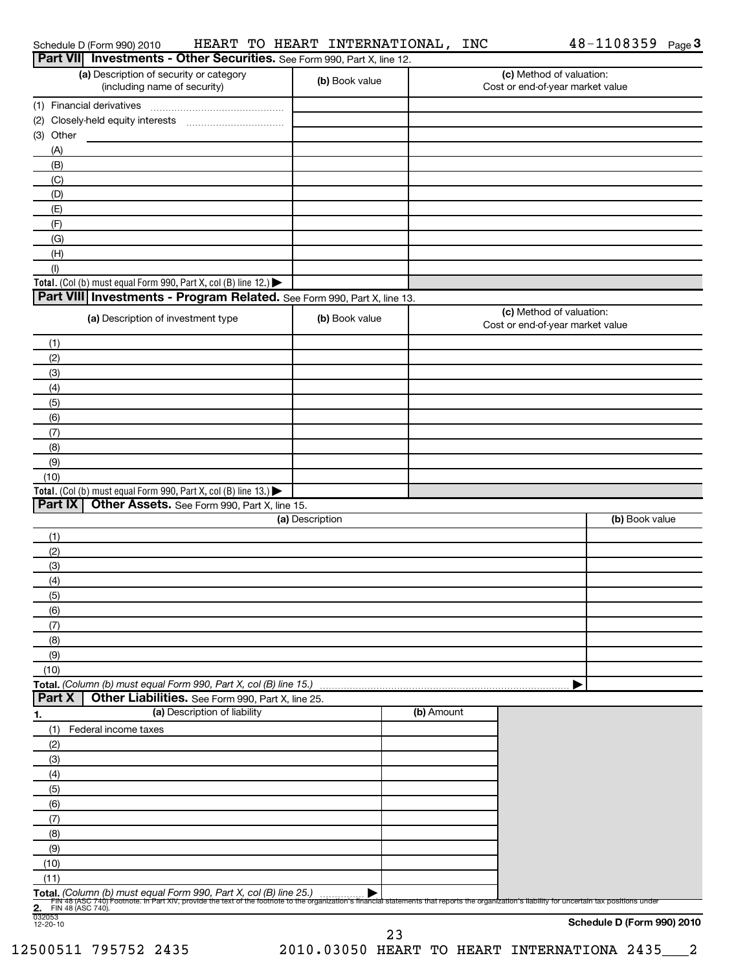| Schedule D (Form 990) 2010 |  |
|----------------------------|--|
|----------------------------|--|

Schedule D (Form 990) 2010 HEART TO HEART INTERNATIONAL, INC 4 8-1 1 0 8 3 5 9 Page HEART TO HEART INTERNATIONAL, INC 48-1108359

|                                                     | Part VII Investments - Other Securities. See Form 990, Part X, line 12.                                                                                                                                                                                               |                 |            |                                                              |                            |
|-----------------------------------------------------|-----------------------------------------------------------------------------------------------------------------------------------------------------------------------------------------------------------------------------------------------------------------------|-----------------|------------|--------------------------------------------------------------|----------------------------|
|                                                     | (a) Description of security or category<br>(including name of security)                                                                                                                                                                                               | (b) Book value  |            | (c) Method of valuation:<br>Cost or end-of-year market value |                            |
| (1) Financial derivatives                           |                                                                                                                                                                                                                                                                       |                 |            |                                                              |                            |
|                                                     |                                                                                                                                                                                                                                                                       |                 |            |                                                              |                            |
| (3) Other                                           |                                                                                                                                                                                                                                                                       |                 |            |                                                              |                            |
| (A)                                                 |                                                                                                                                                                                                                                                                       |                 |            |                                                              |                            |
| (B)                                                 |                                                                                                                                                                                                                                                                       |                 |            |                                                              |                            |
| (C)                                                 |                                                                                                                                                                                                                                                                       |                 |            |                                                              |                            |
| (D)                                                 |                                                                                                                                                                                                                                                                       |                 |            |                                                              |                            |
| (E)                                                 |                                                                                                                                                                                                                                                                       |                 |            |                                                              |                            |
| (F)                                                 |                                                                                                                                                                                                                                                                       |                 |            |                                                              |                            |
| (G)                                                 |                                                                                                                                                                                                                                                                       |                 |            |                                                              |                            |
| (H)                                                 |                                                                                                                                                                                                                                                                       |                 |            |                                                              |                            |
| (1)                                                 | Total. (Col (b) must equal Form 990, Part X, col (B) line 12.) $\blacktriangleright$                                                                                                                                                                                  |                 |            |                                                              |                            |
|                                                     | Part VIII Investments - Program Related. See Form 990, Part X, line 13.                                                                                                                                                                                               |                 |            |                                                              |                            |
|                                                     |                                                                                                                                                                                                                                                                       |                 |            | (c) Method of valuation:                                     |                            |
|                                                     | (a) Description of investment type                                                                                                                                                                                                                                    | (b) Book value  |            | Cost or end-of-year market value                             |                            |
| (1)                                                 |                                                                                                                                                                                                                                                                       |                 |            |                                                              |                            |
| (2)<br>(3)                                          |                                                                                                                                                                                                                                                                       |                 |            |                                                              |                            |
| (4)                                                 |                                                                                                                                                                                                                                                                       |                 |            |                                                              |                            |
| (5)                                                 |                                                                                                                                                                                                                                                                       |                 |            |                                                              |                            |
| (6)                                                 |                                                                                                                                                                                                                                                                       |                 |            |                                                              |                            |
| (7)                                                 |                                                                                                                                                                                                                                                                       |                 |            |                                                              |                            |
| (8)                                                 |                                                                                                                                                                                                                                                                       |                 |            |                                                              |                            |
| (9)                                                 |                                                                                                                                                                                                                                                                       |                 |            |                                                              |                            |
| (10)                                                |                                                                                                                                                                                                                                                                       |                 |            |                                                              |                            |
|                                                     | Total. (Col (b) must equal Form 990, Part X, col (B) line 13.) $\blacktriangleright$                                                                                                                                                                                  |                 |            |                                                              |                            |
| Part IX                                             | Other Assets. See Form 990, Part X, line 15.                                                                                                                                                                                                                          |                 |            |                                                              |                            |
|                                                     |                                                                                                                                                                                                                                                                       | (a) Description |            |                                                              | (b) Book value             |
| (1)                                                 |                                                                                                                                                                                                                                                                       |                 |            |                                                              |                            |
| (2)                                                 |                                                                                                                                                                                                                                                                       |                 |            |                                                              |                            |
| (3)                                                 |                                                                                                                                                                                                                                                                       |                 |            |                                                              |                            |
| (4)                                                 |                                                                                                                                                                                                                                                                       |                 |            |                                                              |                            |
| (5)                                                 |                                                                                                                                                                                                                                                                       |                 |            |                                                              |                            |
| (6)                                                 |                                                                                                                                                                                                                                                                       |                 |            |                                                              |                            |
| (7)<br>(8)                                          |                                                                                                                                                                                                                                                                       |                 |            |                                                              |                            |
| (9)                                                 |                                                                                                                                                                                                                                                                       |                 |            |                                                              |                            |
| (10)                                                |                                                                                                                                                                                                                                                                       |                 |            |                                                              |                            |
|                                                     | Total. (Column (b) must equal Form 990, Part X, col (B) line 15.)                                                                                                                                                                                                     |                 |            |                                                              |                            |
| Part X                                              | Other Liabilities. See Form 990, Part X, line 25.                                                                                                                                                                                                                     |                 |            |                                                              |                            |
| <u>1.</u>                                           | (a) Description of liability                                                                                                                                                                                                                                          |                 | (b) Amount |                                                              |                            |
| (1)<br>Federal income taxes                         |                                                                                                                                                                                                                                                                       |                 |            |                                                              |                            |
| (2)                                                 |                                                                                                                                                                                                                                                                       |                 |            |                                                              |                            |
| (3)                                                 |                                                                                                                                                                                                                                                                       |                 |            |                                                              |                            |
| (4)                                                 |                                                                                                                                                                                                                                                                       |                 |            |                                                              |                            |
| (5)                                                 |                                                                                                                                                                                                                                                                       |                 |            |                                                              |                            |
| (6)                                                 |                                                                                                                                                                                                                                                                       |                 |            |                                                              |                            |
| (7)                                                 |                                                                                                                                                                                                                                                                       |                 |            |                                                              |                            |
| (8)                                                 |                                                                                                                                                                                                                                                                       |                 |            |                                                              |                            |
| (9)                                                 |                                                                                                                                                                                                                                                                       |                 |            |                                                              |                            |
| (10)                                                |                                                                                                                                                                                                                                                                       |                 |            |                                                              |                            |
| (11)                                                |                                                                                                                                                                                                                                                                       |                 |            |                                                              |                            |
| 2.                                                  | Total. (Column (b) must equal Form 990, Part X, col (B) line 25.)<br>Fily 48 (ASC 740) Footnote. In Part XIV, provide the text of the footnote to the organization's financial statements that reports the organization's liability for uncertain tax positions under |                 |            |                                                              |                            |
| FIN 48 (ASC 740).<br>$\frac{1}{032053}$<br>12-20-10 |                                                                                                                                                                                                                                                                       |                 |            |                                                              |                            |
|                                                     |                                                                                                                                                                                                                                                                       |                 |            |                                                              | Schedule D (Form 990) 2010 |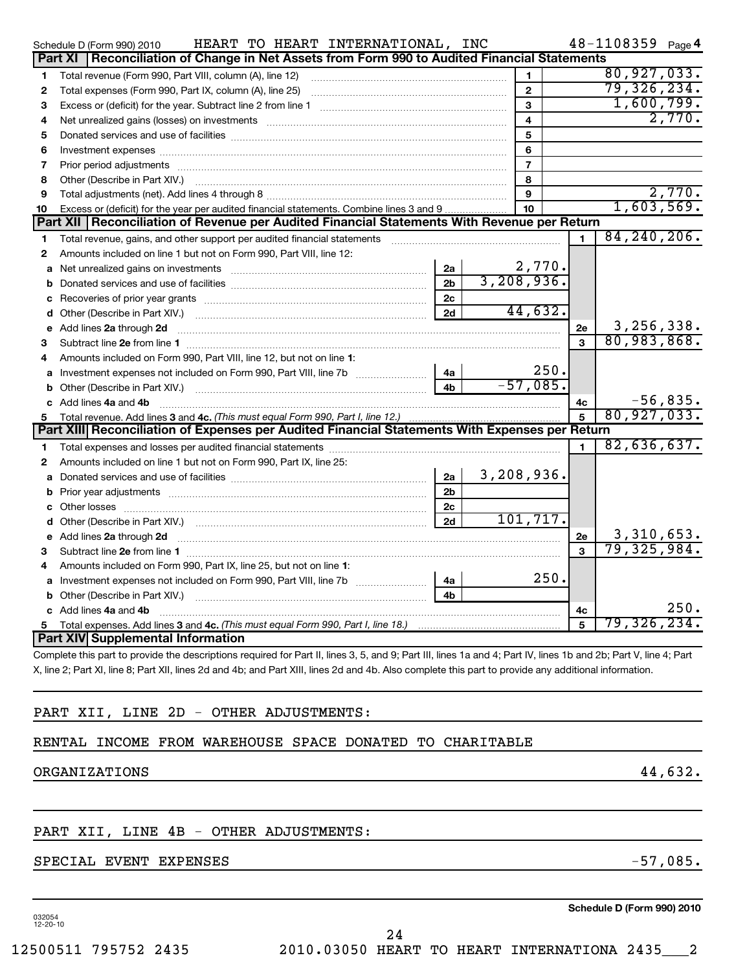|              | HEART TO HEART INTERNATIONAL,<br>Schedule D (Form 990) 2010                                                                                                                                                                    |                | INC |                           |                | 48-1108359 Page 4 |            |
|--------------|--------------------------------------------------------------------------------------------------------------------------------------------------------------------------------------------------------------------------------|----------------|-----|---------------------------|----------------|-------------------|------------|
|              | Part XI   Reconciliation of Change in Net Assets from Form 990 to Audited Financial Statements                                                                                                                                 |                |     |                           |                |                   |            |
| 1            | Total revenue (Form 990, Part VIII, column (A), line 12)                                                                                                                                                                       |                |     | 1                         |                | 80,927,033.       |            |
| 2            | Total expenses (Form 990, Part IX, column (A), line 25)                                                                                                                                                                        |                |     | $\overline{2}$            |                | 79, 326, 234.     |            |
| 3            |                                                                                                                                                                                                                                |                |     | 3                         |                | 1,600,799.        |            |
| 4            | Net unrealized gains (losses) on investments [11] matter than the contract of the state of the state of the state of the state of the state of the state of the state of the state of the state of the state of the state of t |                |     |                           |                |                   | 2,770.     |
| 5            |                                                                                                                                                                                                                                |                |     | 5                         |                |                   |            |
| 6            |                                                                                                                                                                                                                                |                |     | 6                         |                |                   |            |
| 7            |                                                                                                                                                                                                                                |                |     | $\overline{7}$            |                |                   |            |
| 8            |                                                                                                                                                                                                                                |                |     | 8                         |                |                   |            |
| 9            |                                                                                                                                                                                                                                |                |     | 9                         |                |                   | 2,770.     |
| 10           | Excess or (deficit) for the year per audited financial statements. Combine lines 3 and 9                                                                                                                                       |                |     | 10 <sup>10</sup>          |                | 1,603,569.        |            |
|              | Part XII   Reconciliation of Revenue per Audited Financial Statements With Revenue per Return                                                                                                                                  |                |     |                           |                |                   |            |
| 1            | Total revenue, gains, and other support per audited financial statements [[[[[[[[[[[[[[[[[[[[[[[[]]]]]]]]]]]]                                                                                                                  |                |     |                           | 1              | 84, 240, 206.     |            |
| $\mathbf{2}$ | Amounts included on line 1 but not on Form 990, Part VIII, line 12:                                                                                                                                                            |                |     |                           |                |                   |            |
| a            | Net unrealized gains on investments <i>manually contained and allegen</i> and the unrealized gains on investments                                                                                                              | 2a             |     | $\frac{2,770}{3,208,936}$ |                |                   |            |
| b            |                                                                                                                                                                                                                                | 2 <sub>b</sub> |     |                           |                |                   |            |
| c            |                                                                                                                                                                                                                                | 2c             |     |                           |                |                   |            |
| d            |                                                                                                                                                                                                                                | 2d             |     | 44,632.                   |                |                   |            |
| е            | Add lines 2a through 2d                                                                                                                                                                                                        |                |     |                           | 2e             | 3, 256, 338.      |            |
| 3            |                                                                                                                                                                                                                                |                |     |                           | $\mathbf{a}$   | 80,983,868.       |            |
| 4            | Amounts included on Form 990, Part VIII, line 12, but not on line 1:                                                                                                                                                           |                |     |                           |                |                   |            |
|              |                                                                                                                                                                                                                                | 4a             |     | 250.                      |                |                   |            |
| b            |                                                                                                                                                                                                                                | 4 <sub>b</sub> |     | $-57,085.$                |                |                   |            |
|              | c Add lines 4a and 4b                                                                                                                                                                                                          |                |     |                           | 4c             |                   | $-56,835.$ |
| 5            | Total revenue. Add lines 3 and 4c. (This must equal Form 990, Part I, line 12.)                                                                                                                                                |                |     |                           | 5              | 80, 927, 033.     |            |
|              | Part XIII Reconciliation of Expenses per Audited Financial Statements With Expenses per Return                                                                                                                                 |                |     |                           |                |                   |            |
| 1            |                                                                                                                                                                                                                                |                |     |                           | $\blacksquare$ | 82,636,637.       |            |
| $\mathbf{2}$ | Amounts included on line 1 but not on Form 990, Part IX, line 25:                                                                                                                                                              |                |     |                           |                |                   |            |
| a            |                                                                                                                                                                                                                                | 2a             |     | 3,208,936.                |                |                   |            |
| b            |                                                                                                                                                                                                                                | 2 <sub>b</sub> |     |                           |                |                   |            |
| с            |                                                                                                                                                                                                                                | 2c             |     |                           |                |                   |            |
| d            |                                                                                                                                                                                                                                | 2d             |     | 101, 717.                 |                |                   |            |
| е            | Add lines 2a through 2d <b>contract and contract and contract and contract and contract and contract and contract a</b>                                                                                                        |                |     |                           | 2e             | 3,310,653.        |            |
| 3            |                                                                                                                                                                                                                                |                |     |                           | 3              | 79, 325, 984.     |            |
| 4            | Amounts included on Form 990, Part IX, line 25, but not on line 1:                                                                                                                                                             |                |     |                           |                |                   |            |
| a            |                                                                                                                                                                                                                                | 4a             |     | 250.                      |                |                   |            |
| b            |                                                                                                                                                                                                                                | 4 <sub>b</sub> |     |                           |                |                   |            |
|              | c Add lines 4a and 4b                                                                                                                                                                                                          |                |     |                           | 4с             |                   | 250.       |
| 5            |                                                                                                                                                                                                                                |                |     |                           | 5              | 79,326,234.       |            |
|              | <b>Part XIV Supplemental Information</b>                                                                                                                                                                                       |                |     |                           |                |                   |            |

Complete this part to provide the descriptions required for Part II, lines 3, 5, and 9; Part III, lines 1a and 4; Part IV, lines 1b and 2b; Part V, line 4; Part X, line 2; Part XI, line 8; Part XII, lines 2d and 4b; and Part XIII, lines 2d and 4b. Also complete this part to provide any additional information.

## PART XII, LINE 2D - OTHER ADJUSTMENTS:

## RENTAL INCOME FROM WAREHOUSE SPACE DONATED TO CHARITABLE

## ORGANIZATIONS 44,632.

## PART XII, LINE 4B - OTHER ADJUSTMENTS:

## SPECIAL EVENT EXPENSES -57,085.

032054 12-20-10

**Schedule D (Form 990) 2010**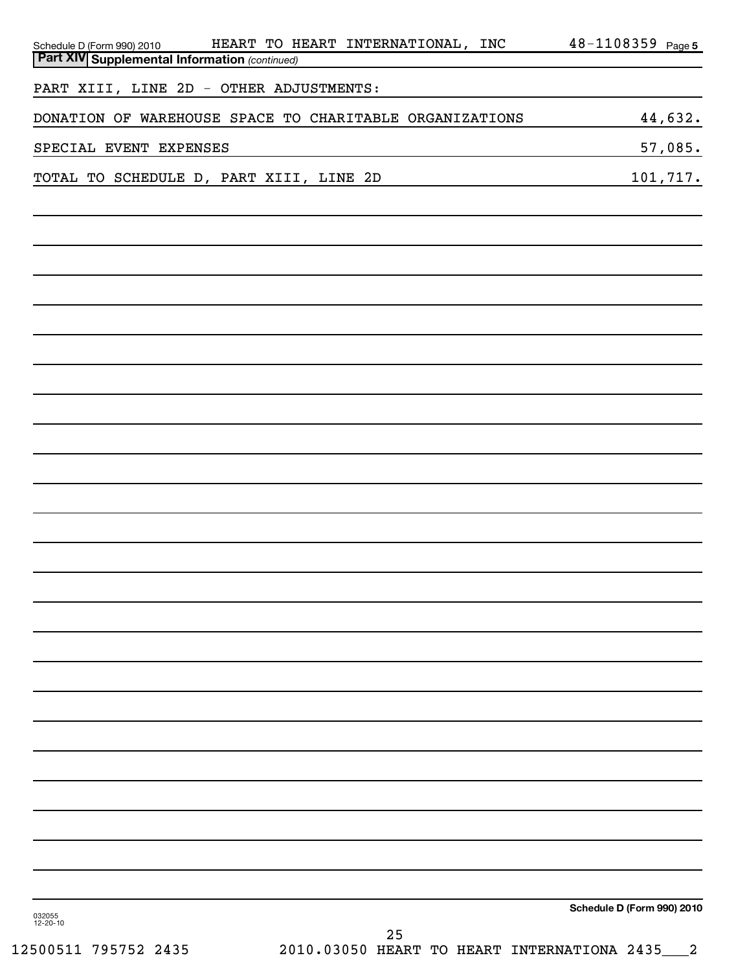| HEART TO HEART INTERNATIONAL, INC<br>Schedule D (Form 990) 2010<br>Part XIV Supplemental Information (continued) | 48-1108359 Page 5          |
|------------------------------------------------------------------------------------------------------------------|----------------------------|
| PART XIII, LINE 2D - OTHER ADJUSTMENTS:                                                                          |                            |
| DONATION OF WAREHOUSE SPACE TO CHARITABLE ORGANIZATIONS                                                          | 44,632.                    |
| SPECIAL EVENT EXPENSES                                                                                           | 57,085.                    |
| TOTAL TO SCHEDULE D, PART XIII, LINE 2D                                                                          | 101,717.                   |
|                                                                                                                  |                            |
|                                                                                                                  |                            |
|                                                                                                                  |                            |
|                                                                                                                  |                            |
|                                                                                                                  |                            |
|                                                                                                                  |                            |
|                                                                                                                  |                            |
|                                                                                                                  |                            |
|                                                                                                                  |                            |
|                                                                                                                  |                            |
|                                                                                                                  |                            |
|                                                                                                                  |                            |
|                                                                                                                  |                            |
|                                                                                                                  |                            |
|                                                                                                                  |                            |
|                                                                                                                  |                            |
|                                                                                                                  |                            |
|                                                                                                                  |                            |
|                                                                                                                  |                            |
|                                                                                                                  |                            |
|                                                                                                                  |                            |
|                                                                                                                  |                            |
|                                                                                                                  |                            |
| 032055                                                                                                           | Schedule D (Form 990) 2010 |
| 12-20-10<br>25                                                                                                   |                            |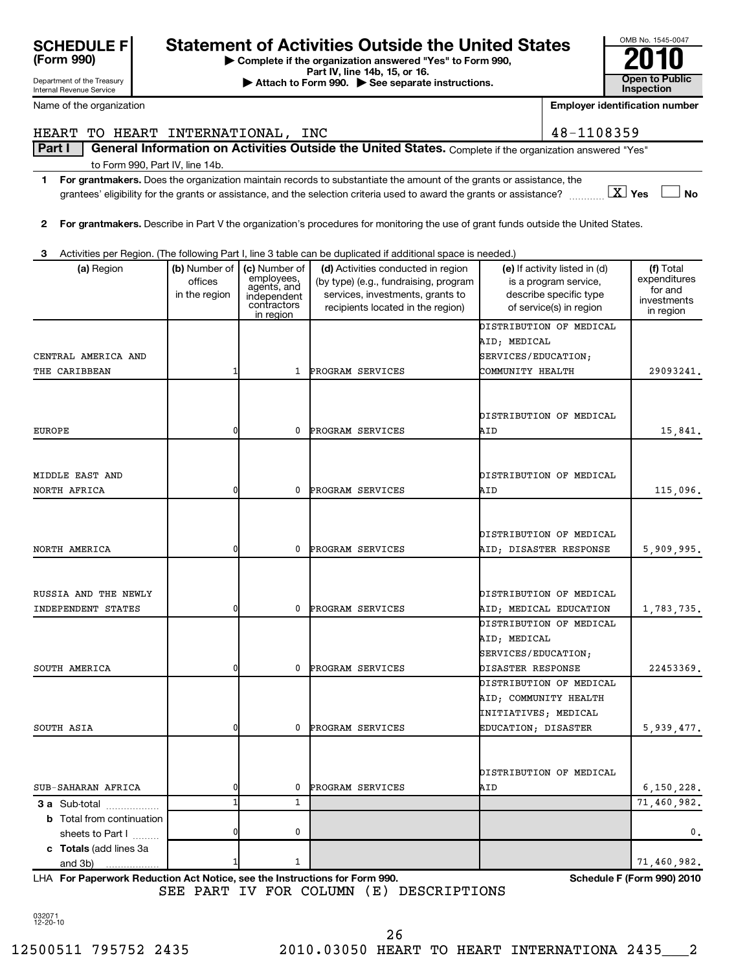| 032071<br>$12 - 20 - 10$ |  |
|--------------------------|--|
| 12500511 795752 241      |  |

and 3b)

**c Totals**  (add lines 3a

 $1 | 71,460,982.$ 

| <b>SCHEDULE FI</b> | <b>Statement of Activities Outside the United States</b>                                    | OMB No. 1545-004 |
|--------------------|---------------------------------------------------------------------------------------------|------------------|
| (Form 990)         |                                                                                             | 2010             |
|                    | Complete if the organization answered "Yes" to Form 990,<br>$Part IV$ ling $14h$ 15 or $16$ |                  |

**Part IV, line 14b, 15, or 16. Conserved Bart IV, 15, external at the Section Section**<br> **Inspection Conserved Bart III Conserved Bart III Conserved Bart II Conserved Bart II Conserved Bart II Conserved Bart I** 

Internal Revenue Service

| Name of the organization          |                          |                                                         |                                                                                                                                    |                       | <b>Employer identification number</b>                  |                           |
|-----------------------------------|--------------------------|---------------------------------------------------------|------------------------------------------------------------------------------------------------------------------------------------|-----------------------|--------------------------------------------------------|---------------------------|
| HEART TO HEART INTERNATIONAL, INC |                          |                                                         |                                                                                                                                    |                       | 48-1108359                                             |                           |
| Part I                            |                          |                                                         | General Information on Activities Outside the United States. Complete if the organization answered "Yes"                           |                       |                                                        |                           |
| to Form 990, Part IV, line 14b.   |                          |                                                         |                                                                                                                                    |                       |                                                        |                           |
| 1.                                |                          |                                                         | For grantmakers. Does the organization maintain records to substantiate the amount of the grants or assistance, the                |                       |                                                        |                           |
|                                   |                          |                                                         | grantees' eligibility for the grants or assistance, and the selection criteria used to award the grants or assistance?             |                       |                                                        | $X$ Yes<br><b>No</b>      |
|                                   |                          |                                                         |                                                                                                                                    |                       |                                                        |                           |
| 2                                 |                          |                                                         | For grantmakers. Describe in Part V the organization's procedures for monitoring the use of grant funds outside the United States. |                       |                                                        |                           |
|                                   |                          |                                                         |                                                                                                                                    |                       |                                                        |                           |
| з                                 |                          |                                                         | Activities per Region. (The following Part I, line 3 table can be duplicated if additional space is needed.)                       |                       |                                                        |                           |
| (a) Region                        | (b) Number of<br>offices | (c) Number of                                           | (d) Activities conducted in region<br>(by type) (e.g., fundraising, program                                                        |                       | (e) If activity listed in (d)<br>is a program service, | (f) Total<br>expenditures |
|                                   | in the region            |                                                         | services, investments, grants to                                                                                                   |                       | describe specific type                                 | for and                   |
|                                   |                          | employees,<br>agents, and<br>independent<br>contractors | recipients located in the region)                                                                                                  |                       | of service(s) in region                                | investments<br>in region  |
|                                   |                          | in region                                               |                                                                                                                                    |                       | DISTRIBUTION OF MEDICAL                                |                           |
|                                   |                          |                                                         |                                                                                                                                    | AID; MEDICAL          |                                                        |                           |
| CENTRAL AMERICA AND               |                          |                                                         |                                                                                                                                    | SERVICES/EDUCATION;   |                                                        |                           |
| THE CARIBBEAN                     | $\mathbf{1}$             | 1                                                       | PROGRAM SERVICES                                                                                                                   | COMMUNITY HEALTH      |                                                        | 29093241.                 |
|                                   |                          |                                                         |                                                                                                                                    |                       |                                                        |                           |
|                                   |                          |                                                         |                                                                                                                                    |                       |                                                        |                           |
|                                   |                          |                                                         |                                                                                                                                    |                       | DISTRIBUTION OF MEDICAL                                |                           |
| <b>EUROPE</b>                     | 0                        | 0                                                       | PROGRAM SERVICES                                                                                                                   | AID                   |                                                        | 15,841.                   |
|                                   |                          |                                                         |                                                                                                                                    |                       |                                                        |                           |
| MIDDLE EAST AND                   |                          |                                                         |                                                                                                                                    |                       | DISTRIBUTION OF MEDICAL                                |                           |
| NORTH AFRICA                      | 0                        | 0                                                       | PROGRAM SERVICES                                                                                                                   | AID                   |                                                        | 115,096.                  |
|                                   |                          |                                                         |                                                                                                                                    |                       |                                                        |                           |
|                                   |                          |                                                         |                                                                                                                                    |                       |                                                        |                           |
|                                   |                          |                                                         |                                                                                                                                    |                       | DISTRIBUTION OF MEDICAL                                |                           |
| NORTH AMERICA                     | $\mathbf 0$              | 0                                                       | PROGRAM SERVICES                                                                                                                   |                       | AID; DISASTER RESPONSE                                 | 5,909,995.                |
|                                   |                          |                                                         |                                                                                                                                    |                       |                                                        |                           |
|                                   |                          |                                                         |                                                                                                                                    |                       |                                                        |                           |
| RUSSIA AND THE NEWLY              |                          |                                                         |                                                                                                                                    |                       | DISTRIBUTION OF MEDICAL                                |                           |
| INDEPENDENT STATES                | 0                        | 0                                                       | PROGRAM SERVICES                                                                                                                   |                       | AID; MEDICAL EDUCATION                                 | 1,783,735.                |
|                                   |                          |                                                         |                                                                                                                                    | AID; MEDICAL          | DISTRIBUTION OF MEDICAL                                |                           |
|                                   |                          |                                                         |                                                                                                                                    | SERVICES/EDUCATION;   |                                                        |                           |
| SOUTH AMERICA                     | 0                        | 0                                                       | PROGRAM SERVICES                                                                                                                   | DISASTER RESPONSE     |                                                        | 22453369.                 |
|                                   |                          |                                                         |                                                                                                                                    |                       | DISTRIBUTION OF MEDICAL                                |                           |
|                                   |                          |                                                         |                                                                                                                                    | AID; COMMUNITY HEALTH |                                                        |                           |
|                                   |                          |                                                         |                                                                                                                                    | INITIATIVES; MEDICAL  |                                                        |                           |
| SOUTH ASIA                        | 0                        | 0                                                       | PROGRAM SERVICES                                                                                                                   | EDUCATION; DISASTER   |                                                        | 5,939,477.                |
|                                   |                          |                                                         |                                                                                                                                    |                       |                                                        |                           |
|                                   |                          |                                                         |                                                                                                                                    |                       |                                                        |                           |
|                                   |                          |                                                         |                                                                                                                                    |                       | DISTRIBUTION OF MEDICAL                                |                           |
| SUB-SAHARAN AFRICA                | 0                        | 0                                                       | PROGRAM SERVICES                                                                                                                   | AID                   |                                                        | 6, 150, 228.              |
| 3 a Sub-total                     |                          | 1                                                       |                                                                                                                                    |                       |                                                        | 71,460,982.               |
| <b>b</b> Total from continuation  |                          | 0                                                       |                                                                                                                                    |                       |                                                        |                           |
| sheets to Part I                  |                          |                                                         |                                                                                                                                    |                       |                                                        | 0.                        |

**For Paperwork Reduction Act Notice, see the Instructions for Form 990. Schedule F (Form 990) 2010** LHA SEE PART IV FOR COLUMN (E) DESCRIPTIONS



Department of the Treasury **(Form 990)**

|  | Name of the organization |
|--|--------------------------|
|  |                          |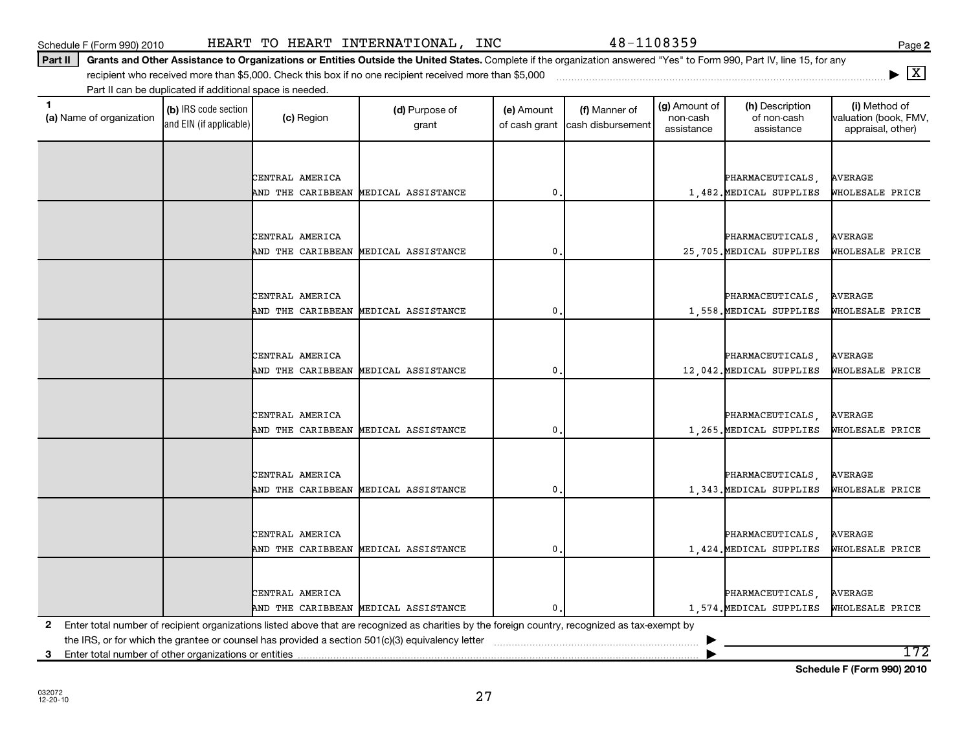|             |                                                                                                                                                 | AND THE CARIBBEAN MEDICAL ASSISTANCE | $\mathbf{0}$ | 25,705. MEDICAL SUPPLIES | WHOLESALE PRICE |
|-------------|-------------------------------------------------------------------------------------------------------------------------------------------------|--------------------------------------|--------------|--------------------------|-----------------|
|             |                                                                                                                                                 |                                      |              |                          |                 |
|             | CENTRAL AMERICA                                                                                                                                 |                                      |              | PHARMACEUTICALS,         | <b>AVERAGE</b>  |
|             |                                                                                                                                                 | AND THE CARIBBEAN MEDICAL ASSISTANCE | 0            | 1,558. MEDICAL SUPPLIES  | WHOLESALE PRICE |
|             |                                                                                                                                                 |                                      |              |                          |                 |
|             | CENTRAL AMERICA                                                                                                                                 |                                      |              | PHARMACEUTICALS,         | <b>AVERAGE</b>  |
|             |                                                                                                                                                 | AND THE CARIBBEAN MEDICAL ASSISTANCE | 0            | 12,042. MEDICAL SUPPLIES | WHOLESALE PRICE |
|             |                                                                                                                                                 |                                      |              |                          |                 |
|             |                                                                                                                                                 |                                      |              |                          |                 |
|             | CENTRAL AMERICA                                                                                                                                 |                                      |              | PHARMACEUTICALS,         | <b>AVERAGE</b>  |
|             |                                                                                                                                                 | AND THE CARIBBEAN MEDICAL ASSISTANCE | 0            | 1,265. MEDICAL SUPPLIES  | WHOLESALE PRICE |
|             |                                                                                                                                                 |                                      |              |                          |                 |
|             | CENTRAL AMERICA                                                                                                                                 |                                      |              | PHARMACEUTICALS,         | AVERAGE         |
|             |                                                                                                                                                 | AND THE CARIBBEAN MEDICAL ASSISTANCE | 0.           | 1,343. MEDICAL SUPPLIES  | WHOLESALE PRICE |
|             |                                                                                                                                                 |                                      |              |                          |                 |
|             |                                                                                                                                                 |                                      |              |                          |                 |
|             | CENTRAL AMERICA                                                                                                                                 |                                      |              | PHARMACEUTICALS,         | AVERAGE         |
|             |                                                                                                                                                 | AND THE CARIBBEAN MEDICAL ASSISTANCE | $\mathbf 0$  | 1,424. MEDICAL SUPPLIES  | WHOLESALE PRICE |
|             |                                                                                                                                                 |                                      |              |                          |                 |
|             |                                                                                                                                                 |                                      |              |                          |                 |
|             | CENTRAL AMERICA                                                                                                                                 |                                      |              | PHARMACEUTICALS,         | AVERAGE         |
|             |                                                                                                                                                 | AND THE CARIBBEAN MEDICAL ASSISTANCE | 0.           | 1,574. MEDICAL SUPPLIES  | WHOLESALE PRICE |
| $2^{\circ}$ | Enter total number of recipient organizations listed above that are recognized as charities by the foreign country, recognized as tax-exempt by |                                      |              |                          |                 |

27

Part II | Grants and Other Assistance to Organizations or Entities Outside the United States. Complete if the organization answered "Yes" to Form 990, Part IV, line 15, for any

grant

**(a)** Name of organization (b) IRS code section (c) Region (c) Region (d) Purpose of (e) Amount (f) Manner of (g) Amount of (h) Description (i) (a) Name of organization (f) IRS code section (c) Region (d) Purpose of (d) Am

(e) Amount of cash grant

CENTRAL AMERICA PHARMACEUTICALS, AVERAGE

CENTRAL AMERICA PHARMACEUTICALS, AVERAGE

AND THE CARIBBEAN MEDICAL ASSISTANCE 0. 1,482.MEDICAL SUPPLIES WHOLESALE PRICE

the IRS, or for which the grantee or counsel has provided a section 501(c)(3) equivalency letter ~~~~~~~~~~~~~~~~~~~~~~~ |

**3** Enter total number of other organizations or entities 172

Schedule F (Form 990) 2010 Page HEART TO HEART INTERNATIONAL, INC 48-1108359

recipient who received more than \$5,000. Check this box if no one recipient received more than \$5,000 ~~~~~~~~~~~~~~~~~~~~~~~~~~~~~~~~~~~~~

(c) Region (d) Purpose of

(b) IRS code section and EIN (if applicable)

Part II can be duplicated if additional space is needed.

(a) Name of organization

(i) Method of valuation (book, FMV, appraisal, other)

(g) Amount of non-cash assistance

(h) Description of non-cash assistance

(f) Manner of cash disbursement **|** X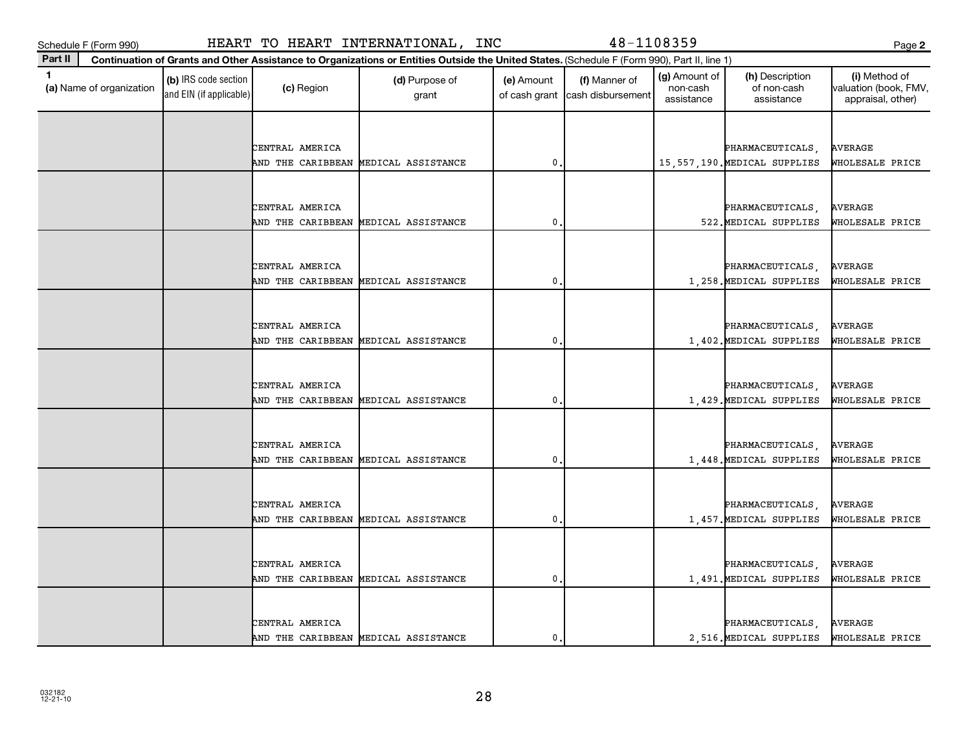**(a)**  Name of organization

and EIN (if applicable)

|  | ×<br>٧ |
|--|--------|

| CENTRAL AMERICA |                                      |   |  | PHARMACEUTICALS                | <b>AVERAGE</b>  |
|-----------------|--------------------------------------|---|--|--------------------------------|-----------------|
|                 | AND THE CARIBBEAN MEDICAL ASSISTANCE | 0 |  | 15, 557, 190. MEDICAL SUPPLIES | WHOLESALE PRICE |
|                 |                                      |   |  |                                |                 |
|                 |                                      |   |  |                                |                 |
| CENTRAL AMERICA |                                      |   |  | PHARMACEUTICALS                | <b>AVERAGE</b>  |
|                 | AND THE CARIBBEAN MEDICAL ASSISTANCE | 0 |  | 522. MEDICAL SUPPLIES          | WHOLESALE PRICE |
|                 |                                      |   |  |                                |                 |
| CENTRAL AMERICA |                                      |   |  | PHARMACEUTICALS,               | <b>AVERAGE</b>  |
|                 | AND THE CARIBBEAN MEDICAL ASSISTANCE | 0 |  | 1,258. MEDICAL SUPPLIES        | WHOLESALE PRICE |
|                 |                                      |   |  |                                |                 |
|                 |                                      |   |  |                                |                 |
| CENTRAL AMERICA |                                      |   |  | PHARMACEUTICALS                | <b>AVERAGE</b>  |
|                 | AND THE CARIBBEAN MEDICAL ASSISTANCE | 0 |  | 1,402. MEDICAL SUPPLIES        | WHOLESALE PRICE |
|                 |                                      |   |  |                                |                 |
| CENTRAL AMERICA |                                      |   |  | PHARMACEUTICALS                | <b>AVERAGE</b>  |
|                 | AND THE CARIBBEAN MEDICAL ASSISTANCE | 0 |  | 1,429. MEDICAL SUPPLIES        | WHOLESALE PRICE |
|                 |                                      |   |  |                                |                 |
|                 |                                      |   |  |                                |                 |
| CENTRAL AMERICA |                                      |   |  | PHARMACEUTICALS                | <b>AVERAGE</b>  |
|                 | AND THE CARIBBEAN MEDICAL ASSISTANCE | 0 |  | 1,448. MEDICAL SUPPLIES        | WHOLESALE PRICE |
|                 |                                      |   |  |                                |                 |
| CENTRAL AMERICA |                                      |   |  | PHARMACEUTICALS,               | <b>AVERAGE</b>  |
|                 | AND THE CARIBBEAN MEDICAL ASSISTANCE | 0 |  | 1.457. MEDICAL SUPPLIES        | WHOLESALE PRICE |
|                 |                                      |   |  |                                |                 |
|                 |                                      |   |  |                                |                 |
| CENTRAL AMERICA |                                      |   |  | PHARMACEUTICALS                | <b>AVERAGE</b>  |
|                 | AND THE CARIBBEAN MEDICAL ASSISTANCE | 0 |  | 1,491. MEDICAL SUPPLIES        | WHOLESALE PRICE |
|                 |                                      |   |  |                                |                 |
| CENTRAL AMERICA |                                      |   |  | PHARMACEUTICALS,               | <b>AVERAGE</b>  |
|                 | AND THE CARIBBEAN MEDICAL ASSISTANCE | 0 |  | 2,516. MEDICAL SUPPLIES        | WHOLESALE PRICE |
|                 |                                      |   |  |                                |                 |

Schedule F (Form 990) HEART TO HEART INTERNATIONAL, INC 48-1108359 Page

 $\begin{array}{|c|c|c|}\n\hline\n\text{(c) Region} & \text{(d) Purpose of} \\
\hline\n\end{array}$ 

**Continuation of Grants and Other Assistance to Organizations or Entities Outside the United States.**  (Schedule F (Form 990), Part II, line 1)

grant

**1 (b)** IRS code section **(c)** Region **(d)** Purpose of **(e)** Amount **(f)** Manner of **(g)** Amount of **(h)** Description **(i) (a)** Name of organization **(h)** Description **(i) (c)** Region **(d)** Purpose of **(d)** Amount **(** 

(e) Amount

of cash grant | cash disbursement

(g) Amount of non-cash assistance

(h) Description of non-cash assistance

(f) Manner of

**2**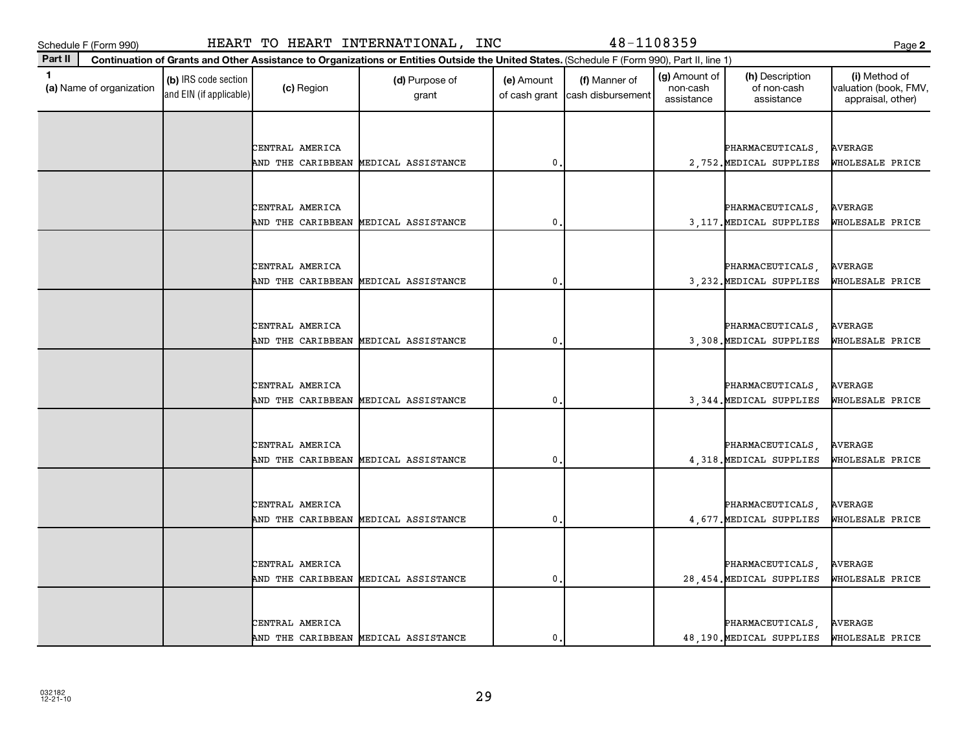**(a)**  Name of organization

and EIN (if applicable)

|  | ٠      |
|--|--------|
|  | I<br>v |

| CENTRAL AMERICA |                                      |   | PHARMACEUTICALS          | <b>AVERAGE</b>  |
|-----------------|--------------------------------------|---|--------------------------|-----------------|
|                 | AND THE CARIBBEAN MEDICAL ASSISTANCE | 0 | 2,752. MEDICAL SUPPLIES  | WHOLESALE PRICE |
|                 |                                      |   |                          |                 |
| CENTRAL AMERICA |                                      |   | PHARMACEUTICALS          | AVERAGE         |
|                 | AND THE CARIBBEAN MEDICAL ASSISTANCE | 0 | 3, 117. MEDICAL SUPPLIES | WHOLESALE PRICE |
|                 |                                      |   |                          |                 |
|                 |                                      |   |                          |                 |
| CENTRAL AMERICA |                                      |   | PHARMACEUTICALS,         | <b>AVERAGE</b>  |
|                 | AND THE CARIBBEAN MEDICAL ASSISTANCE | 0 | 3, 232. MEDICAL SUPPLIES | WHOLESALE PRICE |
|                 |                                      |   |                          |                 |
| CENTRAL AMERICA |                                      |   | PHARMACEUTICALS,         | <b>AVERAGE</b>  |
|                 | AND THE CARIBBEAN MEDICAL ASSISTANCE | 0 | 3,308. MEDICAL SUPPLIES  | WHOLESALE PRICE |
|                 |                                      |   |                          |                 |
|                 |                                      |   |                          |                 |
| CENTRAL AMERICA |                                      |   | PHARMACEUTICALS,         | <b>AVERAGE</b>  |
|                 | AND THE CARIBBEAN MEDICAL ASSISTANCE | 0 | 3,344. MEDICAL SUPPLIES  | WHOLESALE PRICE |
|                 |                                      |   |                          |                 |
| CENTRAL AMERICA |                                      |   | PHARMACEUTICALS,         | AVERAGE         |
|                 | AND THE CARIBBEAN MEDICAL ASSISTANCE | 0 | 4,318. MEDICAL SUPPLIES  | WHOLESALE PRICE |
|                 |                                      |   |                          |                 |
|                 |                                      |   |                          |                 |
| CENTRAL AMERICA |                                      |   | PHARMACEUTICALS,         | AVERAGE         |
|                 | AND THE CARIBBEAN MEDICAL ASSISTANCE | 0 | 4,677. MEDICAL SUPPLIES  | WHOLESALE PRICE |
|                 |                                      |   |                          |                 |
| CENTRAL AMERICA |                                      |   | PHARMACEUTICALS          | <b>AVERAGE</b>  |
|                 | AND THE CARIBBEAN MEDICAL ASSISTANCE | 0 | 28,454. MEDICAL SUPPLIES | WHOLESALE PRICE |
|                 |                                      |   |                          |                 |
|                 |                                      |   |                          |                 |
| CENTRAL AMERICA |                                      |   | PHARMACEUTICALS,         | <b>AVERAGE</b>  |
|                 | AND THE CARIBBEAN MEDICAL ASSISTANCE | 0 | 48,190. MEDICAL SUPPLIES | WHOLESALE PRICE |

Schedule F (Form 990) HEART TO HEART INTERNATIONAL, INC 48-1108359 Page

 $\begin{array}{|c|c|c|}\n\hline\n\text{(c) Region} & \text{(d) Purpose of} \\
\hline\n\end{array}$ 

**Continuation of Grants and Other Assistance to Organizations or Entities Outside the United States.**  (Schedule F (Form 990), Part II, line 1)

grant

**1 (b)** IRS code section **(c)** Region **(d)** Purpose of **(e)** Amount **(f)** Manner of **(g)** Amount of **(h)** Description **(i) (a)** Name of organization **(h)** Description **(i) (c)** Region **(d)** Purpose of **(d)** Amount **(** 

(e) Amount

of cash grant | cash disbursement

(g) Amount of non-cash assistance

(h) Description of non-cash assistance

(f) Manner of

**2**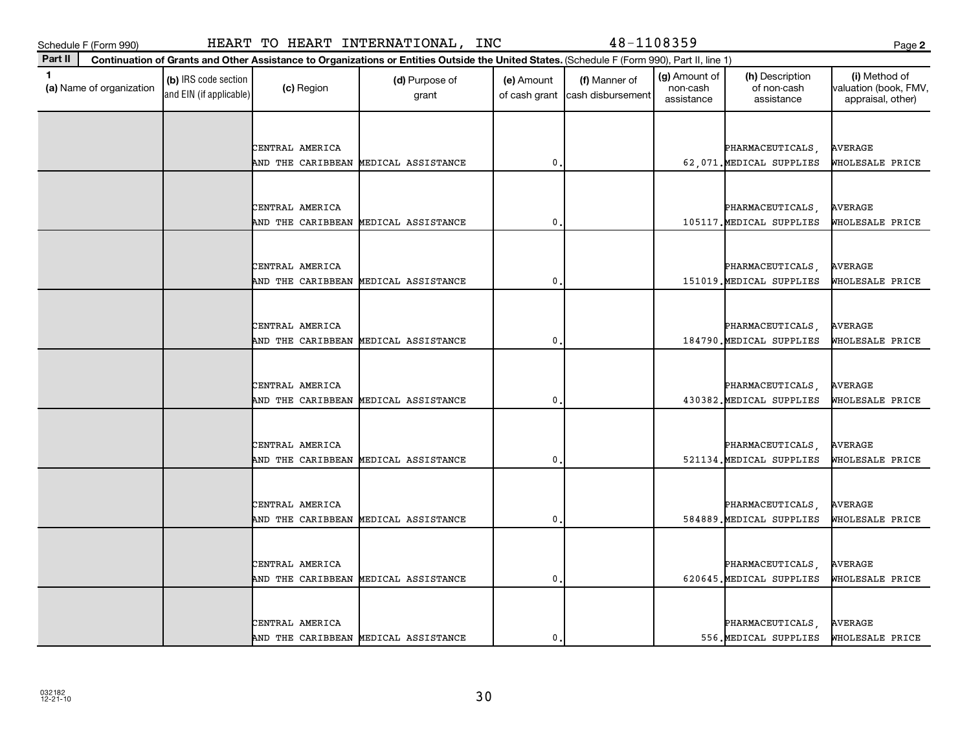**(a)**  Name of organization

and EIN (if applicable)

| ×<br>۰.<br>. .<br>v | ×<br>۰. |
|---------------------|---------|

| CENTRAL AMERICA                                         |              | PHARMACEUTICALS                             | <b>AVERAGE</b>             |
|---------------------------------------------------------|--------------|---------------------------------------------|----------------------------|
| AND THE CARIBBEAN MEDICAL ASSISTANCE                    | 0            | 62,071. MEDICAL SUPPLIES                    | WHOLESALE PRICE            |
|                                                         |              |                                             |                            |
|                                                         |              |                                             |                            |
| CENTRAL AMERICA                                         |              | PHARMACEUTICALS,                            | AVERAGE                    |
| AND THE CARIBBEAN MEDICAL ASSISTANCE                    | 0            | 105117. MEDICAL SUPPLIES                    | WHOLESALE PRICE            |
|                                                         |              |                                             |                            |
| CENTRAL AMERICA                                         |              | PHARMACEUTICALS                             | AVERAGE                    |
| AND THE CARIBBEAN MEDICAL ASSISTANCE                    | 0            | 151019. MEDICAL SUPPLIES                    | WHOLESALE PRICE            |
|                                                         |              |                                             |                            |
|                                                         |              |                                             |                            |
| CENTRAL AMERICA                                         |              | PHARMACEUTICALS,                            | <b>AVERAGE</b>             |
| AND THE CARIBBEAN MEDICAL ASSISTANCE                    | 0            | 184790. MEDICAL SUPPLIES                    | WHOLESALE PRICE            |
|                                                         |              |                                             |                            |
|                                                         |              |                                             |                            |
| CENTRAL AMERICA<br>AND THE CARIBBEAN MEDICAL ASSISTANCE | $\mathbf{0}$ | PHARMACEUTICALS<br>430382. MEDICAL SUPPLIES | AVERAGE<br>WHOLESALE PRICE |
|                                                         |              |                                             |                            |
|                                                         |              |                                             |                            |
| CENTRAL AMERICA                                         |              | PHARMACEUTICALS                             | AVERAGE                    |
| AND THE CARIBBEAN MEDICAL ASSISTANCE                    | 0            | 521134. MEDICAL SUPPLIES                    | WHOLESALE PRICE            |
|                                                         |              |                                             |                            |
|                                                         |              |                                             |                            |
| CENTRAL AMERICA                                         |              | PHARMACEUTICALS.                            | <b>AVERAGE</b>             |
| AND THE CARIBBEAN MEDICAL ASSISTANCE                    | $\mathbf{0}$ | 584889. MEDICAL SUPPLIES                    | WHOLESALE PRICE            |
|                                                         |              |                                             |                            |
| CENTRAL AMERICA                                         |              |                                             | AVERAGE                    |
| AND THE CARIBBEAN MEDICAL ASSISTANCE                    | $\mathbf{0}$ | PHARMACEUTICALS,<br>620645.MEDICAL SUPPLIES | WHOLESALE PRICE            |
|                                                         |              |                                             |                            |
|                                                         |              |                                             |                            |
| CENTRAL AMERICA                                         |              | PHARMACEUTICALS,                            | <b>AVERAGE</b>             |
| AND THE CARIBBEAN MEDICAL ASSISTANCE                    | $\mathbf 0$  | 556. MEDICAL SUPPLIES                       | WHOLESALE PRICE            |

## Schedule F (Form 990) HEART TO HEART INTERNATIONAL, INC 48-1108359 Page

 $\begin{array}{|c|c|c|}\n\hline\n\text{(c) Region} & \text{(d) Purpose of} \\
\hline\n\end{array}$ 

**Continuation of Grants and Other Assistance to Organizations or Entities Outside the United States.**  (Schedule F (Form 990), Part II, line 1)

grant

**1 (b)** IRS code section **(c)** Region **(d)** Purpose of **(e)** Amount **(f)** Manner of **(g)** Amount of **(h)** Description **(i) (a)** Name of organization **(h)** Description **(i) (c)** Region **(d)** Purpose of **(d)** Amount **(** 

(e) Amount

of cash grant | cash disbursement

(f) Manner of

(g) Amount of non-cash assistance

(h) Description of non-cash assistance

**2**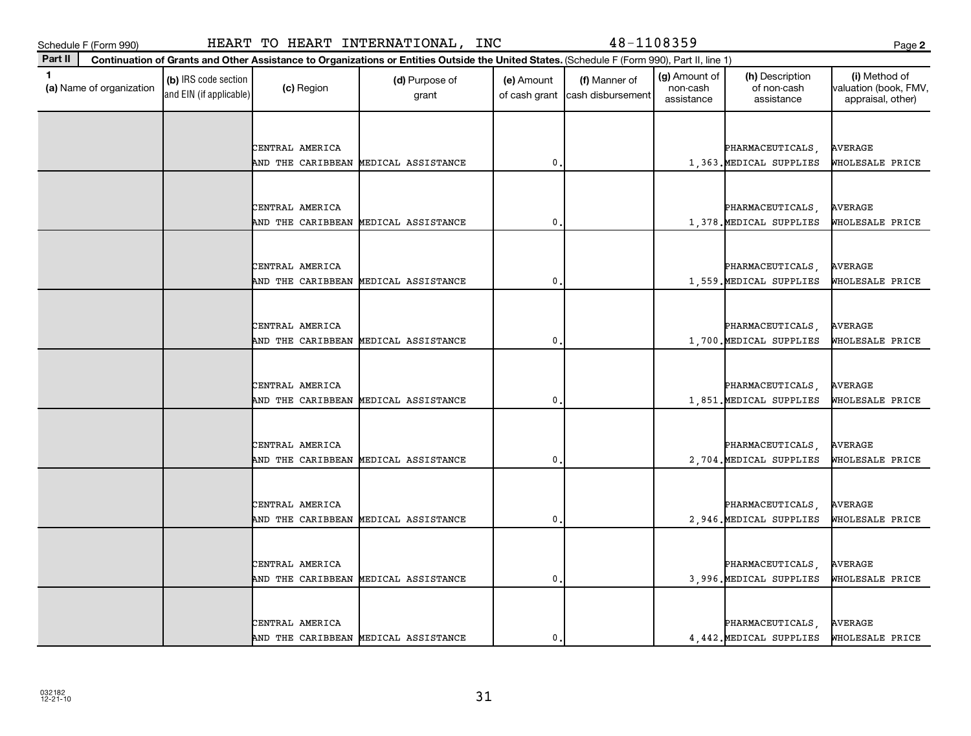**(a)**  Name of organization

and EIN (if applicable)

|                     | ٠ |
|---------------------|---|
| ×<br>۰.<br>. .<br>v |   |

| CENTRAL AMERICA                                         |                  | PHARMACEUTICALS,                            | AVERAGE                    |
|---------------------------------------------------------|------------------|---------------------------------------------|----------------------------|
| AND THE CARIBBEAN MEDICAL ASSISTANCE                    | $\mathbf{0}$     | 1,363. MEDICAL SUPPLIES                     | WHOLESALE PRICE            |
|                                                         |                  |                                             |                            |
|                                                         |                  |                                             |                            |
| CENTRAL AMERICA                                         |                  | PHARMACEUTICALS,                            | AVERAGE                    |
| AND THE CARIBBEAN MEDICAL ASSISTANCE                    | $\mathbf 0$      | 1,378. MEDICAL SUPPLIES                     | WHOLESALE PRICE            |
|                                                         |                  |                                             |                            |
| CENTRAL AMERICA                                         |                  | PHARMACEUTICALS,                            | <b>AVERAGE</b>             |
| AND THE CARIBBEAN MEDICAL ASSISTANCE                    | $\mathbf{0}$ .   | 1,559. MEDICAL SUPPLIES                     | WHOLESALE PRICE            |
|                                                         |                  |                                             |                            |
|                                                         |                  |                                             |                            |
| CENTRAL AMERICA                                         |                  | PHARMACEUTICALS,                            | AVERAGE                    |
| AND THE CARIBBEAN MEDICAL ASSISTANCE                    | $\mathbf 0$      | 1,700. MEDICAL SUPPLIES                     | WHOLESALE PRICE            |
|                                                         |                  |                                             |                            |
|                                                         |                  |                                             |                            |
| CENTRAL AMERICA<br>AND THE CARIBBEAN MEDICAL ASSISTANCE | $\mathbf 0$ .    | PHARMACEUTICALS,<br>1,851. MEDICAL SUPPLIES | AVERAGE<br>WHOLESALE PRICE |
|                                                         |                  |                                             |                            |
|                                                         |                  |                                             |                            |
| CENTRAL AMERICA                                         |                  | PHARMACEUTICALS,                            | AVERAGE                    |
| AND THE CARIBBEAN MEDICAL ASSISTANCE                    | $\mathbf{0}$     | 2,704. MEDICAL SUPPLIES                     | WHOLESALE PRICE            |
|                                                         |                  |                                             |                            |
|                                                         |                  |                                             |                            |
| CENTRAL AMERICA                                         |                  | PHARMACEUTICALS,                            | AVERAGE                    |
| AND THE CARIBBEAN MEDICAL ASSISTANCE                    | $\mathfrak{o}$ . | 2,946. MEDICAL SUPPLIES                     | WHOLESALE PRICE            |
|                                                         |                  |                                             |                            |
| CENTRAL AMERICA                                         |                  | PHARMACEUTICALS,                            | <b>AVERAGE</b>             |
| AND THE CARIBBEAN MEDICAL ASSISTANCE                    | $\mathbf{0}$ .   | 3,996. MEDICAL SUPPLIES                     | WHOLESALE PRICE            |
|                                                         |                  |                                             |                            |
|                                                         |                  |                                             |                            |
| CENTRAL AMERICA                                         |                  | PHARMACEUTICALS,                            | AVERAGE                    |
| AND THE CARIBBEAN MEDICAL ASSISTANCE                    | 0                | 4,442. MEDICAL SUPPLIES                     | WHOLESALE PRICE            |

Schedule F (Form 990) HEART TO HEART INTERNATIONAL, INC 48-1108359 Page

 $\begin{array}{|c|c|c|}\n\hline\n\text{(c) Region} & \text{(d) Purpose of} \\
\hline\n\end{array}$ 

**Continuation of Grants and Other Assistance to Organizations or Entities Outside the United States.**  (Schedule F (Form 990), Part II, line 1)

grant

**1 (b)** IRS code section **(c)** Region **(d)** Purpose of **(e)** Amount **(f)** Manner of **(g)** Amount of **(h)** Description **(i) (a)** Name of organization **(h)** Description **(i) (c)** Region **(d)** Purpose of **(d)** Amount **(** 

(e) Amount

of cash grant | cash disbursement

(f) Manner of

(g) Amount of non-cash assistance

(h) Description of non-cash assistance

**2**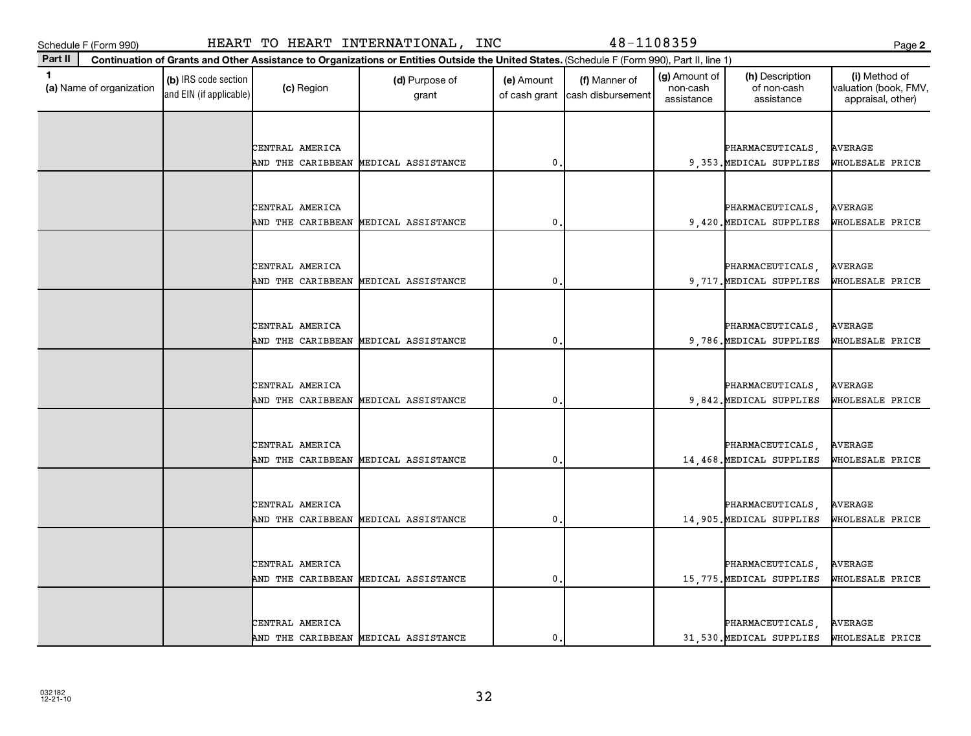**(a)**  Name of organization

and EIN (if applicable)

| ×<br>. .<br>v |  |
|---------------|--|

| CENTRAL AMERICA |                                      |   | PHARMACEUTICALS          | <b>AVERAGE</b>  |
|-----------------|--------------------------------------|---|--------------------------|-----------------|
|                 | AND THE CARIBBEAN MEDICAL ASSISTANCE | 0 | 9,353. MEDICAL SUPPLIES  | WHOLESALE PRICE |
|                 |                                      |   |                          |                 |
|                 |                                      |   |                          |                 |
| CENTRAL AMERICA |                                      |   |                          | <b>AVERAGE</b>  |
|                 |                                      |   | PHARMACEUTICALS,         |                 |
|                 | AND THE CARIBBEAN MEDICAL ASSISTANCE | 0 | 9,420. MEDICAL SUPPLIES  | WHOLESALE PRICE |
|                 |                                      |   |                          |                 |
| CENTRAL AMERICA |                                      |   | PHARMACEUTICALS,         | <b>AVERAGE</b>  |
|                 | AND THE CARIBBEAN MEDICAL ASSISTANCE | 0 | 9,717. MEDICAL SUPPLIES  | WHOLESALE PRICE |
|                 |                                      |   |                          |                 |
|                 |                                      |   |                          |                 |
| CENTRAL AMERICA |                                      |   | PHARMACEUTICALS,         | <b>AVERAGE</b>  |
|                 | AND THE CARIBBEAN MEDICAL ASSISTANCE | 0 | 9,786. MEDICAL SUPPLIES  | WHOLESALE PRICE |
|                 |                                      |   |                          |                 |
|                 |                                      |   |                          |                 |
| CENTRAL AMERICA |                                      |   | PHARMACEUTICALS,         | <b>AVERAGE</b>  |
|                 | AND THE CARIBBEAN MEDICAL ASSISTANCE | 0 | 9,842. MEDICAL SUPPLIES  | WHOLESALE PRICE |
|                 |                                      |   |                          |                 |
|                 |                                      |   |                          |                 |
| CENTRAL AMERICA |                                      |   | PHARMACEUTICALS,         | <b>AVERAGE</b>  |
|                 | AND THE CARIBBEAN MEDICAL ASSISTANCE | 0 | 14,468. MEDICAL SUPPLIES | WHOLESALE PRICE |
|                 |                                      |   |                          |                 |
|                 |                                      |   |                          |                 |
| CENTRAL AMERICA |                                      |   | PHARMACEUTICALS,         | <b>AVERAGE</b>  |
|                 | AND THE CARIBBEAN MEDICAL ASSISTANCE | 0 | 14,905. MEDICAL SUPPLIES | WHOLESALE PRICE |
|                 |                                      |   |                          |                 |
|                 |                                      |   |                          |                 |
| CENTRAL AMERICA |                                      |   | PHARMACEUTICALS          | <b>AVERAGE</b>  |
|                 | AND THE CARIBBEAN MEDICAL ASSISTANCE | 0 | 15,775. MEDICAL SUPPLIES | WHOLESALE PRICE |
|                 |                                      |   |                          |                 |
|                 |                                      |   |                          |                 |
| CENTRAL AMERICA |                                      |   | PHARMACEUTICALS,         | <b>AVERAGE</b>  |
|                 | AND THE CARIBBEAN MEDICAL ASSISTANCE | 0 | 31,530. MEDICAL SUPPLIES | WHOLESALE PRICE |

Schedule F (Form 990) HEART TO HEART INTERNATIONAL, INC 48-1108359 Page

 $\begin{array}{|c|c|c|}\n\hline\n\text{(c) Region} & \text{(d) Purpose of} \\
\hline\n\end{array}$ 

**Continuation of Grants and Other Assistance to Organizations or Entities Outside the United States.**  (Schedule F (Form 990), Part II, line 1)

grant

**1 (b)** IRS code section **(c)** Region **(d)** Purpose of **(e)** Amount **(f)** Manner of **(g)** Amount of **(h)** Description **(i) (a)** Name of organization **(h)** Description **(i) (c)** Region **(d)** Purpose of **(d)** Amount **(** 

(e) Amount

of cash grant | cash disbursement

(g) Amount of non-cash assistance

(h) Description of non-cash assistance

(f) Manner of

**2**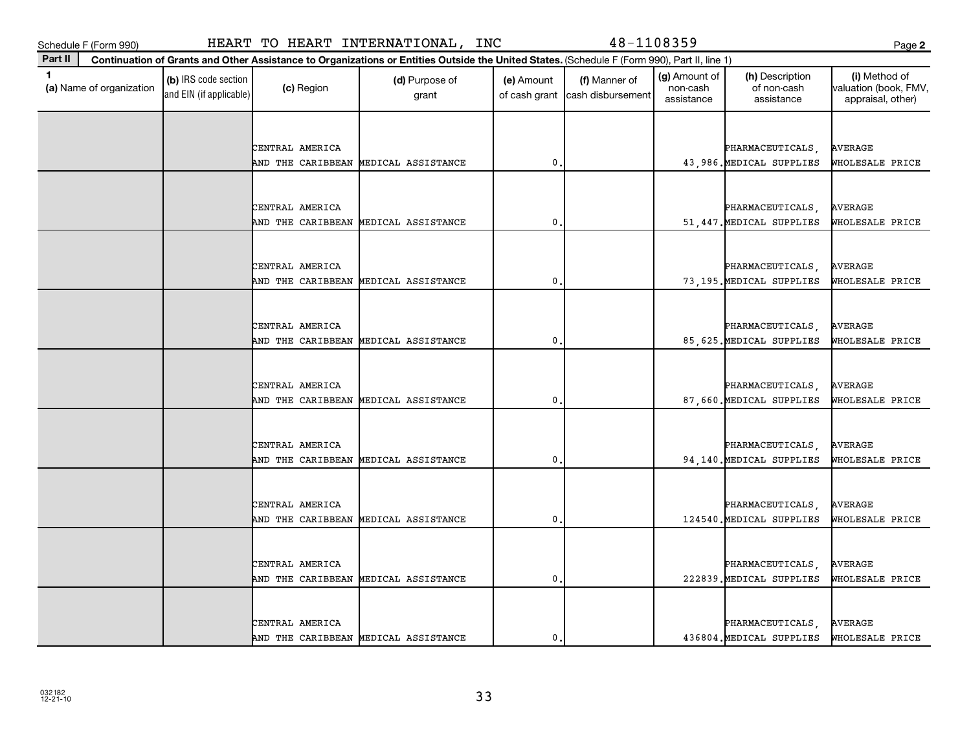**(a)**  Name of organization

and EIN (if applicable)

| ×<br>. .<br>v | ×<br>I<br>٠<br>۰. |
|---------------|-------------------|

| CENTRAL AMERICA                                         |   | PHARMACEUTICALS,                            | AVERAGE                           |
|---------------------------------------------------------|---|---------------------------------------------|-----------------------------------|
| AND THE CARIBBEAN MEDICAL ASSISTANCE                    | 0 | 43,986. MEDICAL SUPPLIES                    | WHOLESALE PRICE                   |
|                                                         |   |                                             |                                   |
|                                                         |   |                                             |                                   |
| CENTRAL AMERICA                                         |   | PHARMACEUTICALS,                            | <b>AVERAGE</b>                    |
| AND THE CARIBBEAN MEDICAL ASSISTANCE                    | 0 | 51, 447. MEDICAL SUPPLIES                   | WHOLESALE PRICE                   |
|                                                         |   |                                             |                                   |
| CENTRAL AMERICA                                         |   | PHARMACEUTICALS,                            | <b>AVERAGE</b>                    |
| AND THE CARIBBEAN MEDICAL ASSISTANCE                    | 0 | 73,195. MEDICAL SUPPLIES                    | WHOLESALE PRICE                   |
|                                                         |   |                                             |                                   |
|                                                         |   |                                             |                                   |
| CENTRAL AMERICA                                         |   | PHARMACEUTICALS,                            | <b>AVERAGE</b>                    |
| AND THE CARIBBEAN MEDICAL ASSISTANCE                    | 0 | 85, 625. MEDICAL SUPPLIES                   | WHOLESALE PRICE                   |
|                                                         |   |                                             |                                   |
| CENTRAL AMERICA                                         |   | PHARMACEUTICALS,                            | AVERAGE                           |
| AND THE CARIBBEAN MEDICAL ASSISTANCE                    | 0 | 87,660. MEDICAL SUPPLIES                    | WHOLESALE PRICE                   |
|                                                         |   |                                             |                                   |
|                                                         |   |                                             |                                   |
| CENTRAL AMERICA<br>AND THE CARIBBEAN MEDICAL ASSISTANCE | 0 | PHARMACEUTICALS<br>94,140. MEDICAL SUPPLIES | <b>AVERAGE</b><br>WHOLESALE PRICE |
|                                                         |   |                                             |                                   |
|                                                         |   |                                             |                                   |
| CENTRAL AMERICA                                         |   | PHARMACEUTICALS,                            | <b>AVERAGE</b>                    |
| AND THE CARIBBEAN MEDICAL ASSISTANCE                    | 0 | 124540. MEDICAL SUPPLIES                    | WHOLESALE PRICE                   |
|                                                         |   |                                             |                                   |
| CENTRAL AMERICA                                         |   |                                             | <b>AVERAGE</b>                    |
| AND THE CARIBBEAN MEDICAL ASSISTANCE                    | 0 | PHARMACEUTICALS<br>222839. MEDICAL SUPPLIES | WHOLESALE PRICE                   |
|                                                         |   |                                             |                                   |
|                                                         |   |                                             |                                   |
| CENTRAL AMERICA                                         |   | PHARMACEUTICALS,                            | <b>AVERAGE</b>                    |
| AND THE CARIBBEAN MEDICAL ASSISTANCE                    | 0 | 436804. MEDICAL SUPPLIES                    | WHOLESALE PRICE                   |

Schedule F (Form 990) HEART TO HEART INTERNATIONAL, INC 48-1108359 Page

 $\begin{array}{|c|c|c|}\n\hline\n\text{(c) Region} & \text{(d) Purpose of} \\
\hline\n\end{array}$ 

**Continuation of Grants and Other Assistance to Organizations or Entities Outside the United States.**  (Schedule F (Form 990), Part II, line 1)

grant

**1 (b)** IRS code section **(c)** Region **(d)** Purpose of **(e)** Amount **(f)** Manner of **(g)** Amount of **(h)** Description **(i) (a)** Name of organization **(h)** Description **(i) (c)** Region **(d)** Purpose of **(d)** Amount **(** 

(e) Amount

of cash grant | cash disbursement

(g) Amount of non-cash assistance

(h) Description of non-cash assistance

(f) Manner of

**2**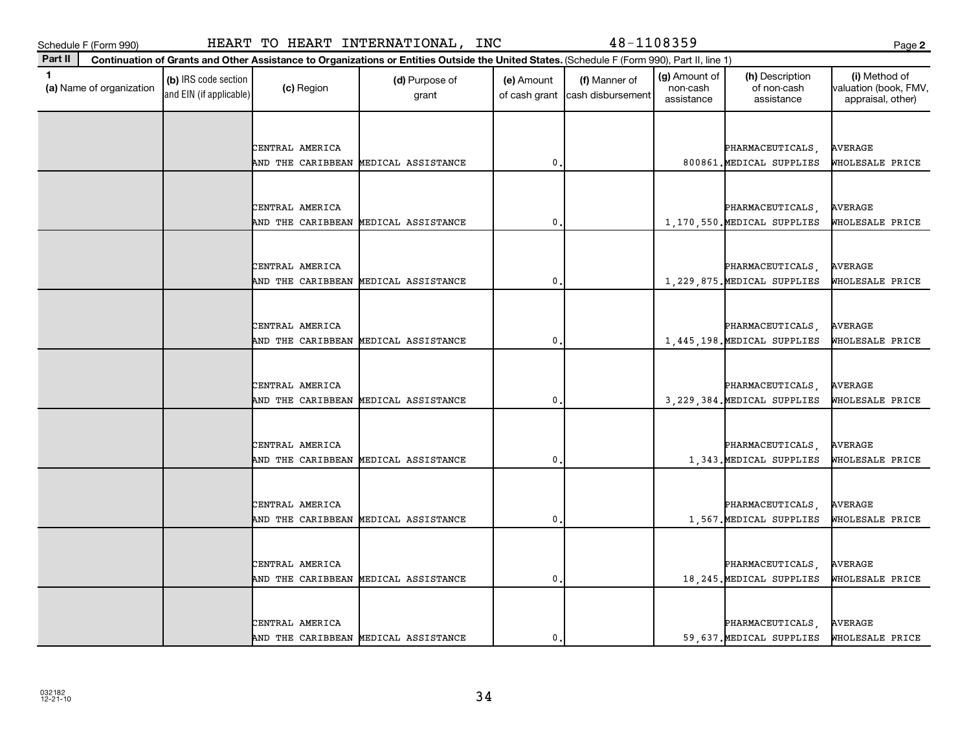**(a)**  Name of organization

and EIN (if applicable)

| ×<br>۰.<br>. .<br>v |
|---------------------|
|---------------------|

|  | CENTRAL AMERICA |                                      |   |  | PHARMACEUTICALS,              | AVERAGE         |
|--|-----------------|--------------------------------------|---|--|-------------------------------|-----------------|
|  |                 | AND THE CARIBBEAN MEDICAL ASSISTANCE | 0 |  | 800861. MEDICAL SUPPLIES      | WHOLESALE PRICE |
|  |                 |                                      |   |  |                               |                 |
|  |                 |                                      |   |  |                               |                 |
|  | CENTRAL AMERICA |                                      |   |  | PHARMACEUTICALS,              | <b>AVERAGE</b>  |
|  |                 | AND THE CARIBBEAN MEDICAL ASSISTANCE | 0 |  | 1,170,550. MEDICAL SUPPLIES   | WHOLESALE PRICE |
|  |                 |                                      |   |  |                               |                 |
|  |                 |                                      |   |  |                               |                 |
|  | CENTRAL AMERICA |                                      |   |  | PHARMACEUTICALS,              | <b>AVERAGE</b>  |
|  |                 | AND THE CARIBBEAN MEDICAL ASSISTANCE | 0 |  | 1, 229, 875. MEDICAL SUPPLIES | WHOLESALE PRICE |
|  |                 |                                      |   |  |                               |                 |
|  |                 |                                      |   |  |                               |                 |
|  | CENTRAL AMERICA |                                      |   |  | PHARMACEUTICALS,              | <b>AVERAGE</b>  |
|  |                 | AND THE CARIBBEAN MEDICAL ASSISTANCE | 0 |  | 1,445,198. MEDICAL SUPPLIES   | WHOLESALE PRICE |
|  |                 |                                      |   |  |                               |                 |
|  |                 |                                      |   |  |                               |                 |
|  | CENTRAL AMERICA |                                      |   |  | PHARMACEUTICALS,              | <b>AVERAGE</b>  |
|  |                 | AND THE CARIBBEAN MEDICAL ASSISTANCE | 0 |  | 3, 229, 384. MEDICAL SUPPLIES | WHOLESALE PRICE |
|  |                 |                                      |   |  |                               |                 |
|  |                 |                                      |   |  |                               |                 |
|  | CENTRAL AMERICA |                                      |   |  | PHARMACEUTICALS,              | <b>AVERAGE</b>  |
|  |                 | AND THE CARIBBEAN MEDICAL ASSISTANCE | 0 |  | 1,343. MEDICAL SUPPLIES       | WHOLESALE PRICE |
|  |                 |                                      |   |  |                               |                 |
|  | CENTRAL AMERICA |                                      |   |  | PHARMACEUTICALS,              | <b>AVERAGE</b>  |
|  |                 | AND THE CARIBBEAN MEDICAL ASSISTANCE | 0 |  | 1,567. MEDICAL SUPPLIES       | WHOLESALE PRICE |
|  |                 |                                      |   |  |                               |                 |
|  |                 |                                      |   |  |                               |                 |
|  | CENTRAL AMERICA |                                      |   |  | PHARMACEUTICALS,              | <b>AVERAGE</b>  |
|  |                 | AND THE CARIBBEAN MEDICAL ASSISTANCE | 0 |  | 18, 245. MEDICAL SUPPLIES     | WHOLESALE PRICE |
|  |                 |                                      |   |  |                               |                 |
|  |                 |                                      |   |  |                               |                 |
|  | CENTRAL AMERICA |                                      |   |  | PHARMACEUTICALS,              | <b>AVERAGE</b>  |
|  |                 | AND THE CARIBBEAN MEDICAL ASSISTANCE | 0 |  | 59,637. MEDICAL SUPPLIES      | WHOLESALE PRICE |
|  |                 |                                      |   |  |                               |                 |

 $\begin{array}{|c|c|c|}\n\hline\n\text{(c) Region} & \text{(d) Purpose of} \\
\hline\n\end{array}$ 

**Continuation of Grants and Other Assistance to Organizations or Entities Outside the United States.**  (Schedule F (Form 990), Part II, line 1)

grant

**1 (b)** IRS code section **(c)** Region **(d)** Purpose of **(e)** Amount **(f)** Manner of **(g)** Amount of **(h)** Description **(i) (a)** Name of organization **(h)** Description **(i) (c)** Region **(d)** Purpose of **(d)** Amount **(** 

(e) Amount

of cash grant | cash disbursement

(f) Manner of

(g) Amount of non-cash assistance

(h) Description of non-cash assistance

**2**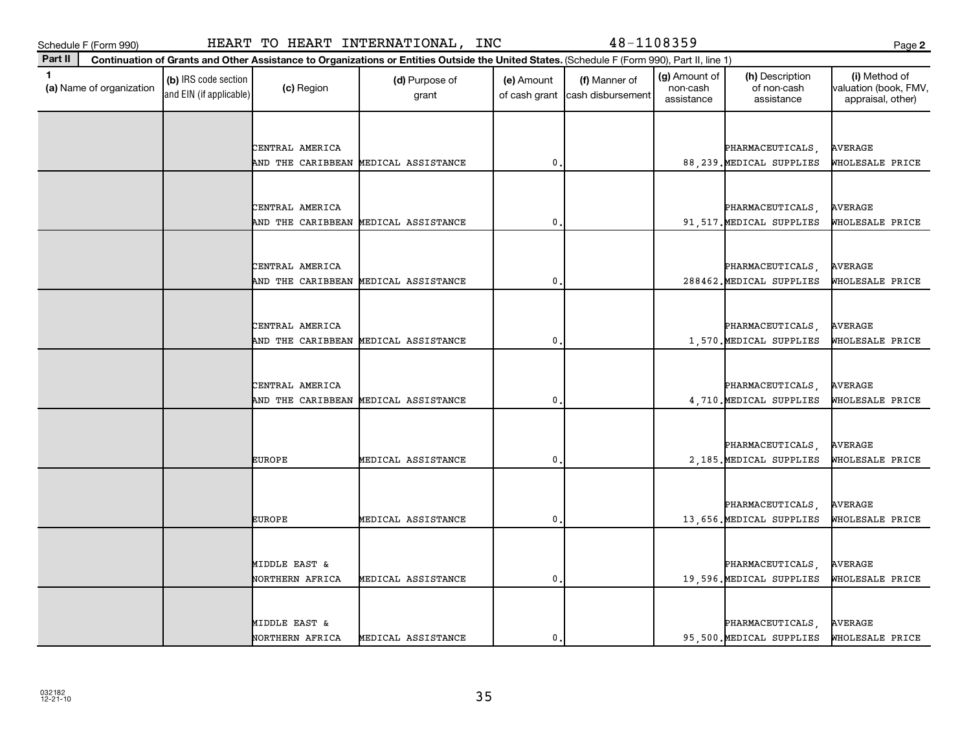| ۹                   | المستحدث<br>. .     |
|---------------------|---------------------|
| ×<br>۰.<br>. .<br>v | ×<br>I<br>. .<br>۰. |

| 1.<br>(a) Name of organization | (b) IRS code section<br>and EIN (if applicable) | (c) Region                       | (d) Purpose of<br>grant              | (e) Amount<br>of cash grant | (f) Manner of<br>cash disbursement | (g) Amount of<br>non-cash<br>assistance | (h) Description<br>of non-cash<br>assistance | (i) Method of<br>valuation (book, FMV,<br>appraisal, other) |
|--------------------------------|-------------------------------------------------|----------------------------------|--------------------------------------|-----------------------------|------------------------------------|-----------------------------------------|----------------------------------------------|-------------------------------------------------------------|
|                                |                                                 |                                  |                                      |                             |                                    |                                         |                                              |                                                             |
|                                |                                                 | CENTRAL AMERICA                  |                                      |                             |                                    |                                         | PHARMACEUTICALS,                             | <b>AVERAGE</b>                                              |
|                                |                                                 | AND THE CARIBBEAN                | MEDICAL ASSISTANCE                   | $\mathbf{0}$                |                                    |                                         | 88, 239. MEDICAL SUPPLIES                    | WHOLESALE PRICE                                             |
|                                |                                                 |                                  |                                      |                             |                                    |                                         |                                              |                                                             |
|                                |                                                 |                                  |                                      |                             |                                    |                                         |                                              |                                                             |
|                                |                                                 | CENTRAL AMERICA                  |                                      |                             |                                    |                                         | PHARMACEUTICALS,                             | <b>AVERAGE</b>                                              |
|                                |                                                 | AND THE CARIBBEAN                | MEDICAL ASSISTANCE                   | 0                           |                                    |                                         | 91,517. MEDICAL SUPPLIES                     | WHOLESALE PRICE                                             |
|                                |                                                 |                                  |                                      |                             |                                    |                                         |                                              |                                                             |
|                                |                                                 | CENTRAL AMERICA                  |                                      |                             |                                    |                                         | PHARMACEUTICALS,                             | <b>AVERAGE</b>                                              |
|                                |                                                 |                                  | AND THE CARIBBEAN MEDICAL ASSISTANCE | $\mathbf{0}$                |                                    |                                         | 288462. MEDICAL SUPPLIES                     | WHOLESALE PRICE                                             |
|                                |                                                 |                                  |                                      |                             |                                    |                                         |                                              |                                                             |
|                                |                                                 |                                  |                                      |                             |                                    |                                         |                                              |                                                             |
|                                |                                                 | CENTRAL AMERICA                  |                                      |                             |                                    |                                         | PHARMACEUTICALS,                             | <b>AVERAGE</b>                                              |
|                                |                                                 | AND THE CARIBBEAN                | MEDICAL ASSISTANCE                   | $\mathbf{0}$                |                                    |                                         | 1,570. MEDICAL SUPPLIES                      | WHOLESALE PRICE                                             |
|                                |                                                 |                                  |                                      |                             |                                    |                                         |                                              |                                                             |
|                                |                                                 | CENTRAL AMERICA                  |                                      |                             |                                    |                                         | PHARMACEUTICALS,                             | <b>AVERAGE</b>                                              |
|                                |                                                 | AND THE CARIBBEAN                | MEDICAL ASSISTANCE                   | $\mathbf{0}$                |                                    |                                         | 4,710. MEDICAL SUPPLIES                      | WHOLESALE PRICE                                             |
|                                |                                                 |                                  |                                      |                             |                                    |                                         |                                              |                                                             |
|                                |                                                 |                                  |                                      |                             |                                    |                                         |                                              |                                                             |
|                                |                                                 | <b>EUROPE</b>                    | MEDICAL ASSISTANCE                   | 0                           |                                    |                                         | PHARMACEUTICALS,<br>2,185. MEDICAL SUPPLIES  | <b>AVERAGE</b><br>WHOLESALE PRICE                           |
|                                |                                                 |                                  |                                      |                             |                                    |                                         |                                              |                                                             |
|                                |                                                 |                                  |                                      |                             |                                    |                                         |                                              |                                                             |
|                                |                                                 |                                  |                                      |                             |                                    |                                         | PHARMACEUTICALS,                             | <b>AVERAGE</b>                                              |
|                                |                                                 | <b>EUROPE</b>                    | MEDICAL ASSISTANCE                   | 0                           |                                    |                                         | 13,656. MEDICAL SUPPLIES                     | WHOLESALE PRICE                                             |
|                                |                                                 |                                  |                                      |                             |                                    |                                         |                                              |                                                             |
|                                |                                                 |                                  |                                      |                             |                                    |                                         |                                              |                                                             |
|                                |                                                 | MIDDLE EAST &<br>NORTHERN AFRICA | MEDICAL ASSISTANCE                   | $\mathbf{0}$                |                                    |                                         | PHARMACEUTICALS,<br>19,596. MEDICAL SUPPLIES | <b>AVERAGE</b><br>WHOLESALE PRICE                           |
|                                |                                                 |                                  |                                      |                             |                                    |                                         |                                              |                                                             |
|                                |                                                 |                                  |                                      |                             |                                    |                                         |                                              |                                                             |
|                                |                                                 | MIDDLE EAST &                    |                                      |                             |                                    |                                         | PHARMACEUTICALS,                             | <b>AVERAGE</b>                                              |
|                                |                                                 | NORTHERN AFRICA                  | MEDICAL ASSISTANCE                   | $\mathbf{0}$                |                                    |                                         | 95,500. MEDICAL SUPPLIES                     | WHOLESALE PRICE                                             |

**Part II Continuation of Grants and Other Assistance to Organizations or Entities Outside the United States.**  (Schedule F (Form 990), Part II, line 1)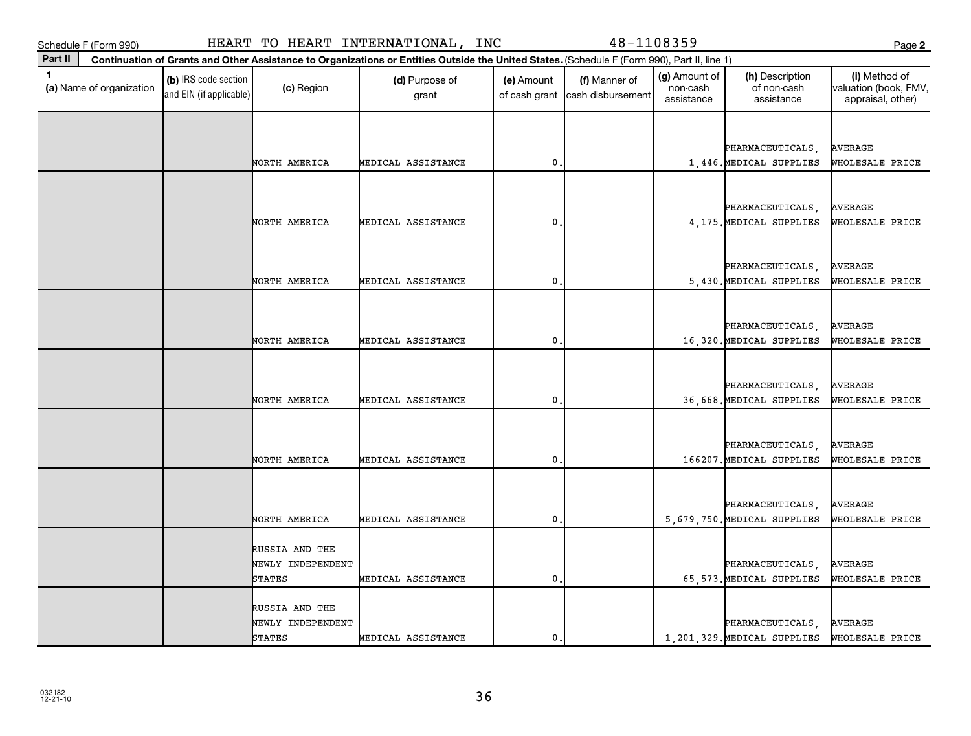**Part II**

**(a)**  Name of organization

and EIN (if applicable)

|                     | e e          |
|---------------------|--------------|
| ×<br>۰.<br>. .<br>v | I<br>×<br>۰, |

|  |                   |                    |              |  | PHARMACEUTICALS,                                | AVERAGE                           |
|--|-------------------|--------------------|--------------|--|-------------------------------------------------|-----------------------------------|
|  | NORTH AMERICA     | MEDICAL ASSISTANCE | 0            |  | 1,446. MEDICAL SUPPLIES                         | WHOLESALE PRICE                   |
|  |                   |                    |              |  |                                                 |                                   |
|  |                   |                    |              |  | PHARMACEUTICALS,                                | <b>AVERAGE</b>                    |
|  | NORTH AMERICA     | MEDICAL ASSISTANCE | 0            |  | 4, 175. MEDICAL SUPPLIES                        | WHOLESALE PRICE                   |
|  |                   |                    |              |  |                                                 |                                   |
|  |                   |                    |              |  |                                                 |                                   |
|  | NORTH AMERICA     | MEDICAL ASSISTANCE | $\mathbf{0}$ |  | PHARMACEUTICALS,                                | AVERAGE<br>WHOLESALE PRICE        |
|  |                   |                    |              |  | 5,430. MEDICAL SUPPLIES                         |                                   |
|  |                   |                    |              |  |                                                 |                                   |
|  |                   |                    |              |  | PHARMACEUTICALS,                                | <b>AVERAGE</b>                    |
|  | NORTH AMERICA     | MEDICAL ASSISTANCE | 0            |  | 16,320. MEDICAL SUPPLIES                        | WHOLESALE PRICE                   |
|  |                   |                    |              |  |                                                 |                                   |
|  |                   |                    |              |  | PHARMACEUTICALS,                                | AVERAGE                           |
|  | NORTH AMERICA     | MEDICAL ASSISTANCE | $\mathbf 0$  |  | 36,668. MEDICAL SUPPLIES                        | WHOLESALE PRICE                   |
|  |                   |                    |              |  |                                                 |                                   |
|  |                   |                    |              |  | PHARMACEUTICALS,                                | <b>AVERAGE</b>                    |
|  | NORTH AMERICA     | MEDICAL ASSISTANCE | 0            |  | 166207. MEDICAL SUPPLIES                        | WHOLESALE PRICE                   |
|  |                   |                    |              |  |                                                 |                                   |
|  |                   |                    |              |  |                                                 |                                   |
|  | NORTH AMERICA     | MEDICAL ASSISTANCE | 0            |  | PHARMACEUTICALS,<br>5,679,750. MEDICAL SUPPLIES | <b>AVERAGE</b><br>WHOLESALE PRICE |
|  |                   |                    |              |  |                                                 |                                   |
|  | RUSSIA AND THE    |                    |              |  |                                                 |                                   |
|  | NEWLY INDEPENDENT |                    |              |  | PHARMACEUTICALS,                                | <b>AVERAGE</b>                    |
|  | STATES            | MEDICAL ASSISTANCE | 0            |  | 65, 573. MEDICAL SUPPLIES                       | WHOLESALE PRICE                   |
|  | RUSSIA AND THE    |                    |              |  |                                                 |                                   |
|  | NEWLY INDEPENDENT |                    |              |  | PHARMACEUTICALS,                                | <b>AVERAGE</b>                    |
|  | <b>STATES</b>     | MEDICAL ASSISTANCE | 0            |  | 1, 201, 329. MEDICAL SUPPLIES                   | WHOLESALE PRICE                   |
|  |                   |                    |              |  |                                                 |                                   |

## Schedule F (Form 990) HEART TO HEART INTERNATIONAL, INC 48-1108359 Page

 $\begin{array}{|c|c|c|}\n\hline\n\text{(c) Region} & \text{(d) Purpose of} \\
\hline\n\end{array}$ 

**Continuation of Grants and Other Assistance to Organizations or Entities Outside the United States.**  (Schedule F (Form 990), Part II, line 1)

grant

**1 (b)** IRS code section **(c)** Region **(d)** Purpose of **(e)** Amount **(f)** Manner of **(g)** Amount of **(h)** Description **(i) (a)** Name of organization **(h)** Description **(i) (c)** Region **(d)** Purpose of **(d)** Amount **(** 

(e) Amount

of cash grant | cash disbursement

(g) Amount of non-cash assistance

(h) Description of non-cash assistance

(f) Manner of

**2**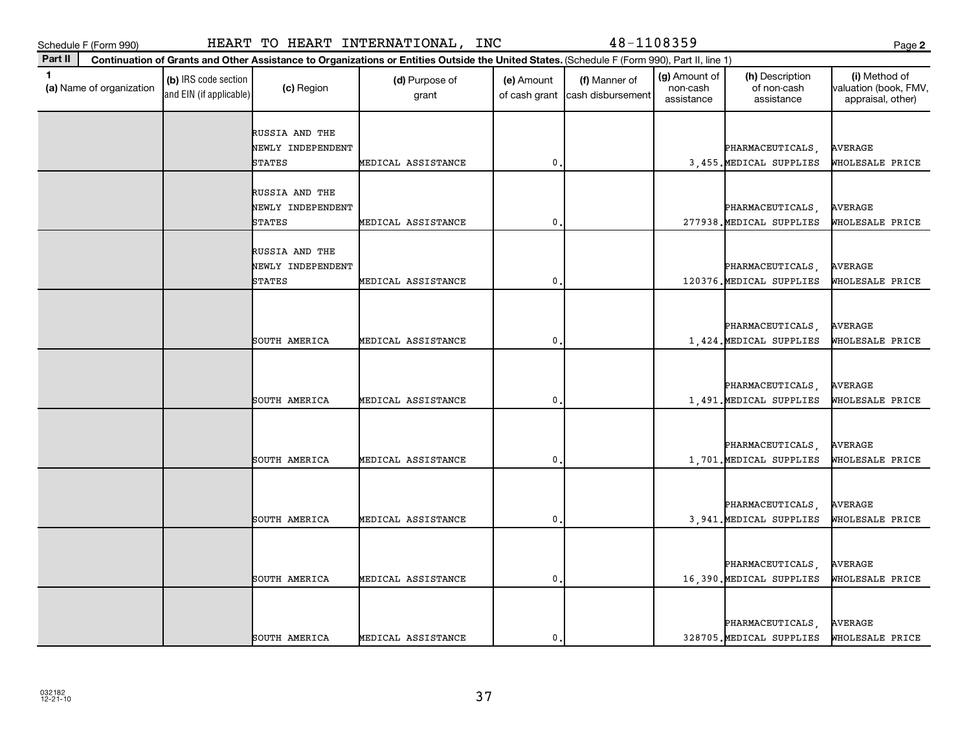Schedule F (Form 990)

|  |  |  |  |  | HEART TO HEART INTERNATIONAL, INC |  |  |
|--|--|--|--|--|-----------------------------------|--|--|
|--|--|--|--|--|-----------------------------------|--|--|

**Continuation of Grants and Other Assistance to Organizations or Entities Outside the United States.**  (Schedule F (Form 990), Part II, line 1)

48-1108359

(g) Amount of

PHARMACEUTICALS, AVERAGE

| 1<br>(a) Name of organization | (b) IRS code section<br>and EIN (if applicable) | (c) Region                  | (d) Purpose of<br>grant | (e) Amount<br>of cash grant | (f) Manner of<br>cash disbursement | (g) Amount of<br>non-cash<br>assistance | (h) Description<br>of non-cash<br>assistance | (i) Method of<br>valuation (book, FMV,<br>appraisal, other) |
|-------------------------------|-------------------------------------------------|-----------------------------|-------------------------|-----------------------------|------------------------------------|-----------------------------------------|----------------------------------------------|-------------------------------------------------------------|
|                               |                                                 | RUSSIA AND THE              |                         |                             |                                    |                                         |                                              |                                                             |
|                               |                                                 | NEWLY INDEPENDENT           |                         |                             |                                    |                                         | PHARMACEUTICALS,                             | <b>AVERAGE</b>                                              |
|                               |                                                 | <b>STATES</b>               | MEDICAL ASSISTANCE      | 0                           |                                    |                                         | 3,455. MEDICAL SUPPLIES                      | WHOLESALE PRICE                                             |
|                               |                                                 |                             |                         |                             |                                    |                                         |                                              |                                                             |
|                               |                                                 | RUSSIA AND THE              |                         |                             |                                    |                                         |                                              |                                                             |
|                               |                                                 | NEWLY INDEPENDENT<br>STATES | MEDICAL ASSISTANCE      | 0                           |                                    |                                         | PHARMACEUTICALS,<br>277938. MEDICAL SUPPLIES | <b>AVERAGE</b><br>WHOLESALE PRICE                           |
|                               |                                                 |                             |                         |                             |                                    |                                         |                                              |                                                             |
|                               |                                                 | RUSSIA AND THE              |                         |                             |                                    |                                         |                                              |                                                             |
|                               |                                                 | NEWLY INDEPENDENT           |                         |                             |                                    |                                         | PHARMACEUTICALS,                             | <b>AVERAGE</b>                                              |
|                               |                                                 | <b>STATES</b>               | MEDICAL ASSISTANCE      | 0                           |                                    |                                         | 120376. MEDICAL SUPPLIES                     | WHOLESALE PRICE                                             |
|                               |                                                 |                             |                         |                             |                                    |                                         |                                              |                                                             |
|                               |                                                 |                             |                         |                             |                                    |                                         |                                              |                                                             |
|                               |                                                 |                             |                         |                             |                                    |                                         | PHARMACEUTICALS,                             | <b>AVERAGE</b>                                              |
|                               |                                                 | SOUTH AMERICA               | MEDICAL ASSISTANCE      | 0                           |                                    |                                         | 1,424. MEDICAL SUPPLIES                      | WHOLESALE PRICE                                             |
|                               |                                                 |                             |                         |                             |                                    |                                         |                                              |                                                             |
|                               |                                                 |                             |                         |                             |                                    |                                         |                                              |                                                             |
|                               |                                                 |                             |                         |                             |                                    |                                         | PHARMACEUTICALS,                             | <b>AVERAGE</b>                                              |
|                               |                                                 | SOUTH AMERICA               | MEDICAL ASSISTANCE      | 0                           |                                    |                                         | 1,491. MEDICAL SUPPLIES                      | WHOLESALE PRICE                                             |
|                               |                                                 |                             |                         |                             |                                    |                                         |                                              |                                                             |
|                               |                                                 |                             |                         |                             |                                    |                                         |                                              |                                                             |
|                               |                                                 |                             |                         |                             |                                    |                                         | PHARMACEUTICALS,                             | <b>AVERAGE</b>                                              |
|                               |                                                 | SOUTH AMERICA               | MEDICAL ASSISTANCE      | 0                           |                                    |                                         | 1,701. MEDICAL SUPPLIES                      | WHOLESALE PRICE                                             |
|                               |                                                 |                             |                         |                             |                                    |                                         |                                              |                                                             |
|                               |                                                 |                             |                         |                             |                                    |                                         | PHARMACEUTICALS,                             | <b>AVERAGE</b>                                              |
|                               |                                                 | SOUTH AMERICA               | MEDICAL ASSISTANCE      | $\mathbf{0}$                |                                    |                                         | 3,941. MEDICAL SUPPLIES                      | WHOLESALE PRICE                                             |
|                               |                                                 |                             |                         |                             |                                    |                                         |                                              |                                                             |
|                               |                                                 |                             |                         |                             |                                    |                                         |                                              |                                                             |
|                               |                                                 |                             |                         |                             |                                    |                                         | PHARMACEUTICALS,                             | <b>AVERAGE</b>                                              |
|                               |                                                 | SOUTH AMERICA               | MEDICAL ASSISTANCE      | 0.                          |                                    |                                         | 16,390. MEDICAL SUPPLIES                     | WHOLESALE PRICE                                             |

SOUTH AMERICA MEDICAL ASSISTANCE 0. 328705.MEDICAL SUPPLIES WHOLESALE PRICE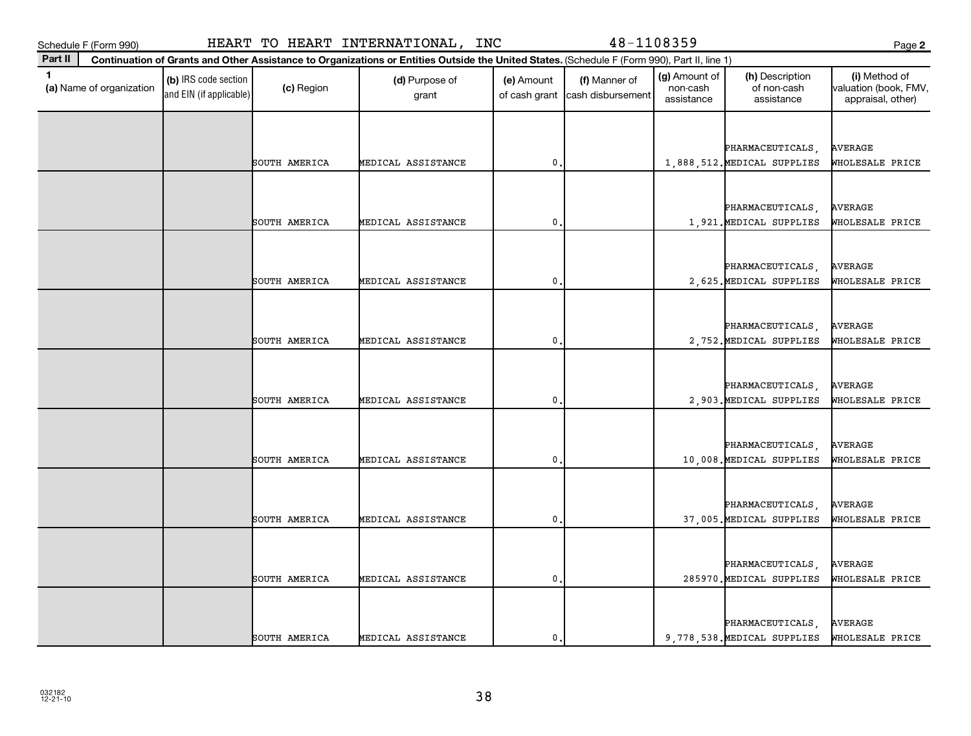| スクヨメン     |
|-----------|
| -21<br>ر۔ |

**(a)**  Name of organization

and EIN (if applicable)

| ×<br>۰.<br>. .<br>v | I<br>۰. |
|---------------------|---------|

|  |               |                    |             |  | PHARMACEUTICALS,                            | <b>AVERAGE</b>  |
|--|---------------|--------------------|-------------|--|---------------------------------------------|-----------------|
|  | SOUTH AMERICA | MEDICAL ASSISTANCE | 0           |  | 1,888,512. MEDICAL SUPPLIES WHOLESALE PRICE |                 |
|  |               |                    |             |  |                                             |                 |
|  |               |                    |             |  |                                             |                 |
|  |               |                    |             |  | PHARMACEUTICALS,                            | AVERAGE         |
|  | SOUTH AMERICA | MEDICAL ASSISTANCE | $\mathbf 0$ |  | 1,921. MEDICAL SUPPLIES WHOLESALE PRICE     |                 |
|  |               |                    |             |  |                                             |                 |
|  |               |                    |             |  |                                             |                 |
|  |               |                    |             |  | PHARMACEUTICALS,                            | AVERAGE         |
|  | SOUTH AMERICA | MEDICAL ASSISTANCE | 0           |  | 2,625. MEDICAL SUPPLIES                     | WHOLESALE PRICE |
|  |               |                    |             |  |                                             |                 |
|  |               |                    |             |  |                                             | <b>AVERAGE</b>  |
|  | SOUTH AMERICA | MEDICAL ASSISTANCE | 0           |  | PHARMACEUTICALS,                            |                 |
|  |               |                    |             |  | 2,752. MEDICAL SUPPLIES                     | WHOLESALE PRICE |
|  |               |                    |             |  |                                             |                 |
|  |               |                    |             |  | PHARMACEUTICALS,                            | AVERAGE         |
|  | SOUTH AMERICA | MEDICAL ASSISTANCE | 0           |  | 2,903. MEDICAL SUPPLIES                     | WHOLESALE PRICE |
|  |               |                    |             |  |                                             |                 |
|  |               |                    |             |  |                                             |                 |
|  |               |                    |             |  | PHARMACEUTICALS,                            | AVERAGE         |
|  | SOUTH AMERICA | MEDICAL ASSISTANCE | 0           |  | 10,008. MEDICAL SUPPLIES WHOLESALE PRICE    |                 |
|  |               |                    |             |  |                                             |                 |
|  |               |                    |             |  |                                             |                 |
|  |               |                    |             |  | PHARMACEUTICALS,                            | AVERAGE         |
|  | SOUTH AMERICA | MEDICAL ASSISTANCE | 0           |  | 37,005. MEDICAL SUPPLIES                    | WHOLESALE PRICE |
|  |               |                    |             |  |                                             |                 |
|  |               |                    |             |  |                                             |                 |
|  |               |                    |             |  | PHARMACEUTICALS,                            | AVERAGE         |
|  | SOUTH AMERICA | MEDICAL ASSISTANCE | 0           |  | 285970. MEDICAL SUPPLIES                    | WHOLESALE PRICE |
|  |               |                    |             |  |                                             |                 |
|  |               |                    |             |  |                                             |                 |
|  |               |                    |             |  | PHARMACEUTICALS,                            | <b>AVERAGE</b>  |
|  | SOUTH AMERICA | MEDICAL ASSISTANCE | 0           |  | 9,778,538. MEDICAL SUPPLIES                 | WHOLESALE PRICE |

 $\begin{array}{|c|c|c|}\n\hline\n\text{(c) Region} & \text{(d) Purpose of} \\
\hline\n\end{array}$ 

**Continuation of Grants and Other Assistance to Organizations or Entities Outside the United States.**  (Schedule F (Form 990), Part II, line 1)

grant

**1 (b)** IRS code section **(c)** Region **(d)** Purpose of **(e)** Amount **(f)** Manner of **(g)** Amount of **(h)** Description **(i) (a)** Name of organization **(h)** Description **(i) (c)** Region **(d)** Purpose of **(d)** Amount **(** 

(e) Amount

of cash grant | cash disbursement

(f) Manner of

(g) Amount of non-cash assistance

(h) Description of non-cash assistance

**2**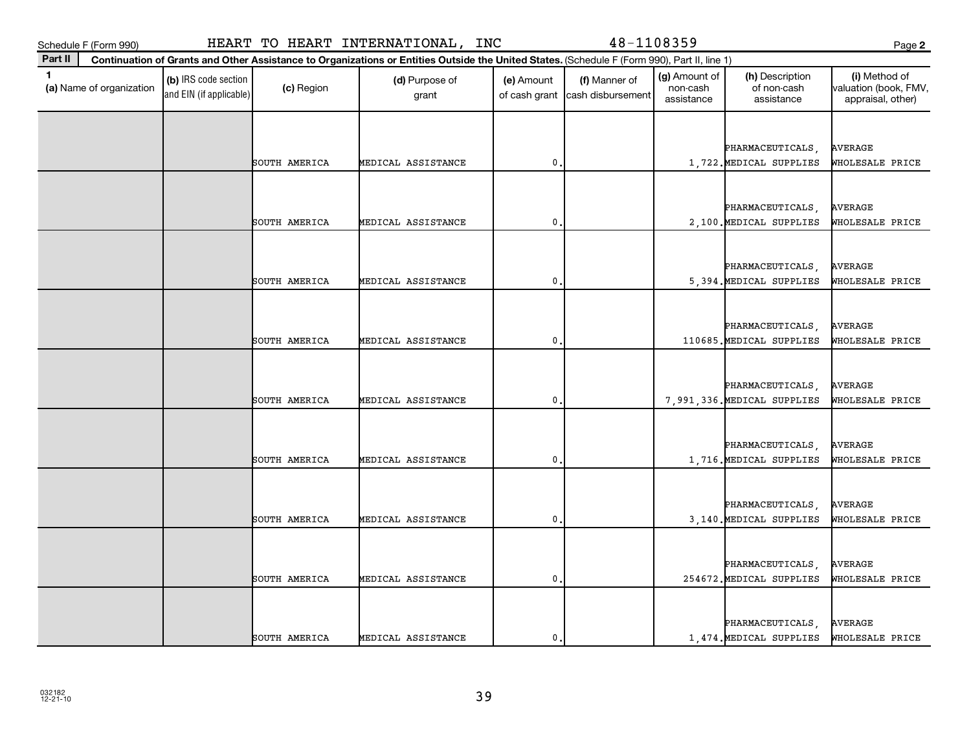| м<br>o.<br>٠. |
|---------------|
|               |

| ×        | ×<br>۰. |
|----------|---------|
| . .<br>v | v       |

| $\mathbf{1}$<br>(a) Name of organization | (b) IRS code section<br>and EIN (if applicable) | (c) Region    | (d) Purpose of<br>grant | (e) Amount     | (f) Manner of<br>of cash grant cash disbursement | (g) Amount of<br>non-cash<br>assistance | (h) Description<br>of non-cash<br>assistance | (i) Method of<br>valuation (book, FMV,<br>appraisal, other) |
|------------------------------------------|-------------------------------------------------|---------------|-------------------------|----------------|--------------------------------------------------|-----------------------------------------|----------------------------------------------|-------------------------------------------------------------|
|                                          |                                                 |               |                         |                |                                                  |                                         |                                              |                                                             |
|                                          |                                                 |               |                         |                |                                                  |                                         | PHARMACEUTICALS,                             | AVERAGE                                                     |
|                                          |                                                 | SOUTH AMERICA | MEDICAL ASSISTANCE      | $\mathbf{0}$ . |                                                  |                                         | 1,722. MEDICAL SUPPLIES                      | WHOLESALE PRICE                                             |
|                                          |                                                 |               |                         |                |                                                  |                                         |                                              |                                                             |
|                                          |                                                 |               |                         |                |                                                  |                                         |                                              |                                                             |
|                                          |                                                 | SOUTH AMERICA | MEDICAL ASSISTANCE      | $\mathbf 0$    |                                                  |                                         | PHARMACEUTICALS,<br>2,100. MEDICAL SUPPLIES  | AVERAGE<br>WHOLESALE PRICE                                  |
|                                          |                                                 |               |                         |                |                                                  |                                         |                                              |                                                             |
|                                          |                                                 |               |                         |                |                                                  |                                         |                                              |                                                             |
|                                          |                                                 |               |                         |                |                                                  |                                         | PHARMACEUTICALS,                             | <b>AVERAGE</b>                                              |
|                                          |                                                 | SOUTH AMERICA | MEDICAL ASSISTANCE      | $\mathbf{0}$ . |                                                  |                                         | 5,394. MEDICAL SUPPLIES                      | WHOLESALE PRICE                                             |
|                                          |                                                 |               |                         |                |                                                  |                                         |                                              |                                                             |
|                                          |                                                 |               |                         |                |                                                  |                                         | PHARMACEUTICALS,                             | <b>AVERAGE</b>                                              |
|                                          |                                                 | SOUTH AMERICA | MEDICAL ASSISTANCE      | $\mathbf{0}$ . |                                                  |                                         | 110685.MEDICAL SUPPLIES                      | WHOLESALE PRICE                                             |
|                                          |                                                 |               |                         |                |                                                  |                                         |                                              |                                                             |
|                                          |                                                 |               |                         |                |                                                  |                                         | PHARMACEUTICALS,                             | <b>AVERAGE</b>                                              |
|                                          |                                                 | SOUTH AMERICA | MEDICAL ASSISTANCE      | 0              |                                                  |                                         | 7,991,336. MEDICAL SUPPLIES                  | WHOLESALE PRICE                                             |
|                                          |                                                 |               |                         |                |                                                  |                                         |                                              |                                                             |
|                                          |                                                 |               |                         |                |                                                  |                                         |                                              |                                                             |
|                                          |                                                 |               |                         |                |                                                  |                                         | PHARMACEUTICALS,                             | <b>AVERAGE</b>                                              |
|                                          |                                                 | SOUTH AMERICA | MEDICAL ASSISTANCE      | $\mathbf{0}$ . |                                                  |                                         | 1,716. MEDICAL SUPPLIES                      | WHOLESALE PRICE                                             |
|                                          |                                                 |               |                         |                |                                                  |                                         |                                              |                                                             |
|                                          |                                                 |               |                         |                |                                                  |                                         | PHARMACEUTICALS,                             | <b>AVERAGE</b>                                              |
|                                          |                                                 | SOUTH AMERICA | MEDICAL ASSISTANCE      | $\mathbf{0}$ . |                                                  |                                         | 3,140. MEDICAL SUPPLIES                      | WHOLESALE PRICE                                             |
|                                          |                                                 |               |                         |                |                                                  |                                         |                                              |                                                             |
|                                          |                                                 |               |                         |                |                                                  |                                         | PHARMACEUTICALS,                             | AVERAGE                                                     |
|                                          |                                                 | SOUTH AMERICA | MEDICAL ASSISTANCE      | 0              |                                                  |                                         | 254672. MEDICAL SUPPLIES                     | WHOLESALE PRICE                                             |
|                                          |                                                 |               |                         |                |                                                  |                                         |                                              |                                                             |
|                                          |                                                 |               |                         |                |                                                  |                                         |                                              |                                                             |
|                                          |                                                 | SOUTH AMERICA | MEDICAL ASSISTANCE      | $\mathbf{0}$ . |                                                  |                                         | PHARMACEUTICALS,<br>1,474. MEDICAL SUPPLIES  | AVERAGE<br>WHOLESALE PRICE                                  |
|                                          |                                                 |               |                         |                |                                                  |                                         |                                              |                                                             |

**Part II Continuation of Grants and Other Assistance to Organizations or Entities Outside the United States.**  (Schedule F (Form 990), Part II, line 1)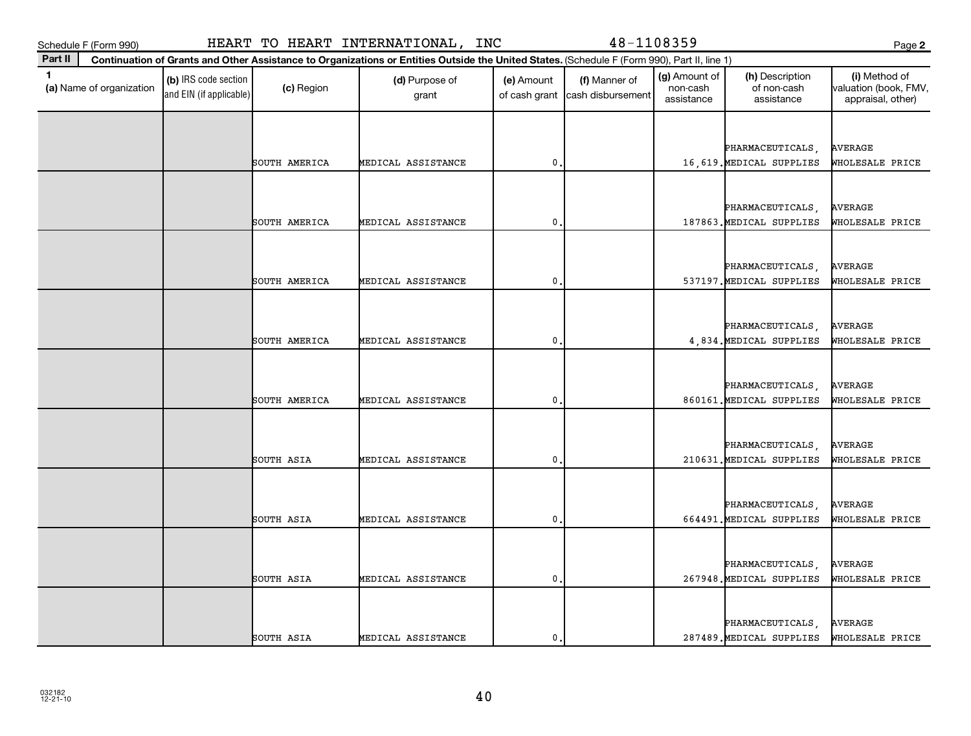|  | ×<br>٠ |
|--|--------|
|--|--------|

| Part II                                  |                                                 |               | Continuation of Grants and Other Assistance to Organizations or Entities Outside the United States. (Schedule F (Form 990), Part II, line 1) |                |                                                  |                                         |                                              |                                                             |
|------------------------------------------|-------------------------------------------------|---------------|----------------------------------------------------------------------------------------------------------------------------------------------|----------------|--------------------------------------------------|-----------------------------------------|----------------------------------------------|-------------------------------------------------------------|
| $\mathbf{1}$<br>(a) Name of organization | (b) IRS code section<br>and EIN (if applicable) | (c) Region    | (d) Purpose of<br>grant                                                                                                                      | (e) Amount     | (f) Manner of<br>of cash grant cash disbursement | (g) Amount of<br>non-cash<br>assistance | (h) Description<br>of non-cash<br>assistance | (i) Method of<br>valuation (book, FMV,<br>appraisal, other) |
|                                          |                                                 |               |                                                                                                                                              |                |                                                  |                                         |                                              |                                                             |
|                                          |                                                 |               |                                                                                                                                              |                |                                                  |                                         | PHARMACEUTICALS,                             | <b>AVERAGE</b>                                              |
|                                          |                                                 | SOUTH AMERICA | MEDICAL ASSISTANCE                                                                                                                           | 0.             |                                                  |                                         | 16,619. MEDICAL SUPPLIES                     | WHOLESALE PRICE                                             |
|                                          |                                                 |               |                                                                                                                                              |                |                                                  |                                         |                                              |                                                             |
|                                          |                                                 |               |                                                                                                                                              |                |                                                  |                                         | PHARMACEUTICALS.                             | <b>AVERAGE</b>                                              |
|                                          |                                                 | SOUTH AMERICA | MEDICAL ASSISTANCE                                                                                                                           | $\mathbf 0$ .  |                                                  |                                         | 187863. MEDICAL SUPPLIES                     | WHOLESALE PRICE                                             |
|                                          |                                                 |               |                                                                                                                                              |                |                                                  |                                         |                                              |                                                             |
|                                          |                                                 |               |                                                                                                                                              |                |                                                  |                                         |                                              | <b>AVERAGE</b>                                              |
|                                          |                                                 | SOUTH AMERICA | MEDICAL ASSISTANCE                                                                                                                           | 0,             |                                                  |                                         | PHARMACEUTICALS,<br>537197. MEDICAL SUPPLIES | WHOLESALE PRICE                                             |
|                                          |                                                 |               |                                                                                                                                              |                |                                                  |                                         |                                              |                                                             |
|                                          |                                                 |               |                                                                                                                                              |                |                                                  |                                         |                                              |                                                             |
|                                          |                                                 |               |                                                                                                                                              |                |                                                  |                                         | PHARMACEUTICALS.                             | <b>AVERAGE</b>                                              |
|                                          |                                                 | SOUTH AMERICA | MEDICAL ASSISTANCE                                                                                                                           | 0.             |                                                  |                                         | 4,834. MEDICAL SUPPLIES                      | WHOLESALE PRICE                                             |
|                                          |                                                 |               |                                                                                                                                              |                |                                                  |                                         |                                              |                                                             |
|                                          |                                                 |               |                                                                                                                                              |                |                                                  |                                         | PHARMACEUTICALS,                             | <b>AVERAGE</b>                                              |
|                                          |                                                 | SOUTH AMERICA | MEDICAL ASSISTANCE                                                                                                                           | $\mathbf 0$ .  |                                                  |                                         | 860161. MEDICAL SUPPLIES                     | WHOLESALE PRICE                                             |
|                                          |                                                 |               |                                                                                                                                              |                |                                                  |                                         |                                              |                                                             |
|                                          |                                                 |               |                                                                                                                                              |                |                                                  |                                         | PHARMACEUTICALS,                             | <b>AVERAGE</b>                                              |
|                                          |                                                 | SOUTH ASIA    | MEDICAL ASSISTANCE                                                                                                                           | 0.             |                                                  |                                         | 210631. MEDICAL SUPPLIES                     | WHOLESALE PRICE                                             |
|                                          |                                                 |               |                                                                                                                                              |                |                                                  |                                         |                                              |                                                             |
|                                          |                                                 |               |                                                                                                                                              |                |                                                  |                                         | PHARMACEUTICALS,                             | AVERAGE                                                     |
|                                          |                                                 | SOUTH ASIA    | MEDICAL ASSISTANCE                                                                                                                           | $\mathbf{0}$ . |                                                  |                                         | 664491. MEDICAL SUPPLIES                     | WHOLESALE PRICE                                             |
|                                          |                                                 |               |                                                                                                                                              |                |                                                  |                                         |                                              |                                                             |
|                                          |                                                 |               |                                                                                                                                              |                |                                                  |                                         |                                              |                                                             |
|                                          |                                                 | SOUTH ASIA    | MEDICAL ASSISTANCE                                                                                                                           | 0.             |                                                  |                                         | PHARMACEUTICALS,<br>267948. MEDICAL SUPPLIES | <b>AVERAGE</b><br>WHOLESALE PRICE                           |
|                                          |                                                 |               |                                                                                                                                              |                |                                                  |                                         |                                              |                                                             |
|                                          |                                                 |               |                                                                                                                                              |                |                                                  |                                         |                                              |                                                             |
|                                          |                                                 |               |                                                                                                                                              |                |                                                  |                                         | PHARMACEUTICALS                              | <b>AVERAGE</b>                                              |
|                                          |                                                 | SOUTH ASIA    | MEDICAL ASSISTANCE                                                                                                                           | $\mathbf{0}$ . |                                                  |                                         | 287489. MEDICAL SUPPLIES                     | WHOLESALE PRICE                                             |

## Schedule F (Form 990) HEART TO HEART INTERNATIONAL, INC 48-1108359 Page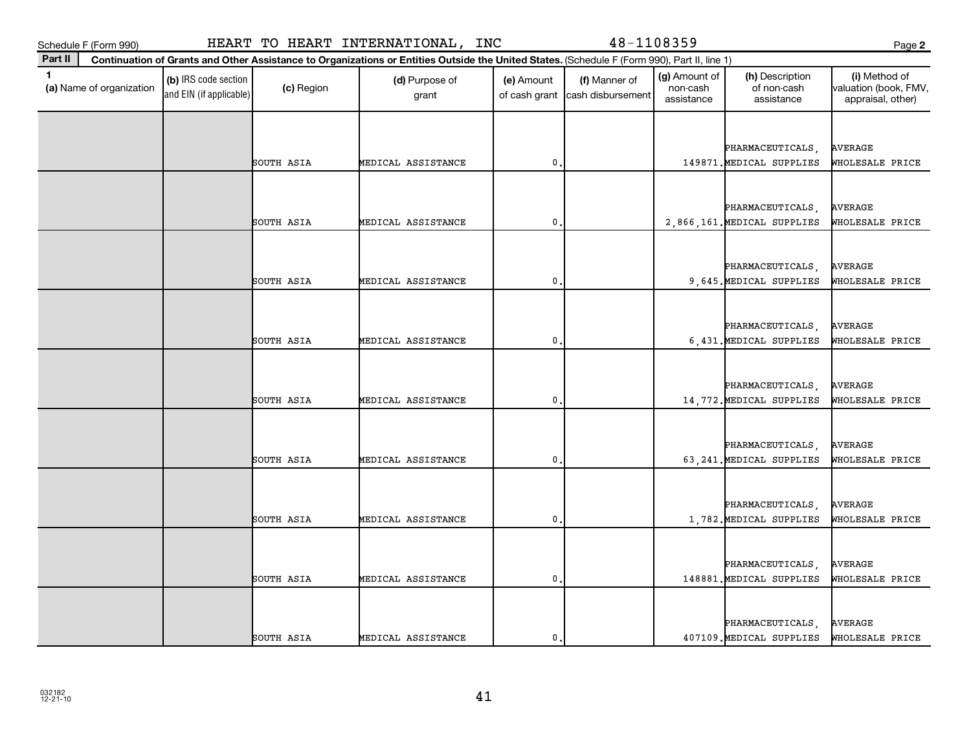|--|

| Part II                                  |                                                 |            | Continuation of Grants and Other Assistance to Organizations or Entities Outside the United States. (Schedule F (Form 990), Part II, line 1) |                             |                                    |                                         |                                               |                                                             |
|------------------------------------------|-------------------------------------------------|------------|----------------------------------------------------------------------------------------------------------------------------------------------|-----------------------------|------------------------------------|-----------------------------------------|-----------------------------------------------|-------------------------------------------------------------|
| $\mathbf{1}$<br>(a) Name of organization | (b) IRS code section<br>and EIN (if applicable) | (c) Region | (d) Purpose of<br>grant                                                                                                                      | (e) Amount<br>of cash grant | (f) Manner of<br>cash disbursement | (g) Amount of<br>non-cash<br>assistance | (h) Description<br>of non-cash<br>assistance  | (i) Method of<br>valuation (book, FMV,<br>appraisal, other) |
|                                          |                                                 |            |                                                                                                                                              |                             |                                    |                                         |                                               |                                                             |
|                                          |                                                 |            |                                                                                                                                              |                             |                                    |                                         | PHARMACEUTICALS,                              | AVERAGE                                                     |
|                                          |                                                 | SOUTH ASIA | MEDICAL ASSISTANCE                                                                                                                           | 0.                          |                                    |                                         | 149871. MEDICAL SUPPLIES                      | WHOLESALE PRICE                                             |
|                                          |                                                 |            |                                                                                                                                              |                             |                                    |                                         |                                               |                                                             |
|                                          |                                                 |            |                                                                                                                                              |                             |                                    |                                         | PHARMACEUTICALS,                              | AVERAGE                                                     |
|                                          |                                                 | SOUTH ASIA | MEDICAL ASSISTANCE                                                                                                                           | 0.                          |                                    |                                         | 2,866,161. MEDICAL SUPPLIES                   | WHOLESALE PRICE                                             |
|                                          |                                                 |            |                                                                                                                                              |                             |                                    |                                         |                                               |                                                             |
|                                          |                                                 |            |                                                                                                                                              |                             |                                    |                                         | PHARMACEUTICALS,                              | <b>AVERAGE</b>                                              |
|                                          |                                                 | SOUTH ASIA | MEDICAL ASSISTANCE                                                                                                                           | $\mathbf 0$ .               |                                    |                                         | 9,645. MEDICAL SUPPLIES                       | WHOLESALE PRICE                                             |
|                                          |                                                 |            |                                                                                                                                              |                             |                                    |                                         |                                               |                                                             |
|                                          |                                                 |            |                                                                                                                                              |                             |                                    |                                         |                                               |                                                             |
|                                          |                                                 | SOUTH ASIA | MEDICAL ASSISTANCE                                                                                                                           | 0.                          |                                    |                                         | PHARMACEUTICALS.<br>6,431. MEDICAL SUPPLIES   | <b>AVERAGE</b><br>WHOLESALE PRICE                           |
|                                          |                                                 |            |                                                                                                                                              |                             |                                    |                                         |                                               |                                                             |
|                                          |                                                 |            |                                                                                                                                              |                             |                                    |                                         |                                               |                                                             |
|                                          |                                                 | SOUTH ASIA | MEDICAL ASSISTANCE                                                                                                                           | 0.                          |                                    |                                         | PHARMACEUTICALS,<br>14,772. MEDICAL SUPPLIES  | <b>AVERAGE</b><br>WHOLESALE PRICE                           |
|                                          |                                                 |            |                                                                                                                                              |                             |                                    |                                         |                                               |                                                             |
|                                          |                                                 |            |                                                                                                                                              |                             |                                    |                                         |                                               |                                                             |
|                                          |                                                 | SOUTH ASIA | MEDICAL ASSISTANCE                                                                                                                           | 0.                          |                                    |                                         | PHARMACEUTICALS,<br>63, 241. MEDICAL SUPPLIES | <b>AVERAGE</b><br>WHOLESALE PRICE                           |
|                                          |                                                 |            |                                                                                                                                              |                             |                                    |                                         |                                               |                                                             |
|                                          |                                                 |            |                                                                                                                                              |                             |                                    |                                         |                                               |                                                             |
|                                          |                                                 |            |                                                                                                                                              |                             |                                    |                                         | PHARMACEUTICALS,                              | AVERAGE                                                     |
|                                          |                                                 | SOUTH ASIA | MEDICAL ASSISTANCE                                                                                                                           | $\mathbf 0$ .               |                                    |                                         | 1,782. MEDICAL SUPPLIES                       | WHOLESALE PRICE                                             |
|                                          |                                                 |            |                                                                                                                                              |                             |                                    |                                         |                                               |                                                             |
|                                          |                                                 |            |                                                                                                                                              |                             |                                    |                                         | PHARMACEUTICALS,                              | <b>AVERAGE</b>                                              |
|                                          |                                                 | SOUTH ASIA | MEDICAL ASSISTANCE                                                                                                                           | $\mathbf{0}$                |                                    |                                         | 148881. MEDICAL SUPPLIES                      | WHOLESALE PRICE                                             |
|                                          |                                                 |            |                                                                                                                                              |                             |                                    |                                         |                                               |                                                             |
|                                          |                                                 |            |                                                                                                                                              |                             |                                    |                                         | PHARMACEUTICALS                               | <b>AVERAGE</b>                                              |
|                                          |                                                 | SOUTH ASIA | MEDICAL ASSISTANCE                                                                                                                           | 0.                          |                                    |                                         | 407109. MEDICAL SUPPLIES                      | WHOLESALE PRICE                                             |

Schedule F (Form 990) HEART TO HEART INTERNATIONAL, INC 48-1108359 Page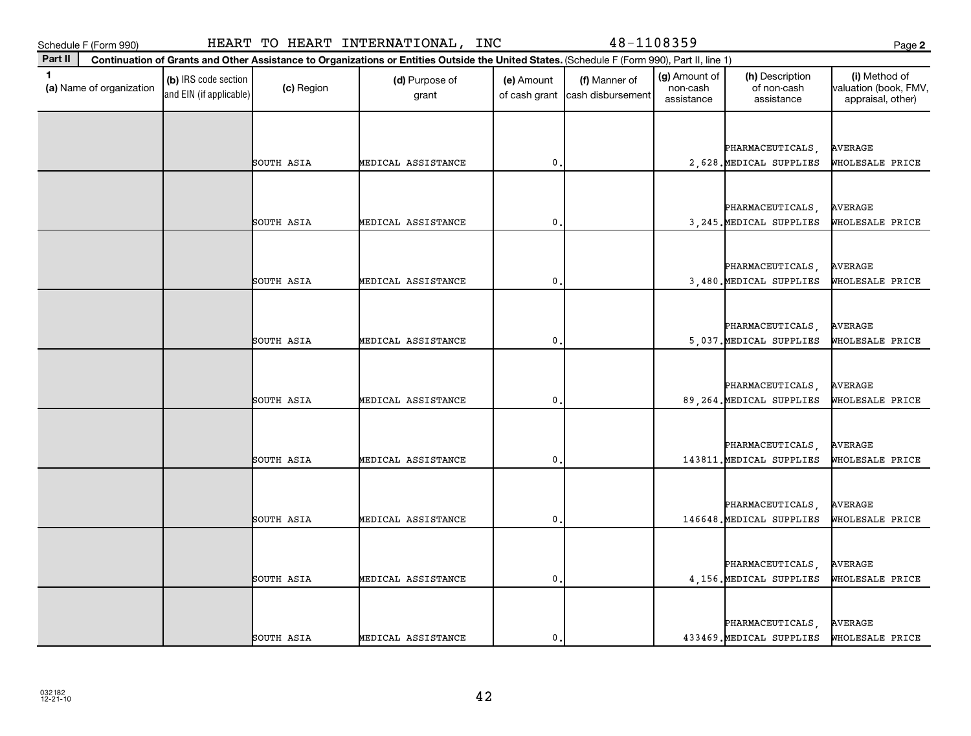| Part II                                    |                                                 |            | Continuation of Grants and Other Assistance to Organizations or Entities Outside the United States. (Schedule F (Form 990), Part II, line 1) |                |                                                  |                                         |                                              |                                                             |
|--------------------------------------------|-------------------------------------------------|------------|----------------------------------------------------------------------------------------------------------------------------------------------|----------------|--------------------------------------------------|-----------------------------------------|----------------------------------------------|-------------------------------------------------------------|
| $\blacksquare$<br>(a) Name of organization | (b) IRS code section<br>and EIN (if applicable) | (c) Region | (d) Purpose of<br>grant                                                                                                                      | (e) Amount     | (f) Manner of<br>of cash grant cash disbursement | (g) Amount of<br>non-cash<br>assistance | (h) Description<br>of non-cash<br>assistance | (i) Method of<br>valuation (book, FMV,<br>appraisal, other) |
|                                            |                                                 |            |                                                                                                                                              |                |                                                  |                                         |                                              |                                                             |
|                                            |                                                 |            |                                                                                                                                              |                |                                                  |                                         | PHARMACEUTICALS,                             | <b>AVERAGE</b>                                              |
|                                            |                                                 | SOUTH ASIA | MEDICAL ASSISTANCE                                                                                                                           | $\mathbf 0$    |                                                  |                                         | 2,628. MEDICAL SUPPLIES                      | WHOLESALE PRICE                                             |
|                                            |                                                 |            |                                                                                                                                              |                |                                                  |                                         |                                              |                                                             |
|                                            |                                                 |            |                                                                                                                                              |                |                                                  |                                         |                                              |                                                             |
|                                            |                                                 | SOUTH ASIA | MEDICAL ASSISTANCE                                                                                                                           | $\mathbf{0}$   |                                                  |                                         | PHARMACEUTICALS,<br>3, 245. MEDICAL SUPPLIES | <b>AVERAGE</b><br>WHOLESALE PRICE                           |
|                                            |                                                 |            |                                                                                                                                              |                |                                                  |                                         |                                              |                                                             |
|                                            |                                                 |            |                                                                                                                                              |                |                                                  |                                         |                                              |                                                             |
|                                            |                                                 | SOUTH ASIA | MEDICAL ASSISTANCE                                                                                                                           | $\mathbf{0}$ . |                                                  |                                         | PHARMACEUTICALS,                             | <b>AVERAGE</b><br>WHOLESALE PRICE                           |
|                                            |                                                 |            |                                                                                                                                              |                |                                                  |                                         | 3,480. MEDICAL SUPPLIES                      |                                                             |
|                                            |                                                 |            |                                                                                                                                              |                |                                                  |                                         |                                              |                                                             |
|                                            |                                                 |            |                                                                                                                                              |                |                                                  |                                         | PHARMACEUTICALS,                             | <b>AVERAGE</b>                                              |
|                                            |                                                 | SOUTH ASIA | MEDICAL ASSISTANCE                                                                                                                           | $\mathbf 0$    |                                                  |                                         | 5,037. MEDICAL SUPPLIES                      | WHOLESALE PRICE                                             |
|                                            |                                                 |            |                                                                                                                                              |                |                                                  |                                         |                                              |                                                             |
|                                            |                                                 |            |                                                                                                                                              |                |                                                  |                                         | PHARMACEUTICALS,                             | <b>AVERAGE</b>                                              |
|                                            |                                                 | SOUTH ASIA | MEDICAL ASSISTANCE                                                                                                                           | $\mathbf 0$    |                                                  |                                         | 89, 264. MEDICAL SUPPLIES                    | WHOLESALE PRICE                                             |
|                                            |                                                 |            |                                                                                                                                              |                |                                                  |                                         |                                              |                                                             |
|                                            |                                                 |            |                                                                                                                                              |                |                                                  |                                         | PHARMACEUTICALS,                             | <b>AVERAGE</b>                                              |
|                                            |                                                 | SOUTH ASIA | MEDICAL ASSISTANCE                                                                                                                           | 0,             |                                                  |                                         | 143811. MEDICAL SUPPLIES                     | WHOLESALE PRICE                                             |
|                                            |                                                 |            |                                                                                                                                              |                |                                                  |                                         |                                              |                                                             |
|                                            |                                                 |            |                                                                                                                                              |                |                                                  |                                         | PHARMACEUTICALS,                             | <b>AVERAGE</b>                                              |
|                                            |                                                 | SOUTH ASIA | MEDICAL ASSISTANCE                                                                                                                           | 0,             |                                                  |                                         | 146648. MEDICAL SUPPLIES                     | WHOLESALE PRICE                                             |
|                                            |                                                 |            |                                                                                                                                              |                |                                                  |                                         |                                              |                                                             |
|                                            |                                                 |            |                                                                                                                                              |                |                                                  |                                         |                                              |                                                             |
|                                            |                                                 | SOUTH ASIA | MEDICAL ASSISTANCE                                                                                                                           | $\mathbf 0$ .  |                                                  |                                         | PHARMACEUTICALS,<br>4,156. MEDICAL SUPPLIES  | <b>AVERAGE</b><br>WHOLESALE PRICE                           |
|                                            |                                                 |            |                                                                                                                                              |                |                                                  |                                         |                                              |                                                             |
|                                            |                                                 |            |                                                                                                                                              |                |                                                  |                                         |                                              |                                                             |
|                                            |                                                 | SOUTH ASIA | MEDICAL ASSISTANCE                                                                                                                           | $\mathbf{0}$ . |                                                  |                                         | PHARMACEUTICALS,<br>433469. MEDICAL SUPPLIES | <b>AVERAGE</b><br>WHOLESALE PRICE                           |
|                                            |                                                 |            |                                                                                                                                              |                |                                                  |                                         |                                              |                                                             |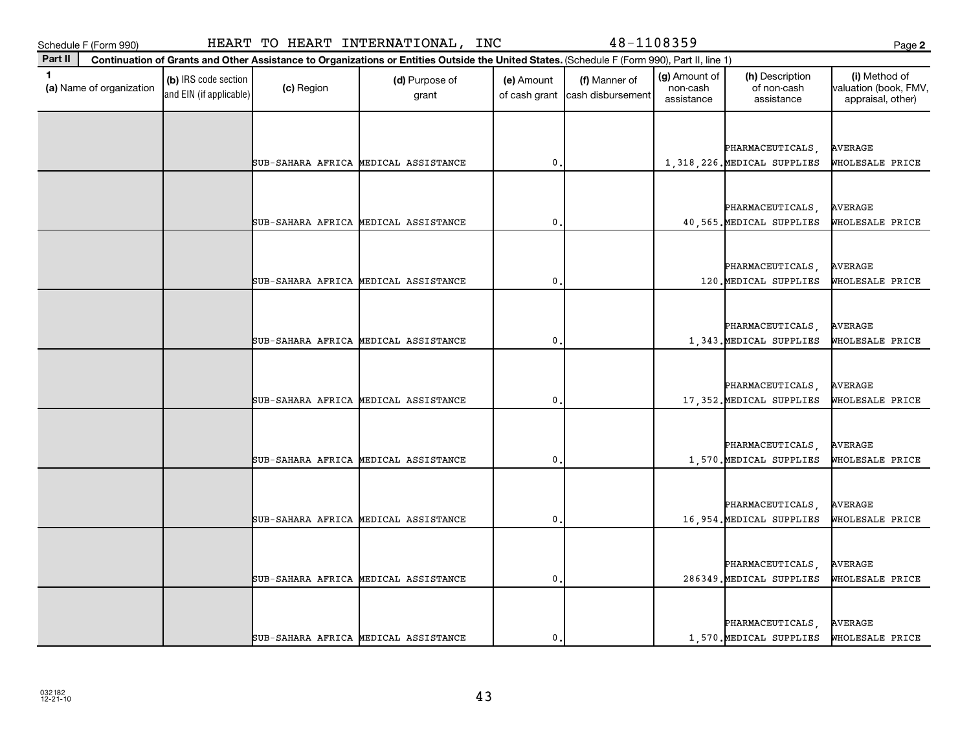| Schedule F (Form 990)         |                                                 |            | HEART TO HEART INTERNATIONAL, INC                                                                                                            |                             | 48-1108359                         |                                         |                                              | Page 2                                                      |
|-------------------------------|-------------------------------------------------|------------|----------------------------------------------------------------------------------------------------------------------------------------------|-----------------------------|------------------------------------|-----------------------------------------|----------------------------------------------|-------------------------------------------------------------|
| Part II                       |                                                 |            | Continuation of Grants and Other Assistance to Organizations or Entities Outside the United States. (Schedule F (Form 990), Part II, line 1) |                             |                                    |                                         |                                              |                                                             |
| 1<br>(a) Name of organization | (b) IRS code section<br>and EIN (if applicable) | (c) Region | (d) Purpose of<br>grant                                                                                                                      | (e) Amount<br>of cash grant | (f) Manner of<br>cash disbursement | (g) Amount of<br>non-cash<br>assistance | (h) Description<br>of non-cash<br>assistance | (i) Method of<br>valuation (book, FMV,<br>appraisal, other) |
|                               |                                                 |            |                                                                                                                                              |                             |                                    |                                         |                                              |                                                             |
|                               |                                                 |            |                                                                                                                                              |                             |                                    |                                         | PHARMACEUTICALS,                             | <b>AVERAGE</b>                                              |
|                               |                                                 |            | SUB-SAHARA AFRICA MEDICAL ASSISTANCE                                                                                                         | $\mathbf 0$                 |                                    |                                         | 1,318,226. MEDICAL SUPPLIES                  | WHOLESALE PRICE                                             |
|                               |                                                 |            |                                                                                                                                              |                             |                                    |                                         |                                              |                                                             |
|                               |                                                 |            |                                                                                                                                              |                             |                                    |                                         | PHARMACEUTICALS,                             | <b>AVERAGE</b>                                              |
|                               |                                                 |            | SUB-SAHARA AFRICA MEDICAL ASSISTANCE                                                                                                         | $\mathbf 0$                 |                                    |                                         | 40,565. MEDICAL SUPPLIES                     | WHOLESALE PRICE                                             |
|                               |                                                 |            |                                                                                                                                              |                             |                                    |                                         |                                              |                                                             |
|                               |                                                 |            |                                                                                                                                              |                             |                                    |                                         | PHARMACEUTICALS,                             | <b>AVERAGE</b>                                              |
|                               |                                                 |            | SUB-SAHARA AFRICA MEDICAL ASSISTANCE                                                                                                         | $\mathbf{0}$                |                                    |                                         | 120. MEDICAL SUPPLIES                        | WHOLESALE PRICE                                             |
|                               |                                                 |            |                                                                                                                                              |                             |                                    |                                         |                                              |                                                             |
|                               |                                                 |            |                                                                                                                                              |                             |                                    |                                         | PHARMACEUTICALS,                             | <b>AVERAGE</b>                                              |
|                               |                                                 |            | SUB-SAHARA AFRICA MEDICAL ASSISTANCE                                                                                                         | $\mathbf{0}$                |                                    |                                         | 1,343. MEDICAL SUPPLIES                      | WHOLESALE PRICE                                             |
|                               |                                                 |            |                                                                                                                                              |                             |                                    |                                         |                                              |                                                             |
|                               |                                                 |            |                                                                                                                                              |                             |                                    |                                         | PHARMACEUTICALS,                             | <b>AVERAGE</b>                                              |
|                               |                                                 |            | SUB-SAHARA AFRICA MEDICAL ASSISTANCE                                                                                                         | $\mathbf 0$                 |                                    |                                         | 17,352. MEDICAL SUPPLIES                     | WHOLESALE PRICE                                             |
|                               |                                                 |            |                                                                                                                                              |                             |                                    |                                         |                                              |                                                             |
|                               |                                                 |            |                                                                                                                                              |                             |                                    |                                         | PHARMACEUTICALS,                             | AVERAGE                                                     |
|                               |                                                 |            | SUB-SAHARA AFRICA MEDICAL ASSISTANCE                                                                                                         | $\mathbf 0$                 |                                    |                                         | 1,570. MEDICAL SUPPLIES                      | WHOLESALE PRICE                                             |
|                               |                                                 |            |                                                                                                                                              |                             |                                    |                                         |                                              |                                                             |
|                               |                                                 |            |                                                                                                                                              |                             |                                    |                                         | PHARMACEUTICALS,                             | <b>AVERAGE</b>                                              |
|                               |                                                 |            | SUB-SAHARA AFRICA MEDICAL ASSISTANCE                                                                                                         | $\mathbf{0}$                |                                    |                                         | 16,954. MEDICAL SUPPLIES                     | WHOLESALE PRICE                                             |
|                               |                                                 |            |                                                                                                                                              |                             |                                    |                                         |                                              |                                                             |
|                               |                                                 |            |                                                                                                                                              |                             |                                    |                                         | PHARMACEUTICALS,                             | <b>AVERAGE</b>                                              |
|                               |                                                 |            | SUB-SAHARA AFRICA MEDICAL ASSISTANCE                                                                                                         | $\mathbf 0$                 |                                    |                                         | 286349. MEDICAL SUPPLIES                     | WHOLESALE PRICE                                             |
|                               |                                                 |            |                                                                                                                                              |                             |                                    |                                         |                                              |                                                             |
|                               |                                                 |            |                                                                                                                                              |                             |                                    |                                         | PHARMACEUTICALS,                             | AVERAGE                                                     |
|                               |                                                 |            | SUB-SAHARA AFRICA MEDICAL ASSISTANCE                                                                                                         | $\mathbf{0}$                |                                    |                                         | 1,570. MEDICAL SUPPLIES                      | WHOLESALE PRICE                                             |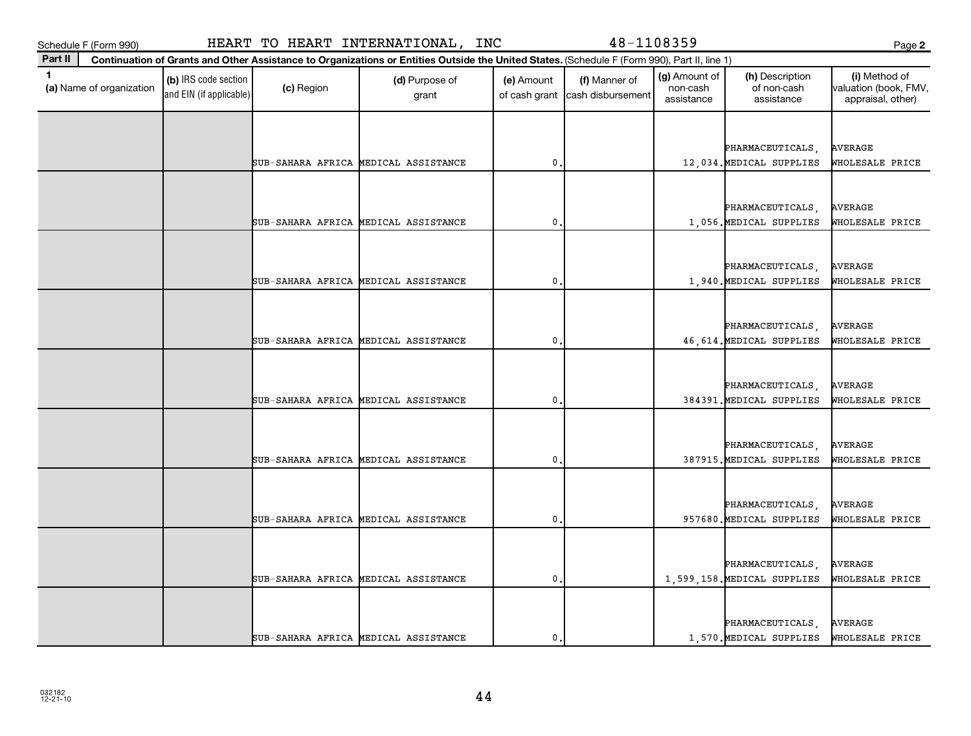| Schedule F (Form 990)                    |                                                 |            | HEART TO HEART INTERNATIONAL, INC                                                                                                            |                             | 48-1108359                         |                                         |                                              | Page 2                                                      |
|------------------------------------------|-------------------------------------------------|------------|----------------------------------------------------------------------------------------------------------------------------------------------|-----------------------------|------------------------------------|-----------------------------------------|----------------------------------------------|-------------------------------------------------------------|
| Part II                                  |                                                 |            | Continuation of Grants and Other Assistance to Organizations or Entities Outside the United States. (Schedule F (Form 990), Part II, line 1) |                             |                                    |                                         |                                              |                                                             |
| $\mathbf{1}$<br>(a) Name of organization | (b) IRS code section<br>and EIN (if applicable) | (c) Region | (d) Purpose of<br>grant                                                                                                                      | (e) Amount<br>of cash grant | (f) Manner of<br>cash disbursement | (g) Amount of<br>non-cash<br>assistance | (h) Description<br>of non-cash<br>assistance | (i) Method of<br>valuation (book, FMV,<br>appraisal, other) |
|                                          |                                                 |            |                                                                                                                                              |                             |                                    |                                         |                                              |                                                             |
|                                          |                                                 |            |                                                                                                                                              |                             |                                    |                                         | PHARMACEUTICALS,                             | <b>AVERAGE</b>                                              |
|                                          |                                                 |            | SUB-SAHARA AFRICA MEDICAL ASSISTANCE                                                                                                         | 0                           |                                    |                                         | 12,034. MEDICAL SUPPLIES                     | WHOLESALE PRICE                                             |
|                                          |                                                 |            |                                                                                                                                              |                             |                                    |                                         |                                              |                                                             |
|                                          |                                                 |            |                                                                                                                                              |                             |                                    |                                         | PHARMACEUTICALS,                             | AVERAGE                                                     |
|                                          |                                                 |            | SUB-SAHARA AFRICA MEDICAL ASSISTANCE                                                                                                         | 0                           |                                    |                                         | 1,056. MEDICAL SUPPLIES                      | WHOLESALE PRICE                                             |
|                                          |                                                 |            |                                                                                                                                              |                             |                                    |                                         |                                              |                                                             |
|                                          |                                                 |            |                                                                                                                                              |                             |                                    |                                         | PHARMACEUTICALS,                             | AVERAGE                                                     |
|                                          |                                                 |            | SUB-SAHARA AFRICA MEDICAL ASSISTANCE                                                                                                         | 0                           |                                    |                                         | 1,940. MEDICAL SUPPLIES                      | WHOLESALE PRICE                                             |
|                                          |                                                 |            |                                                                                                                                              |                             |                                    |                                         |                                              |                                                             |
|                                          |                                                 |            |                                                                                                                                              |                             |                                    |                                         | PHARMACEUTICALS,                             | AVERAGE                                                     |
|                                          |                                                 |            | SUB-SAHARA AFRICA MEDICAL ASSISTANCE                                                                                                         | 0                           |                                    |                                         | 46, 614. MEDICAL SUPPLIES                    | WHOLESALE PRICE                                             |
|                                          |                                                 |            |                                                                                                                                              |                             |                                    |                                         |                                              |                                                             |
|                                          |                                                 |            |                                                                                                                                              |                             |                                    |                                         | PHARMACEUTICALS,                             | AVERAGE                                                     |
|                                          |                                                 |            | SUB-SAHARA AFRICA MEDICAL ASSISTANCE                                                                                                         | 0                           |                                    |                                         | 384391. MEDICAL SUPPLIES                     | WHOLESALE PRICE                                             |
|                                          |                                                 |            |                                                                                                                                              |                             |                                    |                                         |                                              |                                                             |
|                                          |                                                 |            |                                                                                                                                              |                             |                                    |                                         | PHARMACEUTICALS,                             | AVERAGE                                                     |
|                                          |                                                 |            | SUB-SAHARA AFRICA MEDICAL ASSISTANCE                                                                                                         | 0                           |                                    |                                         | 387915. MEDICAL SUPPLIES                     | WHOLESALE PRICE                                             |
|                                          |                                                 |            |                                                                                                                                              |                             |                                    |                                         |                                              |                                                             |
|                                          |                                                 |            |                                                                                                                                              |                             |                                    |                                         | <b>PHARMACEUTICALS</b>                       | AVERAGE                                                     |
|                                          |                                                 |            | SUB-SAHARA AFRICA MEDICAL ASSISTANCE                                                                                                         | 0                           |                                    |                                         | 957680. MEDICAL SUPPLIES                     | WHOLESALE PRICE                                             |
|                                          |                                                 |            |                                                                                                                                              |                             |                                    |                                         |                                              |                                                             |
|                                          |                                                 |            |                                                                                                                                              |                             |                                    |                                         | PHARMACEUTICALS,                             | AVERAGE                                                     |
|                                          |                                                 |            | SUB-SAHARA AFRICA MEDICAL ASSISTANCE                                                                                                         | 0                           |                                    |                                         | 1,599,158. MEDICAL SUPPLIES                  | WHOLESALE PRICE                                             |
|                                          |                                                 |            |                                                                                                                                              |                             |                                    |                                         |                                              |                                                             |
|                                          |                                                 |            |                                                                                                                                              |                             |                                    |                                         | PHARMACEUTICALS                              | AVERAGE                                                     |
|                                          |                                                 |            | SUB-SAHARA AFRICA MEDICAL ASSISTANCE                                                                                                         | $\mathbf{0}$ .              |                                    |                                         | 1,570. MEDICAL SUPPLIES                      | WHOLESALE PRICE                                             |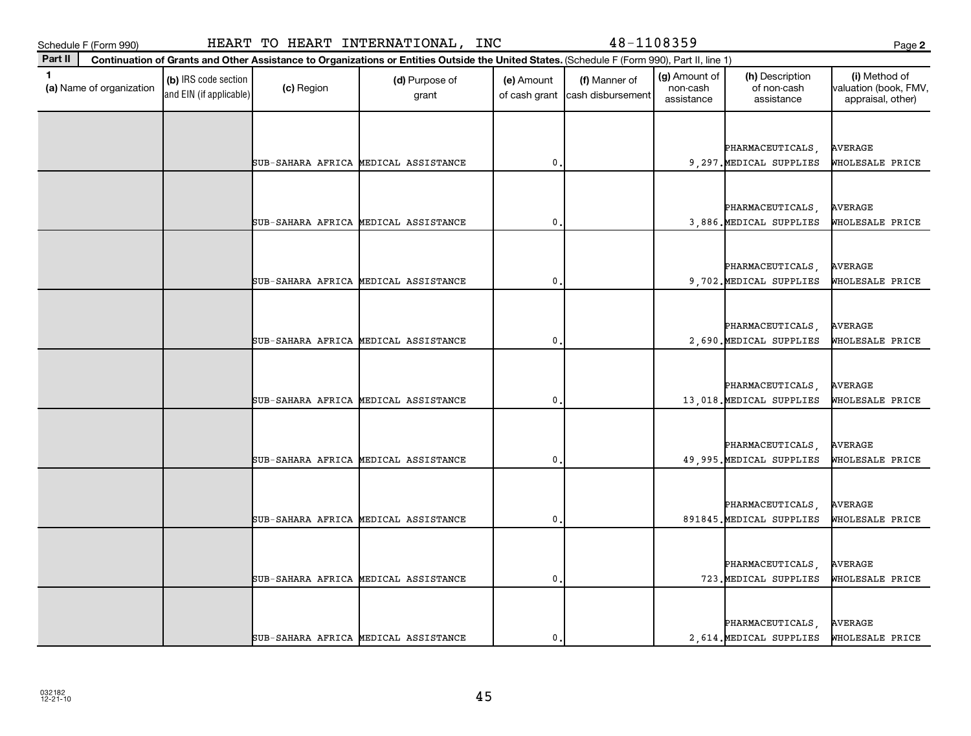| Schedule F (Form 990)                    |                                                 |            | HEART TO HEART INTERNATIONAL, INC                                                                                                            |                             | 48-1108359                         |                                         |                                              | Page 2                                                      |
|------------------------------------------|-------------------------------------------------|------------|----------------------------------------------------------------------------------------------------------------------------------------------|-----------------------------|------------------------------------|-----------------------------------------|----------------------------------------------|-------------------------------------------------------------|
| Part II                                  |                                                 |            | Continuation of Grants and Other Assistance to Organizations or Entities Outside the United States. (Schedule F (Form 990), Part II, line 1) |                             |                                    |                                         |                                              |                                                             |
| $\mathbf{1}$<br>(a) Name of organization | (b) IRS code section<br>and EIN (if applicable) | (c) Region | (d) Purpose of<br>grant                                                                                                                      | (e) Amount<br>of cash grant | (f) Manner of<br>cash disbursement | (g) Amount of<br>non-cash<br>assistance | (h) Description<br>of non-cash<br>assistance | (i) Method of<br>valuation (book, FMV,<br>appraisal, other) |
|                                          |                                                 |            |                                                                                                                                              |                             |                                    |                                         |                                              |                                                             |
|                                          |                                                 |            |                                                                                                                                              |                             |                                    |                                         | PHARMACEUTICALS,                             | <b>AVERAGE</b>                                              |
|                                          |                                                 |            | SUB-SAHARA AFRICA MEDICAL ASSISTANCE                                                                                                         | 0                           |                                    |                                         | 9,297. MEDICAL SUPPLIES                      | WHOLESALE PRICE                                             |
|                                          |                                                 |            |                                                                                                                                              |                             |                                    |                                         |                                              |                                                             |
|                                          |                                                 |            |                                                                                                                                              |                             |                                    |                                         | PHARMACEUTICALS,                             | <b>AVERAGE</b>                                              |
|                                          |                                                 |            | SUB-SAHARA AFRICA MEDICAL ASSISTANCE                                                                                                         | 0                           |                                    |                                         | 3,886. MEDICAL SUPPLIES                      | WHOLESALE PRICE                                             |
|                                          |                                                 |            |                                                                                                                                              |                             |                                    |                                         |                                              |                                                             |
|                                          |                                                 |            |                                                                                                                                              |                             |                                    |                                         | PHARMACEUTICALS                              | AVERAGE                                                     |
|                                          |                                                 |            | SUB-SAHARA AFRICA MEDICAL ASSISTANCE                                                                                                         | 0                           |                                    |                                         | 9,702. MEDICAL SUPPLIES                      | WHOLESALE PRICE                                             |
|                                          |                                                 |            |                                                                                                                                              |                             |                                    |                                         |                                              |                                                             |
|                                          |                                                 |            |                                                                                                                                              |                             |                                    |                                         | PHARMACEUTICALS,                             | <b>AVERAGE</b>                                              |
|                                          |                                                 |            | SUB-SAHARA AFRICA MEDICAL ASSISTANCE                                                                                                         | 0                           |                                    |                                         | 2,690. MEDICAL SUPPLIES                      | WHOLESALE PRICE                                             |
|                                          |                                                 |            |                                                                                                                                              |                             |                                    |                                         |                                              |                                                             |
|                                          |                                                 |            |                                                                                                                                              |                             |                                    |                                         | PHARMACEUTICALS,                             | AVERAGE                                                     |
|                                          |                                                 |            | SUB-SAHARA AFRICA MEDICAL ASSISTANCE                                                                                                         | 0                           |                                    |                                         | 13,018. MEDICAL SUPPLIES                     | WHOLESALE PRICE                                             |
|                                          |                                                 |            |                                                                                                                                              |                             |                                    |                                         |                                              |                                                             |
|                                          |                                                 |            |                                                                                                                                              |                             |                                    |                                         | PHARMACEUTICALS                              | AVERAGE                                                     |
|                                          |                                                 |            | SUB-SAHARA AFRICA MEDICAL ASSISTANCE                                                                                                         | 0                           |                                    |                                         | 49,995. MEDICAL SUPPLIES                     | WHOLESALE PRICE                                             |
|                                          |                                                 |            |                                                                                                                                              |                             |                                    |                                         |                                              |                                                             |
|                                          |                                                 |            |                                                                                                                                              |                             |                                    |                                         | PHARMACEUTICALS                              | <b>AVERAGE</b>                                              |
|                                          |                                                 |            | SUB-SAHARA AFRICA MEDICAL ASSISTANCE                                                                                                         | 0                           |                                    |                                         | 891845. MEDICAL SUPPLIES                     | WHOLESALE PRICE                                             |
|                                          |                                                 |            |                                                                                                                                              |                             |                                    |                                         |                                              |                                                             |
|                                          |                                                 |            |                                                                                                                                              |                             |                                    |                                         | PHARMACEUTICALS,                             | AVERAGE                                                     |
|                                          |                                                 |            | SUB-SAHARA AFRICA MEDICAL ASSISTANCE                                                                                                         | $\mathbf 0$                 |                                    |                                         | 723. MEDICAL SUPPLIES                        | WHOLESALE PRICE                                             |
|                                          |                                                 |            |                                                                                                                                              |                             |                                    |                                         |                                              |                                                             |
|                                          |                                                 |            |                                                                                                                                              |                             |                                    |                                         | PHARMACEUTICALS                              | AVERAGE                                                     |
|                                          |                                                 |            | SUB-SAHARA AFRICA MEDICAL ASSISTANCE                                                                                                         | $\mathbf{0}$ .              |                                    |                                         | 2,614. MEDICAL SUPPLIES                      | WHOLESALE PRICE                                             |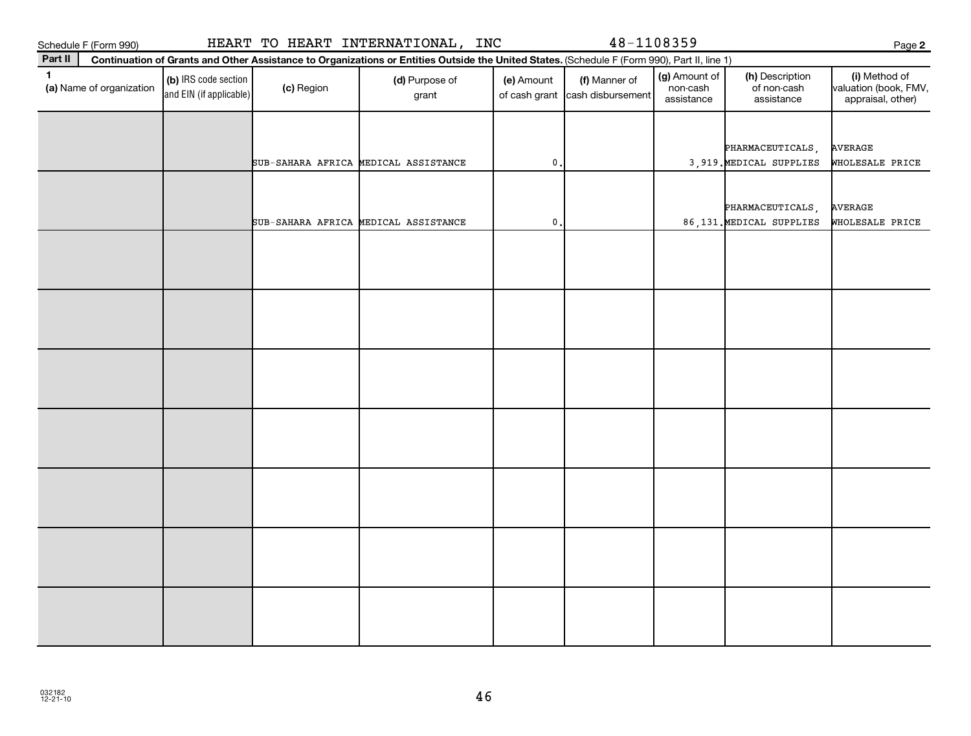Schedule F (Form 990)

| HEART TO HEART INTERNATIONAL, INC |  |  |
|-----------------------------------|--|--|
|-----------------------------------|--|--|

**Continuation of Grants and Other Assistance to Organizations or Entities Outside the United States.**  (Schedule F (Form 990), Part II, line 1)

48-1108359

| 1.<br>(a) Name of organization | (b) IRS code section<br>and EIN (if applicable) | (c) Region | (d) Purpose of<br>grant              | (e) Amount<br>of cash grant | (f) Manner of<br>cash disbursement | (g) Amount of<br>non-cash<br>assistance | (h) Description<br>of non-cash<br>assistance | (i) Method of<br>valuation (book, FMV,<br>appraisal, other) |
|--------------------------------|-------------------------------------------------|------------|--------------------------------------|-----------------------------|------------------------------------|-----------------------------------------|----------------------------------------------|-------------------------------------------------------------|
|                                |                                                 |            |                                      |                             |                                    |                                         | PHARMACEUTICALS,                             | <b>AVERAGE</b>                                              |
|                                |                                                 |            | SUB-SAHARA AFRICA MEDICAL ASSISTANCE | $\mathbf 0$ .               |                                    |                                         | 3,919. MEDICAL SUPPLIES                      | WHOLESALE PRICE                                             |
|                                |                                                 |            |                                      |                             |                                    |                                         | PHARMACEUTICALS,                             | <b>AVERAGE</b>                                              |
|                                |                                                 |            | SUB-SAHARA AFRICA MEDICAL ASSISTANCE | $\mathbf 0$ .               |                                    |                                         | 86,131. MEDICAL SUPPLIES                     | WHOLESALE PRICE                                             |
|                                |                                                 |            |                                      |                             |                                    |                                         |                                              |                                                             |
|                                |                                                 |            |                                      |                             |                                    |                                         |                                              |                                                             |
|                                |                                                 |            |                                      |                             |                                    |                                         |                                              |                                                             |
|                                |                                                 |            |                                      |                             |                                    |                                         |                                              |                                                             |
|                                |                                                 |            |                                      |                             |                                    |                                         |                                              |                                                             |
|                                |                                                 |            |                                      |                             |                                    |                                         |                                              |                                                             |
|                                |                                                 |            |                                      |                             |                                    |                                         |                                              |                                                             |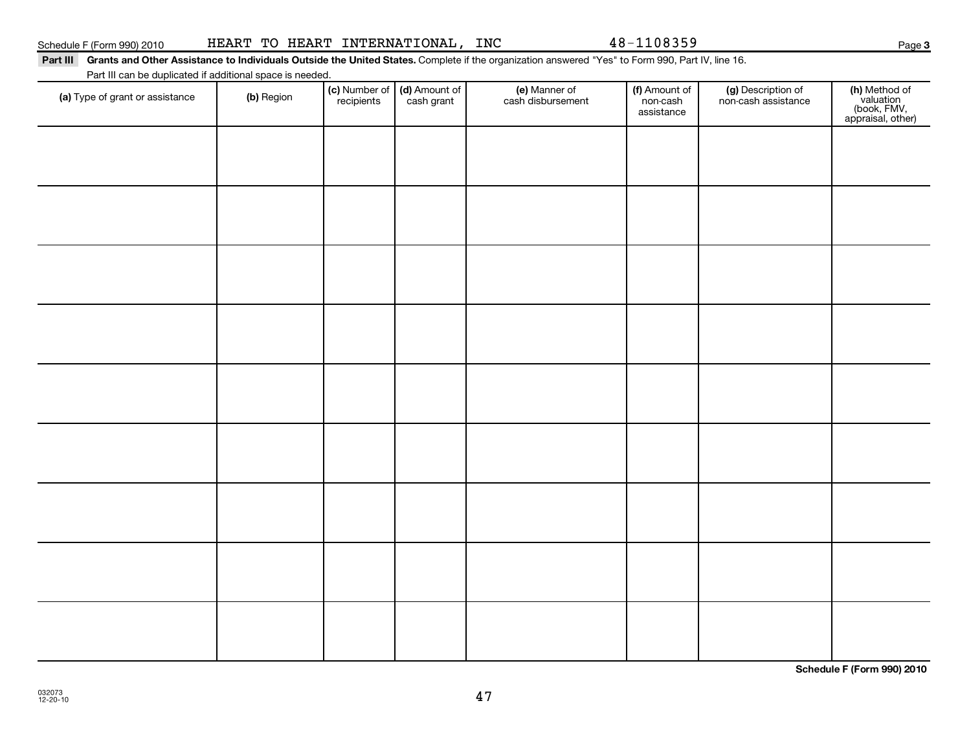## Schedule F (Form 990) 2010 Page HEART TO HEART INTERNATIONAL, INC 48-1108359

### Part III Grants and Other Assistance to Individuals Outside the United States. Complete if the organization answered "Yes" to Form 990, Part IV, line 16.

Part III can be duplicated if additional space is needed.

| (a) Type of grant or assistance | (b) Region | (c) Number of<br>recipients | (d) Amount of<br>cash grant | (e) Manner of<br>cash disbursement | (f) Amount of<br>non-cash<br>assistance | (g) Description of<br>non-cash assistance | (h) Method of<br>valuation<br>(book, FMV,<br>appraisal, other) |
|---------------------------------|------------|-----------------------------|-----------------------------|------------------------------------|-----------------------------------------|-------------------------------------------|----------------------------------------------------------------|
|                                 |            |                             |                             |                                    |                                         |                                           |                                                                |
|                                 |            |                             |                             |                                    |                                         |                                           |                                                                |
|                                 |            |                             |                             |                                    |                                         |                                           |                                                                |
|                                 |            |                             |                             |                                    |                                         |                                           |                                                                |
|                                 |            |                             |                             |                                    |                                         |                                           |                                                                |
|                                 |            |                             |                             |                                    |                                         |                                           |                                                                |
|                                 |            |                             |                             |                                    |                                         |                                           |                                                                |
|                                 |            |                             |                             |                                    |                                         |                                           |                                                                |
|                                 |            |                             |                             |                                    |                                         |                                           |                                                                |
|                                 |            |                             |                             |                                    |                                         |                                           |                                                                |
|                                 |            |                             |                             |                                    |                                         |                                           |                                                                |

47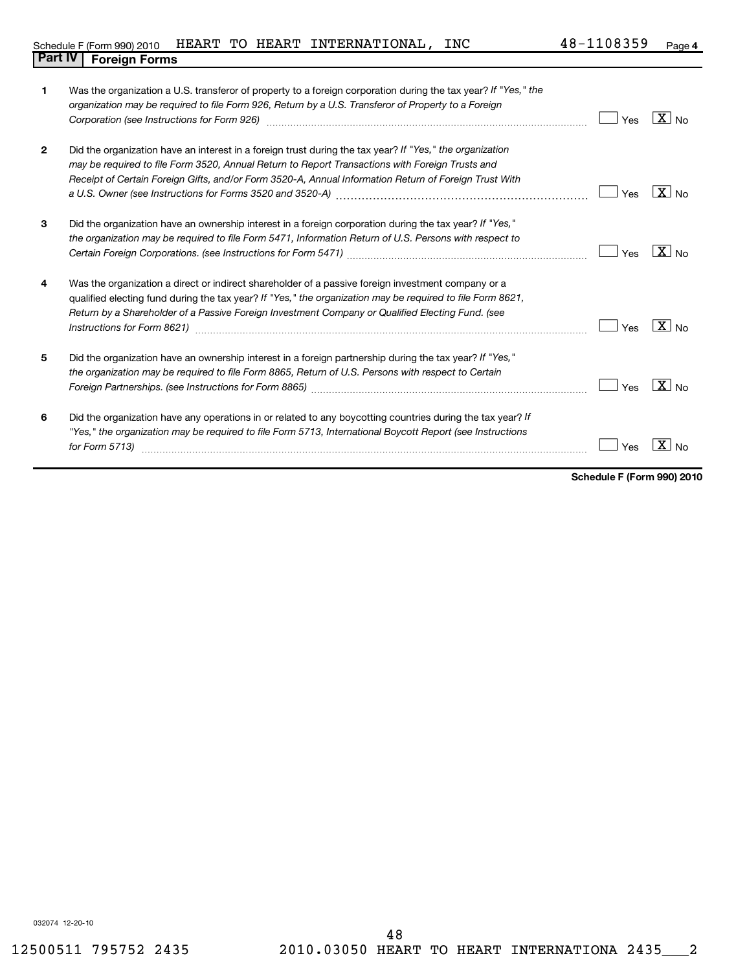| 1              | Was the organization a U.S. transferor of property to a foreign corporation during the tax year? If "Yes," the<br>organization may be required to file Form 926, Return by a U.S. Transferor of Property to a Foreign<br>Corporation (see Instructions for Form 926) [11] matter contracts and the state of the state of the state of the state of the state of the state of the state of the state of the state of the state of the state of the state | Yes | $X _{\text{No}}$  |
|----------------|---------------------------------------------------------------------------------------------------------------------------------------------------------------------------------------------------------------------------------------------------------------------------------------------------------------------------------------------------------------------------------------------------------------------------------------------------------|-----|-------------------|
| $\overline{2}$ | Did the organization have an interest in a foreign trust during the tax year? If "Yes," the organization<br>may be required to file Form 3520, Annual Return to Report Transactions with Foreign Trusts and<br>Receipt of Certain Foreign Gifts, and/or Form 3520-A, Annual Information Return of Foreign Trust With                                                                                                                                    | Yes | $X _{\text{No}}$  |
| 3              | Did the organization have an ownership interest in a foreign corporation during the tax year? If "Yes,"<br>the organization may be required to file Form 5471, Information Return of U.S. Persons with respect to                                                                                                                                                                                                                                       | Yes | $\overline{X}$ No |
| 4              | Was the organization a direct or indirect shareholder of a passive foreign investment company or a<br>qualified electing fund during the tax year? If "Yes," the organization may be required to file Form 8621,<br>Return by a Shareholder of a Passive Foreign Investment Company or Qualified Electing Fund. (see                                                                                                                                    | Yes | $\overline{X}$ No |
| 5              | Did the organization have an ownership interest in a foreign partnership during the tax year? If "Yes,"<br>the organization may be required to file Form 8865, Return of U.S. Persons with respect to Certain                                                                                                                                                                                                                                           | Yes | $\overline{X}$ No |
| 6              | Did the organization have any operations in or related to any boycotting countries during the tax year? If<br>"Yes," the organization may be required to file Form 5713, International Boycott Report (see Instructions<br>for Form $5713$ )                                                                                                                                                                                                            | Yes |                   |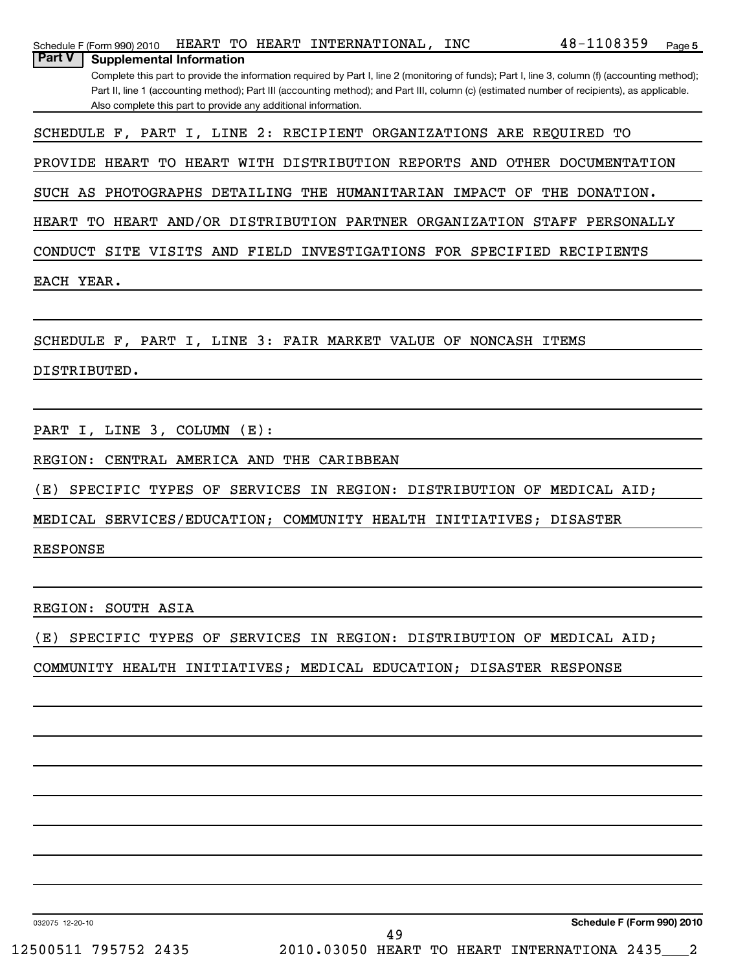| 48-1108359<br>HEART TO HEART INTERNATIONAL, INC<br>Schedule F (Form 990) 2010<br>Page 5                                                                                                             |
|-----------------------------------------------------------------------------------------------------------------------------------------------------------------------------------------------------|
| <b>Part V</b><br><b>Supplemental Information</b><br>Complete this part to provide the information required by Part I, line 2 (monitoring of funds); Part I, line 3, column (f) (accounting method); |
| Part II, line 1 (accounting method); Part III (accounting method); and Part III, column (c) (estimated number of recipients), as applicable.                                                        |
| Also complete this part to provide any additional information.                                                                                                                                      |
| SCHEDULE F, PART I, LINE 2: RECIPIENT ORGANIZATIONS ARE REQUIRED TO                                                                                                                                 |
| PROVIDE HEART TO HEART WITH DISTRIBUTION REPORTS AND OTHER DOCUMENTATION                                                                                                                            |
| SUCH AS PHOTOGRAPHS DETAILING THE HUMANITARIAN IMPACT OF THE DONATION.                                                                                                                              |
| HEART TO HEART AND/OR DISTRIBUTION PARTNER ORGANIZATION STAFF PERSONALLY                                                                                                                            |
| CONDUCT SITE VISITS AND FIELD INVESTIGATIONS FOR SPECIFIED RECIPIENTS                                                                                                                               |
| EACH YEAR.                                                                                                                                                                                          |
|                                                                                                                                                                                                     |
| SCHEDULE F, PART I, LINE 3: FAIR MARKET VALUE OF NONCASH ITEMS                                                                                                                                      |
| DISTRIBUTED.                                                                                                                                                                                        |
|                                                                                                                                                                                                     |
| PART I, LINE 3, COLUMN (E):                                                                                                                                                                         |
|                                                                                                                                                                                                     |
| REGION: CENTRAL AMERICA AND THE CARIBBEAN                                                                                                                                                           |
| SPECIFIC TYPES OF SERVICES IN REGION: DISTRIBUTION OF MEDICAL AID;<br>(E)                                                                                                                           |
| MEDICAL SERVICES/EDUCATION; COMMUNITY HEALTH INITIATIVES; DISASTER                                                                                                                                  |
| <b>RESPONSE</b>                                                                                                                                                                                     |
|                                                                                                                                                                                                     |
| REGION: SOUTH ASIA                                                                                                                                                                                  |
| SPECIFIC TYPES OF SERVICES IN REGION: DISTRIBUTION OF MEDICAL AID;<br>(         E        )                                                                                                          |
| COMMUNITY HEALTH INITIATIVES; MEDICAL EDUCATION; DISASTER RESPONSE                                                                                                                                  |
|                                                                                                                                                                                                     |
|                                                                                                                                                                                                     |
|                                                                                                                                                                                                     |
|                                                                                                                                                                                                     |
|                                                                                                                                                                                                     |
|                                                                                                                                                                                                     |
|                                                                                                                                                                                                     |

032075 12-20-10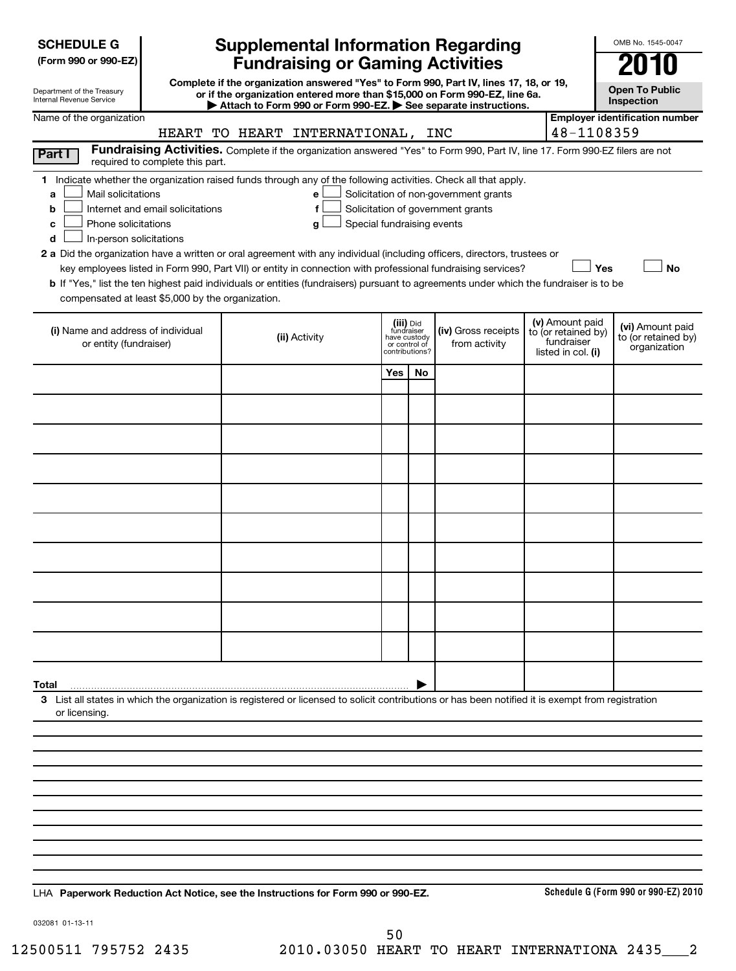| <b>SCHEDULE G</b> |
|-------------------|
|-------------------|

| (Form 990 or 990-EZ) |  |  |  |  |
|----------------------|--|--|--|--|
|----------------------|--|--|--|--|

| Department of the Treasury      |  |
|---------------------------------|--|
| <b>Internal Revenue Service</b> |  |

## **Supplemental Information Regarding Fundraising or Gaming Activities**

**Complete if the organization answered "Yes" to Form 990, Part IV, lines 17, 18, or 19, or if the organization entered more than \$15,000 on Form 990-EZ, line 6a.**

**Open To Public Inspection**

OMB No. 1545-0047

|                                                                                                                                                    | Attach to Form 990 or Form 990-EZ. See separate instructions.                                                                 |                                         |    |                                       |                                        | mspecuon                              |
|----------------------------------------------------------------------------------------------------------------------------------------------------|-------------------------------------------------------------------------------------------------------------------------------|-----------------------------------------|----|---------------------------------------|----------------------------------------|---------------------------------------|
| Name of the organization                                                                                                                           |                                                                                                                               |                                         |    |                                       |                                        | <b>Employer identification number</b> |
|                                                                                                                                                    | HEART TO HEART INTERNATIONAL, INC                                                                                             |                                         |    |                                       | 48-1108359                             |                                       |
| Part I<br>required to complete this part.                                                                                                          | Fundraising Activities. Complete if the organization answered "Yes" to Form 990, Part IV, line 17. Form 990-EZ filers are not |                                         |    |                                       |                                        |                                       |
| 1 Indicate whether the organization raised funds through any of the following activities. Check all that apply.                                    |                                                                                                                               |                                         |    |                                       |                                        |                                       |
| Mail solicitations<br>a                                                                                                                            | e                                                                                                                             |                                         |    | Solicitation of non-government grants |                                        |                                       |
| Internet and email solicitations<br>b                                                                                                              | f                                                                                                                             |                                         |    | Solicitation of government grants     |                                        |                                       |
| Phone solicitations<br>c                                                                                                                           | Special fundraising events<br>g                                                                                               |                                         |    |                                       |                                        |                                       |
| In-person solicitations<br>d                                                                                                                       |                                                                                                                               |                                         |    |                                       |                                        |                                       |
| 2 a Did the organization have a written or oral agreement with any individual (including officers, directors, trustees or                          | key employees listed in Form 990, Part VII) or entity in connection with professional fundraising services?                   |                                         |    |                                       | Yes                                    | <b>No</b>                             |
| b If "Yes," list the ten highest paid individuals or entities (fundraisers) pursuant to agreements under which the fundraiser is to be             |                                                                                                                               |                                         |    |                                       |                                        |                                       |
| compensated at least \$5,000 by the organization.                                                                                                  |                                                                                                                               |                                         |    |                                       |                                        |                                       |
|                                                                                                                                                    |                                                                                                                               |                                         |    |                                       |                                        |                                       |
| (i) Name and address of individual                                                                                                                 |                                                                                                                               | (iii) Did<br>fundraiser<br>have custody |    | (iv) Gross receipts                   | (v) Amount paid<br>to (or retained by) | (vi) Amount paid                      |
| or entity (fundraiser)                                                                                                                             | (ii) Activity                                                                                                                 | or control of<br>contributions?         |    | from activity                         | fundraiser<br>listed in col. (i)       | to (or retained by)<br>organization   |
|                                                                                                                                                    |                                                                                                                               | Yes                                     | No |                                       |                                        |                                       |
|                                                                                                                                                    |                                                                                                                               |                                         |    |                                       |                                        |                                       |
|                                                                                                                                                    |                                                                                                                               |                                         |    |                                       |                                        |                                       |
|                                                                                                                                                    |                                                                                                                               |                                         |    |                                       |                                        |                                       |
|                                                                                                                                                    |                                                                                                                               |                                         |    |                                       |                                        |                                       |
|                                                                                                                                                    |                                                                                                                               |                                         |    |                                       |                                        |                                       |
|                                                                                                                                                    |                                                                                                                               |                                         |    |                                       |                                        |                                       |
|                                                                                                                                                    |                                                                                                                               |                                         |    |                                       |                                        |                                       |
|                                                                                                                                                    |                                                                                                                               |                                         |    |                                       |                                        |                                       |
|                                                                                                                                                    |                                                                                                                               |                                         |    |                                       |                                        |                                       |
|                                                                                                                                                    |                                                                                                                               |                                         |    |                                       |                                        |                                       |
|                                                                                                                                                    |                                                                                                                               |                                         |    |                                       |                                        |                                       |
|                                                                                                                                                    |                                                                                                                               |                                         |    |                                       |                                        |                                       |
| Total                                                                                                                                              |                                                                                                                               |                                         |    |                                       |                                        |                                       |
| 3 List all states in which the organization is registered or licensed to solicit contributions or has been notified it is exempt from registration |                                                                                                                               |                                         |    |                                       |                                        |                                       |
| or licensing.                                                                                                                                      |                                                                                                                               |                                         |    |                                       |                                        |                                       |
|                                                                                                                                                    |                                                                                                                               |                                         |    |                                       |                                        |                                       |
|                                                                                                                                                    |                                                                                                                               |                                         |    |                                       |                                        |                                       |
|                                                                                                                                                    |                                                                                                                               |                                         |    |                                       |                                        |                                       |
|                                                                                                                                                    |                                                                                                                               |                                         |    |                                       |                                        |                                       |
|                                                                                                                                                    |                                                                                                                               |                                         |    |                                       |                                        |                                       |
|                                                                                                                                                    |                                                                                                                               |                                         |    |                                       |                                        |                                       |
|                                                                                                                                                    |                                                                                                                               |                                         |    |                                       |                                        |                                       |

**Paperwork Reduction Act Notice, see the Instructions for Form 990 or 990-EZ.** LHA

**Schedule G (Form 990 or 990-EZ) 2010**

032081 01-13-11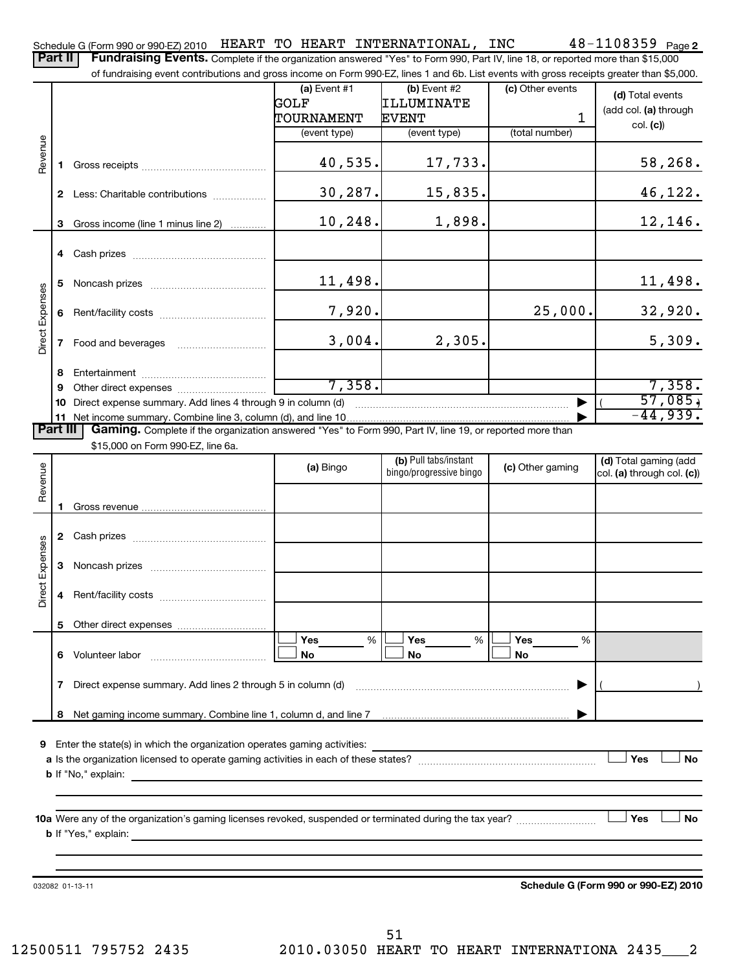Part II | Fundraising Events. Complete if the organization answered "Yes" to Form 990, Part IV, line 18, or reported more than \$15,000

|                 |    | of fundraising event contributions and gross income on Form 990-EZ, lines 1 and 6b. List events with gross receipts greater than \$5,000. |                |                                                  |                  |                                                     |
|-----------------|----|-------------------------------------------------------------------------------------------------------------------------------------------|----------------|--------------------------------------------------|------------------|-----------------------------------------------------|
|                 |    |                                                                                                                                           | (a) Event $#1$ | $(b)$ Event #2                                   | (c) Other events | (d) Total events                                    |
|                 |    |                                                                                                                                           | GOLF           | ILLUMINATE                                       |                  | (add col. (a) through                               |
|                 |    |                                                                                                                                           | TOURNAMENT     | <b>EVENT</b>                                     | 1                | col. (c)                                            |
|                 |    |                                                                                                                                           | (event type)   | (event type)                                     | (total number)   |                                                     |
| Revenue         | п. |                                                                                                                                           | 40,535.        | 17,733.                                          |                  | 58,268.                                             |
|                 |    | 2 Less: Charitable contributions                                                                                                          | 30, 287.       | 15,835.                                          |                  | 46,122.                                             |
|                 |    | 3 Gross income (line 1 minus line 2)                                                                                                      | 10,248.        | 1,898.                                           |                  | 12,146.                                             |
|                 |    |                                                                                                                                           |                |                                                  |                  |                                                     |
|                 | 5  |                                                                                                                                           | 11,498.        |                                                  |                  | 11, 498.                                            |
| Direct Expenses | 6  |                                                                                                                                           | 7,920.         |                                                  | 25,000.          | 32,920.                                             |
|                 | 7  | Food and beverages                                                                                                                        | 3,004.         | 2,305.                                           |                  | 5,309.                                              |
|                 | 8  |                                                                                                                                           |                |                                                  |                  |                                                     |
|                 | 9  |                                                                                                                                           | 7,358.         |                                                  |                  | 7,358.                                              |
|                 | 10 | Direct expense summary. Add lines 4 through 9 in column (d)                                                                               |                |                                                  |                  | 57,085,                                             |
|                 |    |                                                                                                                                           |                |                                                  |                  | $-44,939.$                                          |
| <b>Part III</b> |    | Gaming. Complete if the organization answered "Yes" to Form 990, Part IV, line 19, or reported more than                                  |                |                                                  |                  |                                                     |
|                 |    | \$15,000 on Form 990-EZ, line 6a.                                                                                                         |                |                                                  |                  |                                                     |
| Revenue         |    |                                                                                                                                           | (a) Bingo      | (b) Pull tabs/instant<br>bingo/progressive bingo | (c) Other gaming | (d) Total gaming (add<br>col. (a) through col. (c)) |
|                 |    |                                                                                                                                           |                |                                                  |                  |                                                     |
|                 |    |                                                                                                                                           |                |                                                  |                  |                                                     |
|                 |    |                                                                                                                                           |                |                                                  |                  |                                                     |
| Expenses        | 3  |                                                                                                                                           |                |                                                  |                  |                                                     |
| Direct          | 4  |                                                                                                                                           |                |                                                  |                  |                                                     |
|                 | 5  |                                                                                                                                           |                |                                                  |                  |                                                     |
|                 |    |                                                                                                                                           | Yes<br>%       | %<br>Yes                                         | Yes<br>%         |                                                     |
|                 | 6. | Volunteer labor                                                                                                                           | No             | No                                               | No               |                                                     |
|                 | 7  | Direct expense summary. Add lines 2 through 5 in column (d)                                                                               |                |                                                  |                  |                                                     |
|                 | 8  |                                                                                                                                           |                |                                                  |                  |                                                     |
|                 |    |                                                                                                                                           |                |                                                  |                  |                                                     |
| 9               |    | Enter the state(s) in which the organization operates gaming activities:                                                                  |                |                                                  |                  |                                                     |
|                 |    |                                                                                                                                           |                |                                                  |                  | Yes<br><b>No</b>                                    |
|                 |    | <b>b</b> If "No," explain:                                                                                                                |                |                                                  |                  |                                                     |
|                 |    |                                                                                                                                           |                |                                                  |                  |                                                     |
|                 |    |                                                                                                                                           |                |                                                  |                  |                                                     |
|                 |    | <b>b</b> If "Yes," explain:                                                                                                               |                |                                                  |                  | Yes<br><b>No</b>                                    |
|                 |    |                                                                                                                                           |                |                                                  |                  |                                                     |
|                 |    |                                                                                                                                           |                |                                                  |                  |                                                     |
|                 |    | 032082 01-13-11                                                                                                                           |                |                                                  |                  | Schedule G (Form 990 or 990-EZ) 2010                |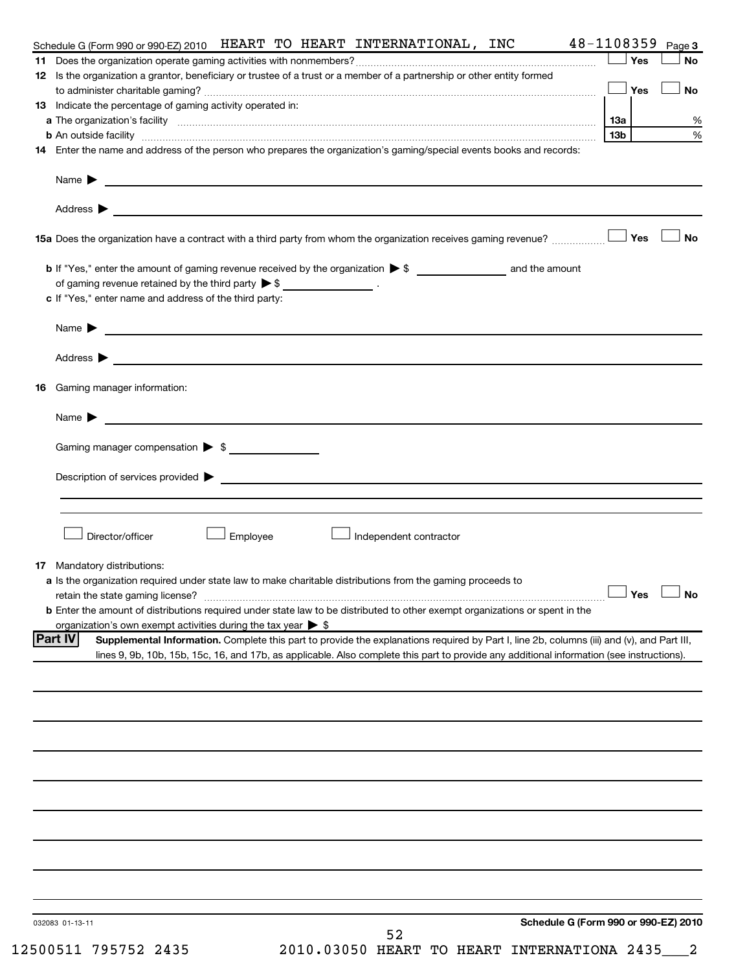|    | 48-1108359<br>Schedule G (Form 990 or 990-EZ) 2010 HEART TO HEART INTERNATIONAL, INC                                                                                                                                                                                                                      |     |            | Page 3     |
|----|-----------------------------------------------------------------------------------------------------------------------------------------------------------------------------------------------------------------------------------------------------------------------------------------------------------|-----|------------|------------|
|    | 12 Is the organization a grantor, beneficiary or trustee of a trust or a member of a partnership or other entity formed                                                                                                                                                                                   |     | Yes        | <b>No</b>  |
|    |                                                                                                                                                                                                                                                                                                           |     | Yes        | <b>No</b>  |
|    | 13 Indicate the percentage of gaming activity operated in:                                                                                                                                                                                                                                                | 1За |            | %          |
|    | <b>b</b> An outside facility <i>www.communicality.communicality.communicality www.communicality.communicality.communicality</i>                                                                                                                                                                           | 13b |            | %          |
|    | 14 Enter the name and address of the person who prepares the organization's gaming/special events books and records:                                                                                                                                                                                      |     |            |            |
|    | Name $\blacktriangleright$<br><u>state and the state of the state of the state of the state of the state of the state of the state of the state of the state of the state of the state of the state of the state of the state of the state of the state of the</u>                                        |     |            |            |
|    | Address $\blacktriangleright$<br>and the control of the control of the control of the control of the control of the control of the control of the                                                                                                                                                         |     |            |            |
|    | 15a Does the organization have a contract with a third party from whom the organization receives gaming revenue?                                                                                                                                                                                          |     | <b>Yes</b> | <b>No</b>  |
|    | of gaming revenue retained by the third party $\triangleright$ \$ _____________________.                                                                                                                                                                                                                  |     |            |            |
|    | c If "Yes," enter name and address of the third party:                                                                                                                                                                                                                                                    |     |            |            |
|    | Name $\blacktriangleright$<br><u> 1980 - Andrea State Barbara, amerikan personal di sebagai personal di sebagai personal di sebagai personal d</u>                                                                                                                                                        |     |            |            |
|    | Address $\blacktriangleright$<br><u> 1989 - Johann Stein, mars an deutscher Stein und der Stein und der Stein und der Stein und der Stein und der</u>                                                                                                                                                     |     |            |            |
| 16 | Gaming manager information:                                                                                                                                                                                                                                                                               |     |            |            |
|    | Name $\blacktriangleright$<br><u> 1989 - Johann John Stein, mars and de British and de British and de British and de British and de British an</u>                                                                                                                                                        |     |            |            |
|    | Gaming manager compensation > \$                                                                                                                                                                                                                                                                          |     |            |            |
|    |                                                                                                                                                                                                                                                                                                           |     |            |            |
|    |                                                                                                                                                                                                                                                                                                           |     |            |            |
|    | Director/officer<br>Employee<br>Independent contractor                                                                                                                                                                                                                                                    |     |            |            |
|    | 17 Mandatory distributions:                                                                                                                                                                                                                                                                               |     |            |            |
|    | a Is the organization required under state law to make charitable distributions from the gaming proceeds to<br>retain the state gaming license?<br><b>b</b> Enter the amount of distributions required under state law to be distributed to other exempt organizations or spent in the                    |     |            | 」Yes __ No |
|    | organization's own exempt activities during the tax year $\triangleright$ \$                                                                                                                                                                                                                              |     |            |            |
|    | <b>Part IV</b><br>Supplemental Information. Complete this part to provide the explanations required by Part I, line 2b, columns (iii) and (v), and Part III,<br>lines 9, 9b, 10b, 15b, 15c, 16, and 17b, as applicable. Also complete this part to provide any additional information (see instructions). |     |            |            |
|    |                                                                                                                                                                                                                                                                                                           |     |            |            |
|    |                                                                                                                                                                                                                                                                                                           |     |            |            |
|    |                                                                                                                                                                                                                                                                                                           |     |            |            |
|    |                                                                                                                                                                                                                                                                                                           |     |            |            |
|    |                                                                                                                                                                                                                                                                                                           |     |            |            |
|    |                                                                                                                                                                                                                                                                                                           |     |            |            |
|    |                                                                                                                                                                                                                                                                                                           |     |            |            |
|    |                                                                                                                                                                                                                                                                                                           |     |            |            |
|    | Schedule G (Form 990 or 990-EZ) 2010<br>032083 01-13-11                                                                                                                                                                                                                                                   |     |            |            |
|    | 52                                                                                                                                                                                                                                                                                                        |     |            |            |

12500511 795752 2435 2010.03050 HEART TO HEART INTERNATIONA 2435\_\_\_2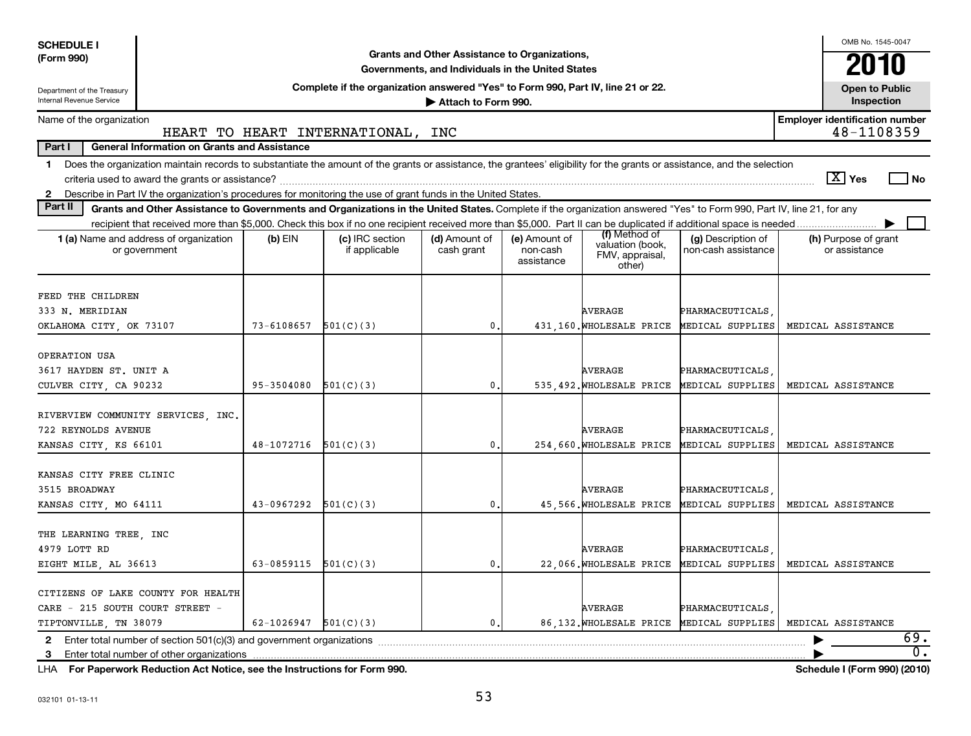| <b>SCHEDULE I</b>                                                                                                                                                              |                                                                                                                                                                       |                                                                                                                                                                                                                                                                                                             |                                                                                                    |                                         |                                                                |                                                              |  | OMB No. 1545-0047                     |       |
|--------------------------------------------------------------------------------------------------------------------------------------------------------------------------------|-----------------------------------------------------------------------------------------------------------------------------------------------------------------------|-------------------------------------------------------------------------------------------------------------------------------------------------------------------------------------------------------------------------------------------------------------------------------------------------------------|----------------------------------------------------------------------------------------------------|-----------------------------------------|----------------------------------------------------------------|--------------------------------------------------------------|--|---------------------------------------|-------|
| (Form 990)                                                                                                                                                                     |                                                                                                                                                                       |                                                                                                                                                                                                                                                                                                             | Grants and Other Assistance to Organizations,<br>Governments, and Individuals in the United States |                                         |                                                                |                                                              |  | 2010                                  |       |
| Department of the Treasury                                                                                                                                                     |                                                                                                                                                                       | Complete if the organization answered "Yes" to Form 990, Part IV, line 21 or 22.                                                                                                                                                                                                                            |                                                                                                    |                                         |                                                                |                                                              |  | <b>Open to Public</b>                 |       |
| Internal Revenue Service                                                                                                                                                       |                                                                                                                                                                       |                                                                                                                                                                                                                                                                                                             | Attach to Form 990.                                                                                |                                         |                                                                |                                                              |  | Inspection                            |       |
| <b>Employer identification number</b><br>Name of the organization<br>48-1108359<br>HEART TO HEART INTERNATIONAL, INC                                                           |                                                                                                                                                                       |                                                                                                                                                                                                                                                                                                             |                                                                                                    |                                         |                                                                |                                                              |  |                                       |       |
| Part I                                                                                                                                                                         | General Information on Grants and Assistance                                                                                                                          |                                                                                                                                                                                                                                                                                                             |                                                                                                    |                                         |                                                                |                                                              |  |                                       |       |
| Does the organization maintain records to substantiate the amount of the grants or assistance, the grantees' eligibility for the grants or assistance, and the selection<br>1. |                                                                                                                                                                       |                                                                                                                                                                                                                                                                                                             |                                                                                                    |                                         |                                                                |                                                              |  |                                       |       |
|                                                                                                                                                                                |                                                                                                                                                                       |                                                                                                                                                                                                                                                                                                             |                                                                                                    |                                         |                                                                |                                                              |  | $ \overline{X} $ Yes                  | No    |
| Describe in Part IV the organization's procedures for monitoring the use of grant funds in the United States.<br>$\mathbf{2}$                                                  |                                                                                                                                                                       |                                                                                                                                                                                                                                                                                                             |                                                                                                    |                                         |                                                                |                                                              |  |                                       |       |
| Part II                                                                                                                                                                        | Grants and Other Assistance to Governments and Organizations in the United States. Complete if the organization answered "Yes" to Form 990, Part IV, line 21, for any |                                                                                                                                                                                                                                                                                                             |                                                                                                    |                                         |                                                                |                                                              |  |                                       |       |
|                                                                                                                                                                                |                                                                                                                                                                       |                                                                                                                                                                                                                                                                                                             |                                                                                                    |                                         |                                                                |                                                              |  |                                       |       |
| <b>1 (a)</b> Name and address of organization<br>or government                                                                                                                 | $(b)$ EIN                                                                                                                                                             | (c) IRC section<br>if applicable                                                                                                                                                                                                                                                                            | (d) Amount of<br>cash grant                                                                        | (e) Amount of<br>non-cash<br>assistance | (f) Method of<br>valuation (book,<br>FMV, appraisal,<br>other) | (g) Description of<br>non-cash assistance                    |  | (h) Purpose of grant<br>or assistance |       |
|                                                                                                                                                                                |                                                                                                                                                                       |                                                                                                                                                                                                                                                                                                             |                                                                                                    |                                         |                                                                |                                                              |  |                                       |       |
| FEED THE CHILDREN                                                                                                                                                              |                                                                                                                                                                       |                                                                                                                                                                                                                                                                                                             |                                                                                                    |                                         |                                                                |                                                              |  |                                       |       |
| 333 N. MERIDIAN                                                                                                                                                                |                                                                                                                                                                       |                                                                                                                                                                                                                                                                                                             |                                                                                                    |                                         | <b>AVERAGE</b>                                                 | PHARMACEUTICALS                                              |  |                                       |       |
| OKLAHOMA CITY, OK 73107                                                                                                                                                        | 73-6108657                                                                                                                                                            | 501(C)(3)                                                                                                                                                                                                                                                                                                   | 0                                                                                                  |                                         | 431.160. WHOLESALE PRICE                                       | MEDICAL SUPPLIES                                             |  | MEDICAL ASSISTANCE                    |       |
|                                                                                                                                                                                |                                                                                                                                                                       |                                                                                                                                                                                                                                                                                                             |                                                                                                    |                                         |                                                                |                                                              |  |                                       |       |
| OPERATION USA                                                                                                                                                                  |                                                                                                                                                                       |                                                                                                                                                                                                                                                                                                             |                                                                                                    |                                         |                                                                |                                                              |  |                                       |       |
| 3617 HAYDEN ST. UNIT A<br>CULVER CITY, CA 90232                                                                                                                                | 95-3504080                                                                                                                                                            | 501(C)(3)                                                                                                                                                                                                                                                                                                   | 0                                                                                                  |                                         | <b>AVERAGE</b>                                                 | PHARMACEUTICALS<br>535,492. WHOLESALE PRICE MEDICAL SUPPLIES |  | MEDICAL ASSISTANCE                    |       |
|                                                                                                                                                                                |                                                                                                                                                                       |                                                                                                                                                                                                                                                                                                             |                                                                                                    |                                         |                                                                |                                                              |  |                                       |       |
| RIVERVIEW COMMUNITY SERVICES, INC.                                                                                                                                             |                                                                                                                                                                       |                                                                                                                                                                                                                                                                                                             |                                                                                                    |                                         |                                                                |                                                              |  |                                       |       |
| 722 REYNOLDS AVENUE                                                                                                                                                            |                                                                                                                                                                       |                                                                                                                                                                                                                                                                                                             |                                                                                                    |                                         | <b>AVERAGE</b>                                                 | PHARMACEUTICALS                                              |  |                                       |       |
| KANSAS CITY, KS 66101                                                                                                                                                          | 48-1072716                                                                                                                                                            | 501(C)(3)                                                                                                                                                                                                                                                                                                   | 0                                                                                                  |                                         | 254,660. WHOLESALE PRICE                                       | MEDICAL SUPPLIES                                             |  | MEDICAL ASSISTANCE                    |       |
|                                                                                                                                                                                |                                                                                                                                                                       |                                                                                                                                                                                                                                                                                                             |                                                                                                    |                                         |                                                                |                                                              |  |                                       |       |
| KANSAS CITY FREE CLINIC                                                                                                                                                        |                                                                                                                                                                       |                                                                                                                                                                                                                                                                                                             |                                                                                                    |                                         |                                                                |                                                              |  |                                       |       |
| 3515 BROADWAY                                                                                                                                                                  |                                                                                                                                                                       |                                                                                                                                                                                                                                                                                                             |                                                                                                    |                                         | <b>AVERAGE</b>                                                 | PHARMACEUTICALS                                              |  |                                       |       |
| KANSAS CITY, MO 64111                                                                                                                                                          | 43-0967292                                                                                                                                                            | 501(C)(3)                                                                                                                                                                                                                                                                                                   | 0                                                                                                  |                                         | 45,566. WHOLESALE PRICE                                        | MEDICAL SUPPLIES                                             |  | MEDICAL ASSISTANCE                    |       |
|                                                                                                                                                                                |                                                                                                                                                                       |                                                                                                                                                                                                                                                                                                             |                                                                                                    |                                         |                                                                |                                                              |  |                                       |       |
| THE LEARNING TREE, INC                                                                                                                                                         |                                                                                                                                                                       |                                                                                                                                                                                                                                                                                                             |                                                                                                    |                                         |                                                                |                                                              |  |                                       |       |
| 4979 LOTT RD                                                                                                                                                                   |                                                                                                                                                                       |                                                                                                                                                                                                                                                                                                             |                                                                                                    |                                         | <b>AVERAGE</b>                                                 | PHARMACEUTICALS                                              |  |                                       |       |
| EIGHT MILE, AL 36613                                                                                                                                                           | 63-0859115                                                                                                                                                            | 501(C)(3)                                                                                                                                                                                                                                                                                                   | 0                                                                                                  |                                         | 22,066. WHOLESALE PRICE                                        | MEDICAL SUPPLIES                                             |  | MEDICAL ASSISTANCE                    |       |
|                                                                                                                                                                                |                                                                                                                                                                       |                                                                                                                                                                                                                                                                                                             |                                                                                                    |                                         |                                                                |                                                              |  |                                       |       |
| CITIZENS OF LAKE COUNTY FOR HEALTH<br>CARE - 215 SOUTH COURT STREET -                                                                                                          |                                                                                                                                                                       |                                                                                                                                                                                                                                                                                                             |                                                                                                    |                                         | <b>AVERAGE</b>                                                 | PHARMACEUTICALS                                              |  |                                       |       |
| TIPTONVILLE, TN 38079                                                                                                                                                          | 62-1026947                                                                                                                                                            | 501(C)(3)                                                                                                                                                                                                                                                                                                   | $\mathbf{0}$ .                                                                                     |                                         |                                                                | 86,132. WHOLESALE PRICE MEDICAL SUPPLIES                     |  | MEDICAL ASSISTANCE                    |       |
| 2                                                                                                                                                                              |                                                                                                                                                                       |                                                                                                                                                                                                                                                                                                             |                                                                                                    |                                         |                                                                |                                                              |  |                                       | 69.   |
| 3                                                                                                                                                                              |                                                                                                                                                                       |                                                                                                                                                                                                                                                                                                             |                                                                                                    |                                         |                                                                |                                                              |  |                                       | $0$ . |
| .                                                                                                                                                                              | .                                                                                                                                                                     | $\mathbf{u}$ , $\mathbf{u}$ , $\mathbf{u}$ , $\mathbf{u}$ , $\mathbf{u}$ , $\mathbf{u}$ , $\mathbf{u}$ , $\mathbf{u}$ , $\mathbf{u}$ , $\mathbf{u}$ , $\mathbf{u}$ , $\mathbf{u}$ , $\mathbf{u}$ , $\mathbf{u}$ , $\mathbf{u}$ , $\mathbf{u}$ , $\mathbf{u}$ , $\mathbf{u}$ , $\mathbf{u}$ , $\mathbf{u}$ , |                                                                                                    |                                         |                                                                |                                                              |  |                                       | A A A |

**For Paperwork Reduction Act Notice, see the Instructions for Form 990. Schedule I (Form 990) (2010)** LHA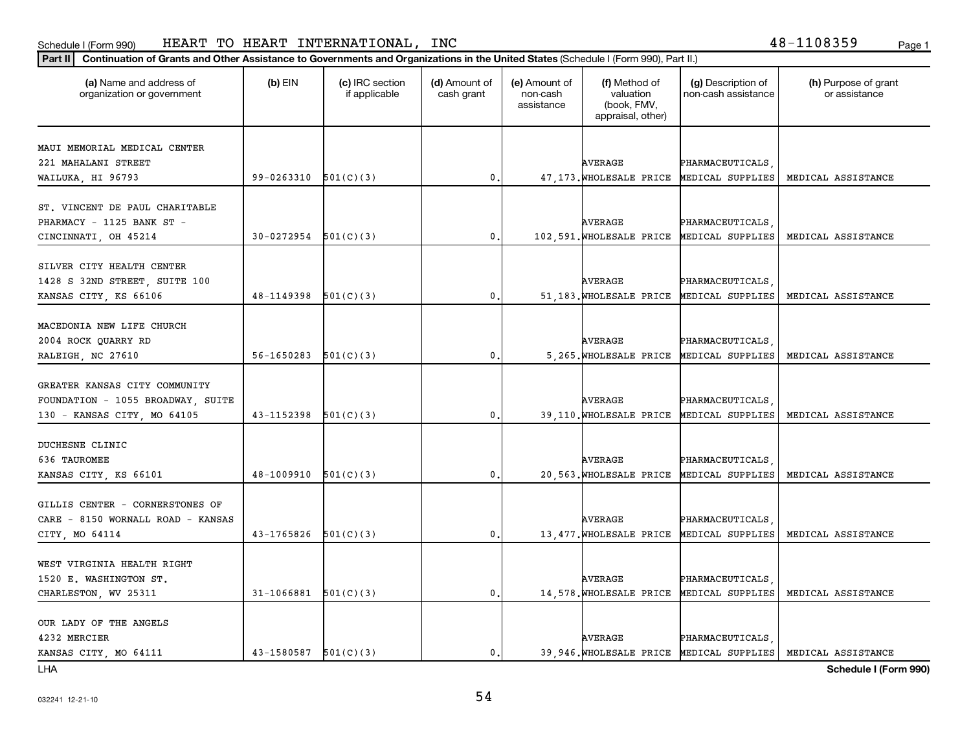## Schedule I (Form 990) HEART TO HEART INTERNATIONAL,INC 48-1108359 <sub>Page 1</sub>

## **Part II Continuation of Grants and Other Assistance to Governments and Organizations in the United States**  (Schedule I (Form 990), Part II.)

| (a) Name and address of<br>organization or government | $(b)$ EIN                | (c) IRC section<br>if applicable | (d) Amount of<br>cash grant | (e) Amount of<br>non-cash<br>assistance | (f) Method of<br>valuation<br>(book, FMV,<br>appraisal, other) | (g) Description of<br>non-cash assistance | (h) Purpose of grant<br>or assistance |
|-------------------------------------------------------|--------------------------|----------------------------------|-----------------------------|-----------------------------------------|----------------------------------------------------------------|-------------------------------------------|---------------------------------------|
|                                                       |                          |                                  |                             |                                         |                                                                |                                           |                                       |
| MAUI MEMORIAL MEDICAL CENTER                          |                          |                                  |                             |                                         |                                                                |                                           |                                       |
| 221 MAHALANI STREET                                   | 99-0263310               | 501(C)(3)                        | $\mathbf 0$ .               |                                         | <b>AVERAGE</b>                                                 | PHARMACEUTICALS                           | MEDICAL ASSISTANCE                    |
| WAILUKA, HI 96793                                     |                          |                                  |                             |                                         | 47, 173. WHOLESALE PRICE                                       | MEDICAL SUPPLIES                          |                                       |
| ST. VINCENT DE PAUL CHARITABLE                        |                          |                                  |                             |                                         |                                                                |                                           |                                       |
| PHARMACY - 1125 BANK ST -                             |                          |                                  |                             |                                         | AVERAGE                                                        | PHARMACEUTICALS                           |                                       |
| CINCINNATI, OH 45214                                  | $30-0272954$ $501(C)(3)$ |                                  | $\mathbf{0}$ .              |                                         | 102,591. WHOLESALE PRICE                                       | MEDICAL SUPPLIES                          | MEDICAL ASSISTANCE                    |
|                                                       |                          |                                  |                             |                                         |                                                                |                                           |                                       |
| SILVER CITY HEALTH CENTER                             |                          |                                  |                             |                                         |                                                                |                                           |                                       |
| 1428 S 32ND STREET, SUITE 100                         |                          |                                  |                             |                                         | AVERAGE                                                        | PHARMACEUTICALS                           |                                       |
| KANSAS CITY, KS 66106                                 | 48-1149398               | 501(C)(3)                        | $\mathbf{0}$ .              |                                         | 51,183. WHOLESALE PRICE                                        | MEDICAL SUPPLIES                          | MEDICAL ASSISTANCE                    |
|                                                       |                          |                                  |                             |                                         |                                                                |                                           |                                       |
| MACEDONIA NEW LIFE CHURCH                             |                          |                                  |                             |                                         |                                                                |                                           |                                       |
| 2004 ROCK QUARRY RD                                   |                          |                                  |                             |                                         | AVERAGE                                                        | PHARMACEUTICALS                           |                                       |
| RALEIGH, NC 27610                                     | 56-1650283               | 501(C)(3)                        | 0                           |                                         | 5,265. WHOLESALE PRICE                                         | MEDICAL SUPPLIES                          | MEDICAL ASSISTANCE                    |
|                                                       |                          |                                  |                             |                                         |                                                                |                                           |                                       |
| GREATER KANSAS CITY COMMUNITY                         |                          |                                  |                             |                                         |                                                                |                                           |                                       |
| FOUNDATION - 1055 BROADWAY, SUITE                     |                          |                                  |                             |                                         | <b>AVERAGE</b>                                                 | PHARMACEUTICALS                           |                                       |
| 130 - KANSAS CITY, MO 64105                           | 43-1152398               | 501(C)(3)                        | $\mathfrak{o}$ .            |                                         | 39,110. WHOLESALE PRICE                                        | MEDICAL SUPPLIES                          | MEDICAL ASSISTANCE                    |
|                                                       |                          |                                  |                             |                                         |                                                                |                                           |                                       |
| DUCHESNE CLINIC                                       |                          |                                  |                             |                                         |                                                                |                                           |                                       |
| 636 TAUROMEE                                          |                          |                                  |                             |                                         | AVERAGE                                                        | PHARMACEUTICALS                           |                                       |
| KANSAS CITY, KS 66101                                 | $48-1009910$ $501(C)(3)$ |                                  | 0.                          |                                         | 20,563. WHOLESALE PRICE                                        | MEDICAL SUPPLIES                          | MEDICAL ASSISTANCE                    |
| GILLIS CENTER - CORNERSTONES OF                       |                          |                                  |                             |                                         |                                                                |                                           |                                       |
| CARE - 8150 WORNALL ROAD - KANSAS                     |                          |                                  |                             |                                         | AVERAGE                                                        | PHARMACEUTICALS                           |                                       |
| CITY, MO 64114                                        | 43-1765826               | 501(C)(3)                        | 0.                          |                                         | 13,477. WHOLESALE PRICE                                        | MEDICAL SUPPLIES                          | MEDICAL ASSISTANCE                    |
|                                                       |                          |                                  |                             |                                         |                                                                |                                           |                                       |
| WEST VIRGINIA HEALTH RIGHT                            |                          |                                  |                             |                                         |                                                                |                                           |                                       |
| 1520 E. WASHINGTON ST.                                |                          |                                  |                             |                                         | <b>AVERAGE</b>                                                 | PHARMACEUTICALS                           |                                       |
| CHARLESTON, WV 25311                                  | $31-1066881$ $501(C)(3)$ |                                  | $\mathfrak{o}$ .            |                                         | 14,578. WHOLESALE PRICE                                        | MEDICAL SUPPLIES                          | MEDICAL ASSISTANCE                    |
|                                                       |                          |                                  |                             |                                         |                                                                |                                           |                                       |
| OUR LADY OF THE ANGELS                                |                          |                                  |                             |                                         |                                                                |                                           |                                       |
| 4232 MERCIER                                          |                          |                                  |                             |                                         | AVERAGE                                                        | PHARMACEUTICALS                           |                                       |
| KANSAS CITY, MO 64111                                 | $43-1580587$ $501(C)(3)$ |                                  | $\mathfrak{o}$ .            |                                         | 39,946. WHOLESALE PRICE                                        | MEDICAL SUPPLIES                          | MEDICAL ASSISTANCE                    |
|                                                       |                          |                                  |                             |                                         |                                                                |                                           |                                       |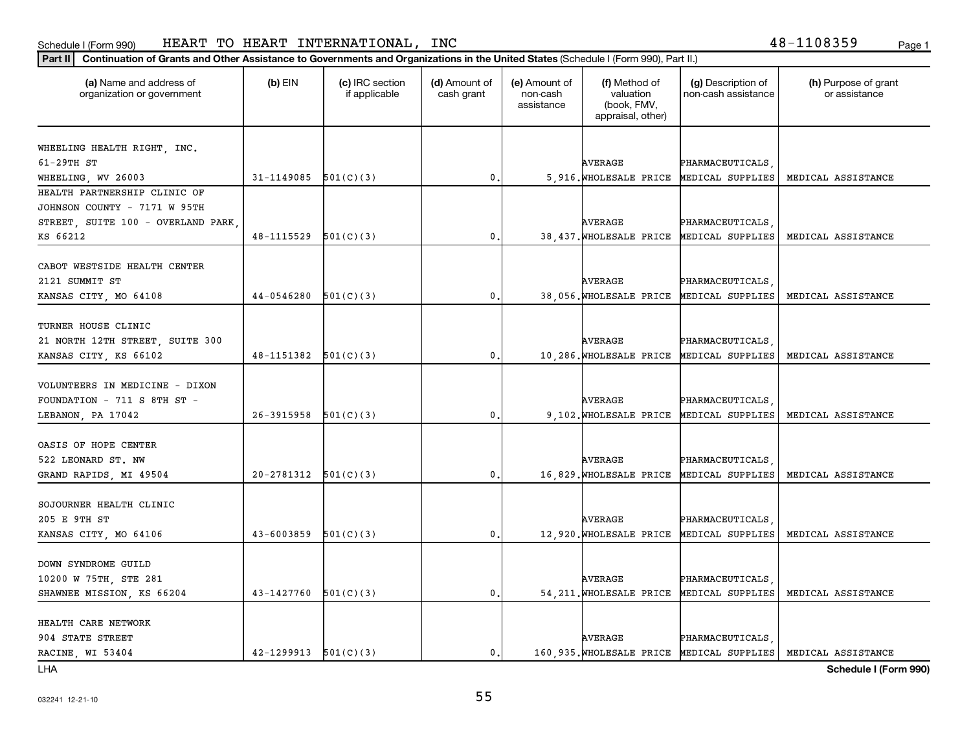## Schedule I (Form 990) HEART TO HEART INTERNATIONAL,INC 48-1108359 <sub>Page 1</sub>

### **Part II Continuation of Grants and Other Assistance to Governments and Organizations in the United States**  (Schedule I (Form 990), Part II.)

| (a) Name and address of<br>organization or government | $(b)$ EIN                | (c) IRC section<br>if applicable | (d) Amount of<br>cash grant | (e) Amount of<br>non-cash<br>assistance | (f) Method of<br>valuation<br>(book, FMV,<br>appraisal, other) | (g) Description of<br>non-cash assistance | (h) Purpose of grant<br>or assistance |
|-------------------------------------------------------|--------------------------|----------------------------------|-----------------------------|-----------------------------------------|----------------------------------------------------------------|-------------------------------------------|---------------------------------------|
|                                                       |                          |                                  |                             |                                         |                                                                |                                           |                                       |
| WHEELING HEALTH RIGHT, INC.                           |                          |                                  |                             |                                         |                                                                |                                           |                                       |
| 61-29TH ST                                            |                          |                                  |                             |                                         | <b>AVERAGE</b>                                                 | PHARMACEUTICALS                           |                                       |
| WHEELING, WV 26003                                    | 31-1149085               | 501(C)(3)                        | $\mathbf 0$ .               |                                         | 5,916. WHOLESALE PRICE                                         | MEDICAL SUPPLIES                          | MEDICAL ASSISTANCE                    |
| HEALTH PARTNERSHIP CLINIC OF                          |                          |                                  |                             |                                         |                                                                |                                           |                                       |
| JOHNSON COUNTY - 7171 W 95TH                          |                          |                                  |                             |                                         |                                                                |                                           |                                       |
| STREET, SUITE 100 - OVERLAND PARK<br>KS 66212         | 48-1115529               |                                  | $\mathbf{0}$ .              |                                         | AVERAGE<br>38,437. WHOLESALE PRICE                             | PHARMACEUTICALS<br>MEDICAL SUPPLIES       | MEDICAL ASSISTANCE                    |
|                                                       |                          | 501(C)(3)                        |                             |                                         |                                                                |                                           |                                       |
| CABOT WESTSIDE HEALTH CENTER                          |                          |                                  |                             |                                         |                                                                |                                           |                                       |
| 2121 SUMMIT ST                                        |                          |                                  |                             |                                         | <b>AVERAGE</b>                                                 | PHARMACEUTICALS                           |                                       |
| KANSAS CITY, MO 64108                                 | 44-0546280               | 501(C)(3)                        | $\mathbf{0}$ .              |                                         | 38,056. WHOLESALE PRICE                                        | MEDICAL SUPPLIES                          | MEDICAL ASSISTANCE                    |
|                                                       |                          |                                  |                             |                                         |                                                                |                                           |                                       |
| TURNER HOUSE CLINIC                                   |                          |                                  |                             |                                         |                                                                |                                           |                                       |
| 21 NORTH 12TH STREET, SUITE 300                       |                          |                                  |                             |                                         | <b>AVERAGE</b>                                                 | PHARMACEUTICALS                           |                                       |
| KANSAS CITY, KS 66102                                 | 48-1151382               | 501(C)(3)                        | 0.                          |                                         | 10,286. WHOLESALE PRICE                                        | MEDICAL SUPPLIES                          | MEDICAL ASSISTANCE                    |
|                                                       |                          |                                  |                             |                                         |                                                                |                                           |                                       |
| VOLUNTEERS IN MEDICINE - DIXON                        |                          |                                  |                             |                                         |                                                                |                                           |                                       |
| $FOUNDATION - 711 S 8TH ST -$                         |                          |                                  |                             |                                         | <b>AVERAGE</b>                                                 | PHARMACEUTICALS                           |                                       |
| LEBANON, PA 17042                                     | 26-3915958               | 501(C)(3)                        | $\mathbf{0}$ .              |                                         | 9,102. WHOLESALE PRICE                                         | MEDICAL SUPPLIES                          | MEDICAL ASSISTANCE                    |
|                                                       |                          |                                  |                             |                                         |                                                                |                                           |                                       |
| OASIS OF HOPE CENTER                                  |                          |                                  |                             |                                         |                                                                |                                           |                                       |
| 522 LEONARD ST. NW                                    |                          |                                  |                             |                                         | AVERAGE                                                        | PHARMACEUTICALS                           |                                       |
| GRAND RAPIDS, MI 49504                                | $20-2781312$ $501(C)(3)$ |                                  | $\mathbf{0}$ .              |                                         | 16,829. WHOLESALE PRICE                                        | MEDICAL SUPPLIES                          | MEDICAL ASSISTANCE                    |
|                                                       |                          |                                  |                             |                                         |                                                                |                                           |                                       |
| SOJOURNER HEALTH CLINIC<br>205 E 9TH ST               |                          |                                  |                             |                                         | <b>AVERAGE</b>                                                 | PHARMACEUTICALS                           |                                       |
| KANSAS CITY, MO 64106                                 | 43-6003859               | 501(C)(3)                        | $\mathbf{0}$ .              |                                         | 12,920. WHOLESALE PRICE                                        | MEDICAL SUPPLIES                          | MEDICAL ASSISTANCE                    |
|                                                       |                          |                                  |                             |                                         |                                                                |                                           |                                       |
| DOWN SYNDROME GUILD                                   |                          |                                  |                             |                                         |                                                                |                                           |                                       |
| 10200 W 75TH, STE 281                                 |                          |                                  |                             |                                         | <b>AVERAGE</b>                                                 | PHARMACEUTICALS                           |                                       |
| SHAWNEE MISSION, KS 66204                             | 43-1427760               | 501(C)(3)                        | 0.                          |                                         | 54, 211. WHOLESALE PRICE                                       | MEDICAL SUPPLIES                          | MEDICAL ASSISTANCE                    |
|                                                       |                          |                                  |                             |                                         |                                                                |                                           |                                       |
| HEALTH CARE NETWORK                                   |                          |                                  |                             |                                         |                                                                |                                           |                                       |
| 904 STATE STREET                                      |                          |                                  |                             |                                         | <b>AVERAGE</b>                                                 | PHARMACEUTICALS                           |                                       |
| RACINE, WI 53404                                      | 42-1299913               | 501(C)(3)                        | $\mathbf{0}$ .              |                                         | 160,935. WHOLESALE PRICE                                       | MEDICAL SUPPLIES                          | MEDICAL ASSISTANCE                    |
|                                                       |                          |                                  |                             |                                         |                                                                |                                           |                                       |

LHA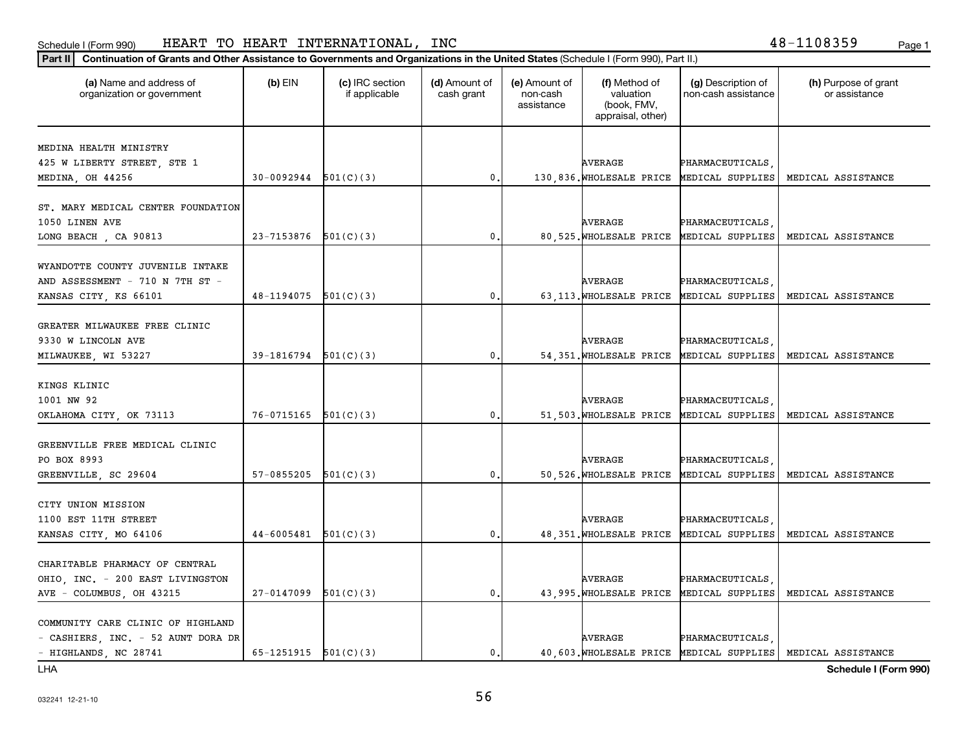#### Schedule I (Form 990) HEAR'I' I'O HEAR'I' IN'I'ERNA'I'IONALi, INC HEART TO HEART INTERNATIONAL, INC 48-1108359

### **Part II Continuation of Grants and Other Assistance to Governments and Organizations in the United States**  (Schedule I (Form 990), Part II.)

| <u>Commandi of Grands and Other Assistance to Governments and Organizations in the Onited States (Schedule Fill Omn 390), Fall in J</u> |                              |                                  |                             |                                         |                                                                |                                           |                                       |
|-----------------------------------------------------------------------------------------------------------------------------------------|------------------------------|----------------------------------|-----------------------------|-----------------------------------------|----------------------------------------------------------------|-------------------------------------------|---------------------------------------|
| (a) Name and address of<br>organization or government                                                                                   | $(b)$ EIN                    | (c) IRC section<br>if applicable | (d) Amount of<br>cash grant | (e) Amount of<br>non-cash<br>assistance | (f) Method of<br>valuation<br>(book, FMV,<br>appraisal, other) | (g) Description of<br>non-cash assistance | (h) Purpose of grant<br>or assistance |
|                                                                                                                                         |                              |                                  |                             |                                         |                                                                |                                           |                                       |
| MEDINA HEALTH MINISTRY                                                                                                                  |                              |                                  |                             |                                         |                                                                |                                           |                                       |
| 425 W LIBERTY STREET, STE 1                                                                                                             |                              |                                  |                             |                                         | <b>AVERAGE</b>                                                 | PHARMACEUTICALS                           |                                       |
| MEDINA, OH 44256                                                                                                                        | $30-0092944$ $501(C)(3)$     |                                  | 0.                          |                                         |                                                                | 130,836. WHOLESALE PRICE MEDICAL SUPPLIES | MEDICAL ASSISTANCE                    |
|                                                                                                                                         |                              |                                  |                             |                                         |                                                                |                                           |                                       |
| ST. MARY MEDICAL CENTER FOUNDATION                                                                                                      |                              |                                  |                             |                                         |                                                                |                                           |                                       |
| 1050 LINEN AVE                                                                                                                          |                              |                                  |                             |                                         | <b>AVERAGE</b>                                                 | PHARMACEUTICALS                           |                                       |
| LONG BEACH, CA 90813                                                                                                                    | $23 - 7153876$ $501(C)(3)$   |                                  | 0.                          |                                         |                                                                | 80,525. WHOLESALE PRICE MEDICAL SUPPLIES  | MEDICAL ASSISTANCE                    |
| WYANDOTTE COUNTY JUVENILE INTAKE                                                                                                        |                              |                                  |                             |                                         |                                                                |                                           |                                       |
| AND ASSESSMENT - 710 N 7TH ST -                                                                                                         |                              |                                  |                             |                                         | <b>AVERAGE</b>                                                 | PHARMACEUTICALS,                          |                                       |
| KANSAS CITY, KS 66101                                                                                                                   | $48-1194075$ $501(C)(3)$     |                                  | 0.                          |                                         |                                                                | 63, 113. WHOLESALE PRICE MEDICAL SUPPLIES | MEDICAL ASSISTANCE                    |
|                                                                                                                                         |                              |                                  |                             |                                         |                                                                |                                           |                                       |
| GREATER MILWAUKEE FREE CLINIC                                                                                                           |                              |                                  |                             |                                         |                                                                |                                           |                                       |
| 9330 W LINCOLN AVE                                                                                                                      |                              |                                  |                             |                                         | AVERAGE                                                        | PHARMACEUTICALS                           |                                       |
| MILWAUKEE, WI 53227                                                                                                                     | $39-1816794$ $501(C)(3)$     |                                  | 0.                          |                                         |                                                                | 54, 351. WHOLESALE PRICE MEDICAL SUPPLIES | MEDICAL ASSISTANCE                    |
|                                                                                                                                         |                              |                                  |                             |                                         |                                                                |                                           |                                       |
| KINGS KLINIC                                                                                                                            |                              |                                  |                             |                                         |                                                                |                                           |                                       |
| 1001 NW 92                                                                                                                              |                              |                                  |                             |                                         | <b>AVERAGE</b>                                                 | PHARMACEUTICALS                           |                                       |
| OKLAHOMA CITY, OK 73113                                                                                                                 | 76-0715165                   | 501(C)(3)                        | 0                           |                                         | 51,503. WHOLESALE PRICE                                        | MEDICAL SUPPLIES                          | MEDICAL ASSISTANCE                    |
|                                                                                                                                         |                              |                                  |                             |                                         |                                                                |                                           |                                       |
| GREENVILLE FREE MEDICAL CLINIC                                                                                                          |                              |                                  |                             |                                         |                                                                |                                           |                                       |
| PO BOX 8993                                                                                                                             |                              |                                  |                             |                                         | <b>AVERAGE</b>                                                 | PHARMACEUTICALS                           |                                       |
| GREENVILLE, SC 29604                                                                                                                    | 57-0855205                   | 501(C)(3)                        | 0.                          |                                         |                                                                | 50, 526. WHOLESALE PRICE MEDICAL SUPPLIES | MEDICAL ASSISTANCE                    |
|                                                                                                                                         |                              |                                  |                             |                                         |                                                                |                                           |                                       |
| CITY UNION MISSION                                                                                                                      |                              |                                  |                             |                                         |                                                                |                                           |                                       |
| 1100 EST 11TH STREET                                                                                                                    |                              |                                  |                             |                                         | <b>AVERAGE</b>                                                 | PHARMACEUTICALS                           |                                       |
| KANSAS CITY, MO 64106                                                                                                                   | $44-6005481$ $501(C)(3)$     |                                  | 0.                          |                                         |                                                                | 48, 351. WHOLESALE PRICE MEDICAL SUPPLIES | MEDICAL ASSISTANCE                    |
|                                                                                                                                         |                              |                                  |                             |                                         |                                                                |                                           |                                       |
| CHARITABLE PHARMACY OF CENTRAL                                                                                                          |                              |                                  |                             |                                         |                                                                |                                           |                                       |
| OHIO, INC. - 200 EAST LIVINGSTON                                                                                                        |                              |                                  |                             |                                         | AVERAGE                                                        | PHARMACEUTICALS                           |                                       |
| AVE - COLUMBUS, OH 43215                                                                                                                | 27-0147099                   | 501(C)(3)                        | 0.                          |                                         |                                                                | 43,995. WHOLESALE PRICE MEDICAL SUPPLIES  | MEDICAL ASSISTANCE                    |
|                                                                                                                                         |                              |                                  |                             |                                         |                                                                |                                           |                                       |
| COMMUNITY CARE CLINIC OF HIGHLAND                                                                                                       |                              |                                  |                             |                                         |                                                                |                                           |                                       |
| - CASHIERS, INC. - 52 AUNT DORA DR                                                                                                      |                              |                                  |                             |                                         | <b>AVERAGE</b>                                                 | PHARMACEUTICALS                           |                                       |
| - HIGHLANDS, NC 28741                                                                                                                   | 65-1251915 $\vert$ 501(C)(3) |                                  | $\mathbf{0}$ .              |                                         |                                                                | 40, 603. WHOLESALE PRICE MEDICAL SUPPLIES | MEDICAL ASSISTANCE                    |

LHA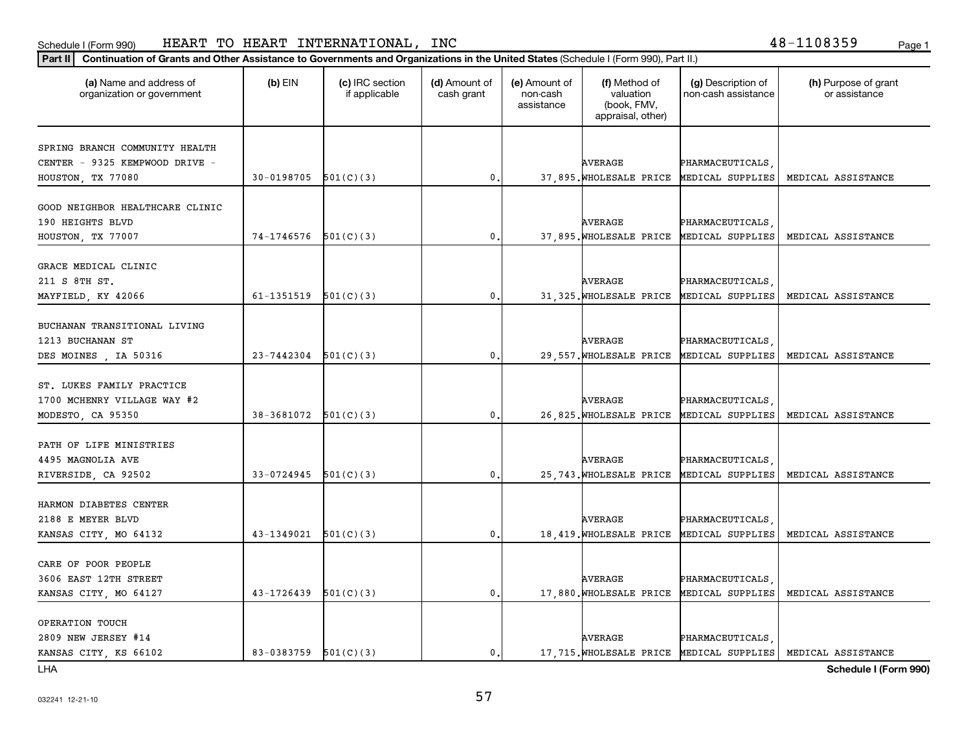## Schedule I (Form 990) HEART TO HEART INTERNATIONAL,INC 48-1108359 <sub>Page 1</sub>

## **Part II Continuation of Grants and Other Assistance to Governments and Organizations in the United States**  (Schedule I (Form 990), Part II.)

| (a) Name and address of<br>organization or government | $(b)$ EIN                | (c) IRC section<br>if applicable | (d) Amount of<br>cash grant | (e) Amount of<br>non-cash<br>assistance | (f) Method of<br>valuation<br>(book, FMV,<br>appraisal, other) | (g) Description of<br>non-cash assistance | (h) Purpose of grant<br>or assistance |
|-------------------------------------------------------|--------------------------|----------------------------------|-----------------------------|-----------------------------------------|----------------------------------------------------------------|-------------------------------------------|---------------------------------------|
|                                                       |                          |                                  |                             |                                         |                                                                |                                           |                                       |
| SPRING BRANCH COMMUNITY HEALTH                        |                          |                                  |                             |                                         |                                                                |                                           |                                       |
| CENTER - 9325 KEMPWOOD DRIVE -                        |                          |                                  |                             |                                         | <b>AVERAGE</b>                                                 | PHARMACEUTICALS                           |                                       |
| HOUSTON, TX 77080                                     | 30-0198705               | 501(C)(3)                        | $\mathbf{0}$                |                                         | 37,895. WHOLESALE PRICE                                        | MEDICAL SUPPLIES                          | MEDICAL ASSISTANCE                    |
| GOOD NEIGHBOR HEALTHCARE CLINIC                       |                          |                                  |                             |                                         |                                                                |                                           |                                       |
| 190 HEIGHTS BLVD                                      |                          |                                  |                             |                                         | AVERAGE                                                        | PHARMACEUTICALS                           |                                       |
| HOUSTON, TX 77007                                     | $74-1746576$ $501(C)(3)$ |                                  | $\mathbf{0}$ .              |                                         | 37,895. WHOLESALE PRICE                                        | MEDICAL SUPPLIES                          | MEDICAL ASSISTANCE                    |
|                                                       |                          |                                  |                             |                                         |                                                                |                                           |                                       |
| GRACE MEDICAL CLINIC                                  |                          |                                  |                             |                                         |                                                                |                                           |                                       |
| 211 S 8TH ST.                                         |                          |                                  |                             |                                         | AVERAGE                                                        | PHARMACEUTICALS                           |                                       |
| MAYFIELD, KY 42066                                    | 61-1351519               | 501(C)(3)                        | $\mathbf{0}$ .              |                                         | 31, 325. WHOLESALE PRICE                                       | MEDICAL SUPPLIES                          | MEDICAL ASSISTANCE                    |
|                                                       |                          |                                  |                             |                                         |                                                                |                                           |                                       |
| BUCHANAN TRANSITIONAL LIVING                          |                          |                                  |                             |                                         |                                                                |                                           |                                       |
| 1213 BUCHANAN ST                                      |                          |                                  |                             |                                         | <b>AVERAGE</b>                                                 | PHARMACEUTICALS                           |                                       |
| DES MOINES, IA 50316                                  | 23-7442304               | 501(C)(3)                        | $\mathbf{0}$ .              |                                         | 29,557. WHOLESALE PRICE                                        | MEDICAL SUPPLIES                          | MEDICAL ASSISTANCE                    |
|                                                       |                          |                                  |                             |                                         |                                                                |                                           |                                       |
| ST. LUKES FAMILY PRACTICE                             |                          |                                  |                             |                                         |                                                                |                                           |                                       |
| 1700 MCHENRY VILLAGE WAY #2                           |                          |                                  |                             |                                         | AVERAGE                                                        | PHARMACEUTICALS                           |                                       |
| MODESTO, CA 95350                                     | $38-3681072$ $501(C)(3)$ |                                  | 0.                          |                                         | 26,825. WHOLESALE PRICE                                        | MEDICAL SUPPLIES                          | MEDICAL ASSISTANCE                    |
| PATH OF LIFE MINISTRIES                               |                          |                                  |                             |                                         |                                                                |                                           |                                       |
| 4495 MAGNOLIA AVE                                     |                          |                                  |                             |                                         | AVERAGE                                                        | PHARMACEUTICALS                           |                                       |
| RIVERSIDE, CA 92502                                   | $33-0724945$ $501(C)(3)$ |                                  | $\mathbf 0$ .               |                                         | 25,743. WHOLESALE PRICE                                        | MEDICAL SUPPLIES                          | MEDICAL ASSISTANCE                    |
|                                                       |                          |                                  |                             |                                         |                                                                |                                           |                                       |
| HARMON DIABETES CENTER                                |                          |                                  |                             |                                         |                                                                |                                           |                                       |
| 2188 E MEYER BLVD                                     |                          |                                  |                             |                                         | <b>AVERAGE</b>                                                 | PHARMACEUTICALS                           |                                       |
| KANSAS CITY, MO 64132                                 | 43-1349021               | 501(C)(3)                        | $\mathfrak o$ .             |                                         | 18,419. WHOLESALE PRICE                                        | MEDICAL SUPPLIES                          | MEDICAL ASSISTANCE                    |
|                                                       |                          |                                  |                             |                                         |                                                                |                                           |                                       |
| CARE OF POOR PEOPLE                                   |                          |                                  |                             |                                         |                                                                |                                           |                                       |
| 3606 EAST 12TH STREET                                 |                          |                                  |                             |                                         | <b>AVERAGE</b>                                                 | PHARMACEUTICALS                           |                                       |
| KANSAS CITY, MO 64127                                 | $43 - 1726439$           | 501(C)(3)                        | $\mathbf{0}$ .              |                                         | 17,880. WHOLESALE PRICE                                        | MEDICAL SUPPLIES                          | MEDICAL ASSISTANCE                    |
|                                                       |                          |                                  |                             |                                         |                                                                |                                           |                                       |
| OPERATION TOUCH                                       |                          |                                  |                             |                                         |                                                                |                                           |                                       |
| 2809 NEW JERSEY #14                                   |                          |                                  |                             |                                         | AVERAGE                                                        | PHARMACEUTICALS                           |                                       |
| KANSAS CITY, KS 66102                                 | $83-0383759$ $501(C)(3)$ |                                  | $\mathbf{0}$ .              |                                         |                                                                | 17, 715. WHOLESALE PRICE MEDICAL SUPPLIES | MEDICAL ASSISTANCE                    |

LHA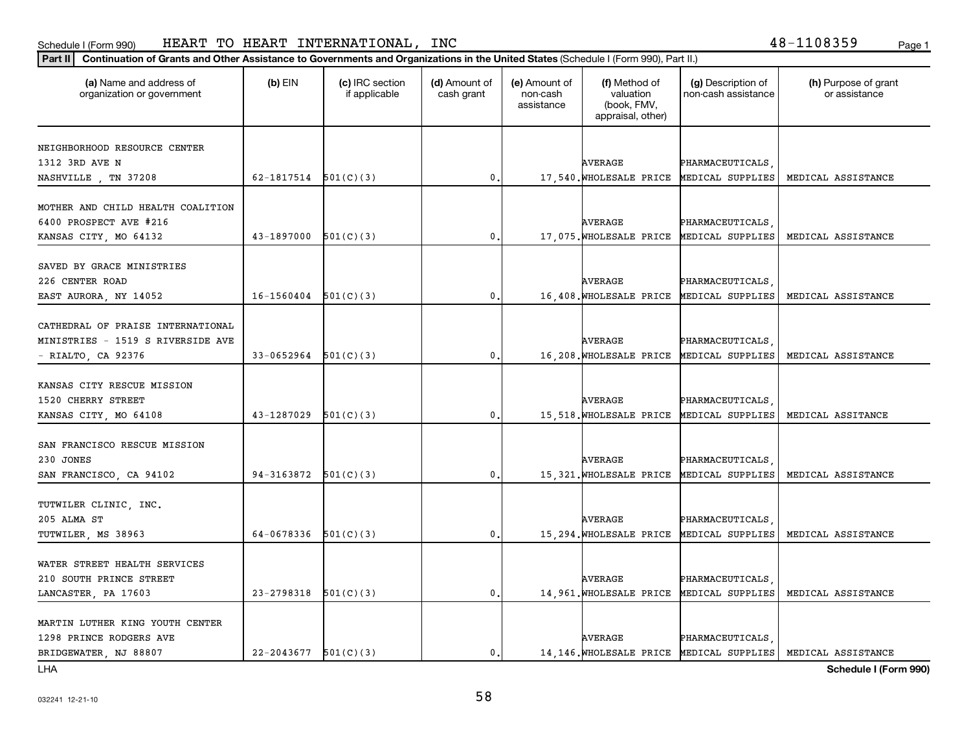### Schedule I (Form 990) HEAR'I' I'O HEAR'I' IN'I'ERNA'I'IONALi, INC HEART TO HEART INTERNATIONAL, INC 48-1108359

### **Part II Continuation of Grants and Other Assistance to Governments and Organizations in the United States**  (Schedule I (Form 990), Part II.)

| <u>Unimidation of Grants and Other Assistance to Governments and Organizations in the United States (Schedule i (Form 390), Fart in J</u> |                            |                                  |                             |                                         |                                                                |                                           |                                                               |
|-------------------------------------------------------------------------------------------------------------------------------------------|----------------------------|----------------------------------|-----------------------------|-----------------------------------------|----------------------------------------------------------------|-------------------------------------------|---------------------------------------------------------------|
| (a) Name and address of<br>organization or government                                                                                     | $(b)$ EIN                  | (c) IRC section<br>if applicable | (d) Amount of<br>cash grant | (e) Amount of<br>non-cash<br>assistance | (f) Method of<br>valuation<br>(book, FMV,<br>appraisal, other) | (g) Description of<br>non-cash assistance | (h) Purpose of grant<br>or assistance                         |
|                                                                                                                                           |                            |                                  |                             |                                         |                                                                |                                           |                                                               |
| NEIGHBORHOOD RESOURCE CENTER                                                                                                              |                            |                                  |                             |                                         |                                                                |                                           |                                                               |
| 1312 3RD AVE N                                                                                                                            |                            |                                  |                             |                                         | AVERAGE                                                        | PHARMACEUTICALS                           |                                                               |
| NASHVILLE, TN 37208                                                                                                                       | 62-1817514 $501(C)(3)$     |                                  | $\mathbf{0}$ .              |                                         |                                                                | 17,540. WHOLESALE PRICE MEDICAL SUPPLIES  | MEDICAL ASSISTANCE                                            |
|                                                                                                                                           |                            |                                  |                             |                                         |                                                                |                                           |                                                               |
| MOTHER AND CHILD HEALTH COALITION                                                                                                         |                            |                                  |                             |                                         |                                                                |                                           |                                                               |
| 6400 PROSPECT AVE #216                                                                                                                    |                            |                                  |                             |                                         | <b>AVERAGE</b>                                                 | PHARMACEUTICALS                           |                                                               |
| KANSAS CITY, MO 64132                                                                                                                     | $43-1897000$ $501(C)(3)$   |                                  | $\mathbf{0}$ .              |                                         |                                                                | 17,075. WHOLESALE PRICE MEDICAL SUPPLIES  | MEDICAL ASSISTANCE                                            |
| SAVED BY GRACE MINISTRIES                                                                                                                 |                            |                                  |                             |                                         |                                                                |                                           |                                                               |
| 226 CENTER ROAD                                                                                                                           |                            |                                  |                             |                                         | AVERAGE                                                        | PHARMACEUTICALS                           |                                                               |
| EAST AURORA, NY 14052                                                                                                                     | $16-1560404$ $501(C)(3)$   |                                  | $\mathbf{0}$ .              |                                         | 16,408. WHOLESALE PRICE                                        | MEDICAL SUPPLIES                          | MEDICAL ASSISTANCE                                            |
|                                                                                                                                           |                            |                                  |                             |                                         |                                                                |                                           |                                                               |
| CATHEDRAL OF PRAISE INTERNATIONAL                                                                                                         |                            |                                  |                             |                                         |                                                                |                                           |                                                               |
| MINISTRIES - 1519 S RIVERSIDE AVE                                                                                                         |                            |                                  |                             |                                         | <b>AVERAGE</b>                                                 | PHARMACEUTICALS                           |                                                               |
| - RIALTO, CA 92376                                                                                                                        | 33-0652964                 | 501(C)(3)                        | 0.                          |                                         | 16,208. WHOLESALE PRICE                                        | MEDICAL SUPPLIES                          | MEDICAL ASSISTANCE                                            |
|                                                                                                                                           |                            |                                  |                             |                                         |                                                                |                                           |                                                               |
| KANSAS CITY RESCUE MISSION                                                                                                                |                            |                                  |                             |                                         |                                                                |                                           |                                                               |
| 1520 CHERRY STREET                                                                                                                        |                            |                                  |                             |                                         | <b>AVERAGE</b>                                                 | PHARMACEUTICALS                           |                                                               |
| KANSAS CITY, MO 64108                                                                                                                     | 43-1287029                 | 501(C)(3)                        | $\mathbf 0$ .               |                                         | 15,518. WHOLESALE PRICE                                        | MEDICAL SUPPLIES                          | MEDICAL ASSITANCE                                             |
|                                                                                                                                           |                            |                                  |                             |                                         |                                                                |                                           |                                                               |
| SAN FRANCISCO RESCUE MISSION                                                                                                              |                            |                                  |                             |                                         |                                                                |                                           |                                                               |
| 230 JONES                                                                                                                                 |                            |                                  |                             |                                         | AVERAGE                                                        | PHARMACEUTICALS                           |                                                               |
| SAN FRANCISCO, CA 94102                                                                                                                   | $94-3163872$ $501(C)(3)$   |                                  | $\mathbf{0}$ .              |                                         |                                                                | 15,321. WHOLESALE PRICE MEDICAL SUPPLIES  | MEDICAL ASSISTANCE                                            |
|                                                                                                                                           |                            |                                  |                             |                                         |                                                                |                                           |                                                               |
| TUTWILER CLINIC, INC.<br>205 ALMA ST                                                                                                      |                            |                                  |                             |                                         | AVERAGE                                                        |                                           |                                                               |
|                                                                                                                                           | 64-0678336 $501(C)(3)$     |                                  | $\mathbf{0}$ .              |                                         |                                                                | PHARMACEUTICALS<br>MEDICAL SUPPLIES       | MEDICAL ASSISTANCE                                            |
| TUTWILER, MS 38963                                                                                                                        |                            |                                  |                             |                                         | 15,294. WHOLESALE PRICE                                        |                                           |                                                               |
| WATER STREET HEALTH SERVICES                                                                                                              |                            |                                  |                             |                                         |                                                                |                                           |                                                               |
| 210 SOUTH PRINCE STREET                                                                                                                   |                            |                                  |                             |                                         | <b>AVERAGE</b>                                                 | PHARMACEUTICALS                           |                                                               |
| LANCASTER, PA 17603                                                                                                                       | $23 - 2798318$             | 501(C)(3)                        | $\mathfrak{o}$ .            |                                         | 14,961. WHOLESALE PRICE                                        | MEDICAL SUPPLIES                          | MEDICAL ASSISTANCE                                            |
|                                                                                                                                           |                            |                                  |                             |                                         |                                                                |                                           |                                                               |
| MARTIN LUTHER KING YOUTH CENTER                                                                                                           |                            |                                  |                             |                                         |                                                                |                                           |                                                               |
| 1298 PRINCE RODGERS AVE                                                                                                                   |                            |                                  |                             |                                         | <b>AVERAGE</b>                                                 | PHARMACEUTICALS                           |                                                               |
| BRIDGEWATER, NJ 88807                                                                                                                     | $22 - 2043677$ $501(C)(3)$ |                                  | $\mathbf{0}$ .              |                                         |                                                                |                                           | 14,146. WHOLESALE PRICE MEDICAL SUPPLIES   MEDICAL ASSISTANCE |

LHA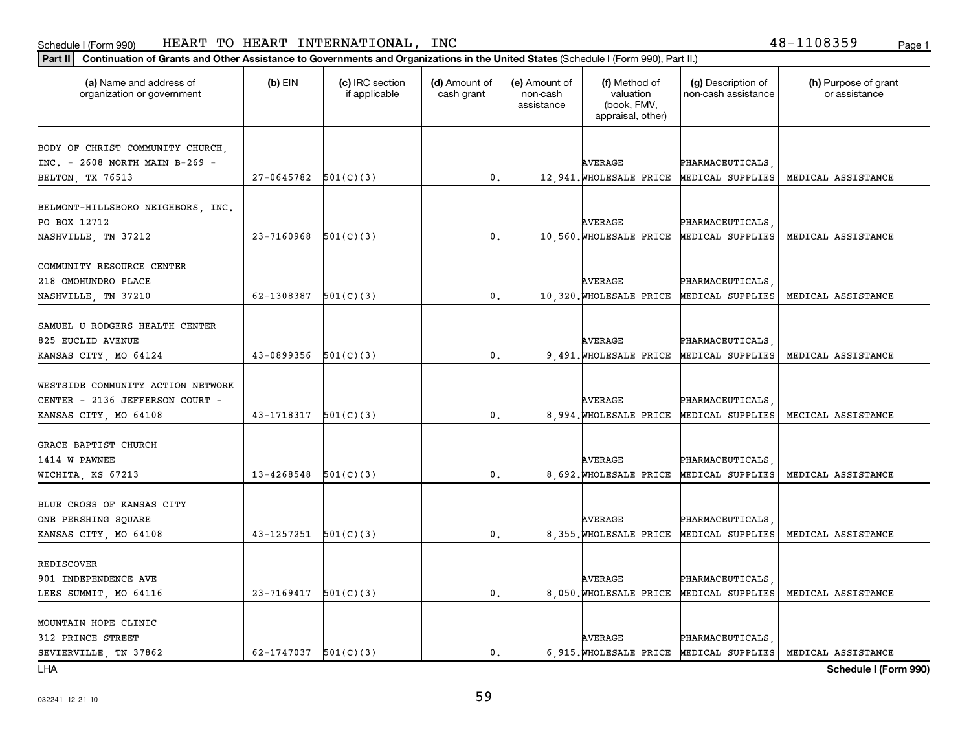## Schedule I (Form 990) HEART TO HEART INTERNATIONAL,INC 48-1108359 <sub>Page 1</sub>

## **Part II Continuation of Grants and Other Assistance to Governments and Organizations in the United States**  (Schedule I (Form 990), Part II.)

| (a) Name and address of<br>organization or government                                         | $(b)$ EIN                  | (c) IRC section<br>if applicable | (d) Amount of<br>cash grant | (e) Amount of<br>non-cash<br>assistance | (f) Method of<br>valuation<br>(book, FMV,<br>appraisal, other) | (g) Description of<br>non-cash assistance  | (h) Purpose of grant<br>or assistance |
|-----------------------------------------------------------------------------------------------|----------------------------|----------------------------------|-----------------------------|-----------------------------------------|----------------------------------------------------------------|--------------------------------------------|---------------------------------------|
| BODY OF CHRIST COMMUNITY CHURCH,<br>INC. - 2608 NORTH MAIN B-269 -<br>BELTON, TX 76513        | $27-0645782$ $501(C)(3)$   |                                  | $\mathfrak{o}$ .            |                                         | <b>AVERAGE</b><br>12,941. WHOLESALE PRICE                      | PHARMACEUTICALS<br>MEDICAL SUPPLIES        | MEDICAL ASSISTANCE                    |
| BELMONT-HILLSBORO NEIGHBORS, INC.<br>PO BOX 12712<br>NASHVILLE, TN 37212                      | $23 - 7160968$ $501(C)(3)$ |                                  | $\mathbf{0}$ .              |                                         | <b>AVERAGE</b><br>10,560. WHOLESALE PRICE MEDICAL SUPPLIES     | PHARMACEUTICALS                            | MEDICAL ASSISTANCE                    |
| COMMUNITY RESOURCE CENTER<br>218 OMOHUNDRO PLACE<br>NASHVILLE, TN 37210                       | 62-1308387                 | 501(C)(3)                        | $\mathbf{0}$ .              |                                         | <b>AVERAGE</b><br>10,320. WHOLESALE PRICE                      | PHARMACEUTICALS<br>MEDICAL SUPPLIES        | MEDICAL ASSISTANCE                    |
| SAMUEL U RODGERS HEALTH CENTER<br>825 EUCLID AVENUE<br>KANSAS CITY, MO 64124                  | 43-0899356                 | 501(C)(3)                        | 0                           |                                         | <b>AVERAGE</b><br>9,491. WHOLESALE PRICE                       | PHARMACEUTICALS<br>MEDICAL SUPPLIES        | MEDICAL ASSISTANCE                    |
| WESTSIDE COMMUNITY ACTION NETWORK<br>CENTER - 2136 JEFFERSON COURT -<br>KANSAS CITY, MO 64108 | 43-1718317                 | 501(C)(3)                        | 0.                          |                                         | <b>AVERAGE</b><br>8,994. WHOLESALE PRICE                       | PHARMACEUTICALS<br>MEDICAL SUPPLIES        | MECICAL ASSISTANCE                    |
| GRACE BAPTIST CHURCH<br>1414 W PAWNEE<br>WICHITA, KS 67213                                    | 13-4268548                 | 501(C)(3)                        | $\mathbf{0}$ .              |                                         | <b>AVERAGE</b><br>8,692. WHOLESALE PRICE                       | PHARMACEUTICALS<br>MEDICAL SUPPLIES        | MEDICAL ASSISTANCE                    |
| BLUE CROSS OF KANSAS CITY<br>ONE PERSHING SQUARE<br>KANSAS CITY, MO 64108                     | 43-1257251                 | 501(C)(3)                        | $\mathbf{0}$ .              |                                         | <b>AVERAGE</b><br>8,355. WHOLESALE PRICE                       | <b>PHARMACEUTICALS</b><br>MEDICAL SUPPLIES | MEDICAL ASSISTANCE                    |
| REDISCOVER<br>901 INDEPENDENCE AVE<br>LEES SUMMIT, MO 64116                                   | 23-7169417                 | 501(C)(3)                        | $\mathbf{0}$ .              |                                         | <b>AVERAGE</b><br>8,050. WHOLESALE PRICE                       | PHARMACEUTICALS<br>MEDICAL SUPPLIES        | MEDICAL ASSISTANCE                    |
| MOUNTAIN HOPE CLINIC<br>312 PRINCE STREET<br>SEVIERVILLE, TN 37862                            | $62-1747037$ $501(C)(3)$   |                                  | $\mathbf{0}$                |                                         | <b>AVERAGE</b><br>6,915. WHOLESALE PRICE MEDICAL SUPPLIES      | PHARMACEUTICALS                            | MEDICAL ASSISTANCE                    |

LHA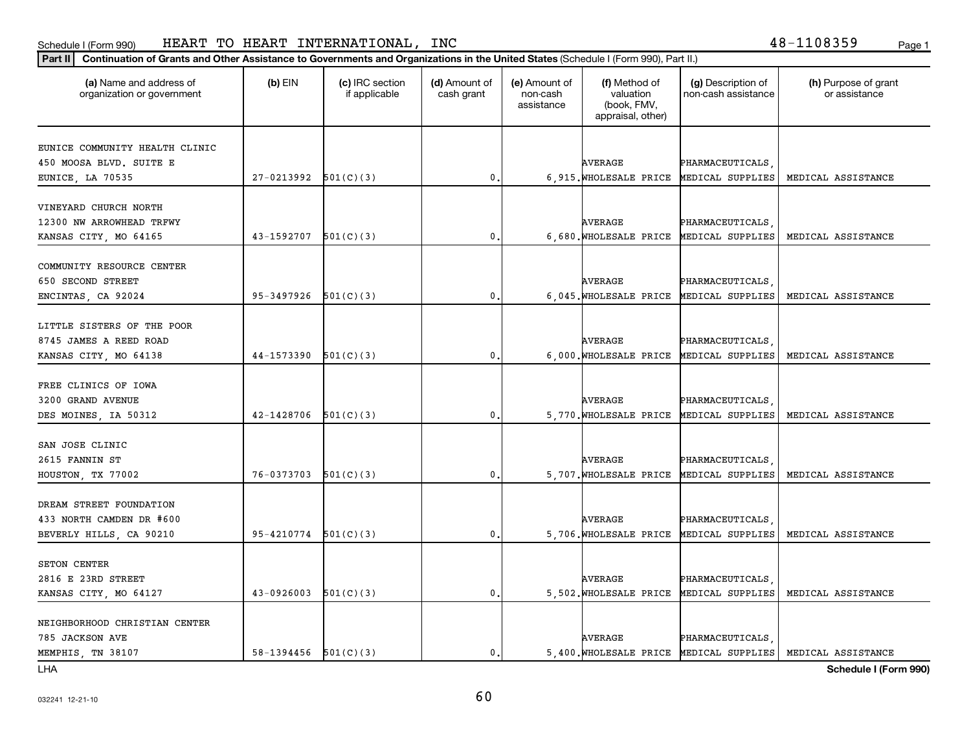## Schedule I (Form 990) HEART TO HEART INTERNATIONAL,INC 48-1108359 <sub>Page 1</sub>

## **Part II Continuation of Grants and Other Assistance to Governments and Organizations in the United States**  (Schedule I (Form 990), Part II.)

| (a) Name and address of<br>organization or government | $(b)$ EIN                  | (c) IRC section<br>if applicable | (d) Amount of<br>cash grant | (e) Amount of<br>non-cash<br>assistance | (f) Method of<br>valuation<br>(book, FMV,<br>appraisal, other) | (g) Description of<br>non-cash assistance | (h) Purpose of grant<br>or assistance |
|-------------------------------------------------------|----------------------------|----------------------------------|-----------------------------|-----------------------------------------|----------------------------------------------------------------|-------------------------------------------|---------------------------------------|
|                                                       |                            |                                  |                             |                                         |                                                                |                                           |                                       |
| EUNICE COMMUNITY HEALTH CLINIC                        |                            |                                  |                             |                                         |                                                                |                                           |                                       |
| 450 MOOSA BLVD. SUITE E                               |                            |                                  |                             |                                         | <b>AVERAGE</b>                                                 | PHARMACEUTICALS                           |                                       |
| EUNICE, LA 70535                                      | $27-0213992$ $501(C)(3)$   |                                  | $\mathbf 0$                 |                                         | 6,915. WHOLESALE PRICE                                         | MEDICAL SUPPLIES                          | MEDICAL ASSISTANCE                    |
| VINEYARD CHURCH NORTH                                 |                            |                                  |                             |                                         |                                                                |                                           |                                       |
| 12300 NW ARROWHEAD TRFWY                              |                            |                                  |                             |                                         | AVERAGE                                                        | PHARMACEUTICALS,                          |                                       |
| KANSAS CITY, MO 64165                                 | $43-1592707$ $501(C)(3)$   |                                  | $\mathbf{0}$ .              |                                         |                                                                | 6,680. WHOLESALE PRICE MEDICAL SUPPLIES   | MEDICAL ASSISTANCE                    |
|                                                       |                            |                                  |                             |                                         |                                                                |                                           |                                       |
| COMMUNITY RESOURCE CENTER                             |                            |                                  |                             |                                         |                                                                |                                           |                                       |
| 650 SECOND STREET                                     |                            |                                  |                             |                                         | AVERAGE                                                        | PHARMACEUTICALS                           |                                       |
| ENCINTAS, CA 92024                                    | 95-3497926                 | 501(C)(3)                        | $\mathbf{0}$ .              |                                         | 6,045. WHOLESALE PRICE                                         | MEDICAL SUPPLIES                          | MEDICAL ASSISTANCE                    |
|                                                       |                            |                                  |                             |                                         |                                                                |                                           |                                       |
| LITTLE SISTERS OF THE POOR                            |                            |                                  |                             |                                         |                                                                |                                           |                                       |
| 8745 JAMES A REED ROAD                                |                            |                                  |                             |                                         | <b>AVERAGE</b>                                                 | PHARMACEUTICALS                           |                                       |
| KANSAS CITY, MO 64138                                 | 44-1573390                 | 501(C)(3)                        | $\mathbf{0}$                |                                         | 6,000. WHOLESALE PRICE                                         | MEDICAL SUPPLIES                          | MEDICAL ASSISTANCE                    |
|                                                       |                            |                                  |                             |                                         |                                                                |                                           |                                       |
| FREE CLINICS OF IOWA                                  |                            |                                  |                             |                                         |                                                                |                                           |                                       |
| 3200 GRAND AVENUE                                     |                            |                                  |                             |                                         | AVERAGE                                                        | PHARMACEUTICALS                           |                                       |
| DES MOINES, IA 50312                                  | $42 - 1428706$ $501(C)(3)$ |                                  | 0.                          |                                         | 5,770. WHOLESALE PRICE                                         | MEDICAL SUPPLIES                          | MEDICAL ASSISTANCE                    |
|                                                       |                            |                                  |                             |                                         |                                                                |                                           |                                       |
| SAN JOSE CLINIC                                       |                            |                                  |                             |                                         |                                                                |                                           |                                       |
| 2615 FANNIN ST                                        |                            |                                  |                             |                                         | <b>AVERAGE</b>                                                 | PHARMACEUTICALS                           |                                       |
| HOUSTON, TX 77002                                     | 76-0373703                 | 501(C)(3)                        | $\mathfrak{o}$ .            |                                         | 5,707. WHOLESALE PRICE                                         | MEDICAL SUPPLIES                          | MEDICAL ASSISTANCE                    |
|                                                       |                            |                                  |                             |                                         |                                                                |                                           |                                       |
| DREAM STREET FOUNDATION                               |                            |                                  |                             |                                         |                                                                |                                           |                                       |
| 433 NORTH CAMDEN DR #600                              |                            |                                  |                             |                                         | AVERAGE                                                        | PHARMACEUTICALS                           |                                       |
| BEVERLY HILLS, CA 90210                               | 95-4210774                 | 501(C)(3)                        | $\mathbf{0}$                |                                         | 5,706. WHOLESALE PRICE                                         | MEDICAL SUPPLIES                          | MEDICAL ASSISTANCE                    |
|                                                       |                            |                                  |                             |                                         |                                                                |                                           |                                       |
| SETON CENTER                                          |                            |                                  |                             |                                         |                                                                |                                           |                                       |
| 2816 E 23RD STREET                                    |                            |                                  |                             |                                         | <b>AVERAGE</b>                                                 | PHARMACEUTICALS                           |                                       |
| KANSAS CITY, MO 64127                                 | 43-0926003                 | 501(C)(3)                        | 0.                          |                                         | 5,502. WHOLESALE PRICE                                         | MEDICAL SUPPLIES                          | MEDICAL ASSISTANCE                    |
|                                                       |                            |                                  |                             |                                         |                                                                |                                           |                                       |
| NEIGHBORHOOD CHRISTIAN CENTER                         |                            |                                  |                             |                                         |                                                                |                                           |                                       |
| 785 JACKSON AVE                                       |                            |                                  |                             |                                         | <b>AVERAGE</b>                                                 | PHARMACEUTICALS                           |                                       |
| MEMPHIS, TN 38107                                     | 58-1394456 $501(C)(3)$     |                                  | $\mathbf{0}$ .              |                                         |                                                                | 5,400. WHOLESALE PRICE MEDICAL SUPPLIES   | MEDICAL ASSISTANCE                    |
|                                                       |                            |                                  |                             |                                         |                                                                |                                           |                                       |

LHA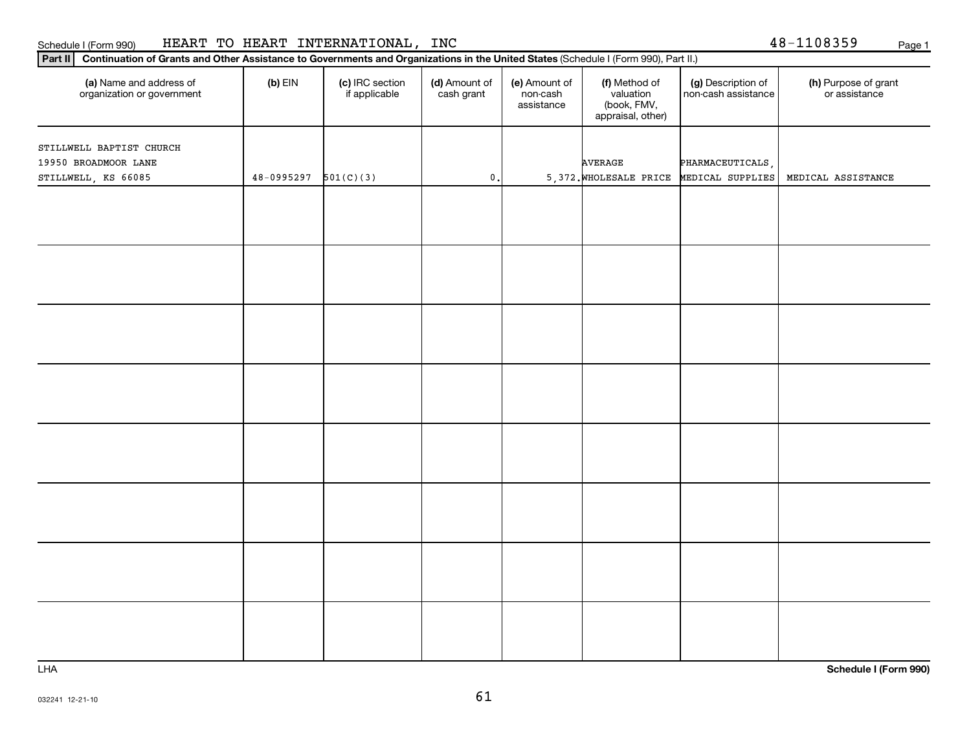|                                                                         |                        |                 | appraisal, other) |                  |                                                              |
|-------------------------------------------------------------------------|------------------------|-----------------|-------------------|------------------|--------------------------------------------------------------|
| STILLWELL BAPTIST CHURCH<br>19950 BROADMOOR LANE<br>STILLWELL, KS 66085 | $48-0995297$ 501(C)(3) | $\mathfrak o$ . | AVERAGE           | PHARMACEUTICALS, | 5,372. WHOLESALE PRICE MEDICAL SUPPLIES   MEDICAL ASSISTANCE |
|                                                                         |                        |                 |                   |                  |                                                              |
|                                                                         |                        |                 |                   |                  |                                                              |
|                                                                         |                        |                 |                   |                  |                                                              |
|                                                                         |                        |                 |                   |                  |                                                              |
|                                                                         |                        |                 |                   |                  |                                                              |
|                                                                         |                        |                 |                   |                  |                                                              |
|                                                                         |                        |                 |                   |                  |                                                              |
|                                                                         |                        |                 |                   |                  |                                                              |

**(a) (b) (c) (d) (e) (f) (g) (h)** Name and address of

(d) Amount of cash grant

(e) Amount of non-cash assistance

(f) Method of valuation (book, FMV,

(g) Description of non-cash assistance

## Schedule I (Form 990) HEART TO HEART INTERNATIONAL,INC 48-1108359 <sub>Page 1</sub>

organization or government

 $\overline{\phantom{0}}$ 

**Part II Continuation of Grants and Other Assistance to Governments and Organizations in the United States**  (Schedule I (Form 990), Part II.)

if applicable

 $(b)$  EIN  $\qquad$   $(c)$  IRC section

LHA

**Schedule I (Form 990)**

(h) Purpose of grant or assistance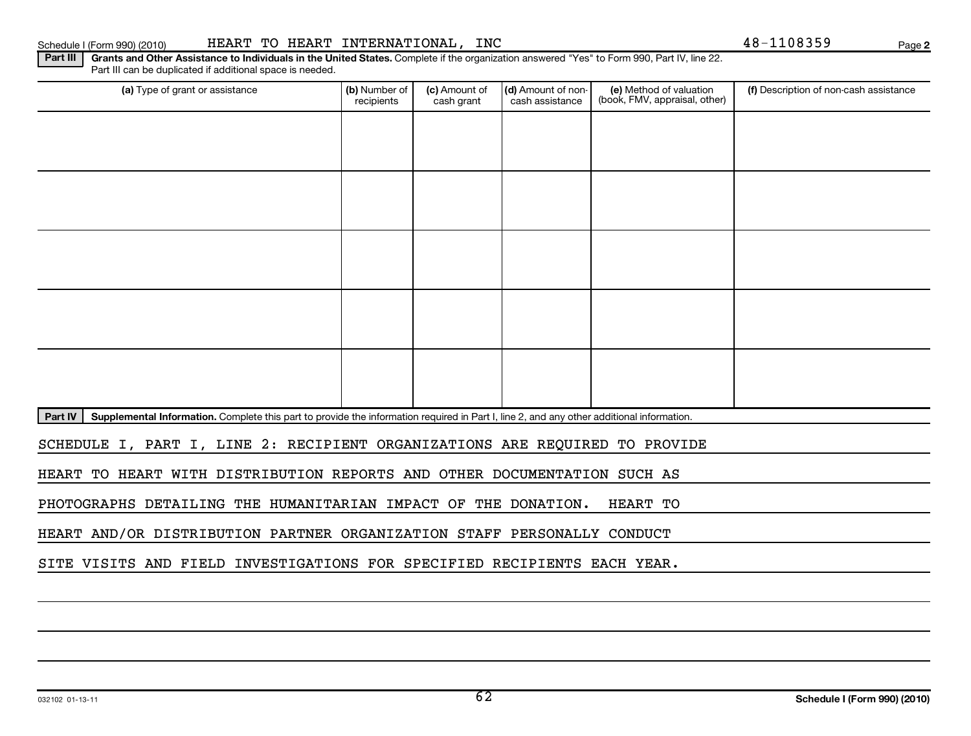| Supplemental Information. Complete this part to provide the information required in Part I, line 2, and any other additional information.<br>Part IV |  |  |  |
|------------------------------------------------------------------------------------------------------------------------------------------------------|--|--|--|

Part III | Grants and Other Assistance to Individuals in the United States. Complete if the organization answered "Yes" to Form 990, Part IV, line 22. Part III can be duplicated if additional space is needed.

recipients

(a) Type of grant or assistance **Audity Commet Audio Commet Commet Commet Commet Commet Commet Commet Commet Comme** 

(c) Amount of cash grant

(d) Amount of noncash assistance

SCHEDULE I, PART I, LINE 2: RECIPIENT ORGANIZATIONS ARE REQUIRED TO PROVIDE

HEART TO HEART WITH DISTRIBUTION REPORTS AND OTHER DOCUMENTATION SUCH AS

PHOTOGRAPHS DETAILING THE HUMANITARIAN IMPACT OF THE DONATION. HEART TO

HEART AND/OR DISTRIBUTION PARTNER ORGANIZATION STAFF PERSONALLY CONDUCT

SITE VISITS AND FIELD INVESTIGATIONS FOR SPECIFIED RECIPIENTS EACH YEAR.

(f) Description of non-cash assistance

(e) Method of valuation (book, FMV, appraisal, other)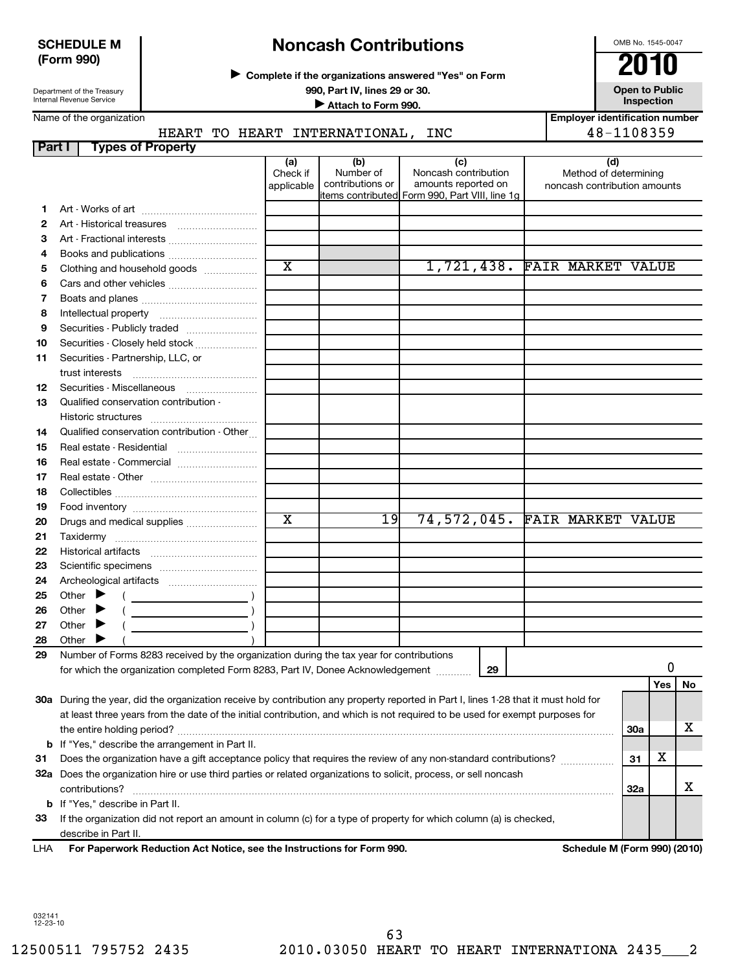## **SCHEDULE M (Form 990)**

Department of the Treasury Internal Revenue Service

# **Noncash Contributions**

**Complete if the organizations answered "Yes" on Form** <sup>J</sup>**2010**

**990, Part IV, lines 29 or 30. Open to Public Unspection**<br> **■** Attach to Form 990 **Inspection Inspection Inspection Inspection Inspection Employer identification number**

|  | Name of the organization |
|--|--------------------------|
|--|--------------------------|

## HEART TO HEART INTERNATIONAL, INC 48-1108359

| Part I | <b>Types of Property</b>                                                                                                                                                   |                       |                  |                                                 |                              |            |    |
|--------|----------------------------------------------------------------------------------------------------------------------------------------------------------------------------|-----------------------|------------------|-------------------------------------------------|------------------------------|------------|----|
|        |                                                                                                                                                                            | (a)<br>Check if       | (b)<br>Number of | (c)<br>Noncash contribution                     | (d)<br>Method of determining |            |    |
|        |                                                                                                                                                                            | applicable            | contributions or | amounts reported on                             | noncash contribution amounts |            |    |
|        |                                                                                                                                                                            |                       |                  | litems contributed Form 990, Part VIII, line 1g |                              |            |    |
| 1      |                                                                                                                                                                            |                       |                  |                                                 |                              |            |    |
| 2      |                                                                                                                                                                            |                       |                  |                                                 |                              |            |    |
| З      |                                                                                                                                                                            |                       |                  |                                                 |                              |            |    |
| 4<br>5 | Clothing and household goods                                                                                                                                               | $\overline{\text{x}}$ |                  | 1,721,438. FAIR MARKET VALUE                    |                              |            |    |
| 6      |                                                                                                                                                                            |                       |                  |                                                 |                              |            |    |
| 7      |                                                                                                                                                                            |                       |                  |                                                 |                              |            |    |
| 8      |                                                                                                                                                                            |                       |                  |                                                 |                              |            |    |
| 9      |                                                                                                                                                                            |                       |                  |                                                 |                              |            |    |
| 10     | Securities - Closely held stock                                                                                                                                            |                       |                  |                                                 |                              |            |    |
| 11     | Securities - Partnership, LLC, or                                                                                                                                          |                       |                  |                                                 |                              |            |    |
|        | trust interests                                                                                                                                                            |                       |                  |                                                 |                              |            |    |
| 12     | Securities - Miscellaneous                                                                                                                                                 |                       |                  |                                                 |                              |            |    |
| 13     | Qualified conservation contribution -                                                                                                                                      |                       |                  |                                                 |                              |            |    |
|        |                                                                                                                                                                            |                       |                  |                                                 |                              |            |    |
| 14     | Qualified conservation contribution - Other                                                                                                                                |                       |                  |                                                 |                              |            |    |
| 15     |                                                                                                                                                                            |                       |                  |                                                 |                              |            |    |
| 16     | Real estate - Commercial                                                                                                                                                   |                       |                  |                                                 |                              |            |    |
| 17     |                                                                                                                                                                            |                       |                  |                                                 |                              |            |    |
| 18     |                                                                                                                                                                            |                       |                  |                                                 |                              |            |    |
| 19     |                                                                                                                                                                            |                       |                  |                                                 |                              |            |    |
| 20     | Drugs and medical supplies                                                                                                                                                 | $\overline{\text{x}}$ | <u> 19 </u>      | 74,572,045. FAIR MARKET VALUE                   |                              |            |    |
| 21     |                                                                                                                                                                            |                       |                  |                                                 |                              |            |    |
| 22     |                                                                                                                                                                            |                       |                  |                                                 |                              |            |    |
| 23     |                                                                                                                                                                            |                       |                  |                                                 |                              |            |    |
| 24     |                                                                                                                                                                            |                       |                  |                                                 |                              |            |    |
| 25     | Other $\blacktriangleright$                                                                                                                                                |                       |                  |                                                 |                              |            |    |
| 26     | Other                                                                                                                                                                      |                       |                  |                                                 |                              |            |    |
| 27     | Other                                                                                                                                                                      |                       |                  |                                                 |                              |            |    |
| 28     | Other                                                                                                                                                                      |                       |                  |                                                 |                              |            |    |
| 29     | Number of Forms 8283 received by the organization during the tax year for contributions                                                                                    |                       |                  |                                                 |                              |            |    |
|        | for which the organization completed Form 8283, Part IV, Donee Acknowledgement                                                                                             |                       |                  | 29                                              |                              | 0          |    |
|        |                                                                                                                                                                            |                       |                  |                                                 |                              | Yes        | No |
|        | 30a During the year, did the organization receive by contribution any property reported in Part I, lines 1-28 that it must hold for                                        |                       |                  |                                                 |                              |            |    |
|        | at least three years from the date of the initial contribution, and which is not required to be used for exempt purposes for                                               |                       |                  |                                                 |                              |            | x  |
|        | the entire holding period?                                                                                                                                                 |                       |                  |                                                 |                              | <b>30a</b> |    |
| 31     | <b>b</b> If "Yes," describe the arrangement in Part II.<br>Does the organization have a gift acceptance policy that requires the review of any non-standard contributions? |                       |                  |                                                 |                              | х<br>31    |    |
|        | 32a Does the organization hire or use third parties or related organizations to solicit, process, or sell noncash                                                          |                       |                  |                                                 |                              |            |    |
|        | contributions?                                                                                                                                                             |                       |                  |                                                 |                              | 32a        | x  |
|        | <b>b</b> If "Yes," describe in Part II.                                                                                                                                    |                       |                  |                                                 |                              |            |    |
| 33     | If the organization did not report an amount in column (c) for a type of property for which column (a) is checked,                                                         |                       |                  |                                                 |                              |            |    |
|        | describe in Part II.                                                                                                                                                       |                       |                  |                                                 |                              |            |    |
|        |                                                                                                                                                                            |                       |                  |                                                 |                              |            |    |

**For Paperwork Reduction Act Notice, see the Instructions for Form 990. Schedule M (Form 990) (2010)** LHA

032141 12-23-10

OMB No. 1545-0047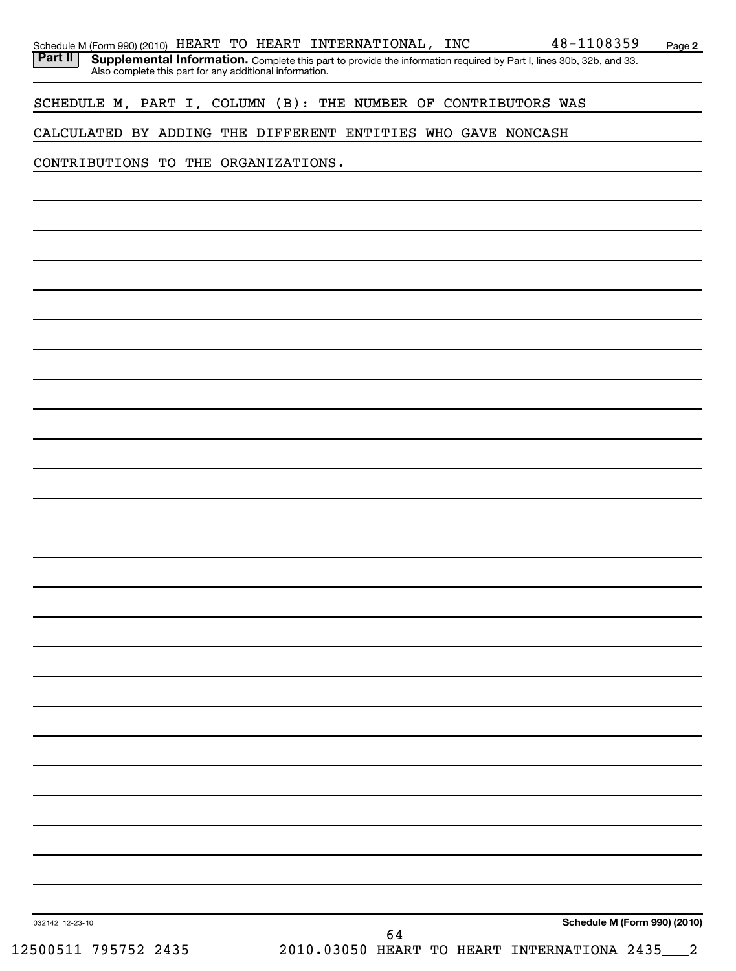| Schedule M (Form 990) (2010) HEART TO HEART INTERNATIONAL, INC<br>Part II |  |  |  |  |                                                                | 48-1108359                                                                                                                                                                         | Page 2 |
|---------------------------------------------------------------------------|--|--|--|--|----------------------------------------------------------------|------------------------------------------------------------------------------------------------------------------------------------------------------------------------------------|--------|
|                                                                           |  |  |  |  |                                                                | <b>Supplemental Information.</b> Complete this part to provide the information required by Part I, lines 30b, 32b, and 33. Also complete this part for any additional information. |        |
|                                                                           |  |  |  |  |                                                                |                                                                                                                                                                                    |        |
|                                                                           |  |  |  |  | SCHEDULE M, PART I, COLUMN (B): THE NUMBER OF CONTRIBUTORS WAS |                                                                                                                                                                                    |        |
|                                                                           |  |  |  |  | CALCULATED BY ADDING THE DIFFERENT ENTITIES WHO GAVE NONCASH   |                                                                                                                                                                                    |        |
| CONTRIBUTIONS TO THE ORGANIZATIONS.                                       |  |  |  |  |                                                                |                                                                                                                                                                                    |        |
|                                                                           |  |  |  |  |                                                                |                                                                                                                                                                                    |        |
|                                                                           |  |  |  |  |                                                                |                                                                                                                                                                                    |        |
|                                                                           |  |  |  |  |                                                                |                                                                                                                                                                                    |        |
|                                                                           |  |  |  |  |                                                                |                                                                                                                                                                                    |        |
|                                                                           |  |  |  |  |                                                                |                                                                                                                                                                                    |        |
|                                                                           |  |  |  |  |                                                                |                                                                                                                                                                                    |        |
|                                                                           |  |  |  |  |                                                                |                                                                                                                                                                                    |        |
|                                                                           |  |  |  |  |                                                                |                                                                                                                                                                                    |        |
|                                                                           |  |  |  |  |                                                                |                                                                                                                                                                                    |        |
|                                                                           |  |  |  |  |                                                                |                                                                                                                                                                                    |        |
|                                                                           |  |  |  |  |                                                                |                                                                                                                                                                                    |        |
|                                                                           |  |  |  |  |                                                                |                                                                                                                                                                                    |        |
|                                                                           |  |  |  |  |                                                                |                                                                                                                                                                                    |        |
|                                                                           |  |  |  |  |                                                                |                                                                                                                                                                                    |        |
|                                                                           |  |  |  |  |                                                                |                                                                                                                                                                                    |        |
|                                                                           |  |  |  |  |                                                                |                                                                                                                                                                                    |        |
|                                                                           |  |  |  |  |                                                                |                                                                                                                                                                                    |        |
|                                                                           |  |  |  |  |                                                                |                                                                                                                                                                                    |        |
|                                                                           |  |  |  |  |                                                                |                                                                                                                                                                                    |        |
|                                                                           |  |  |  |  |                                                                |                                                                                                                                                                                    |        |
|                                                                           |  |  |  |  |                                                                |                                                                                                                                                                                    |        |
|                                                                           |  |  |  |  |                                                                |                                                                                                                                                                                    |        |
|                                                                           |  |  |  |  |                                                                |                                                                                                                                                                                    |        |
|                                                                           |  |  |  |  |                                                                |                                                                                                                                                                                    |        |
|                                                                           |  |  |  |  |                                                                |                                                                                                                                                                                    |        |
|                                                                           |  |  |  |  |                                                                |                                                                                                                                                                                    |        |
|                                                                           |  |  |  |  |                                                                |                                                                                                                                                                                    |        |
|                                                                           |  |  |  |  |                                                                |                                                                                                                                                                                    |        |
|                                                                           |  |  |  |  |                                                                |                                                                                                                                                                                    |        |
|                                                                           |  |  |  |  |                                                                |                                                                                                                                                                                    |        |
|                                                                           |  |  |  |  |                                                                |                                                                                                                                                                                    |        |
|                                                                           |  |  |  |  |                                                                |                                                                                                                                                                                    |        |
|                                                                           |  |  |  |  |                                                                |                                                                                                                                                                                    |        |
|                                                                           |  |  |  |  |                                                                |                                                                                                                                                                                    |        |
|                                                                           |  |  |  |  |                                                                |                                                                                                                                                                                    |        |
|                                                                           |  |  |  |  |                                                                |                                                                                                                                                                                    |        |
| 032142 12-23-10                                                           |  |  |  |  |                                                                | Schedule M (Form 990) (2010)                                                                                                                                                       |        |